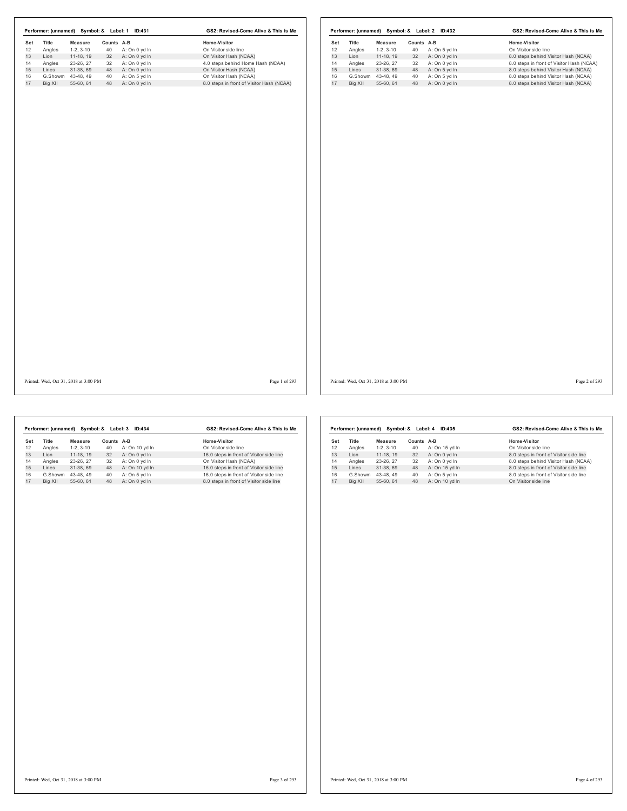|     | Performer: (unnamed) |            | Symbol: & Label: 1 | ID:431        | GS2: Revised-Come Alive & This is Me      |     | Performer: (unnamed) |          |
|-----|----------------------|------------|--------------------|---------------|-------------------------------------------|-----|----------------------|----------|
| Set | Title                | Measure    | Counts A-B         |               | Home-Visitor                              | Set | Title                | Mea      |
| 12  | Angles               | $1-2.3-10$ | 40                 | A: On 0 yd In | On Visitor side line                      | 12  | Angles               | $1 - 2$  |
| 13  | Lion                 | $11-18.19$ | 32                 | A: On 0 vd In | On Visitor Hash (NCAA)                    | 13  | Lion                 | $11 -$   |
| 14  | Angles               | 23-26.27   | 32                 | A: On 0 yd In | 4.0 steps behind Home Hash (NCAA)         | 14  | Angles               | $23 - 2$ |
| 15  | Lines                | 31-38.69   | 48                 | A: On 0 yd In | On Visitor Hash (NCAA)                    | 15  | Lines                | $31 -$   |
| 16  | G.Showm              | 43-48.49   | 40                 | A: On 5 yd In | On Visitor Hash (NCAA)                    | 16  | G.Showm              | $43 -$   |
| 17  | Big XII              | 55-60.61   | 48                 | A: On 0 vd In | 8.0 steps in front of Visitor Hash (NCAA) | 17  | Big XII              | $55 -$   |

|     | Performer: (unnamed) |            | Symbol: & Label: 2 | GS2: Revised-Come Alive & This is Me |                                           |  |
|-----|----------------------|------------|--------------------|--------------------------------------|-------------------------------------------|--|
| Set | Title                | Measure    | Counts             | A-B                                  | Home-Visitor                              |  |
| 12  | Angles               | $1-2.3-10$ | 40                 | A: On 5 yd In                        | On Visitor side line                      |  |
| 13  | I ion                | 11-18.19   | 32                 | A: On 0 yd In                        | 8.0 steps behind Visitor Hash (NCAA)      |  |
| 14  | Angles               | 23-26, 27  | 32                 | A: On 0 yd In                        | 8.0 steps in front of Visitor Hash (NCAA) |  |
| 15  | Lines                | 31-38.69   | 48                 | A: On 5 yd In                        | 8.0 steps behind Visitor Hash (NCAA)      |  |
| 16  | G.Showm              | 43-48.49   | 40                 | A: On 5 yd In                        | 8.0 steps behind Visitor Hash (NCAA)      |  |
| 17  | Big XII              | 55-60.61   | 48                 | A: On 0 yd In                        | 8.0 steps behind Visitor Hash (NCAA)      |  |

Printed: Wed, Oct 31, 2018 at 3:00 PM Page 1 of 293

Printed: Wed, Oct 31, 2018 at 3:00 PM Page 2 of 293

| GS2: Revised-Come Alive & This is Me     |  |  |
|------------------------------------------|--|--|
|                                          |  |  |
| On Visitor side line                     |  |  |
| 16.0 steps in front of Visitor side line |  |  |
| On Visitor Hash (NCAA)                   |  |  |
| 16.0 steps in front of Visitor side line |  |  |
| 16.0 steps in front of Visitor side line |  |  |
| 8.0 steps in front of Visitor side line  |  |  |
|                                          |  |  |

|     |         | Performer: (unnamed) Symbol: & Label: 4 |        | ID:435         | GS2: Revised-Come Alive & This is Me    |  |  |
|-----|---------|-----------------------------------------|--------|----------------|-----------------------------------------|--|--|
| Set | Title   | Measure                                 | Counts | A-B            | Home-Visitor                            |  |  |
| 12  | Angles  | $1-2.3-10$                              | 40     | A: On 15 yd In | On Visitor side line                    |  |  |
| 13  | I ion   | 11-18, 19                               | 32     | A: On 0 yd In  | 8.0 steps in front of Visitor side line |  |  |
| 14  | Angles  | 23-26.27                                | 32     | A: On 0 yd In  | 8.0 steps behind Visitor Hash (NCAA)    |  |  |
| 15  | Lines   | 31-38.69                                | 48     | A: On 15 yd In | 8.0 steps in front of Visitor side line |  |  |
| 16  | G.Showm | 43-48.49                                | 40     | A: On 5 yd In  | 8.0 steps in front of Visitor side line |  |  |
| 17  | Big XII | 55-60.61                                | 48     | A: On 10 yd In | On Visitor side line                    |  |  |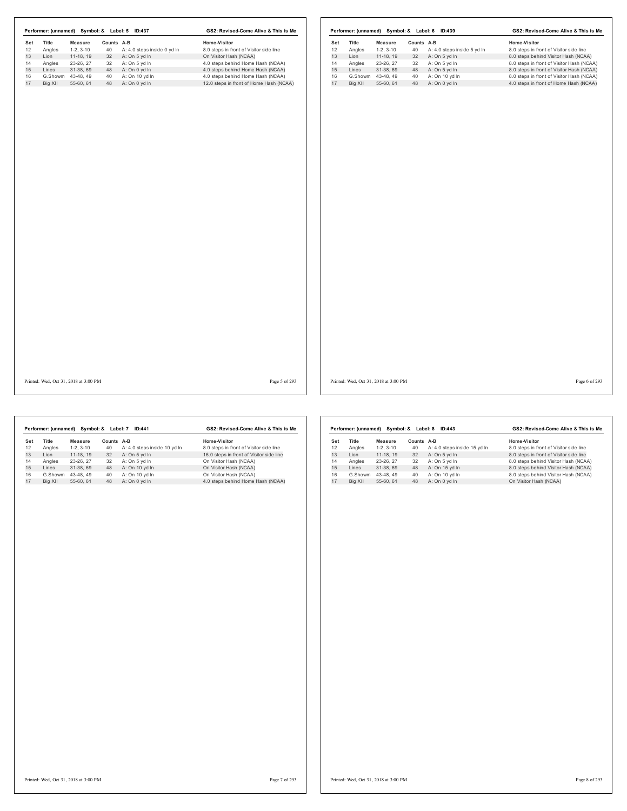| Angles<br>Lion<br>Angles | $1-2, 3-10$            |          | Counts A-B                     | Home-Visitor                                                           | Set      | Title           | Measure                | Counts A-B |                                | Home-Visitor                                                                           |
|--------------------------|------------------------|----------|--------------------------------|------------------------------------------------------------------------|----------|-----------------|------------------------|------------|--------------------------------|----------------------------------------------------------------------------------------|
|                          |                        | 40       | A: 4.0 steps inside 0 yd ln    | 8.0 steps in front of Visitor side line                                | 12       | Angles          | $1-2, 3-10$            | 40         | A: 4.0 steps inside 5 yd In    | 8.0 steps in front of Visitor side line                                                |
|                          | $11-18, 19$            | 32       | A: On 5 yd In                  | On Visitor Hash (NCAA)                                                 | 13       | Lion            | 11-18, 19              | 32         | A: On 5 yd In                  | 8.0 steps behind Visitor Hash (NCAA)                                                   |
|                          | 23-26, 27<br>31-38, 69 | 32<br>48 | A: On 5 yd In<br>A: On 0 yd In | 4.0 steps behind Home Hash (NCAA)<br>4.0 steps behind Home Hash (NCAA) | 14<br>15 | Angles<br>Lines | 23-26, 27<br>31-38, 69 | 32<br>48   | A: On 5 yd In<br>A: On 5 yd In | 8.0 steps in front of Visitor Hash (NCAA)<br>8.0 steps in front of Visitor Hash (NCAA) |
| Lines                    | G.Showm 43-48, 49      | 40       | A: On 10 yd In                 | 4.0 steps behind Home Hash (NCAA)                                      | 16       |                 | G.Showm 43-48, 49      | 40         | A: On 10 yd In                 | 8.0 steps in front of Visitor Hash (NCAA)                                              |
| Big XII                  | 55-60, 61              |          | 48 A: On 0 yd In               | 12.0 steps in front of Home Hash (NCAA)                                | 17       | Big XII         | 55-60, 61              | 48         | A: On 0 yd In                  | 4.0 steps in front of Home Hash (NCAA)                                                 |
|                          |                        |          |                                |                                                                        |          |                 |                        |            |                                |                                                                                        |
|                          |                        |          |                                |                                                                        |          |                 |                        |            |                                |                                                                                        |
|                          |                        |          |                                |                                                                        |          |                 |                        |            |                                |                                                                                        |
|                          |                        |          |                                |                                                                        |          |                 |                        |            |                                |                                                                                        |
|                          |                        |          |                                |                                                                        |          |                 |                        |            |                                |                                                                                        |

Printed: Wed, Oct 31, 2018 at 3:00 PM Page 5 of 293

Printed: Wed, Oct 31, 2018 at 3:00 PM Page 6 of 293

|     | Performer: (unnamed) |            | Symbol: & Label: 7 | GS2: Revised-Come Alive & This is Me |                                          |  |
|-----|----------------------|------------|--------------------|--------------------------------------|------------------------------------------|--|
| Set | Title                | Measure    | Counts A-B         |                                      | Home-Visitor                             |  |
| 12  | Angles               | $1-2.3-10$ | 40                 | A: 4.0 steps inside 10 yd In         | 8.0 steps in front of Visitor side line  |  |
| 13  | I ion                | 11-18.19   | 32                 | A: On 5 yd In                        | 16.0 steps in front of Visitor side line |  |
| 14  | Angles               | 23-26.27   | 32                 | A: On 5 yd In                        | On Visitor Hash (NCAA)                   |  |
| 15  | Lines                | 31-38.69   | 48                 | A: On 10 yd In                       | On Visitor Hash (NCAA)                   |  |
| 16  | G.Showm              | 43-48.49   | 40                 | A: On 10 yd In                       | On Visitor Hash (NCAA)                   |  |
| 17  | Big XII              | 55-60.61   | 48                 | A: On 0 vd In                        | 4.0 steps behind Home Hash (NCAA)        |  |

|     | Performer: (unnamed) | Symbol: &  | Label: 8   | GS2: Revised-Come Alive & This is Me |                                         |  |
|-----|----------------------|------------|------------|--------------------------------------|-----------------------------------------|--|
| Set | Title                | Measure    | Counts A-B |                                      | Home-Visitor                            |  |
| 12  | Angles               | $1-2.3-10$ | 40         | A: 4.0 steps inside 15 yd In         | 8.0 steps in front of Visitor side line |  |
| 13  | I ion                | 11-18.19   | 32         | A: On 5 yd In                        | 8.0 steps in front of Visitor side line |  |
| 14  | Angles               | 23-26.27   | 32         | A: On 5 yd In                        | 8.0 steps behind Visitor Hash (NCAA)    |  |
| 15  | Lines                | 31-38.69   | 48         | A: On 15 yd In                       | 8.0 steps behind Visitor Hash (NCAA)    |  |
| 16  | G.Showm              | 43-48.49   | 40         | A: On 10 yd In                       | 8.0 steps behind Visitor Hash (NCAA)    |  |
| 17  | Big XII              | 55-60.61   | 48         | A: On 0 vd In                        | On Visitor Hash (NCAA)                  |  |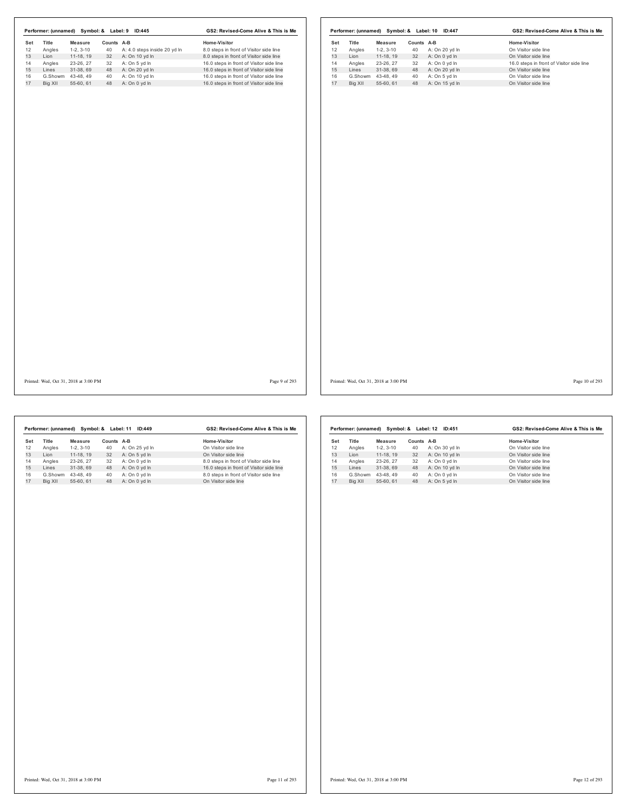| Set     |                 | Measure                        | Counts A-B |                                    | Home-Visitor                                                                         | Set      | Title   | <b>Measure</b>                 | Counts A-B |                                    | Home-Visitor                                                     |
|---------|-----------------|--------------------------------|------------|------------------------------------|--------------------------------------------------------------------------------------|----------|---------|--------------------------------|------------|------------------------------------|------------------------------------------------------------------|
| 12      | Title<br>Angles | $1-2, 3-10$                    |            | 40 A: 4.0 steps inside 20 yd In    | 8.0 steps in front of Visitor side line                                              | 12       | Angles  | $1-2, 3-10$                    | 40         | A: On 20 yd In                     | On Visitor side line                                             |
|         | Lion            | 11-18, 19                      | 32         | A: On 10 yd In                     | 8.0 steps in front of Visitor side line                                              | 13       | Lion    | $11-18, 19$                    | 32         | A: On 0 yd In                      | On Visitor side line                                             |
|         |                 |                                |            | 32 A: On 5 yd In                   |                                                                                      |          |         |                                |            | 32 A: On 0 yd In                   |                                                                  |
| Angles  |                 | 23-26, 27                      |            |                                    | 16.0 steps in front of Visitor side line                                             | 14<br>15 | Angles  | 23-26, 27                      |            |                                    | 16.0 steps in front of Visitor side line<br>On Visitor side line |
| Lines   |                 | 31-38, 69                      | 48         | A: On 20 yd In                     | 16.0 steps in front of Visitor side line                                             |          | Lines   | 31-38, 69                      |            | 48 A: On 20 yd In                  |                                                                  |
| Big XII |                 | G.Showm 43-48, 49<br>55-60, 61 | 40         | A: On 10 yd In<br>48 A: On 0 yd In | 16.0 steps in front of Visitor side line<br>16.0 steps in front of Visitor side line | 16<br>17 | Big XII | G.Showm 43-48, 49<br>55-60, 61 | 40         | A: On 5 yd In<br>48 A: On 15 yd In | On Visitor side line<br>On Visitor side line                     |
|         |                 |                                |            |                                    |                                                                                      |          |         |                                |            |                                    |                                                                  |
|         |                 |                                |            |                                    |                                                                                      |          |         |                                |            |                                    |                                                                  |
|         |                 |                                |            |                                    |                                                                                      |          |         |                                |            |                                    |                                                                  |
|         |                 |                                |            |                                    |                                                                                      |          |         |                                |            |                                    |                                                                  |
|         |                 |                                |            |                                    |                                                                                      |          |         |                                |            |                                    |                                                                  |
|         |                 |                                |            |                                    |                                                                                      |          |         |                                |            |                                    |                                                                  |
|         |                 |                                |            |                                    |                                                                                      |          |         |                                |            |                                    |                                                                  |
|         |                 |                                |            |                                    |                                                                                      |          |         |                                |            |                                    |                                                                  |

Printed: Wed, Oct 31, 2018 at 3:00 PM Page 9 of 293

I

Printed: Wed, Oct 31, 2018 at 3:00 PM Page 10 of 293

|     | Performer: (unnamed) |            | Symbol: & Label: 11 | ID:449         | GS2: Revised-Come Alive & This is Me     |
|-----|----------------------|------------|---------------------|----------------|------------------------------------------|
| Set | <b>Title</b>         | Measure    | Counts A-B          |                | Home-Visitor                             |
| 12  | Angles               | $1-2.3-10$ | 40                  | A: On 25 yd In | On Visitor side line                     |
| 13  | Lion                 | 11-18.19   | 32                  | A: On 5 vd In  | On Visitor side line                     |
| 14  | Angles               | 23-26.27   | 32                  | A: On 0 vd In  | 8.0 steps in front of Visitor side line  |
| 15  | Lines                | 31-38.69   | 48                  | A: On 0 yd In  | 16.0 steps in front of Visitor side line |
| 16  | G.Showm              | 43-48.49   | 40                  | A: On 0 yd In  | 8.0 steps in front of Visitor side line  |
| 17  | Big XII              | 55-60.61   | 48                  | A: On 0 vd In  | On Visitor side line                     |

|     | Performer: (unnamed) |            | Symbol: & Label: 12 | ID:451         | GS2: Revised-Come Alive & This is Me |
|-----|----------------------|------------|---------------------|----------------|--------------------------------------|
| Set | Title                | Measure    | Counts A-B          |                | Home-Visitor                         |
| 12  | Angles               | $1-2.3-10$ | 40                  | A: On 30 vd In | On Visitor side line                 |
| 13  | Lion                 | 11-18.19   | 32                  | A: On 10 yd In | On Visitor side line                 |
| 14  | Angles               | 23-26.27   | 32                  | A: On 0 yd In  | On Visitor side line                 |
| 15  | Lines                | 31-38.69   | 48                  | A: On 10 yd In | On Visitor side line                 |
| 16  | G.Showm              | 43-48.49   | 40                  | A: On 0 yd In  | On Visitor side line                 |
| 17  | Big XII              | 55-60, 61  | 48                  | A: On 5 vd In  | On Visitor side line                 |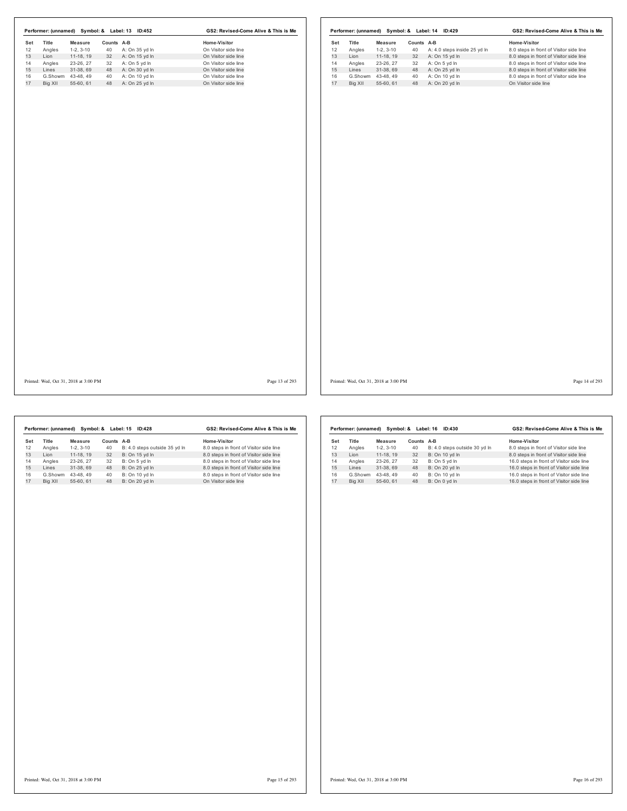Printed: Wed, Oct 31, 2018 at 3:00 PM Page 13 of 293

Printed: Wed, Oct 31, 2018 at 3:00 PM Page 14 of 293

|     |              | Performer: (unnamed) Symbol: & Label: 15 ID:428 | GS2: Revised-Come Alive & This is Me |                               |                                         |  |
|-----|--------------|-------------------------------------------------|--------------------------------------|-------------------------------|-----------------------------------------|--|
| Set | <b>Title</b> | Measure                                         | Counts A-B                           |                               | Home-Visitor                            |  |
| 12  | Angles       | $1-2.3-10$                                      | 40                                   | B: 4.0 steps outside 35 yd In | 8.0 steps in front of Visitor side line |  |
| 13  | I ion        | 11-18.19                                        | 32                                   | B: On 15 yd In                | 8.0 steps in front of Visitor side line |  |
| 14  | Angles       | 23-26.27                                        | 32                                   | B: On 5 vd In                 | 8.0 steps in front of Visitor side line |  |
| 15  | Lines        | 31-38.69                                        | 48                                   | B: On 25 yd In                | 8.0 steps in front of Visitor side line |  |
| 16  | G.Showm      | 43-48.49                                        | 40                                   | B: On 10 yd In                | 8.0 steps in front of Visitor side line |  |
| 17  | Big XII      | 55-60.61                                        | 48                                   | B: On 20 vd In                | On Visitor side line                    |  |
|     |              |                                                 |                                      |                               |                                         |  |

|     | Performer: (unnamed) |            | Symbol: & Label: 16 | GS2: Revised-Come Alive & This is Me |                                          |  |
|-----|----------------------|------------|---------------------|--------------------------------------|------------------------------------------|--|
| Set | Title                | Measure    | Counts              | A-B                                  | Home-Visitor                             |  |
| 12  | Angles               | $1-2.3-10$ | 40                  | B: 4.0 steps outside 30 yd In        | 8.0 steps in front of Visitor side line  |  |
| 13  | I ion                | 11-18.19   | 32                  | B: On 10 yd In                       | 8.0 steps in front of Visitor side line  |  |
| 14  | Angles               | 23-26.27   | 32                  | B: On 5 yd In                        | 16.0 steps in front of Visitor side line |  |
| 15  | I ines               | 31-38.69   | 48                  | B: On 20 yd In                       | 16.0 steps in front of Visitor side line |  |
| 16  | G.Showm              | 43-48.49   | 40                  | B: On 10 yd In                       | 16.0 steps in front of Visitor side line |  |
| 17  | Big XII              | 55-60.61   | 48                  | B: On 0 yd In                        | 16.0 steps in front of Visitor side line |  |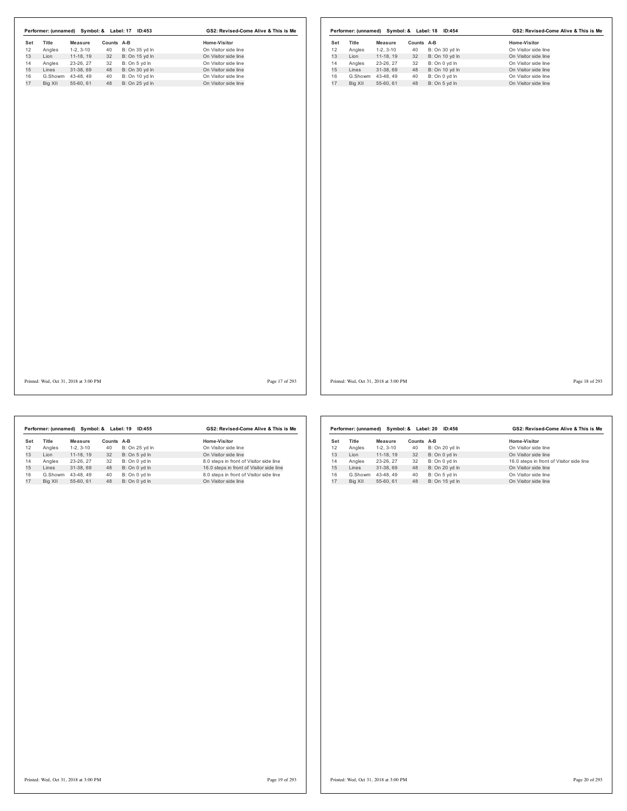Printed: Wed, Oct 31, 2018 at 3:00 PM Page 17 of 293

Printed: Wed, Oct 31, 2018 at 3:00 PM Page 18 of 293

|     | Performer: (unnamed) |                | Symbol: & Label: 19 | ID:455         | GS2: Revised-Come Alive & This is Me     |  |  |
|-----|----------------------|----------------|---------------------|----------------|------------------------------------------|--|--|
| Set | Title                | <b>Measure</b> | Counts A-B          |                | Home-Visitor                             |  |  |
| 12  | Angles               | $1-2.3-10$     | 40                  | B: On 25 yd In | On Visitor side line                     |  |  |
| 13  | I ion                | 11-18.19       | 32                  | B: On 5 yd In  | On Visitor side line                     |  |  |
| 14  | Angles               | 23-26.27       | 32                  | B: On 0 yd In  | 8.0 steps in front of Visitor side line  |  |  |
| 15  | Lines                | 31-38.69       | 48                  | B: On 0 yd In  | 16.0 steps in front of Visitor side line |  |  |
| 16  | G.Showm              | 43-48.49       | 40                  | B: On 0 yd In  | 8.0 steps in front of Visitor side line  |  |  |
| 17  | Big XII              | 55-60.61       | 48                  | B: On 0 vd In  | On Visitor side line                     |  |  |
|     |                      |                |                     |                |                                          |  |  |

|         |            |                      | ID:456         | GS2: Revised-Come Alive & This is Me     |  |  |
|---------|------------|----------------------|----------------|------------------------------------------|--|--|
| Title   | Measure    |                      |                | Home-Visitor                             |  |  |
| Angles  | $1-2.3-10$ | 40                   | B: On 20 yd In | On Visitor side line                     |  |  |
| Lion    | 11-18.19   | 32                   | B: On 0 yd In  | On Visitor side line                     |  |  |
| Angles  | 23-26.27   | 32                   | B: On 0 yd In  | 16.0 steps in front of Visitor side line |  |  |
| Lines   | 31-38.69   | 48                   | B: On 20 yd In | On Visitor side line                     |  |  |
| G.Showm | 43-48.49   | 40                   | B: On 5 yd In  | On Visitor side line                     |  |  |
| Bia XII | 55-60.61   | 48                   | B: On 15 vd In | On Visitor side line                     |  |  |
|         |            | Performer: (unnamed) |                | Symbol: & Label: 20<br>Counts A-B        |  |  |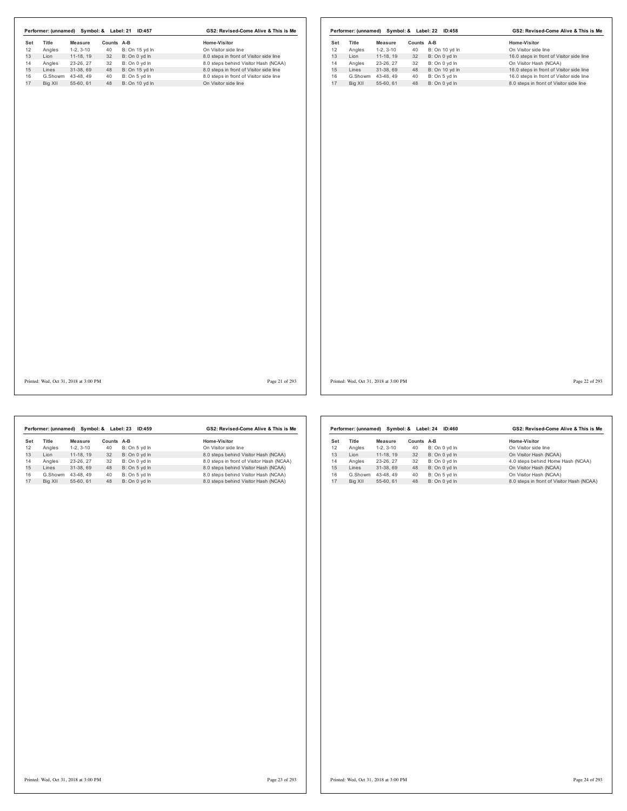Printed: Wed, Oct 31, 2018 at 3:00 PM Page 21 of 293

Printed: Wed, Oct 31, 2018 at 3:00 PM Page 22 of 293

|     |         | Performer: (unnamed) Symbol: & Label: 23 |            | ID:459        | GS2: Revised-Come Alive & This is Me      |  |  |
|-----|---------|------------------------------------------|------------|---------------|-------------------------------------------|--|--|
| Set | Title   | Measure                                  | Counts A-B |               | Home-Visitor                              |  |  |
| 12  | Angles  | $1-2.3-10$                               | 40         | B: On 5 yd In | On Visitor side line                      |  |  |
| 13  | I ion   | 11-18.19                                 | 32         | B: On 0 vd In | 8.0 steps behind Visitor Hash (NCAA)      |  |  |
| 14  | Angles  | 23-26.27                                 | 32         | B: On 0 yd In | 8.0 steps in front of Visitor Hash (NCAA) |  |  |
| 15  | Lines   | 31-38.69                                 | 48         | B: On 5 yd In | 8.0 steps behind Visitor Hash (NCAA)      |  |  |
| 16  | G.Showm | 43-48.49                                 | 40         | B: On 5 vd In | 8.0 steps behind Visitor Hash (NCAA)      |  |  |
| 17  | Big XII | 55-60.61                                 | 48         | B: On 0 yd In | 8.0 steps behind Visitor Hash (NCAA)      |  |  |

|     | Performer: (unnamed) |            | Symbol: & Label: 24 | ID:460        | GS2: Revised-Come Alive & This is Me      |
|-----|----------------------|------------|---------------------|---------------|-------------------------------------------|
| Set | <b>Title</b>         | Measure    | Counts              | A-B           | Home-Visitor                              |
| 12  | Angles               | $1-2.3-10$ | 40                  | B: On 0 yd In | On Visitor side line                      |
| 13  | I ion                | 11-18.19   | 32                  | B: On 0 yd In | On Visitor Hash (NCAA)                    |
| 14  | Angles               | 23-26, 27  | 32                  | B: On 0 yd In | 4.0 steps behind Home Hash (NCAA)         |
| 15  | Lines                | 31-38.69   | 48                  | B: On 0 yd In | On Visitor Hash (NCAA)                    |
| 16  | G.Showm              | 43-48.49   | 40                  | B: On 5 yd In | On Visitor Hash (NCAA)                    |
| 17  | Big XII              | 55-60.61   | 48                  | B: On 0 vd In | 8.0 steps in front of Visitor Hash (NCAA) |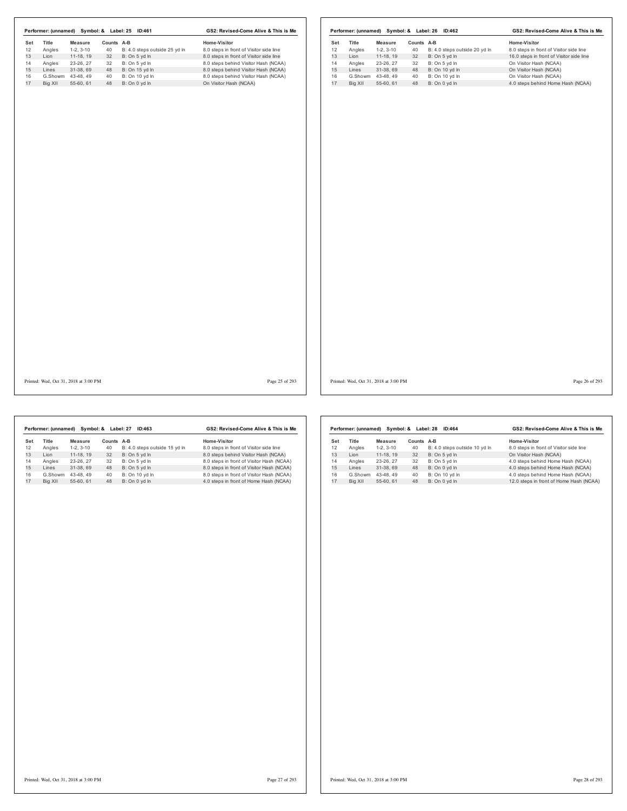| Set             |                                       |                  |                               | Home-Visitor                            |           |                                       |                        |                  |                               | Home-Visitor                             |
|-----------------|---------------------------------------|------------------|-------------------------------|-----------------------------------------|-----------|---------------------------------------|------------------------|------------------|-------------------------------|------------------------------------------|
| Title<br>Angles | <b>Measure</b><br>$1-2, 3-10$         | Counts A-B<br>40 | B: 4.0 steps outside 25 yd In | 8.0 steps in front of Visitor side line | Set<br>12 | Title<br>Angles                       | Measure<br>$1-2, 3-10$ | Counts A-B<br>40 | B: 4.0 steps outside 20 yd In | 8.0 steps in front of Visitor side line  |
| Lion            | 11-18, 19                             | 32               | B: On 5 yd In                 | 8.0 steps in front of Visitor side line | 13        | Lion                                  | 11-18, 19              | 32               | B: On 5 yd In                 | 16.0 steps in front of Visitor side line |
| Angles          | 23-26, 27                             | 32               | B: On 5 yd In                 | 8.0 steps behind Visitor Hash (NCAA)    | 14        | Angles                                | 23-26, 27              | 32               | B: On 5 yd In                 | On Visitor Hash (NCAA)                   |
|                 | 31-38, 69                             | 48               | B: On 15 yd In                | 8.0 steps behind Visitor Hash (NCAA)    | 15        | Lines                                 | 31-38, 69              |                  | 48 B: On 10 yd In             | On Visitor Hash (NCAA)                   |
|                 | G.Showm 43-48, 49                     | 40               | B: On 10 yd In                | 8.0 steps behind Visitor Hash (NCAA)    | 16        | G.Showm                               | 43-48, 49              | 40               | B: On 10 yd In                | On Visitor Hash (NCAA)                   |
|                 | 55-60, 61                             | 48               | B: On 0 yd In                 | On Visitor Hash (NCAA)                  | 17        | Big XII                               | 55-60, 61              |                  | 48 B: On 0 yd In              | 4.0 steps behind Home Hash (NCAA)        |
|                 |                                       |                  |                               |                                         |           |                                       |                        |                  |                               |                                          |
|                 | Printed: Wed, Oct 31, 2018 at 3:00 PM |                  |                               | Page 25 of 293                          |           | Printed: Wed, Oct 31, 2018 at 3:00 PM |                        |                  |                               | Page 26 of 293                           |

 $\overline{\phantom{a}}$ 

|     | Performer: (unnamed) | Symbol: &  | Label: 27  | GS2: Revised-Come Alive & This is Me |                                           |  |
|-----|----------------------|------------|------------|--------------------------------------|-------------------------------------------|--|
| Set | Title                | Measure    | Counts A-B |                                      | Home-Visitor                              |  |
| 12  | Angles               | $1-2.3-10$ | 40         | B: 4.0 steps outside 15 yd In        | 8.0 steps in front of Visitor side line   |  |
| 13  | Lion                 | 11-18.19   | 32         | B: On 5 vd In                        | 8.0 steps behind Visitor Hash (NCAA)      |  |
| 14  | Angles               | 23-26.27   | 32         | B: On 5 yd In                        | 8.0 steps in front of Visitor Hash (NCAA) |  |
| 15  | Lines                | 31-38.69   | 48         | B: On 5 yd In                        | 8.0 steps in front of Visitor Hash (NCAA) |  |
| 16  | G.Showm              | 43-48.49   | 40         | B: On 10 yd In                       | 8.0 steps in front of Visitor Hash (NCAA) |  |
| 17  | Big XII              | 55-60.61   | 48         | B: On 0 vd In                        | 4.0 steps in front of Home Hash (NCAA)    |  |

|     | Performer: (unnamed) |            | Symbol: & Label: 28 | GS2: Revised-Come Alive & This is Me |                                         |
|-----|----------------------|------------|---------------------|--------------------------------------|-----------------------------------------|
| Set | Title                | Measure    | Counts              | A-B                                  | Home-Visitor                            |
| 12  | Angles               | $1-2.3-10$ | 40                  | B: 4.0 steps outside 10 yd In        | 8.0 steps in front of Visitor side line |
| 13  | I ion                | 11-18.19   | 32                  | B: On 5 yd In                        | On Visitor Hash (NCAA)                  |
| 14  | Angles               | 23-26, 27  | 32                  | B: On 5 yd In                        | 4.0 steps behind Home Hash (NCAA)       |
| 15  | Lines                | 31-38.69   | 48                  | B: On 0 yd In                        | 4.0 steps behind Home Hash (NCAA)       |
| 16  | G.Showm              | 43-48.49   | 40                  | B: On 10 yd In                       | 4.0 steps behind Home Hash (NCAA)       |
| 17  | Big XII              | 55-60.61   | 48                  | B: On 0 yd In                        | 12.0 steps in front of Home Hash (NCAA) |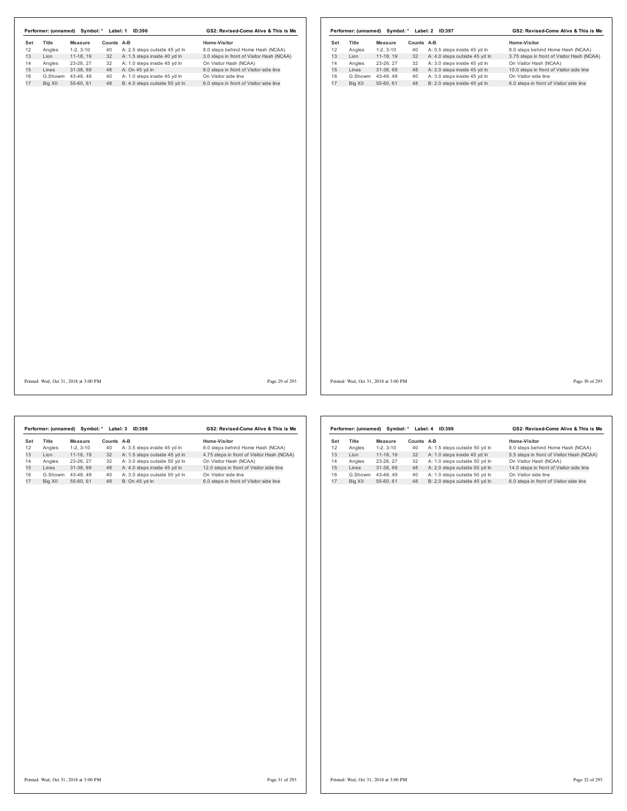|     | Performer: (unnamed) | Symbol: *  | Label: 1   | ID:396                        | GS2: Revised-Come Alive & This is Me      |  |  |
|-----|----------------------|------------|------------|-------------------------------|-------------------------------------------|--|--|
| Set | Title                | Measure    | Counts A-B |                               | Home-Visitor                              |  |  |
| 12  | Angles               | $1-2.3-10$ | 40         | A: 2.5 steps outside 45 yd In | 8.0 steps behind Home Hash (NCAA)         |  |  |
| 13  | I ion                | 11-18.19   | 32         | A: 1.5 steps inside 40 yd In  | 3.0 steps in front of Visitor Hash (NCAA) |  |  |
| 14  | Angles               | 23-26.27   | 32         | A: 1.0 steps inside 45 vd In  | On Visitor Hash (NCAA)                    |  |  |
| 15  | Lines                | 31-38.69   | 48         | A: On 45 yd In                | 8.0 steps in front of Visitor side line   |  |  |
| 16  | G.Showm              | 43-48.49   | 40         | A: 1.0 steps inside 45 yd In  | On Visitor side line                      |  |  |
| 17  | Big XII              | 55-60.61   | 48         | B: 4.0 steps outside 50 yd In | 6.0 steps in front of Visitor side line   |  |  |

|     | Performer: (unnamed) | Symbol: *  | GS2: Revised-Come Alive & This is Me |                               |                                            |
|-----|----------------------|------------|--------------------------------------|-------------------------------|--------------------------------------------|
| Set | <b>Title</b>         | Measure    | Counts                               | A-B                           | Home-Visitor                               |
| 12  | Angles               | $1-2.3-10$ | 40                                   | A: 0.5 steps inside 45 yd In  | 8.0 steps behind Home Hash (NCAA)          |
| 13  | I ion                | 11-18.19   | 32                                   | A: 4.0 steps outside 45 yd In | 3.75 steps in front of Visitor Hash (NCAA) |
| 14  | Angles               | 23-26.27   | 32                                   | A: 3.0 steps inside 45 vd In  | On Visitor Hash (NCAA)                     |
| 15  | I ines               | 31-38.69   | 48                                   | A: 2.0 steps inside 45 yd In  | 10.0 steps in front of Visitor side line   |
| 16  | G.Showm              | 43-48.49   | 40                                   | A: 3.0 steps inside 45 vd In  | On Visitor side line                       |
| 17  | Big XII              | 55-60.61   | 48                                   | B: 2.0 steps inside 45 vd In  | 6.0 steps in front of Visitor side line    |
|     |                      |            |                                      |                               |                                            |

Printed: Wed, Oct 31, 2018 at 3:00 PM Page 29 of 293

Printed: Wed, Oct 31, 2018 at 3:00 PM Page 30 of 293

|     | Performer: (unnamed) | Symbol: *  | Label: 3   | <b>ID:398</b>                 | GS2: Revised-Come Alive & This is Me       |  |  |
|-----|----------------------|------------|------------|-------------------------------|--------------------------------------------|--|--|
| Set | Title                | Measure    | Counts A-B |                               | Home-Visitor                               |  |  |
| 12  | Angles               | $1-2.3-10$ | 40         | A: 3.5 steps inside 45 yd In  | 8.0 steps behind Home Hash (NCAA)          |  |  |
| 13  | I ion                | 11-18.19   | 32         | A: 1.5 steps outside 45 vd In | 4.75 steps in front of Visitor Hash (NCAA) |  |  |
| 14  | Angles               | 23-26.27   | 32         | A: 3.0 steps outside 50 yd In | On Visitor Hash (NCAA)                     |  |  |
| 15  | Lines                | 31-38.69   | 48         | A: 4.0 steps inside 45 yd In  | 12.0 steps in front of Visitor side line   |  |  |
| 16  | G.Showm              | 43-48.49   | 40         | A: 3.0 steps outside 50 yd In | On Visitor side line                       |  |  |
| 17  | Big XII              | 55-60.61   | 48         | B: On 45 vd In                | 6.0 steps in front of Visitor side line    |  |  |
|     |                      |            |            |                               |                                            |  |  |

|     | Performer: (unnamed) | Symbol: *  | Label: 4 | GS2: Revised-Come Alive & This is Me |                                           |  |
|-----|----------------------|------------|----------|--------------------------------------|-------------------------------------------|--|
| Set | <b>Title</b>         | Measure    | Counts   | A-B                                  | Home-Visitor                              |  |
| 12  | Angles               | $1-2.3-10$ | 40       | A: 1.5 steps outside 50 yd In        | 8.0 steps behind Home Hash (NCAA)         |  |
| 13  | I ion                | 11-18, 19  | 32       | A: 1.0 steps inside 45 vd In         | 5.5 steps in front of Visitor Hash (NCAA) |  |
| 14  | Angles               | 23-26, 27  | 32       | A: 1.0 steps outside 50 vd ln        | On Visitor Hash (NCAA)                    |  |
| 15  | Lines                | 31-38.69   | 48       | A: 2.0 steps outside 50 yd In        | 14.0 steps in front of Visitor side line  |  |
| 16  | G.Showm              | 43-48.49   | 40       | A: 1.0 steps outside 50 vd In        | On Visitor side line                      |  |
| 17  | Big XII              | 55-60.61   | 48       | B: 2.0 steps outside 45 vd In        | 6.0 steps in front of Visitor side line   |  |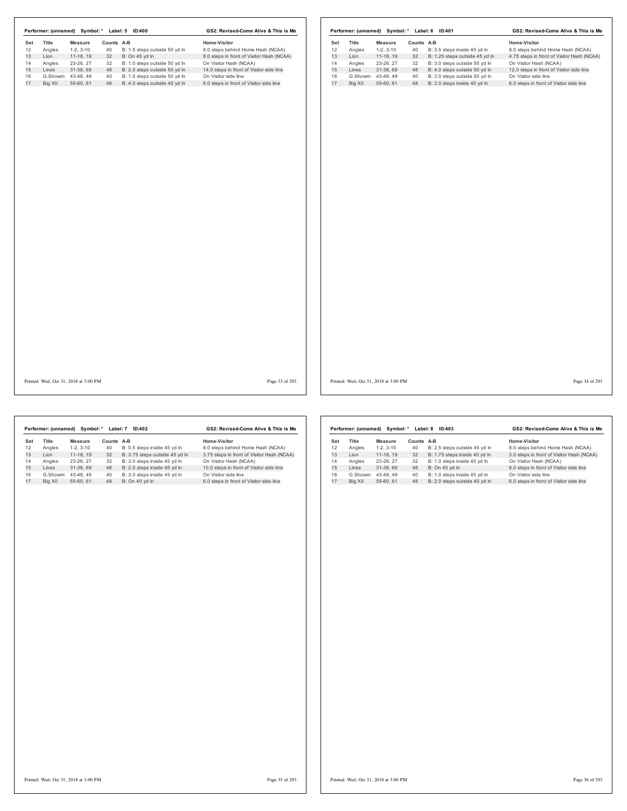|     | Performer: (unnamed) | Symbol: *  | Label: 5   | GS2: Revised-Come Alive & This is Me |                                           |  |
|-----|----------------------|------------|------------|--------------------------------------|-------------------------------------------|--|
| Set | Title                | Measure    | Counts A-B |                                      | Home-Visitor                              |  |
| 12  | Angles               | $1-2.3-10$ | 40         | B: 1.5 steps outside 50 yd In        | 8.0 steps behind Home Hash (NCAA)         |  |
| 13  | I ion                | 11-18.19   | 32         | B: On 45 vd In                       | 8.0 steps in front of Visitor Hash (NCAA) |  |
| 14  | Angles               | 23-26.27   | 32         | B: 1.0 steps outside 50 yd In        | On Visitor Hash (NCAA)                    |  |
| 15  | Lines                | 31-38.69   | 48         | B: 2.0 steps outside 50 yd In        | 14.0 steps in front of Visitor side line  |  |
| 16  | G.Showm              | 43-48.49   | 40         | B: 1.0 steps outside 50 yd In        | On Visitor side line                      |  |
| 17  | Big XII              | 55-60.61   | 48         | B: 4.0 steps outside 45 vd In        | 6.0 steps in front of Visitor side line   |  |

|     | Performer: (unnamed) | Symbol: *  | Label: 6 | ID:401                         | GS2: Revised-Come Alive & This is Me       |  |  |
|-----|----------------------|------------|----------|--------------------------------|--------------------------------------------|--|--|
| Set | <b>Title</b>         | Measure    | Counts   | A-B                            | Home-Visitor                               |  |  |
| 12  | Angles               | $1-2.3-10$ | 40       | B: 3.5 steps inside 45 yd In   | 8.0 steps behind Home Hash (NCAA)          |  |  |
| 13  | I ion                | 11-18.19   | 32       | B: 1.25 steps outside 45 yd In | 4.75 steps in front of Visitor Hash (NCAA) |  |  |
| 14  | Angles               | 23-26.27   | 32       | B: 3.0 steps outside 50 vd ln  | On Visitor Hash (NCAA)                     |  |  |
| 15  | Lines                | 31-38.69   | 48       | B: 4.0 steps outside 50 yd In  | 12.0 steps in front of Visitor side line   |  |  |
| 16  | G.Showm              | 43-48.49   | 40       | B: 3.0 steps outside 50 yd In  | On Visitor side line                       |  |  |
| 17  | Big XII              | 55-60.61   | 48       | B: 2.0 steps inside 40 yd In   | 6.0 steps in front of Visitor side line    |  |  |
|     |                      |            |          |                                |                                            |  |  |

Printed: Wed, Oct 31, 2018 at 3:00 PM Page 33 of 293

Printed: Wed, Oct 31, 2018 at 3:00 PM Page 34 of 293

|     | Performer: (unnamed) | Symbol: *  | Label: 7   | ID:402                         | GS2: Revised-Come Alive & This is Me       |  |  |
|-----|----------------------|------------|------------|--------------------------------|--------------------------------------------|--|--|
| Set | <b>Title</b>         | Measure    | Counts A-B |                                | Home-Visitor                               |  |  |
| 12  | Angles               | $1-2.3-10$ | 40         | B: 0.5 steps inside 45 yd In   | 8.0 steps behind Home Hash (NCAA)          |  |  |
| 13  | I ion                | 11-18.19   | 32         | B: 3.75 steps outside 45 yd In | 3.75 steps in front of Visitor Hash (NCAA) |  |  |
| 14  | Angles               | 23-26.27   | 32         | B: 3.0 steps inside 45 vd In   | On Visitor Hash (NCAA)                     |  |  |
| 15  | I ines               | 31-38.69   | 48         | B: 2.0 steps inside 45 yd In   | 10.0 steps in front of Visitor side line   |  |  |
| 16  | G.Showm              | 43-48.49   | 40         | B: 3.0 steps inside 45 vd In   | On Visitor side line                       |  |  |
| 17  | Big XII              | 55-60.61   | 48         | B: On 40 vd In                 | 6.0 steps in front of Visitor side line    |  |  |
|     |                      |            |            |                                |                                            |  |  |

|     | Performer: (unnamed) |            | Symbol: * Label: 8 | ID:403                        | GS2: Revised-Come Alive & This is Me      |  |  |
|-----|----------------------|------------|--------------------|-------------------------------|-------------------------------------------|--|--|
| Set | Title                | Measure    | Counts             | A-B                           | Home-Visitor                              |  |  |
| 12  | Angles               | $1-2.3-10$ | 40                 | B: 2.5 steps outside 45 yd In | 8.0 steps behind Home Hash (NCAA)         |  |  |
| 13  | I ion                | 11-18.19   | 32                 | B: 1.75 steps inside 40 yd In | 3.0 steps in front of Visitor Hash (NCAA) |  |  |
| 14  | Angles               | 23-26.27   | 32                 | B: 1.0 steps inside 45 vd In  | On Visitor Hash (NCAA)                    |  |  |
| 15  | Lines                | 31-38.69   | 48                 | B: On 45 yd In                | 8.0 steps in front of Visitor side line   |  |  |
| 16  | G.Showm              | 43-48.49   | 40                 | B: 1.0 steps inside 45 vd In  | On Visitor side line                      |  |  |
| 17  | Big XII              | 55-60, 61  | 48                 | B: 2.0 steps outside 40 vd ln | 6.0 steps in front of Visitor side line   |  |  |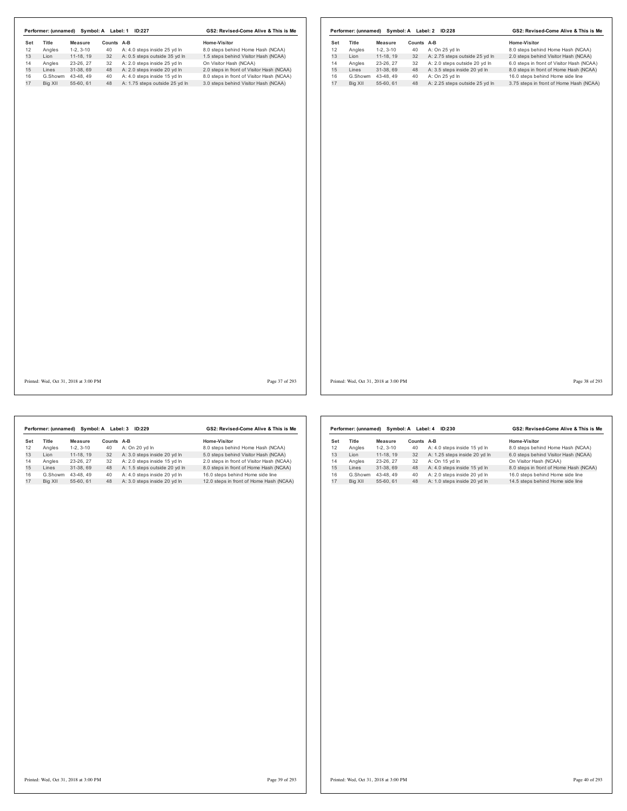| Set             |                        |            |                                                               |                                                                |           |                |                        |            |                                                                 |                                                                                   |
|-----------------|------------------------|------------|---------------------------------------------------------------|----------------------------------------------------------------|-----------|----------------|------------------------|------------|-----------------------------------------------------------------|-----------------------------------------------------------------------------------|
| Title<br>Angles | <b>Measure</b>         | Counts A-B |                                                               | Home-Visitor                                                   | Set<br>12 | Title          | Measure                | Counts A-B |                                                                 | Home-Visitor                                                                      |
|                 | $1-2, 3-10$            | 40         | A: 4.0 steps inside 25 yd In                                  | 8.0 steps behind Home Hash (NCAA)                              |           | Angles         | $1-2, 3-10$            | 40         | A: On 25 yd In                                                  | 8.0 steps behind Home Hash (NCAA)                                                 |
|                 | 11-18, 19<br>23-26, 27 | 32<br>32   | A: 0.5 steps outside 35 yd In<br>A: 2.0 steps inside 25 yd In | 1.5 steps behind Visitor Hash (NCAA)<br>On Visitor Hash (NCAA) | 13<br>14  | Lion<br>Angles | 11-18, 19<br>23-26, 27 | 32<br>32   | A: 2.75 steps outside 25 yd In<br>A: 2.0 steps outside 20 yd In | 2.0 steps behind Visitor Hash (NCAA)<br>6.0 steps in front of Visitor Hash (NCAA) |
|                 | 31-38, 69              | 48         | A: 2.0 steps inside 20 yd In                                  | 2.0 steps in front of Visitor Hash (NCAA)                      | 15        | Lines          | 31-38, 69              | 48         | A: 3.5 steps inside 20 yd In                                    | 8.0 steps in front of Home Hash (NCAA)                                            |
| G.Showm         | 43-48, 49              | 40         | A: 4.0 steps inside 15 yd In                                  | 8.0 steps in front of Visitor Hash (NCAA)                      | 16        |                | G.Showm 43-48, 49      | 40         | A: On 25 yd In                                                  | 16.0 steps behind Home side line                                                  |
|                 | 55-60, 61              | 48         | A: 1.75 steps outside 25 yd In                                | 3.0 steps behind Visitor Hash (NCAA)                           | 17        | Big XII        | 55-60, 61              |            | 48 A: 2.25 steps outside 25 yd In                               | 3.75 steps in front of Home Hash (NCAA)                                           |
|                 |                        |            |                                                               |                                                                |           |                |                        |            |                                                                 |                                                                                   |
|                 |                        |            |                                                               |                                                                |           |                |                        |            |                                                                 |                                                                                   |
|                 |                        |            |                                                               |                                                                |           |                |                        |            |                                                                 |                                                                                   |
|                 |                        |            |                                                               |                                                                |           |                |                        |            |                                                                 | Page 38 of 293                                                                    |

|     | Performer: (unnamed) | Symbol: A  | Label: 3 | ID:229                        | GS2: Revised-Come Alive & This is Me      |  |  |
|-----|----------------------|------------|----------|-------------------------------|-------------------------------------------|--|--|
| Set | <b>Title</b>         | Measure    | Counts   | $A-B$                         | Home-Visitor                              |  |  |
| 12  | Angles               | $1-2.3-10$ | 40       | A: On 20 yd In                | 8.0 steps behind Home Hash (NCAA)         |  |  |
| 13  | I ion                | 11-18.19   | 32       | A: 3.0 steps inside 20 vd In  | 5.0 steps behind Visitor Hash (NCAA)      |  |  |
| 14  | Angles               | 23-26.27   | 32       | A: 2.0 steps inside 15 vd In  | 2.0 steps in front of Visitor Hash (NCAA) |  |  |
| 15  | I ines               | 31-38.69   | 48       | A: 1.5 steps outside 20 yd In | 8.0 steps in front of Home Hash (NCAA)    |  |  |
| 16  | G.Showm              | 43-48.49   | 40       | A: 4.0 steps inside 20 vd In  | 16.0 steps behind Home side line          |  |  |
| 17  | Big XII              | 55-60.61   | 48       | A: 3.0 steps inside 20 yd In  | 12.0 steps in front of Home Hash (NCAA)   |  |  |

|     | Performer: (unnamed) |            | Symbol: A Label: 4 | ID:230                        | GS2: Revised-Come Alive & This is Me   |  |  |
|-----|----------------------|------------|--------------------|-------------------------------|----------------------------------------|--|--|
| Set | Title                | Measure    | Counts             | A-B                           | Home-Visitor                           |  |  |
| 12  | Angles               | $1-2.3-10$ | 40                 | A: 4.0 steps inside 15 yd In  | 8.0 steps behind Home Hash (NCAA)      |  |  |
| 13  | I ion                | 11-18.19   | 32                 | A: 1.25 steps inside 20 yd In | 6.0 steps behind Visitor Hash (NCAA)   |  |  |
| 14  | Angles               | 23-26.27   | 32                 | A: On 15 vd In                | On Visitor Hash (NCAA)                 |  |  |
| 15  | Lines                | 31-38.69   | 48                 | A: 4.0 steps inside 15 yd In  | 8.0 steps in front of Home Hash (NCAA) |  |  |
| 16  | G.Showm              | 43-48.49   | 40                 | A: 2.0 steps inside 20 vd In  | 16.0 steps behind Home side line       |  |  |
| 17  | Big XII              | 55-60.61   | 48                 | A: 1.0 steps inside 20 yd In  | 14.5 steps behind Home side line       |  |  |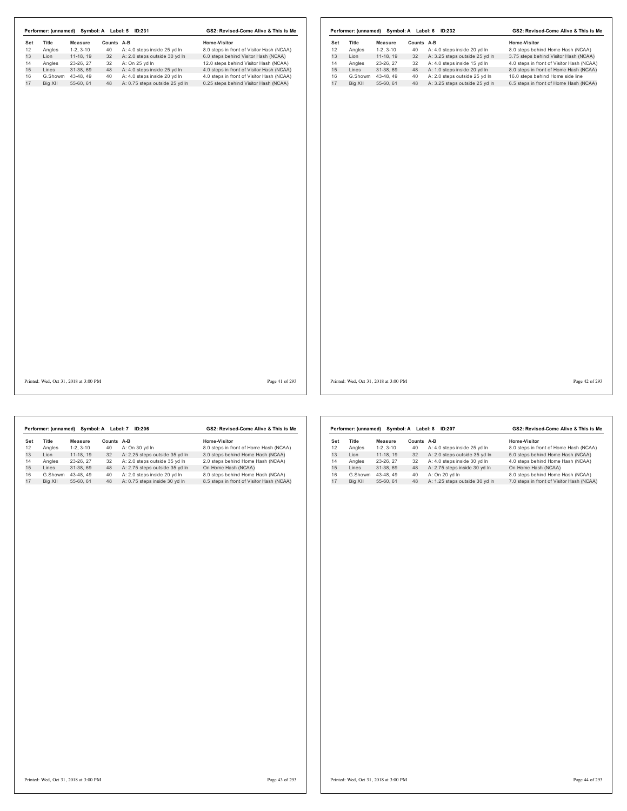|     |         |                                       |            | Performer: (unnamed) Symbol: A Label: 5 ID:231 | GS2: Revised-Come Alive & This is Me      |     |         |                                       |            | Performer: (unnamed) Symbol: A Label: 6 ID:232 | GS2: Revised-Come Alive & This is Me      |
|-----|---------|---------------------------------------|------------|------------------------------------------------|-------------------------------------------|-----|---------|---------------------------------------|------------|------------------------------------------------|-------------------------------------------|
| Set | Title   | <b>Measure</b>                        | Counts A-B |                                                | Home-Visitor                              | Set | Title   | <b>Measure</b>                        | Counts A-B |                                                | Home-Visitor                              |
| 12  | Angles  | $1-2, 3-10$                           | 40         | A: 4.0 steps inside 25 yd In                   | 8.0 steps in front of Visitor Hash (NCAA) | 12  | Angles  | $1-2, 3-10$                           | 40         | A: 4.0 steps inside 20 yd In                   | 8.0 steps behind Home Hash (NCAA)         |
| 13  | Lion    | 11-18, 19                             | 32         | A: 2.0 steps outside 30 yd In                  | 6.0 steps behind Visitor Hash (NCAA)      | 13  | Lion    | 11-18, 19                             | 32         | A: 3.25 steps outside 25 yd In                 | 3.75 steps behind Visitor Hash (NCAA)     |
| 14  | Angles  | 23-26, 27                             | 32         | A: On 25 yd In                                 | 12.0 steps behind Visitor Hash (NCAA)     | 14  | Angles  | 23-26, 27                             | 32         | A: 4.0 steps inside 15 yd In                   | 4.0 steps in front of Visitor Hash (NCAA) |
| 15  | Lines   | 31-38, 69                             | 48         | A: 4.0 steps inside 25 yd In                   | 4.0 steps in front of Visitor Hash (NCAA) | 15  | Lines   | 31-38, 69                             | 48         | A: 1.0 steps inside 20 yd In                   | 8.0 steps in front of Home Hash (NCAA)    |
| 16  |         | G.Showm 43-48, 49                     | 40         | A: 4.0 steps inside 20 yd In                   | 4.0 steps in front of Visitor Hash (NCAA) | 16  |         | G.Showm 43-48, 49                     | 40         | A: 2.0 steps outside 25 yd In                  | 16.0 steps behind Home side line          |
|     | Big XII | 55-60, 61                             | 48         | A: 0.75 steps outside 25 yd In                 | 0.25 steps behind Visitor Hash (NCAA)     | 17  | Big XII | 55-60, 61                             | 48         | A: 3.25 steps outside 25 yd In                 | 6.5 steps in front of Home Hash (NCAA)    |
|     |         |                                       |            |                                                |                                           |     |         |                                       |            |                                                |                                           |
|     |         |                                       |            |                                                |                                           |     |         |                                       |            |                                                |                                           |
|     |         |                                       |            |                                                |                                           |     |         |                                       |            |                                                |                                           |
|     |         |                                       |            |                                                |                                           |     |         |                                       |            |                                                |                                           |
|     |         |                                       |            |                                                |                                           |     |         |                                       |            |                                                |                                           |
|     |         | Printed: Wed, Oct 31, 2018 at 3:00 PM |            |                                                | Page 41 of 293                            |     |         | Printed: Wed, Oct 31, 2018 at 3:00 PM |            |                                                | Page 42 of 293                            |

|     | Performer: (unnamed) |            | Symbol: A Label: 7 | ID:206                         | GS2: Revised-Come Alive & This is Me      |  |  |
|-----|----------------------|------------|--------------------|--------------------------------|-------------------------------------------|--|--|
| Set | <b>Title</b>         | Measure    | Counts             | A-B                            | Home-Visitor                              |  |  |
| 12  | Angles               | $1-2.3-10$ | 40                 | A: On 30 vd In                 | 8.0 steps in front of Home Hash (NCAA)    |  |  |
| 13  | I ion                | 11-18.19   | 32                 | A: 2.25 steps outside 35 yd In | 3.0 steps behind Home Hash (NCAA)         |  |  |
| 14  | Angles               | 23-26.27   | 32                 | A: 2.0 steps outside 35 vd In  | 2.0 steps behind Home Hash (NCAA)         |  |  |
| 15  | I ines               | 31-38.69   | 48                 | A: 2.75 steps outside 35 yd In | On Home Hash (NCAA)                       |  |  |
| 16  | G.Showm              | 43-48.49   | 40                 | A: 2.0 steps inside 20 yd In   | 8.0 steps behind Home Hash (NCAA)         |  |  |
| 17  | Big XII              | 55-60.61   | 48                 | A: 0.75 steps inside 30 yd In  | 8.5 steps in front of Visitor Hash (NCAA) |  |  |

|     | Performer: (unnamed) |            | Symbol: A Label: 8 | ID:207                         | GS2: Revised-Come Alive & This is Me      |  |  |
|-----|----------------------|------------|--------------------|--------------------------------|-------------------------------------------|--|--|
| Set | <b>Title</b>         | Measure    | Counts             | $A-B$                          | Home-Visitor                              |  |  |
| 12  | Angles               | $1-2.3-10$ | 40                 | A: 4.0 steps inside 25 yd In   | 8.0 steps in front of Home Hash (NCAA)    |  |  |
| 13  | I ion                | 11-18.19   | 32                 | A: 2.0 steps outside 35 yd In  | 5.0 steps behind Home Hash (NCAA)         |  |  |
| 14  | Angles               | 23-26.27   | 32                 | A: 4.0 steps inside 30 vd In   | 4.0 steps behind Home Hash (NCAA)         |  |  |
| 15  | I ines               | 31-38.69   | 48                 | A: 2.75 steps inside 30 yd In  | On Home Hash (NCAA)                       |  |  |
| 16  | G.Showm              | 43-48.49   | 40                 | A: On 20 vd In                 | 8.0 steps behind Home Hash (NCAA)         |  |  |
| 17  | Big XII              | 55-60, 61  | 48                 | A: 1.25 steps outside 30 yd In | 7.0 steps in front of Visitor Hash (NCAA) |  |  |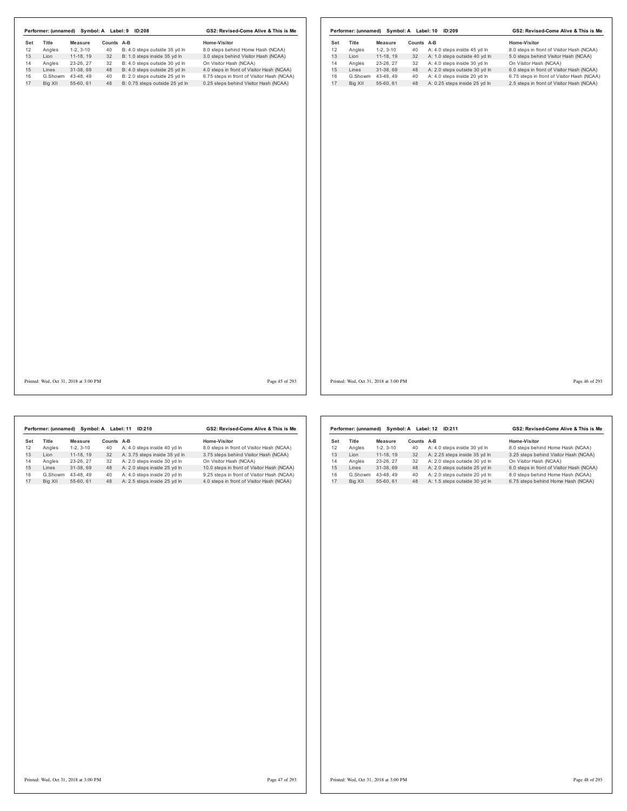|     |                                       |                   |            | Performer: (unnamed) Symbol: A Label: 9 ID:208 | GS2: Revised-Come Alive & This is Me       |     |                                       |             |            | Performer: (unnamed) Symbol: A Label: 10 ID:209 | GS2: Revised-Come Alive & This is Me       |
|-----|---------------------------------------|-------------------|------------|------------------------------------------------|--------------------------------------------|-----|---------------------------------------|-------------|------------|-------------------------------------------------|--------------------------------------------|
| Set | Title                                 | Measure           | Counts A-B |                                                | Home-Visitor                               | Set | Title                                 | Measure     | Counts A-B |                                                 | Home-Visitor                               |
| 12  | Angles                                | $1-2, 3-10$       | 40         | B: 4.0 steps outside 35 yd In                  | 8.0 steps behind Home Hash (NCAA)          | 12  | Angles                                | $1-2, 3-10$ | 40         | A: 4.0 steps inside 45 yd In                    | 8.0 steps in front of Visitor Hash (NCAA)  |
| 13  | Lion                                  | 11-18, 19         | 32         | B: 1.0 steps inside 35 yd In                   | 3.0 steps behind Visitor Hash (NCAA)       | 13  | Lion                                  | 11-18, 19   | 32         | A: 1.0 steps outside 40 yd In                   | 5.0 steps behind Visitor Hash (NCAA)       |
| 14  | Angles                                | 23-26, 27         | 32         | B: 4.0 steps outside 30 yd In                  | On Visitor Hash (NCAA)                     | 14  | Angles                                | 23-26, 27   | 32         | A: 4.0 steps inside 30 yd In                    | On Visitor Hash (NCAA)                     |
| 15  | Lines                                 | 31-38, 69         | 48         | B: 4.0 steps outside 25 yd In                  | 4.0 steps in front of Visitor Hash (NCAA)  | 15  | Lines                                 | 31-38, 69   | 48         | A: 2.0 steps outside 30 yd In                   | 6.0 steps in front of Visitor Hash (NCAA)  |
| 16  |                                       | G.Showm 43-48, 49 | 40         | B: 2.0 steps outside 25 yd In                  | 6.75 steps in front of Visitor Hash (NCAA) | 16  | G.Showm                               | 43-48, 49   | 40         | A: 4.0 steps inside 20 yd In                    | 6.75 steps in front of Visitor Hash (NCAA) |
| 17  | Big XII                               | 55-60, 61         |            | 48 B: 0.75 steps outside 25 yd In              | 0.25 steps behind Visitor Hash (NCAA)      | 17  | Big XII                               | 55-60, 61   | 48         | A: 0.25 steps inside 25 yd In                   | 2.5 steps in front of Visitor Hash (NCAA)  |
|     |                                       |                   |            |                                                |                                            |     |                                       |             |            |                                                 |                                            |
|     | Printed: Wed, Oct 31, 2018 at 3:00 PM |                   |            |                                                | Page 45 of 293                             |     | Printed: Wed, Oct 31, 2018 at 3:00 PM |             |            |                                                 | Page 46 of 293                             |

|     | Performer: (unnamed) | Symbol: A  |        | Label: 11<br>ID:210           | GS2: Revised-Come Alive & This is Me       |  |  |
|-----|----------------------|------------|--------|-------------------------------|--------------------------------------------|--|--|
| Set | Title                | Measure    | Counts | A-B                           | Home-Visitor                               |  |  |
| 12  | Angles               | $1-2.3-10$ | 40     | A: 4.0 steps inside 40 yd In  | 8.0 steps in front of Visitor Hash (NCAA)  |  |  |
| 13  | I ion                | 11-18.19   | 32     | A: 3.75 steps inside 35 yd In | 3.75 steps behind Visitor Hash (NCAA)      |  |  |
| 14  | Angles               | 23-26.27   | 32     | A: 2.0 steps inside 30 vd In  | On Visitor Hash (NCAA)                     |  |  |
| 15  | I ines               | 31-38.69   | 48     | A: 2.0 steps inside 25 yd In  | 10.0 steps in front of Visitor Hash (NCAA) |  |  |
| 16  | G.Showm              | 43-48.49   | 40     | A: 4.0 steps inside 20 vd In  | 9.25 steps in front of Visitor Hash (NCAA) |  |  |
| 17  | Big XII              | 55-60.61   | 48     | A: 2.5 steps inside 25 vd In  | 4.0 steps in front of Visitor Hash (NCAA)  |  |  |
|     |                      |            |        |                               |                                            |  |  |

|     | Performer: (unnamed) |            | Symbol: A Label: 12 | ID:211                        | GS2: Revised-Come Alive & This is Me      |  |  |
|-----|----------------------|------------|---------------------|-------------------------------|-------------------------------------------|--|--|
| Set | Title                | Measure    | Counts              | $A-B$                         | Home-Visitor                              |  |  |
| 12  | Angles               | $1-2.3-10$ | 40                  | A: 4.0 steps inside 30 yd In  | 8.0 steps behind Home Hash (NCAA)         |  |  |
| 13  | I ion                | 11-18.19   | 32                  | A: 2.25 steps inside 35 yd In | 3.25 steps behind Visitor Hash (NCAA)     |  |  |
| 14  | Angles               | 23-26.27   | 32                  | A: 2.0 steps outside 30 vd In | On Visitor Hash (NCAA)                    |  |  |
| 15  | I ines               | 31-38.69   | 48                  | A: 2.0 steps outside 25 yd In | 6.0 steps in front of Visitor Hash (NCAA) |  |  |
| 16  | G.Showm              | 43-48.49   | 40                  | A: 2.0 steps outside 20 vd In | 8.0 steps behind Home Hash (NCAA)         |  |  |
| 17  | Big XII              | 55-60, 61  | 48                  | A: 1.5 steps outside 30 yd In | 6.75 steps behind Home Hash (NCAA)        |  |  |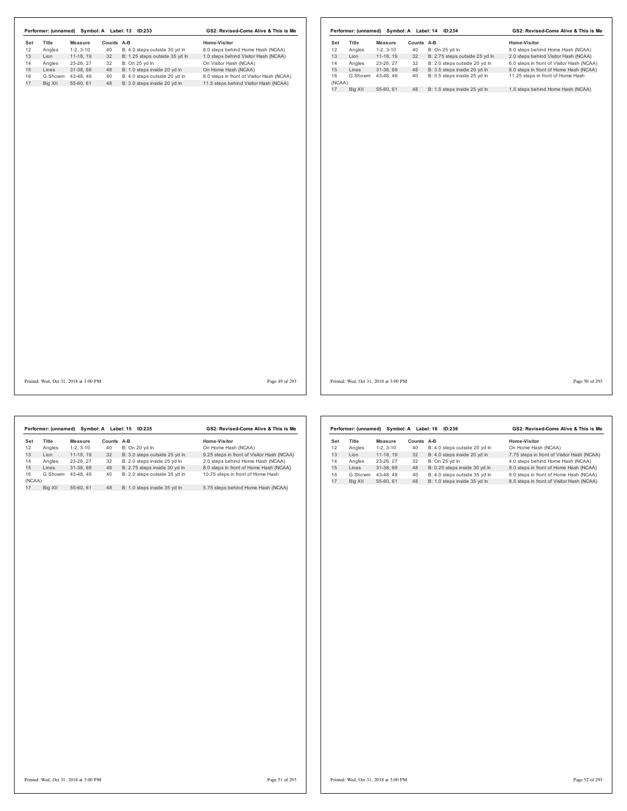$\overline{1}$ 

Printed: Wed, Oct 31, 2018 at 3:00 PM Page 49 of 293

Printed: Wed, Oct 31, 2018 at 3:00 PM Page 50 of 293

|              | Performer: (unnamed) |            | Symbol: A Label: 15 | ID:235                        | GS2: Revised-Come Alive & This is Me       |
|--------------|----------------------|------------|---------------------|-------------------------------|--------------------------------------------|
| Set          | Title                | Measure    | Counts A-B          |                               | Home-Visitor                               |
| 12           | Angles               | $1-2.3-10$ | 40                  | B: On 20 vd In                | On Home Hash (NCAA)                        |
| 13           | I ion                | 11-18.19   | 32                  | B: 3.0 steps outside 25 vd In | 9.25 steps in front of Visitor Hash (NCAA) |
| 14           | Angles               | 23-26.27   | 32                  | B: 2.0 steps inside 25 vd In  | 2.0 steps behind Home Hash (NCAA)          |
| 15           | Lines                | 31-38.69   | 48                  | B: 2.75 steps inside 30 yd In | 8.0 steps in front of Home Hash (NCAA)     |
| 16<br>(NCAA) | G.Showm              | 43-48.49   | 40                  | B: 2.0 steps outside 35 vd In | 10.75 steps in front of Home Hash          |
|              |                      |            |                     |                               |                                            |
| 17           | Big XII              | 55-60.61   | 48                  | B: 1.0 steps inside 35 vd In  | 5.75 steps behind Home Hash (NCAA)         |

|     | Performer: (unnamed) |            | Symbol: A Label: 16 | GS2: Revised-Come Alive & This is Me |                                            |  |
|-----|----------------------|------------|---------------------|--------------------------------------|--------------------------------------------|--|
| Set | <b>Title</b>         | Measure    | Counts              | A-B                                  | Home-Visitor                               |  |
| 12  | Angles               | $1-2.3-10$ | 40                  | B: 4.0 steps outside 20 yd In        | On Home Hash (NCAA)                        |  |
| 13  | I ion                | 11-18.19   | 32                  | B: 4.0 steps inside 20 vd In         | 7.75 steps in front of Visitor Hash (NCAA) |  |
| 14  | Angles               | 23-26.27   | 32                  | B: On 25 vd In                       | 4.0 steps behind Home Hash (NCAA)          |  |
| 15  | I ines               | 31-38.69   | 48                  | B: 0.25 steps inside 30 yd In        | 8.0 steps in front of Home Hash (NCAA)     |  |
| 16  | G.Showm              | 43-48.49   | 40                  | B: 4.0 steps outside 35 vd In        | 8.0 steps in front of Home Hash (NCAA)     |  |
| 17  | Big XII              | 55-60, 61  | 48                  | B: 1.0 steps inside 35 yd In         | 8.5 steps in front of Visitor Hash (NCAA)  |  |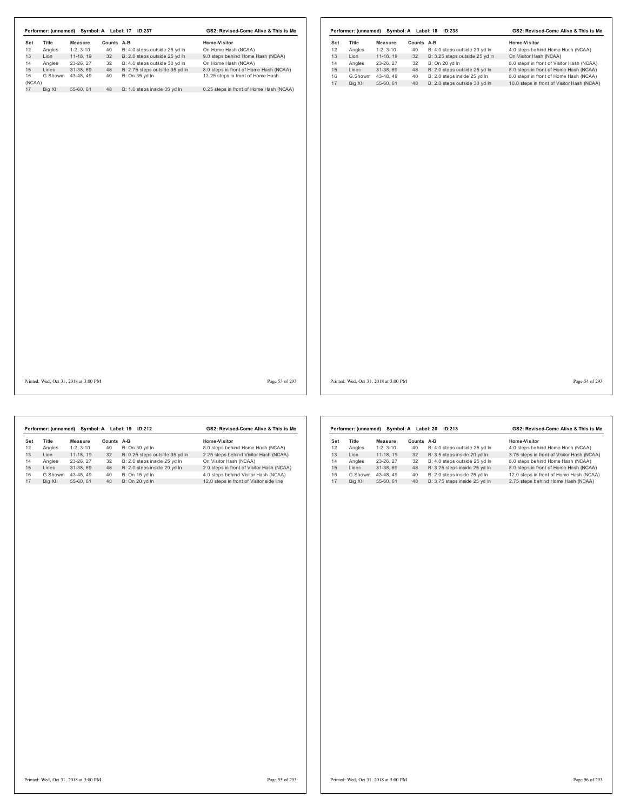| Title<br>Title<br><b>Measure</b><br>Counts A-B<br>Home-Visitor<br>Set<br>Counts A-B<br>Home-Visitor<br>Measure<br>12<br>Angles<br>$1-2, 3-10$<br>40<br>B: 4.0 steps outside 25 yd In<br>On Home Hash (NCAA)<br>Angles<br>$1-2, 3-10$<br>40<br>B: 4.0 steps outside 20 yd In<br>4.0 steps behind Home Hash (NCAA)<br>9.0 steps behind Home Hash (NCAA)<br>13<br>B: 3.25 steps outside 25 yd In<br>Lion<br>11-18, 19<br>32<br>B: 2.0 steps outside 25 yd In<br>Lion<br>$11-18, 19$<br>32<br>On Visitor Hash (NCAA)<br>14<br>Angles<br>23-26, 27<br>32<br>B: 4.0 steps outside 30 yd In<br>On Home Hash (NCAA)<br>Angles<br>23-26, 27<br>32<br>B: On 20 yd In<br>31-38, 69<br>B: 2.75 steps outside 35 yd In<br>15<br>Lines<br>48<br>8.0 steps in front of Home Hash (NCAA)<br>Lines<br>31-38, 69<br>48<br>B: 2.0 steps outside 25 yd In<br>G.Showm 43-48, 49<br>B: On 35 yd In<br>40<br>13.25 steps in front of Home Hash<br>16<br>G.Showm<br>B: 2.0 steps inside 25 yd In<br>43-48, 49<br>40<br>17<br>Big XII<br>55-60, 61<br>48<br>B: 2.0 steps outside 30 yd In<br>Big XII<br>55-60, 61<br>B: 1.0 steps inside 35 yd In<br>0.25 steps in front of Home Hash (NCAA)<br>48<br>Page 53 of 293<br>Printed: Wed, Oct 31, 2018 at 3:00 PM | Performer: (unnamed) Symbol: A Label: 17 ID:237 | GS2: Revised-Come Alive & This is Me |  |  | Performer: (unnamed) Symbol: A Label: 18 ID:238 | GS2: Revised-Come Alive & This is Me       |
|--------------------------------------------------------------------------------------------------------------------------------------------------------------------------------------------------------------------------------------------------------------------------------------------------------------------------------------------------------------------------------------------------------------------------------------------------------------------------------------------------------------------------------------------------------------------------------------------------------------------------------------------------------------------------------------------------------------------------------------------------------------------------------------------------------------------------------------------------------------------------------------------------------------------------------------------------------------------------------------------------------------------------------------------------------------------------------------------------------------------------------------------------------------------------------------------------------------------------------------|-------------------------------------------------|--------------------------------------|--|--|-------------------------------------------------|--------------------------------------------|
|                                                                                                                                                                                                                                                                                                                                                                                                                                                                                                                                                                                                                                                                                                                                                                                                                                                                                                                                                                                                                                                                                                                                                                                                                                      | Set                                             |                                      |  |  |                                                 |                                            |
| 15<br>16<br>(NCAA)<br>17<br>Printed: Wed, Oct 31, 2018 at 3:00 PM                                                                                                                                                                                                                                                                                                                                                                                                                                                                                                                                                                                                                                                                                                                                                                                                                                                                                                                                                                                                                                                                                                                                                                    | 12                                              |                                      |  |  |                                                 |                                            |
|                                                                                                                                                                                                                                                                                                                                                                                                                                                                                                                                                                                                                                                                                                                                                                                                                                                                                                                                                                                                                                                                                                                                                                                                                                      | 13                                              |                                      |  |  |                                                 |                                            |
|                                                                                                                                                                                                                                                                                                                                                                                                                                                                                                                                                                                                                                                                                                                                                                                                                                                                                                                                                                                                                                                                                                                                                                                                                                      | 14                                              |                                      |  |  |                                                 | 8.0 steps in front of Visitor Hash (NCAA)  |
|                                                                                                                                                                                                                                                                                                                                                                                                                                                                                                                                                                                                                                                                                                                                                                                                                                                                                                                                                                                                                                                                                                                                                                                                                                      |                                                 |                                      |  |  |                                                 | 8.0 steps in front of Home Hash (NCAA)     |
|                                                                                                                                                                                                                                                                                                                                                                                                                                                                                                                                                                                                                                                                                                                                                                                                                                                                                                                                                                                                                                                                                                                                                                                                                                      |                                                 |                                      |  |  |                                                 | 8.0 steps in front of Home Hash (NCAA)     |
|                                                                                                                                                                                                                                                                                                                                                                                                                                                                                                                                                                                                                                                                                                                                                                                                                                                                                                                                                                                                                                                                                                                                                                                                                                      |                                                 |                                      |  |  |                                                 | 10.0 steps in front of Visitor Hash (NCAA) |
|                                                                                                                                                                                                                                                                                                                                                                                                                                                                                                                                                                                                                                                                                                                                                                                                                                                                                                                                                                                                                                                                                                                                                                                                                                      |                                                 |                                      |  |  |                                                 |                                            |
|                                                                                                                                                                                                                                                                                                                                                                                                                                                                                                                                                                                                                                                                                                                                                                                                                                                                                                                                                                                                                                                                                                                                                                                                                                      |                                                 |                                      |  |  |                                                 | Page 54 of 293                             |

|     | Performer: (unnamed) |            | Symbol: A Label: 19 | ID:212                         | GS2: Revised-Come Alive & This is Me      |
|-----|----------------------|------------|---------------------|--------------------------------|-------------------------------------------|
| Set | Title                | Measure    | Counts A-B          |                                | Home-Visitor                              |
| 12  | Angles               | $1-2.3-10$ | 40                  | B: On 30 yd In                 | 8.0 steps behind Home Hash (NCAA)         |
| 13  | I ion                | 11-18.19   | 32                  | B: 0.25 steps outside 35 yd In | 2.25 steps behind Visitor Hash (NCAA)     |
| 14  | Angles               | 23-26.27   | 32                  | B: 2.0 steps inside 25 yd In   | On Visitor Hash (NCAA)                    |
| 15  | Lines                | 31-38.69   | 48                  | B: 2.0 steps inside 20 yd In   | 2.0 steps in front of Visitor Hash (NCAA) |
| 16  | G.Showm              | 43-48.49   | 40                  | B: On 15 yd In                 | 4.0 steps behind Visitor Hash (NCAA)      |
| 17  | Big XII              | 55-60.61   | 48                  | B: On 20 vd In                 | 12.0 steps in front of Visitor side line  |
|     |                      |            |                     |                                |                                           |

|         |            |                      | GS2: Revised-Come Alive & This is Me |                                            |  |
|---------|------------|----------------------|--------------------------------------|--------------------------------------------|--|
| Title   | Measure    | Counts               | $A-B$                                | Home-Visitor                               |  |
| Angles  | $1-2.3-10$ | 40                   | B: 4.0 steps outside 25 yd In        | 4.0 steps behind Home Hash (NCAA)          |  |
| I ion   | 11-18.19   | 32                   | B: 3.5 steps inside 20 yd In         | 3.75 steps in front of Visitor Hash (NCAA) |  |
| Angles  | 23-26, 27  | 32                   | B: 4.0 steps outside 25 vd In        | 8.0 steps behind Home Hash (NCAA)          |  |
| I ines  | 31-38.69   | 48                   | B: 3.25 steps inside 25 yd In        | 8.0 steps in front of Home Hash (NCAA)     |  |
| G.Showm | 43-48.49   | 40                   | B: 2.0 steps inside 25 vd In         | 12.0 steps in front of Home Hash (NCAA)    |  |
| Big XII | 55-60.61   | 48                   | B: 3.75 steps inside 25 vd In        | 2.75 steps behind Home Hash (NCAA)         |  |
|         |            | Performer: (unnamed) |                                      | Symbol: A Label: 20<br>ID:213              |  |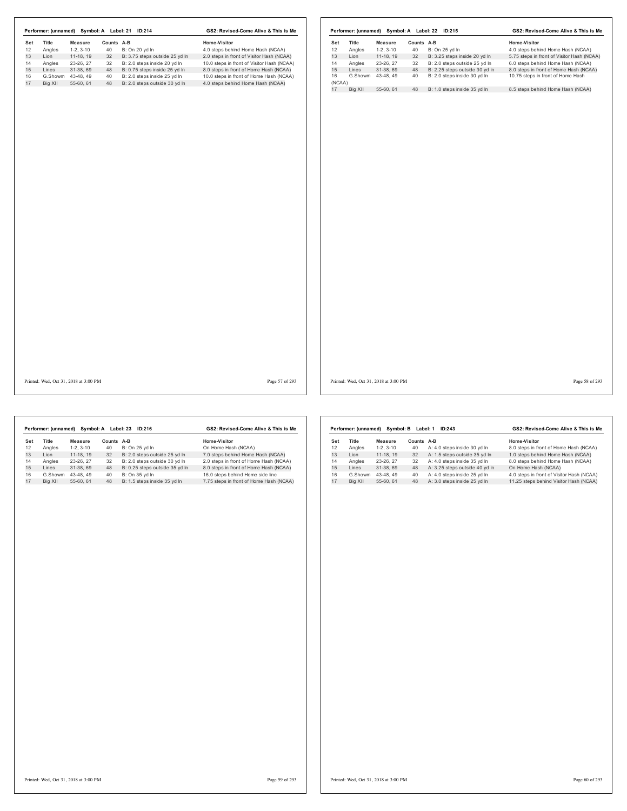|          |         |                                       |            | Performer: (unnamed) Symbol: A Label: 21 ID:214 | GS2: Revised-Come Alive & This is Me       |              |         |                                       |            | Performer: (unnamed) Symbol: A Label: 22 ID:215 | GS2: Revised-Come Alive & This is Me       |                |
|----------|---------|---------------------------------------|------------|-------------------------------------------------|--------------------------------------------|--------------|---------|---------------------------------------|------------|-------------------------------------------------|--------------------------------------------|----------------|
| Set      | Title   | Measure                               | Counts A-B |                                                 | Home-Visitor                               | Set          | Title   | Measure                               | Counts A-B |                                                 | Home-Visitor                               |                |
| 12       | Angles  | $1-2, 3-10$                           | 40         | B: On 20 yd In                                  | 4.0 steps behind Home Hash (NCAA)          | 12           | Angles  | $1-2, 3-10$                           | 40         | B: On 25 yd In                                  | 4.0 steps behind Home Hash (NCAA)          |                |
| 13<br>14 | Lion    | 11-18, 19                             | 32         | B: 3.75 steps outside 25 yd In                  | 2.0 steps in front of Visitor Hash (NCAA)  | 13           | Lion    | 11-18, 19                             | 32         | B: 3.25 steps inside 20 yd In                   | 5.75 steps in front of Visitor Hash (NCAA) |                |
|          | Angles  | 23-26, 27                             | 32         | B: 2.0 steps inside 20 yd In                    | 10.0 steps in front of Visitor Hash (NCAA) | 14           | Angles  | 23-26, 27                             | 32         | B: 2.0 steps outside 25 yd In                   | 6.0 steps behind Home Hash (NCAA)          |                |
|          | Lines   | 31-38, 69                             | 48         | B: 0.75 steps inside 25 yd In                   | 8.0 steps in front of Home Hash (NCAA)     | 15           | Lines   | 31-38, 69                             | 48         | B: 2.25 steps outside 30 yd In                  | 8.0 steps in front of Home Hash (NCAA)     |                |
| 16       | G.Showm | 43-48, 49                             | 40         | B: 2.0 steps inside 25 yd In                    | 10.0 steps in front of Home Hash (NCAA)    | 16           | G.Showm | 43-48, 49                             | 40         | B: 2.0 steps inside 30 yd In                    | 10.75 steps in front of Home Hash          |                |
| 17       | Big XII | 55-60, 61                             | 48         | B: 2.0 steps outside 30 yd In                   | 4.0 steps behind Home Hash (NCAA)          | (NCAA)<br>17 | Big XII | 55-60, 61                             | 48         | B: 1.0 steps inside 35 yd In                    | 8.5 steps behind Home Hash (NCAA)          |                |
|          |         |                                       |            |                                                 |                                            |              |         |                                       |            |                                                 |                                            |                |
|          |         | Printed: Wed, Oct 31, 2018 at 3:00 PM |            |                                                 | Page 57 of 293                             |              |         | Printed: Wed, Oct 31, 2018 at 3:00 PM |            |                                                 |                                            | Page 58 of 293 |

|     | Performer: (unnamed) |            | Symbol: A Label: 23 | ID:216                         | GS2: Revised-Come Alive & This is Me    |
|-----|----------------------|------------|---------------------|--------------------------------|-----------------------------------------|
| Set | Title                | Measure    | Counts A-B          |                                | Home-Visitor                            |
| 12  | Angles               | $1-2.3-10$ | 40                  | B: On 25 vd In                 | On Home Hash (NCAA)                     |
| 13  | I ion                | 11-18.19   | 32                  | B: 2.0 steps outside 25 vd In  | 7.0 steps behind Home Hash (NCAA)       |
| 14  | Angles               | 23-26.27   | 32                  | B: 2.0 steps outside 30 vd In  | 2.0 steps in front of Home Hash (NCAA)  |
| 15  | Lines                | 31-38.69   | 48                  | B: 0.25 steps outside 35 yd In | 8.0 steps in front of Home Hash (NCAA)  |
| 16  | G.Showm              | 43-48.49   | 40                  | B: On 35 vd In                 | 16.0 steps behind Home side line        |
| 17  | Big XII              | 55-60.61   | 48                  | B: 1.5 steps inside 35 yd In   | 7.75 steps in front of Home Hash (NCAA) |

|     | Performer: (unnamed) |            | Symbol: B Label: 1 | GS2: Revised-Come Alive & This is Me |                                           |  |
|-----|----------------------|------------|--------------------|--------------------------------------|-------------------------------------------|--|
| Set | Title                | Measure    | Counts             | A-B                                  | Home-Visitor                              |  |
| 12  | Angles               | $1-2.3-10$ | 40                 | A: 4.0 steps inside 30 yd In         | 8.0 steps in front of Home Hash (NCAA)    |  |
| 13  | I ion                | 11-18.19   | 32                 | A: 1.5 steps outside 35 vd In        | 1.0 steps behind Home Hash (NCAA)         |  |
| 14  | Angles               | 23-26.27   | 32                 | A: 4.0 steps inside 35 vd In         | 8.0 steps behind Home Hash (NCAA)         |  |
| 15  | I ines               | 31-38.69   | 48                 | A: 3.25 steps outside 40 yd In       | On Home Hash (NCAA)                       |  |
| 16  | G.Showm              | 43-48.49   | 40                 | A: 4.0 steps inside 25 vd In         | 4.0 steps in front of Visitor Hash (NCAA) |  |
| 17  | Big XII              | 55-60.61   | 48                 | A: 3.0 steps inside 25 yd In         | 11.25 steps behind Visitor Hash (NCAA)    |  |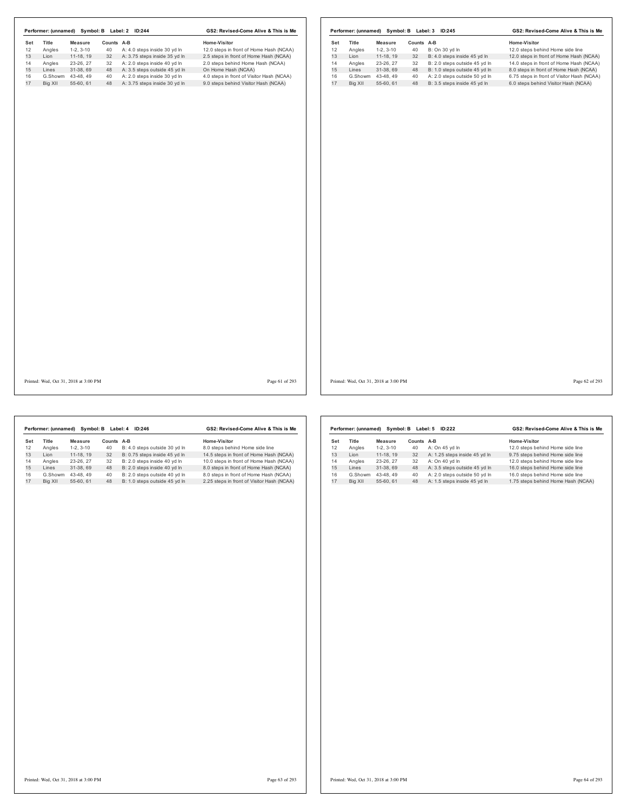|           |                 |                               |                  |                                                                  | Home-Visitor                                                                      |           |                 |                        |                  |                                                               | Home-Visitor                                                                       |
|-----------|-----------------|-------------------------------|------------------|------------------------------------------------------------------|-----------------------------------------------------------------------------------|-----------|-----------------|------------------------|------------------|---------------------------------------------------------------|------------------------------------------------------------------------------------|
| Set<br>12 | Title<br>Angles | <b>Measure</b><br>$1-2, 3-10$ | Counts A-B<br>40 | A: 4.0 steps inside 30 yd In                                     | 12.0 steps in front of Home Hash (NCAA)                                           | Set<br>12 | Title<br>Angles | Measure<br>$1-2, 3-10$ | Counts A-B<br>40 | B: On 30 yd In                                                | 12.0 steps behind Home side line                                                   |
| 13        | Lion            | 11-18, 19                     | 32               | A: 3.75 steps inside 35 yd In                                    | 2.5 steps in front of Home Hash (NCAA)                                            | 13        | Lion            | 11-18, 19              | 32               | B: 4.0 steps inside 45 yd In                                  | 12.0 steps in front of Home Hash (NCAA)                                            |
|           | Angles          | 23-26, 27                     | 32               | A: 2.0 steps inside 40 yd In                                     | 2.0 steps behind Home Hash (NCAA)                                                 | 14        |                 | 23-26, 27              | 32               | B: 2.0 steps outside 45 yd In                                 | 14.0 steps in front of Home Hash (NCAA)                                            |
|           | Lines           | 31-38, 69                     |                  | 48 A: 3.5 steps outside 45 yd In                                 | On Home Hash (NCAA)                                                               | 15        | Angles<br>Lines | 31-38, 69              | 48               | B: 1.0 steps outside 45 yd In                                 | 8.0 steps in front of Home Hash (NCAA)                                             |
|           |                 | G.Showm 43-48, 49             |                  |                                                                  |                                                                                   | 16        |                 | G.Showm 43-48, 49      |                  |                                                               |                                                                                    |
|           | Big XII         | 55-60, 61                     | 40               | A: 2.0 steps inside 30 yd In<br>48 A: 3.75 steps inside 30 yd In | 4.0 steps in front of Visitor Hash (NCAA)<br>9.0 steps behind Visitor Hash (NCAA) | 17        | Big XII         | 55-60, 61              | 40<br>48         | A: 2.0 steps outside 50 yd In<br>B: 3.5 steps inside 45 yd In | 6.75 steps in front of Visitor Hash (NCAA)<br>6.0 steps behind Visitor Hash (NCAA) |
|           |                 |                               |                  |                                                                  |                                                                                   |           |                 |                        |                  |                                                               |                                                                                    |
|           |                 |                               |                  |                                                                  |                                                                                   |           |                 |                        |                  |                                                               |                                                                                    |
|           |                 |                               |                  |                                                                  |                                                                                   |           |                 |                        |                  |                                                               |                                                                                    |
|           |                 |                               |                  |                                                                  |                                                                                   |           |                 |                        |                  |                                                               |                                                                                    |

Printed: Wed, Oct 31, 2018 at 3:00 PM Page 61 of 293

Printed: Wed, Oct 31, 2018 at 3:00 PM Page 62 of 293

|     | Performer: (unnamed) | Symbol: B  |            | ID:246<br>Label: 4            | GS2: Revised-Come Alive & This is Me       |
|-----|----------------------|------------|------------|-------------------------------|--------------------------------------------|
| Set | Title                | Measure    | Counts A-B |                               | Home-Visitor                               |
| 12  | Angles               | $1-2.3-10$ | 40         | B: 4.0 steps outside 30 yd In | 8.0 steps behind Home side line            |
| 13  | I ion                | 11-18.19   | 32         | B: 0.75 steps inside 45 vd In | 14.5 steps in front of Home Hash (NCAA)    |
| 14  | Angles               | 23-26.27   | 32         | B: 2.0 steps inside 40 vd In  | 10.0 steps in front of Home Hash (NCAA)    |
| 15  | Lines                | 31-38.69   | 48         | B: 2.0 steps inside 40 yd In  | 8.0 steps in front of Home Hash (NCAA)     |
| 16  | G.Showm              | 43-48.49   | 40         | B: 2.0 steps outside 40 yd In | 8.0 steps in front of Home Hash (NCAA)     |
| 17  | Big XII              | 55-60.61   | 48         | B: 1.0 steps outside 45 vd In | 2.25 steps in front of Visitor Hash (NCAA) |
|     |                      |            |            |                               |                                            |

|              |            |                      | GS2: Revised-Come Alive & This is Me |                                            |  |
|--------------|------------|----------------------|--------------------------------------|--------------------------------------------|--|
| <b>Title</b> | Measure    |                      |                                      | Home-Visitor                               |  |
| Angles       | $1-2.3-10$ | 40                   | A: On 45 vd In                       | 12.0 steps behind Home side line           |  |
| I ion        | 11-18, 19  | 32                   | A: 1.25 steps inside 45 yd In        | 9.75 steps behind Home side line           |  |
| Angles       | 23-26, 27  | 32                   | A: On 40 vd In                       | 12.0 steps behind Home side line           |  |
| I ines       | 31-38.69   | 48                   | A: 3.5 steps outside 45 yd In        | 16.0 steps behind Home side line           |  |
| G.Showm      | 43-48.49   | 40                   | A: 2.0 steps outside 50 yd In        | 16.0 steps behind Home side line           |  |
| Big XII      | 55-60, 61  | 48                   | A: 1.5 steps inside 45 yd In         | 1.75 steps behind Home Hash (NCAA)         |  |
|              |            | Performer: (unnamed) |                                      | Symbol: B Label: 5<br>ID:222<br>Counts A-B |  |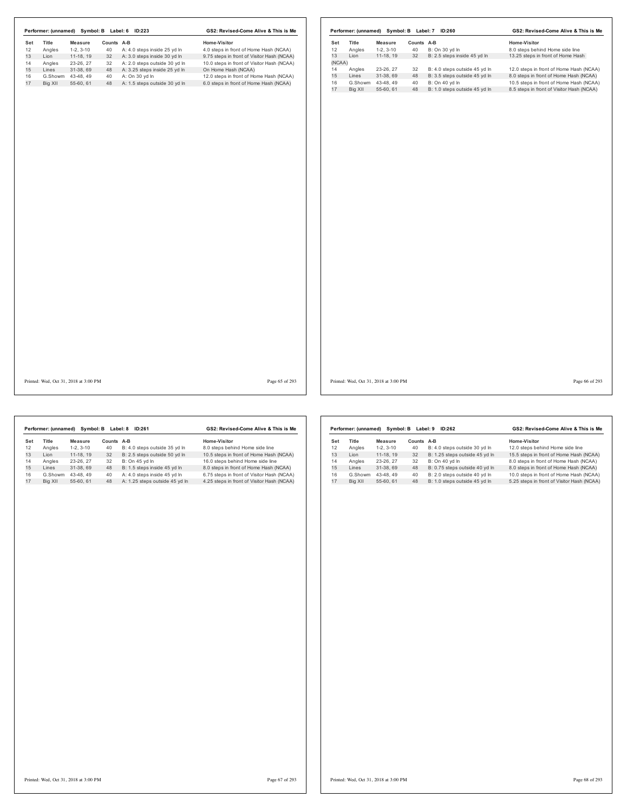|     |         |                                       |            | Performer: (unnamed) Symbol: B Label: 6 ID:223 | GS2: Revised-Come Alive & This is Me       |        |         |                                       |            | Performer: (unnamed) Symbol: B Label: 7 ID:260 | GS2: Revised-Come Alive & This is Me      |
|-----|---------|---------------------------------------|------------|------------------------------------------------|--------------------------------------------|--------|---------|---------------------------------------|------------|------------------------------------------------|-------------------------------------------|
| Set | Title   | Measure                               | Counts A-B |                                                | Home-Visitor                               | Set    | Title   | Measure                               | Counts A-B |                                                | Home-Visitor                              |
| 12  | Angles  | $1-2, 3-10$                           | 40         | A: 4.0 steps inside 25 yd In                   | 4.0 steps in front of Home Hash (NCAA)     | 12     | Angles  | $1-2, 3-10$                           | 40         | B: On 30 yd In                                 | 8.0 steps behind Home side line           |
| 13  | Lion    | 11-18, 19                             | 32         | A: 3.0 steps inside 30 yd In                   | 9.75 steps in front of Visitor Hash (NCAA) | 13     | Lion    | $11-18, 19$                           | 32         | B: 2.5 steps inside 45 yd In                   | 13.25 steps in front of Home Hash         |
| 14  | Angles  | 23-26, 27                             | 32         | A: 2.0 steps outside 30 yd In                  | 10.0 steps in front of Visitor Hash (NCAA) | (NCAA) |         |                                       |            |                                                |                                           |
| 15  | Lines   | 31-38, 69                             | 48         | A: 3.25 steps inside 25 yd In                  | On Home Hash (NCAA)                        | 14     | Angles  | 23-26, 27                             | 32         | B: 4.0 steps outside 45 yd In                  | 12.0 steps in front of Home Hash (NCAA)   |
| 16  | G.Showm | 43-48, 49                             | 40         | A: On 30 yd In                                 | 12.0 steps in front of Home Hash (NCAA)    | 15     | Lines   | 31-38, 69                             | 48         | B: 3.5 steps outside 45 yd In                  | 8.0 steps in front of Home Hash (NCAA)    |
| 17  | Big XII | 55-60, 61                             |            | 48 A: 1.5 steps outside 30 yd In               | 6.0 steps in front of Home Hash (NCAA)     | 16     |         | G.Showm 43-48, 49                     | 40         | B: On 40 yd In                                 | 10.5 steps in front of Home Hash (NCAA)   |
|     |         |                                       |            |                                                |                                            | 17     | Big XII | 55-60, 61                             | 48         | B: 1.0 steps outside 45 yd In                  | 8.5 steps in front of Visitor Hash (NCAA) |
|     |         |                                       |            |                                                |                                            |        |         |                                       |            |                                                |                                           |
|     |         | Printed: Wed, Oct 31, 2018 at 3:00 PM |            |                                                | Page 65 of 293                             |        |         | Printed: Wed, Oct 31, 2018 at 3:00 PM |            |                                                | Page 66 of 293                            |

|     | Performer: (unnamed) | Symbol: B  |            | Label: 8<br>ID:261             | GS2: Revised-Come Alive & This is Me       |
|-----|----------------------|------------|------------|--------------------------------|--------------------------------------------|
| Set | Title                | Measure    | Counts A-B |                                | Home-Visitor                               |
| 12  | Angles               | $1-2.3-10$ | 40         | B: 4.0 steps outside 35 yd In  | 8.0 steps behind Home side line            |
| 13  | I ion                | 11-18.19   | 32         | B: 2.5 steps outside 50 yd In  | 10.5 steps in front of Home Hash (NCAA)    |
| 14  | Angles               | 23-26.27   | 32         | B: On 45 vd In                 | 16.0 steps behind Home side line           |
| 15  | Lines                | 31-38.69   | 48         | B: 1.5 steps inside 45 yd In   | 8.0 steps in front of Home Hash (NCAA)     |
| 16  | G.Showm              | 43-48.49   | 40         | A: 4.0 steps inside 45 vd In   | 6.75 steps in front of Visitor Hash (NCAA) |
| 17  | Big XII              | 55-60.61   | 48         | A: 1.25 steps outside 45 yd In | 4.25 steps in front of Visitor Hash (NCAA) |

|     | Performer: (unnamed) |            | Symbol: B Label: 9 | ID:262                         | GS2: Revised-Come Alive & This is Me       |  |  |
|-----|----------------------|------------|--------------------|--------------------------------|--------------------------------------------|--|--|
| Set | Title                | Measure    | Counts             | $A-B$                          | Home-Visitor                               |  |  |
| 12  | Angles               | $1-2.3-10$ | 40                 | B: 4.0 steps outside 30 yd In  | 12.0 steps behind Home side line           |  |  |
| 13  | I ion                | 11-18.19   | 32                 | B: 1.25 steps outside 45 yd In | 15.5 steps in front of Home Hash (NCAA)    |  |  |
| 14  | Angles               | 23-26, 27  | 32                 | B: On 40 vd In                 | 8.0 steps in front of Home Hash (NCAA)     |  |  |
| 15  | I ines               | 31-38.69   | 48                 | B: 0.75 steps outside 40 yd In | 8.0 steps in front of Home Hash (NCAA)     |  |  |
| 16  | G.Showm              | 43-48.49   | 40                 | B: 2.0 steps outside 40 vd In  | 10.0 steps in front of Home Hash (NCAA)    |  |  |
| 17  | Big XII              | 55-60, 61  | 48                 | B: 1.0 steps outside 45 yd In  | 5.25 steps in front of Visitor Hash (NCAA) |  |  |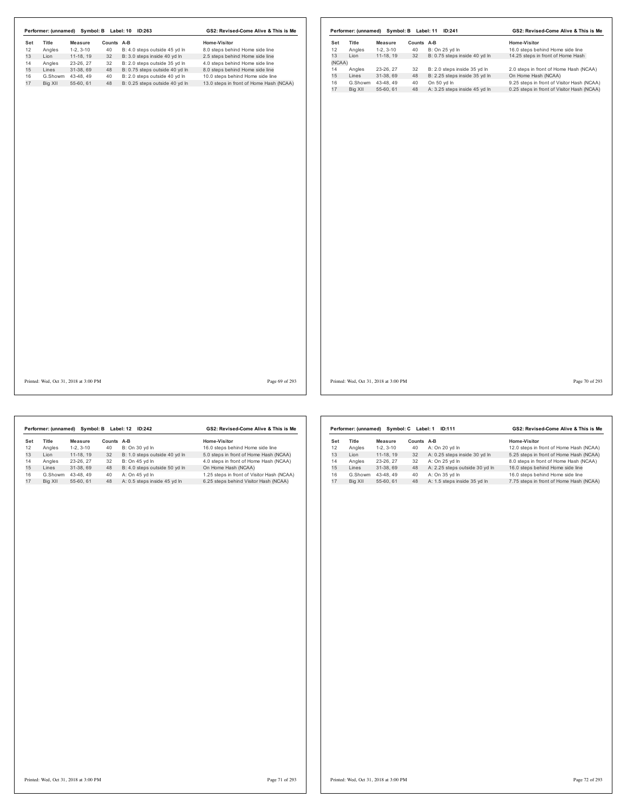|     | Performer: (unnamed) | Symbol: B Label: 10 | GS2: Revised-Come Alive & This is Me |                                |                                         |
|-----|----------------------|---------------------|--------------------------------------|--------------------------------|-----------------------------------------|
| Set | Title                | Measure             | Counts                               | $A-B$                          | Home-Visitor                            |
| 12  | Angles               | $1-2.3-10$          | 40                                   | B: 4.0 steps outside 45 yd In  | 8.0 steps behind Home side line         |
| 13  | I ion                | 11-18.19            | 32                                   | B: 3.0 steps inside 40 yd In   | 2.5 steps behind Home side line         |
| 14  | Angles               | 23-26.27            | 32                                   | B: 2.0 steps outside 35 vd In  | 4.0 steps behind Home side line         |
| 15  | Lines                | 31-38.69            | 48                                   | B: 0.75 steps outside 40 yd In | 8.0 steps behind Home side line         |
| 16  | G.Showm              | 43-48.49            | 40                                   | B: 2.0 steps outside 40 vd In  | 10.0 steps behind Home side line        |
| 17  | Big XII              | 55-60.61            | 48                                   | B: 0.25 steps outside 40 yd In | 13.0 steps in front of Home Hash (NCAA) |

|        | Performer: (unnamed) |            | Symbol: B Label: 11 | ID:241                        | GS2: Revised-Come Alive & This is Me       |  |  |
|--------|----------------------|------------|---------------------|-------------------------------|--------------------------------------------|--|--|
| Set    | <b>Title</b>         | Measure    | Counts A-B          |                               | Home-Visitor                               |  |  |
| 12     | Angles               | $1-2.3-10$ | 40                  | B: On 25 vd In                | 16.0 steps behind Home side line           |  |  |
| 13     | Lion                 | 11-18.19   | 32                  | B: 0.75 steps inside 40 yd In | 14.25 steps in front of Home Hash          |  |  |
| (NCAA) |                      |            |                     |                               |                                            |  |  |
| 14     | Angles               | 23-26, 27  | 32                  | B: 2.0 steps inside 35 yd In  | 2.0 steps in front of Home Hash (NCAA)     |  |  |
| 15     | Lines                | 31-38.69   | 48                  | B: 2.25 steps inside 35 vd In | On Home Hash (NCAA)                        |  |  |
| 16     | G.Showm              | 43-48.49   | 40                  | On 50 vd In                   | 9.25 steps in front of Visitor Hash (NCAA) |  |  |
| 17     | Bia XII              | 55-60.61   | 48                  | A: 3.25 steps inside 45 yd In | 0.25 steps in front of Visitor Hash (NCAA) |  |  |

Printed: Wed, Oct 31, 2018 at 3:00 PM Page 69 of 293

Printed: Wed, Oct 31, 2018 at 3:00 PM Page 70 of 293

|     | Performer: (unnamed) |            | Symbol: B Label: 12 | ID:242                        | GS2: Revised-Come Alive & This is Me       |
|-----|----------------------|------------|---------------------|-------------------------------|--------------------------------------------|
| Set | <b>Title</b>         | Measure    | Counts A-B          |                               | Home-Visitor                               |
| 12  | Angles               | $1-2.3-10$ | 40                  | B: On 30 yd In                | 16.0 steps behind Home side line           |
| 13  | I ion                | 11-18.19   | 32                  | B: 1.0 steps outside 40 yd In | 5.0 steps in front of Home Hash (NCAA)     |
| 14  | Angles               | 23-26.27   | 32                  | B: On 45 vd In                | 4.0 steps in front of Home Hash (NCAA)     |
| 15  | Lines                | 31-38.69   | 48                  | B: 4.0 steps outside 50 yd In | On Home Hash (NCAA)                        |
| 16  | G.Showm              | 43-48.49   | 40                  | A: On 45 yd In                | 1.25 steps in front of Visitor Hash (NCAA) |
| 17  | Big XII              | 55-60.61   | 48                  | A: 0.5 steps inside 45 yd In  | 6.25 steps behind Visitor Hash (NCAA)      |

|     | Performer: (unnamed) | Svmbol: C  | Label: 1 | ID:111                         | GS2: Revised-Come Alive & This is Me    |  |  |
|-----|----------------------|------------|----------|--------------------------------|-----------------------------------------|--|--|
| Set | Title                | Measure    | Counts   | A-B                            | Home-Visitor                            |  |  |
| 12  | Angles               | $1-2.3-10$ | 40       | A: On 20 yd In                 | 12.0 steps in front of Home Hash (NCAA) |  |  |
| 13  | I ion                | 11-18, 19  | 32       | A: 0.25 steps inside 30 yd In  | 5.25 steps in front of Home Hash (NCAA) |  |  |
| 14  | Angles               | 23-26.27   | 32       | A: On 25 yd In                 | 8.0 steps in front of Home Hash (NCAA)  |  |  |
| 15  | Lines                | 31-38.69   | 48       | A: 2.25 steps outside 30 yd In | 16.0 steps behind Home side line        |  |  |
| 16  | G.Showm              | 43-48.49   | 40       | A: On 35 vd In                 | 16.0 steps behind Home side line        |  |  |
| 17  | Big XII              | 55-60.61   | 48       | A: 1.5 steps inside 35 vd In   | 7.75 steps in front of Home Hash (NCAA) |  |  |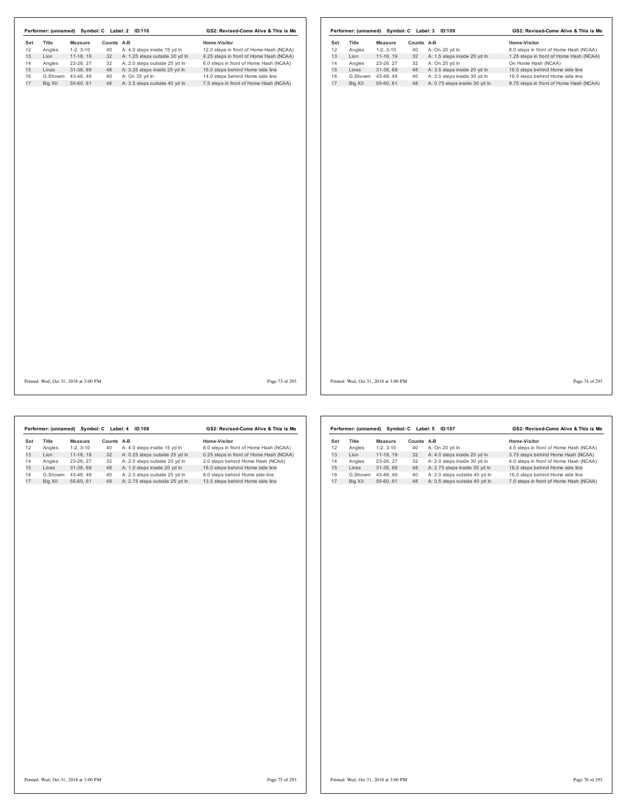| Performer: (unnamed) Symbol: C Label: 2 ID:110 |                |            |                                  | GS2: Revised-Come Alive & This is Me    |     |                                       |                   |            | Performer: (unnamed) Symbol: C Label: 3 ID:109 | GS2: Revised-Come Alive & This is Me    |                |
|------------------------------------------------|----------------|------------|----------------------------------|-----------------------------------------|-----|---------------------------------------|-------------------|------------|------------------------------------------------|-----------------------------------------|----------------|
| Title<br>Set                                   | <b>Measure</b> | Counts A-B |                                  | Home-Visitor                            | Set | Title                                 | Measure           | Counts A-B |                                                | Home-Visitor                            |                |
| 12<br>Angles                                   | $1-2, 3-10$    | 40         | A: 4.0 steps inside 15 yd In     | 12.0 steps in front of Home Hash (NCAA) | 12  | Angles                                | $1-2, 3-10$       | 40         | A: On 20 yd In                                 | 8.0 steps in front of Home Hash (NCAA)  |                |
| 13<br>Lion                                     | 11-18, 19      | 32         | A: 1.25 steps outside 30 yd In   | 4.25 steps in front of Home Hash (NCAA) | 13  | Lion                                  | 11-18, 19         | 32         | A: 1.5 steps inside 25 yd In                   | 1.25 steps in front of Home Hash (NCAA) |                |
| 14<br>Angles                                   | 23-26, 27      | 32         | A: 2.0 steps outside 25 yd In    | 6.0 steps in front of Home Hash (NCAA)  | 14  | Angles                                | 23-26, 27         | 32         | A: On 20 yd In                                 | On Home Hash (NCAA)                     |                |
| 15<br>Lines                                    | 31-38, 69      | 48         | A: 3.25 steps inside 25 yd In    | 16.0 steps behind Home side line        | 15  | Lines                                 | 31-38, 69         | 48         | A: 3.5 steps inside 20 yd In                   | 16.0 steps behind Home side line        |                |
| G.Showm 43-48, 49<br>16                        |                | 40         | A: On 35 yd In                   | 14.0 steps behind Home side line        | 16  |                                       | G.Showm 43-48, 49 | 40         | A: 2.0 steps inside 30 yd In                   | 16.0 steps behind Home side line        |                |
| 17<br>Big XII                                  | 55-60, 61      |            | 48 A: 3.5 steps outside 40 yd In | 7.5 steps in front of Home Hash (NCAA)  | 17  | Big XII                               | 55-60, 61         | 48         | A: 0.75 steps inside 30 yd In                  | 9.75 steps in front of Home Hash (NCAA) |                |
|                                                |                |            |                                  |                                         |     |                                       |                   |            |                                                |                                         |                |
| Printed: Wed, Oct 31, 2018 at 3:00 PM          |                |            |                                  | Page 73 of 293                          |     | Printed: Wed, Oct 31, 2018 at 3:00 PM |                   |            |                                                |                                         | Page 74 of 293 |

|     | Performer: (unnamed) |            | Symbol: C Label: 4 | <b>ID:108</b>                  | GS2: Revised-Come Alive & This is Me    |  |  |
|-----|----------------------|------------|--------------------|--------------------------------|-----------------------------------------|--|--|
| Set | Title                | Measure    | Counts             | $A-B$                          | Home-Visitor                            |  |  |
| 12  | Angles               | $1-2.3-10$ | 40                 | A: 4.0 steps inside 15 yd In   | 8.0 steps in front of Home Hash (NCAA)  |  |  |
| 13  | I ion                | 11-18.19   | 32                 | A: 0.25 steps outside 25 yd In | 0.25 steps in front of Home Hash (NCAA) |  |  |
| 14  | Angles               | 23-26.27   | 32                 | A: 2.0 steps outside 20 vd In  | 2.0 steps behind Home Hash (NCAA)       |  |  |
| 15  | I ines               | 31-38.69   | 48                 | A: 1.0 steps inside 20 yd In   | 16.0 steps behind Home side line        |  |  |
| 16  | G.Showm              | 43-48.49   | 40                 | A: 2.0 steps outside 25 vd In  | 8.0 steps behind Home side line         |  |  |
| 17  | Big XII              | 55-60.61   | 48                 | A: 2.75 steps outside 25 yd In | 13.5 steps behind Home side line        |  |  |

|     | Performer: (unnamed) | Symbol: C  | Label: 5 | ID:107                        | GS2: Revised-Come Alive & This is Me   |  |  |  |  |  |
|-----|----------------------|------------|----------|-------------------------------|----------------------------------------|--|--|--|--|--|
| Set | Title                | Measure    | Counts   | A-B                           | Home-Visitor                           |  |  |  |  |  |
| 12  | Angles               | $1-2.3-10$ | 40       | A: On 20 yd In                | 4.0 steps in front of Home Hash (NCAA) |  |  |  |  |  |
| 13  | I ion                | 11-18.19   | 32       | A: 4.0 steps inside 20 yd In  | 3.75 steps behind Home Hash (NCAA)     |  |  |  |  |  |
| 14  | Angles               | 23-26, 27  | 32       | A: 2.0 steps inside 30 vd In  | 6.0 steps in front of Home Hash (NCAA) |  |  |  |  |  |
| 15  | Lines                | 31-38.69   | 48       | A: 2.75 steps inside 30 yd In | 16.0 steps behind Home side line       |  |  |  |  |  |
| 16  | G.Showm              | 43-48.49   | 40       | A: 2.0 steps outside 40 vd In | 16.0 steps behind Home side line       |  |  |  |  |  |
| 17  | Bia XII              | 55-60.61   | 48       | A: 0.5 steps outside 40 yd In | 7.0 steps in front of Home Hash (NCAA) |  |  |  |  |  |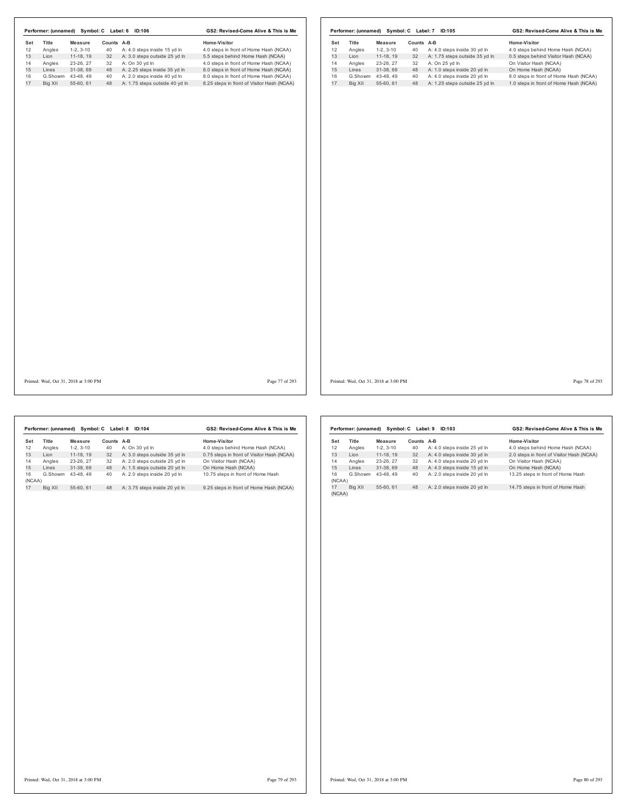|     |                                       |                   |            | Performer: (unnamed) Symbol: C Label: 6 ID:106 | GS2: Revised-Come Alive & This is Me       |                |     |                   |                                       |            | Performer: (unnamed) Symbol: C Label: 7 ID:105 | GS2: Revised-Come Alive & This is Me   |  |
|-----|---------------------------------------|-------------------|------------|------------------------------------------------|--------------------------------------------|----------------|-----|-------------------|---------------------------------------|------------|------------------------------------------------|----------------------------------------|--|
| Set | Title                                 | <b>Measure</b>    | Counts A-B |                                                | Home-Visitor                               |                | Set | Title             | Measure                               | Counts A-B |                                                | Home-Visitor                           |  |
| 12  | Angles                                | $1-2, 3-10$       | 40         | A: 4.0 steps inside 15 yd In                   | 4.0 steps in front of Home Hash (NCAA)     |                | 12  | Angles            | $1-2, 3-10$                           | 40         | A: 4.0 steps inside 30 yd In                   | 4.0 steps behind Home Hash (NCAA)      |  |
| 13  | Lion                                  | 11-18, 19         | 32         | A: 3.0 steps outside 25 yd In                  | 5.5 steps behind Home Hash (NCAA)          |                | 13  | Lion              | $11-18, 19$                           | 32         | A: 1.75 steps outside 35 yd In                 | 0.5 steps behind Visitor Hash (NCAA)   |  |
| 14  | Angles                                | 23-26, 27         | 32         | A: On 30 yd In                                 | 4.0 steps in front of Home Hash (NCAA)     |                | 14  | Angles            | 23-26, 27                             | 32         | A: On 25 yd In                                 | On Visitor Hash (NCAA)                 |  |
| 15  | Lines                                 | 31-38, 69         | 48         | A: 2.25 steps inside 35 yd In                  | 8.0 steps in front of Home Hash (NCAA)     |                | 15  | Lines             | 31-38, 69                             | 48         | A: 1.0 steps inside 20 yd In                   | On Home Hash (NCAA)                    |  |
| 16  |                                       | G.Showm 43-48, 49 | 40         | A: 2.0 steps inside 40 yd In                   | 8.0 steps in front of Home Hash (NCAA)     |                | 16  | G.Showm 43-48, 49 |                                       | 40         | A: 4.0 steps inside 20 yd In                   | 8.0 steps in front of Home Hash (NCAA) |  |
| 17  | Big XII                               | 55-60, 61         |            | 48 A: 1.75 steps outside 40 yd In              | 8.25 steps in front of Visitor Hash (NCAA) |                | 17  | Big XII           | 55-60, 61                             | 48         | A: 1.25 steps outside 25 yd In                 | 1.0 steps in front of Home Hash (NCAA) |  |
|     |                                       |                   |            |                                                |                                            |                |     |                   |                                       |            |                                                |                                        |  |
|     | Printed: Wed, Oct 31, 2018 at 3:00 PM |                   |            |                                                |                                            | Page 77 of 293 |     |                   | Printed: Wed, Oct 31, 2018 at 3:00 PM |            |                                                | Page 78 of 293                         |  |

|              | Performer: (unnamed) |            | Symbol: C Label: 8 | ID:104                        | GS2: Revised-Come Alive & This is Me       |  |  |  |  |
|--------------|----------------------|------------|--------------------|-------------------------------|--------------------------------------------|--|--|--|--|
| Set          | <b>Title</b>         | Measure    | Counts             | $A-B$                         | Home-Visitor                               |  |  |  |  |
| 12           | Angles               | $1-2.3-10$ | 40                 | A: On 30 yd In                | 4.0 steps behind Home Hash (NCAA)          |  |  |  |  |
| 13           | I ion                | 11-18.19   | 32                 | A: 3.0 steps outside 35 yd In | 0.75 steps in front of Visitor Hash (NCAA) |  |  |  |  |
| 14           | Angles               | 23-26.27   | 32                 | A: 2.0 steps outside 25 vd In | On Visitor Hash (NCAA)                     |  |  |  |  |
| 15           | I ines               | 31-38.69   | 48                 | A: 1.5 steps outside 20 yd In | On Home Hash (NCAA)                        |  |  |  |  |
| 16<br>(NCAA) | G.Showm              | 43-48.49   | 40                 | A: 2.0 steps inside 20 vd In  | 10.75 steps in front of Home Hash          |  |  |  |  |
| 17           | Big XII              | 55-60.61   | 48                 | A: 3.75 steps inside 20 yd In | 9.25 steps in front of Home Hash (NCAA)    |  |  |  |  |

|              | Performer: (unnamed) |            |            | Symbol: C Label: 9 ID:103    | GS2: Revised-Come Alive & This is Me      |  |  |  |  |
|--------------|----------------------|------------|------------|------------------------------|-------------------------------------------|--|--|--|--|
| Set          | <b>Title</b>         | Measure    | Counts A-B |                              | Home-Visitor                              |  |  |  |  |
| 12           | Angles               | $1-2.3-10$ | 40         | A: 4.0 steps inside 25 yd In | 4.0 steps behind Home Hash (NCAA)         |  |  |  |  |
| 13           | I ion                | 11-18.19   | 32         | A: 4.0 steps inside 30 yd In | 2.0 steps in front of Visitor Hash (NCAA) |  |  |  |  |
| 14           | Angles               | 23-26, 27  | 32         | A: 4.0 steps inside 20 yd In | On Visitor Hash (NCAA)                    |  |  |  |  |
| 15           | I ines               | 31-38.69   | 48         | A: 4.0 steps inside 15 yd In | On Home Hash (NCAA)                       |  |  |  |  |
| 16<br>(NCAA) | G.Showm              | 43-48.49   | 40         | A: 2.0 steps inside 20 yd In | 13.25 steps in front of Home Hash         |  |  |  |  |
| 17           | Big XII              | 55-60, 61  | 48         | A: 2.0 steps inside 20 yd In | 14.75 steps in front of Home Hash         |  |  |  |  |
| (NCAA)       |                      |            |            |                              |                                           |  |  |  |  |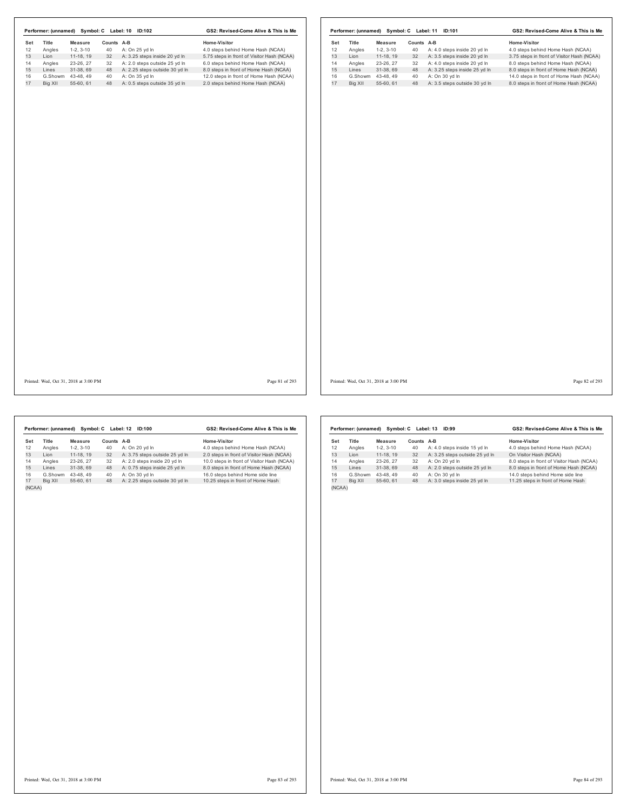|     |         |                                       |            | Performer: (unnamed) Symbol: C Label: 10 ID:102 | GS2: Revised-Come Alive & This is Me       |                | Performer: (unnamed) Symbol: C Label: 11 ID:101 |                   |            |                                  | GS2: Revised-Come Alive & This is Me       |                |
|-----|---------|---------------------------------------|------------|-------------------------------------------------|--------------------------------------------|----------------|-------------------------------------------------|-------------------|------------|----------------------------------|--------------------------------------------|----------------|
| Set | Title   | <b>Measure</b>                        | Counts A-B |                                                 | Home-Visitor                               |                | Title<br>Set                                    | Measure           | Counts A-B |                                  | Home-Visitor                               |                |
| 12  | Angles  | $1-2, 3-10$                           | 40         | A: On 25 yd In                                  | 4.0 steps behind Home Hash (NCAA)          |                | 12<br>Angles                                    | $1-2, 3-10$       | 40         | A: 4.0 steps inside 20 yd In     | 4.0 steps behind Home Hash (NCAA)          |                |
| 13  | Lion    | 11-18, 19                             | 32         | A: 3.25 steps inside 20 yd In                   | 5.75 steps in front of Visitor Hash (NCAA) |                | 13<br>Lion                                      | $11-18, 19$       |            | 32 A: 3.5 steps inside 20 yd In  | 3.75 steps in front of Visitor Hash (NCAA) |                |
| 14  | Angles  | 23-26, 27                             | 32         | A: 2.0 steps outside 25 yd In                   | 6.0 steps behind Home Hash (NCAA)          |                | 14<br>Angles                                    | 23-26, 27         | 32         | A: 4.0 steps inside 20 yd In     | 8.0 steps behind Home Hash (NCAA)          |                |
| 15  | Lines   | 31-38, 69                             | 48         | A: 2.25 steps outside 30 yd In                  | 8.0 steps in front of Home Hash (NCAA)     |                | 15<br>Lines                                     | 31-38, 69         | 48         | A: 3.25 steps inside 25 yd In    | 8.0 steps in front of Home Hash (NCAA)     |                |
| 16  |         | G.Showm 43-48, 49                     | 40         | A: On 35 yd In                                  | 12.0 steps in front of Home Hash (NCAA)    |                | 16                                              | G.Showm 43-48, 49 | 40         | A: On 30 yd In                   | 14.0 steps in front of Home Hash (NCAA)    |                |
| 17  | Big XII | 55-60, 61                             |            | 48 A: 0.5 steps outside 35 yd In                | 2.0 steps behind Home Hash (NCAA)          |                | 17<br>Big XII                                   | 55-60, 61         |            | 48 A: 3.5 steps outside 30 yd In | 8.0 steps in front of Home Hash (NCAA)     |                |
|     |         |                                       |            |                                                 |                                            |                |                                                 |                   |            |                                  |                                            |                |
|     |         | Printed: Wed, Oct 31, 2018 at 3:00 PM |            |                                                 |                                            | Page 81 of 293 | Printed: Wed, Oct 31, 2018 at 3:00 PM           |                   |            |                                  |                                            | Page 82 of 293 |

|        | Performer: (unnamed) |            | Symbol: C Label: 12 | <b>ID:100</b>                  | GS2: Revised-Come Alive & This is Me       |  |  |  |  |  |
|--------|----------------------|------------|---------------------|--------------------------------|--------------------------------------------|--|--|--|--|--|
| Set    | Title                | Measure    | Counts A-B          |                                | Home-Visitor                               |  |  |  |  |  |
| 12     | Angles               | $1-2.3-10$ | 40                  | A: On 20 yd In                 | 4.0 steps behind Home Hash (NCAA)          |  |  |  |  |  |
| 13     | I ion                | 11-18.19   | 32                  | A: 3.75 steps outside 25 yd In | 2.0 steps in front of Visitor Hash (NCAA)  |  |  |  |  |  |
| 14     | Angles               | 23-26.27   | 32                  | A: 2.0 steps inside 20 vd In   | 10.0 steps in front of Visitor Hash (NCAA) |  |  |  |  |  |
| 15     | Lines                | 31-38.69   | 48                  | A: 0.75 steps inside 25 yd In  | 8.0 steps in front of Home Hash (NCAA)     |  |  |  |  |  |
| 16     | G.Showm              | 43-48.49   | 40                  | A: On 30 vd In                 | 16.0 steps behind Home side line           |  |  |  |  |  |
| 17     | Big XII              | 55-60.61   | 48                  | A: 2.25 steps outside 30 yd In | 10.25 steps in front of Home Hash          |  |  |  |  |  |
| (NCAA) |                      |            |                     |                                |                                            |  |  |  |  |  |

|        | Performer: (unnamed) |            | Symbol: C Label: 13 | ID:99                          | GS2: Revised-Come Alive & This is Me      |  |  |  |  |
|--------|----------------------|------------|---------------------|--------------------------------|-------------------------------------------|--|--|--|--|
| Set    | <b>Title</b>         | Measure    | Counts A-B          |                                | Home-Visitor                              |  |  |  |  |
| 12     | Angles               | $1-2.3-10$ | 40                  | A: 4.0 steps inside 15 yd In   | 4.0 steps behind Home Hash (NCAA)         |  |  |  |  |
| 13     | Lion                 | 11-18.19   | 32                  | A: 3.25 steps outside 25 yd In | On Visitor Hash (NCAA)                    |  |  |  |  |
| 14     | Angles               | 23-26.27   | 32                  | A: On 20 vd In                 | 8.0 steps in front of Visitor Hash (NCAA) |  |  |  |  |
| 15     | Lines                | 31-38.69   | 48                  | A: 2.0 steps outside 25 yd In  | 8.0 steps in front of Home Hash (NCAA)    |  |  |  |  |
| 16     | G.Showm              | 43-48.49   | 40                  | A: On 30 yd In                 | 14.0 steps behind Home side line          |  |  |  |  |
| 17     | Big XII              | 55-60, 61  | 48                  | A: 3.0 steps inside 25 yd In   | 11.25 steps in front of Home Hash         |  |  |  |  |
| (NCAA) |                      |            |                     |                                |                                           |  |  |  |  |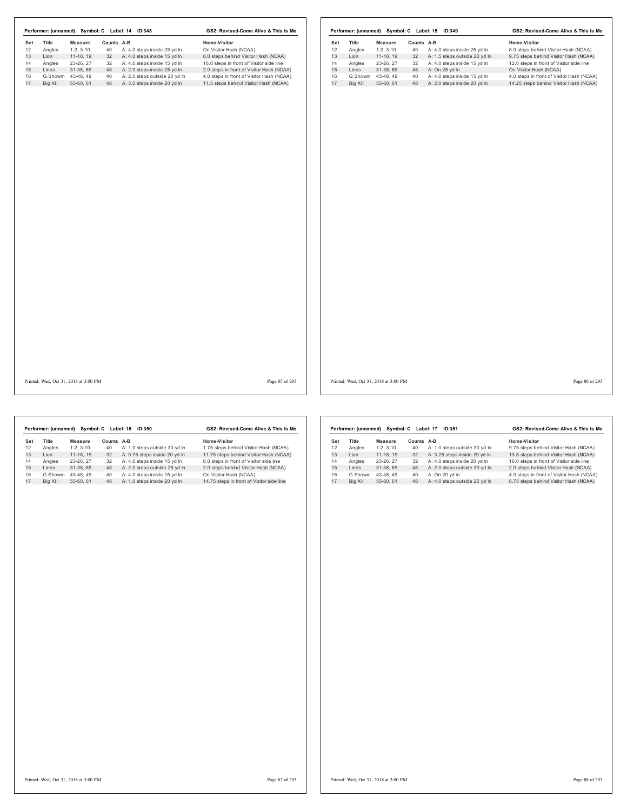| Set<br>12<br>13<br>14<br>15<br>16<br>17 | Title<br>Angles<br>Lion<br>Angles<br>Lines<br>G.Showm 43-48, 49<br>Big XII | Measure<br>$1-2, 3-10$<br>$11-18, 19$<br>23-26, 27<br>31-38, 69 | Counts A-B<br>40<br>32 | A: 4.0 steps inside 25 yd In<br>A: 4.0 steps inside 15 yd In | Home-Visitor<br>On Visitor Hash (NCAA)    | Set<br>12 | Title<br>Angles | <b>Measure</b>             | Counts A-B<br>40 | A: 4.0 steps inside 25 yd In  | Home-Visitor<br>8.0 steps behind Visitor Hash (NCAA) |  |
|-----------------------------------------|----------------------------------------------------------------------------|-----------------------------------------------------------------|------------------------|--------------------------------------------------------------|-------------------------------------------|-----------|-----------------|----------------------------|------------------|-------------------------------|------------------------------------------------------|--|
|                                         |                                                                            |                                                                 |                        |                                                              |                                           |           |                 |                            |                  |                               |                                                      |  |
|                                         |                                                                            |                                                                 |                        |                                                              | 8.0 steps behind Visitor Hash (NCAA)      | 13        | Lion            | $1-2, 3-10$<br>$11-18, 19$ | 32               | A: 1.5 steps outside 20 yd In | 9.75 steps behind Visitor Hash (NCAA)                |  |
|                                         |                                                                            |                                                                 | 32                     | A: 4.0 steps inside 15 yd In                                 | 16.0 steps in front of Visitor side line  | 14        | Angles          | 23-26, 27                  | 32               | A: 4.0 steps inside 15 yd In  | 12.0 steps in front of Visitor side line             |  |
|                                         |                                                                            |                                                                 | 48                     | A: 2.0 steps inside 25 yd In                                 | 2.0 steps in front of Visitor Hash (NCAA) | 15        | Lines           | 31-38, 69                  | 48               | A: On 25 yd In                | On Visitor Hash (NCAA)                               |  |
|                                         |                                                                            |                                                                 | 40                     | A: 2.0 steps outside 20 yd In                                | 4.0 steps in front of Visitor Hash (NCAA) | 16        |                 | G.Showm 43-48, 49          | 40               | A: 4.0 steps inside 15 yd In  | 4.0 steps in front of Visitor Hash (NCAA)            |  |
|                                         |                                                                            | 55-60, 61                                                       |                        | 48 A: 3.0 steps inside 20 yd In                              | 11.5 steps behind Visitor Hash (NCAA)     | 17        | Big XII         | 55-60, 61                  | 48               | A: 2.0 steps inside 20 yd In  | 14.25 steps behind Visitor Hash (NCAA)               |  |
|                                         |                                                                            |                                                                 |                        |                                                              |                                           |           |                 |                            |                  |                               |                                                      |  |
|                                         |                                                                            |                                                                 |                        |                                                              |                                           |           |                 |                            |                  |                               |                                                      |  |
|                                         |                                                                            |                                                                 |                        |                                                              |                                           |           |                 |                            |                  |                               |                                                      |  |

**Set Title Measure Counts A-B Home-Visitor Angles** 1-2, 3-10 **40 A**: 1.0 steps outside 30 yd in 1.75 steps bet 1.18 **Lion** 11-18, 19 32 **A:** 0.75 steps bet 1.18, 19 32 **A:** 4.0 steps in side 20 yd in 11.75 step 12 A: 1.0 steps outside 30 yd ln<br>32 A: 0.75 steps inside 20 yd ln 13 Lion 11-18, 19 32 A: 0.75 steps inside 20 yd ln 11.75 steps behind Visitor Hash (NCAA) 14 Angles 23-26, 27 32 A: 4.0 steps inside 15 yd ln 8.0 steps in front of Visitor side line 15 Lines 31-38, 69 48 A: 2.0 steps outside 25 yd ln 2.0 steps behind Visitor Hash (NCAA) **Performer: (unnamed) Symbol: C Label: 16 ID:350 GS2: Revised-Come Alive & This is Me**

16 G.Showm 43-48, 49 40 A: 4.0 steps inside 15 yd In On Visitor Hash (NCAA)<br>17 Big XII 55-60, 61 48 A: 1.0 steps inside 20 yd In 14.75 steps in front of Visitor side line

**Set Title Measure Counts A-B Home-Visitor**<br>12 Angles 1-2, 3-10 40 A: 1.0 steps outside 30 yd in 9.75 steps bef<br>13 Lion 11-18, 19 32 A: 3.25 steps inside 20 yd in 13.5 steps bef 12 Angles 1-2, 3-10 40 A: 1.0 steps outside 30 yd ln 9.75 steps behind Visitor Hash (NCAA) 13 Lion 11-18, 19 32 A: 3.25 steps inside 20 yd ln 13.5 steps behind Visitor Hash (NCAA) 14 Angles 23-26, 27 32 A: 4.0 steps inside 20 yd In 16.0 steps in front of Visitor side line<br>15 Lines 31-38, 69 48 A: 2.0 steps outside 30 yd In 2.0 steps behind Visitor Hash (NCAA)<br>16 G.Showm 43-48, 49 40 A: On 20 yd In 2 17 Big XII 55-60, 61 48 A: 4.0 steps outside 25 yd ln 8.75 steps behind Visitor Hash (NCAA) **Performer: (unnamed) Symbol: C Label: 17 ID:351 GS2: Revised-Come Alive & This is Me**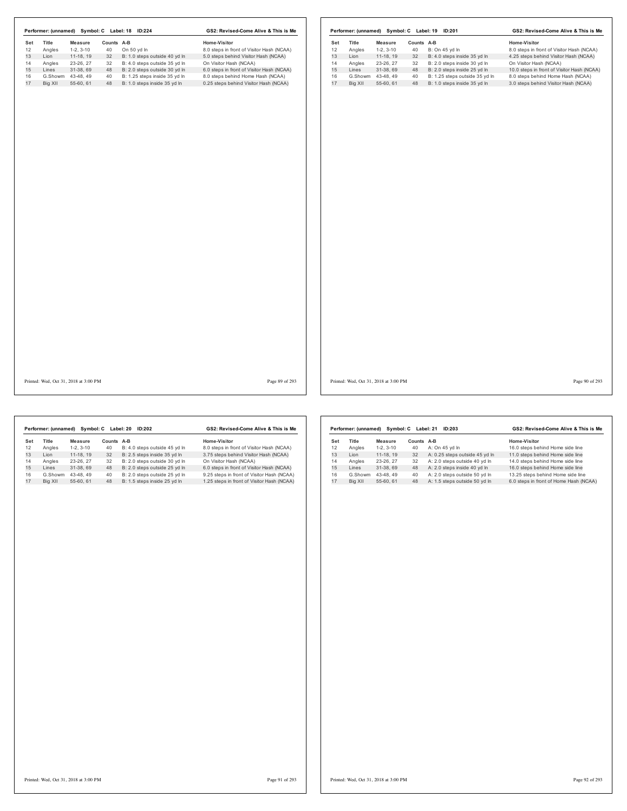|     |                   |                                       |            | Performer: (unnamed) Symbol: C Label: 18 ID:224 | GS2: Revised-Come Alive & This is Me      |                |     |         |                                       |            | Performer: (unnamed) Symbol: C Label: 19 ID:201 | GS2: Revised-Come Alive & This is Me       |                |
|-----|-------------------|---------------------------------------|------------|-------------------------------------------------|-------------------------------------------|----------------|-----|---------|---------------------------------------|------------|-------------------------------------------------|--------------------------------------------|----------------|
| Set | Title             | Measure                               | Counts A-B |                                                 | Home-Visitor                              |                | Set | Title   | Measure                               | Counts A-B |                                                 | Home-Visitor                               |                |
| 12  | Angles            | $1-2, 3-10$                           | 40         | On 50 yd In                                     | 8.0 steps in front of Visitor Hash (NCAA) |                | 12  | Angles  | $1-2, 3-10$                           | 40         | B: On 45 yd In                                  | 8.0 steps in front of Visitor Hash (NCAA)  |                |
| 13  | Lion              | 11-18, 19                             | 32         | B: 1.0 steps outside 40 yd In                   | 5.0 steps behind Visitor Hash (NCAA)      |                | 13  | Lion    | $11-18, 19$                           | 32         | B: 4.0 steps inside 35 yd In                    | 4.25 steps behind Visitor Hash (NCAA)      |                |
| 14  | Angles            | 23-26, 27                             | 32         | B: 4.0 steps outside 35 yd In                   | On Visitor Hash (NCAA)                    |                | 14  | Angles  | 23-26, 27                             | 32         | B: 2.0 steps inside 30 yd In                    | On Visitor Hash (NCAA)                     |                |
|     | Lines             | 31-38, 69                             | 48         | B: 2.0 steps outside 30 yd In                   | 6.0 steps in front of Visitor Hash (NCAA) |                | 15  | Lines   | 31-38, 69                             | 48         | B: 2.0 steps inside 25 yd In                    | 10.0 steps in front of Visitor Hash (NCAA) |                |
|     | G.Showm 43-48, 49 |                                       | 40         | B: 1.25 steps inside 35 yd In                   | 8.0 steps behind Home Hash (NCAA)         |                | 16  | G.Showm | 43-48, 49                             | 40         | B: 1.25 steps outside 35 yd In                  | 8.0 steps behind Home Hash (NCAA)          |                |
|     | Big XII           | 55-60, 61                             | 48         | B: 1.0 steps inside 35 yd In                    | 0.25 steps behind Visitor Hash (NCAA)     |                | 17  | Big XII | 55-60, 61                             | 48         | B: 1.0 steps inside 35 yd In                    | 3.0 steps behind Visitor Hash (NCAA)       |                |
|     |                   |                                       |            |                                                 |                                           |                |     |         |                                       |            |                                                 |                                            |                |
|     |                   | Printed: Wed, Oct 31, 2018 at 3:00 PM |            |                                                 |                                           | Page 89 of 293 |     |         | Printed: Wed, Oct 31, 2018 at 3:00 PM |            |                                                 |                                            | Page 90 of 293 |

|     | Performer: (unnamed) | Symbol: C  |            | Label: 20<br>ID:202           | GS2: Revised-Come Alive & This is Me       |  |  |  |  |
|-----|----------------------|------------|------------|-------------------------------|--------------------------------------------|--|--|--|--|
| Set | Title                | Measure    | Counts A-B |                               | Home-Visitor                               |  |  |  |  |
| 12  | Angles               | $1-2.3-10$ | 40         | B: 4.0 steps outside 45 vd In | 8.0 steps in front of Visitor Hash (NCAA)  |  |  |  |  |
| 13  | I ion                | 11-18.19   | 32         | B: 2.5 steps inside 35 vd In  | 3.75 steps behind Visitor Hash (NCAA)      |  |  |  |  |
| 14  | Angles               | 23-26.27   | 32         | B: 2.0 steps outside 30 vd In | On Visitor Hash (NCAA)                     |  |  |  |  |
| 15  | Lines                | 31-38.69   | 48         | B: 2.0 steps outside 25 yd In | 6.0 steps in front of Visitor Hash (NCAA)  |  |  |  |  |
| 16  | G.Showm              | 43-48.49   | 40         | B: 2.0 steps outside 25 vd In | 9.25 steps in front of Visitor Hash (NCAA) |  |  |  |  |
| 17  | Big XII              | 55-60.61   | 48         | B: 1.5 steps inside 25 vd In  | 1.25 steps in front of Visitor Hash (NCAA) |  |  |  |  |
|     |                      |            |            |                               |                                            |  |  |  |  |

|     | Performer: (unnamed) |            | Symbol: C Label: 21 | ID:203                         | GS2: Revised-Come Alive & This is Me   |  |  |  |  |  |
|-----|----------------------|------------|---------------------|--------------------------------|----------------------------------------|--|--|--|--|--|
| Set | Title                | Measure    | Counts              | A-B                            | Home-Visitor                           |  |  |  |  |  |
| 12  | Angles               | $1-2.3-10$ | 40                  | A: On 45 vd In                 | 16.0 steps behind Home side line       |  |  |  |  |  |
| 13  | I ion                | 11-18.19   | 32                  | A: 0.25 steps outside 45 yd In | 11.0 steps behind Home side line       |  |  |  |  |  |
| 14  | Angles               | 23-26, 27  | 32                  | A: 2.0 steps outside 40 vd In  | 14.0 steps behind Home side line       |  |  |  |  |  |
| 15  | Lines                | 31-38.69   | 48                  | A: 2.0 steps inside 40 yd In   | 16.0 steps behind Home side line       |  |  |  |  |  |
| 16  | G.Showm              | 43-48.49   | 40                  | A: 2.0 steps outside 50 vd In  | 13.25 steps behind Home side line      |  |  |  |  |  |
| 17  | Big XII              | 55-60.61   | 48                  | A: 1.5 steps outside 50 yd ln  | 6.0 steps in front of Home Hash (NCAA) |  |  |  |  |  |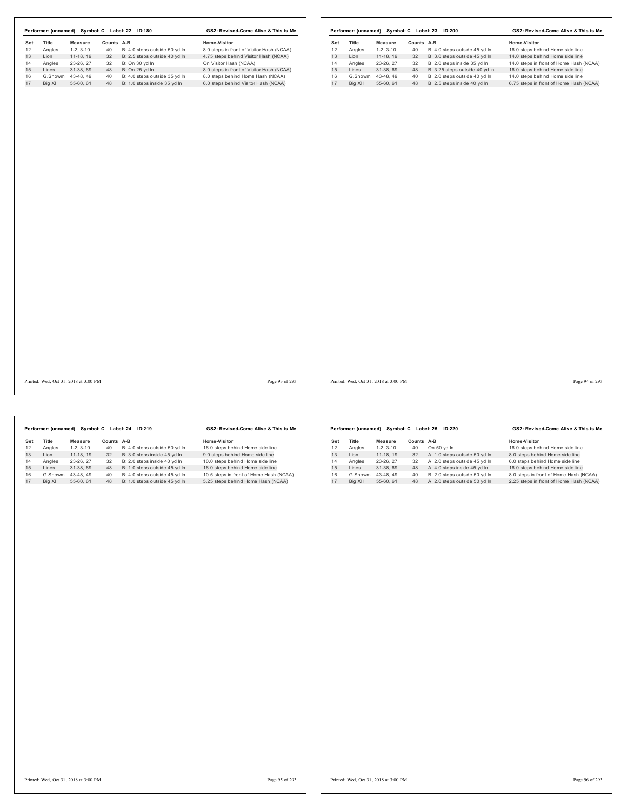|     |         |                                       |            | Performer: (unnamed) Symbol: C Label: 22 ID:180 | GS2: Revised-Come Alive & This is Me      |     |         |                                       |            | Performer: (unnamed) Symbol: C Label: 23 ID:200 | GS2: Revised-Come Alive & This is Me    |                |
|-----|---------|---------------------------------------|------------|-------------------------------------------------|-------------------------------------------|-----|---------|---------------------------------------|------------|-------------------------------------------------|-----------------------------------------|----------------|
| Set | Title   | <b>Measure</b>                        | Counts A-B |                                                 | Home-Visitor                              | Set | Title   | <b>Measure</b>                        | Counts A-B |                                                 | Home-Visitor                            |                |
| 12  | Angles  | $1-2, 3-10$                           | 40         | B: 4.0 steps outside 50 yd In                   | 8.0 steps in front of Visitor Hash (NCAA) | 12  | Angles  | $1-2, 3-10$                           | 40         | B: 4.0 steps outside 45 yd In                   | 16.0 steps behind Home side line        |                |
| 13  | Lion    | 11-18, 19                             | 32         | B: 2.5 steps outside 40 yd In                   | 4.75 steps behind Visitor Hash (NCAA)     | 13  | Lion    | $11-18, 19$                           | 32         | B: 3.0 steps outside 45 yd In                   | 14.0 steps behind Home side line        |                |
| 14  | Angles  | 23-26, 27                             | 32         | B: On 30 yd In                                  | On Visitor Hash (NCAA)                    | 14  | Angles  | 23-26, 27                             | 32         | B: 2.0 steps inside 35 yd In                    | 14.0 steps in front of Home Hash (NCAA) |                |
| 15  | Lines   | 31-38, 69                             | 48         | B: On 25 yd In                                  | 8.0 steps in front of Visitor Hash (NCAA) | 15  | Lines   | 31-38, 69                             | 48         | B: 3.25 steps outside 40 yd In                  | 16.0 steps behind Home side line        |                |
| 16  |         | G.Showm 43-48, 49                     | 40         | B: 4.0 steps outside 35 yd In                   | 8.0 steps behind Home Hash (NCAA)         | 16  |         | G.Showm 43-48, 49                     | 40         | B: 2.0 steps outside 40 yd In                   | 14.0 steps behind Home side line        |                |
| 17  | Big XII | 55-60, 61                             | 48         | B: 1.0 steps inside 35 yd In                    | 6.0 steps behind Visitor Hash (NCAA)      | 17  | Big XII | 55-60, 61                             | 48         | B: 2.5 steps inside 40 yd In                    | 6.75 steps in front of Home Hash (NCAA) |                |
|     |         |                                       |            |                                                 |                                           |     |         |                                       |            |                                                 |                                         |                |
|     |         | Printed: Wed, Oct 31, 2018 at 3:00 PM |            |                                                 | Page 93 of 293                            |     |         | Printed: Wed, Oct 31, 2018 at 3:00 PM |            |                                                 |                                         | Page 94 of 293 |

|     | Performer: (unnamed) | Symbol: C  |            | Label: 24<br>ID:219           | GS2: Revised-Come Alive & This is Me    |
|-----|----------------------|------------|------------|-------------------------------|-----------------------------------------|
| Set | <b>Title</b>         | Measure    | Counts A-B |                               | Home-Visitor                            |
| 12  | Angles               | $1-2.3-10$ | 40         | B: 4.0 steps outside 50 yd In | 16.0 steps behind Home side line        |
| 13  | I ion                | 11-18.19   | 32         | B: 3.0 steps inside 45 vd In  | 9.0 steps behind Home side line         |
| 14  | Angles               | 23-26.27   | 32         | B: 2.0 steps inside 40 vd In  | 10.0 steps behind Home side line        |
| 15  | Lines                | 31-38.69   | 48         | B: 1.0 steps outside 45 yd In | 16.0 steps behind Home side line        |
| 16  | G.Showm              | 43-48.49   | 40         | B: 4.0 steps outside 45 vd In | 10.5 steps in front of Home Hash (NCAA) |
| 17  | Big XII              | 55-60.61   | 48         | B: 1.0 steps outside 45 vd In | 5.25 steps behind Home Hash (NCAA)      |

|     | Performer: (unnamed) | Symbol: C  | Label: 25 | GS2: Revised-Come Alive & This is Me |                                         |  |
|-----|----------------------|------------|-----------|--------------------------------------|-----------------------------------------|--|
| Set | Title                | Measure    | Counts    | A-B                                  | Home-Visitor                            |  |
| 12  | Angles               | $1-2.3-10$ | 40        | On 50 vd In                          | 16.0 steps behind Home side line        |  |
| 13  | I ion                | 11-18.19   | 32        | A: 1.0 steps outside 50 yd In        | 8.0 steps behind Home side line         |  |
| 14  | Angles               | 23-26.27   | 32        | A: 2.0 steps outside 45 yd In        | 6.0 steps behind Home side line         |  |
| 15  | Lines                | 31-38.69   | 48        | A: 4.0 steps inside 45 yd In         | 16.0 steps behind Home side line        |  |
| 16  | G.Showm              | 43-48.49   | 40        | B: 2.0 steps outside 50 vd ln        | 8.0 steps in front of Home Hash (NCAA)  |  |
| 17  | Big XII              | 55-60.61   | 48        | A: 2.0 steps outside 50 yd In        | 2.25 steps in front of Home Hash (NCAA) |  |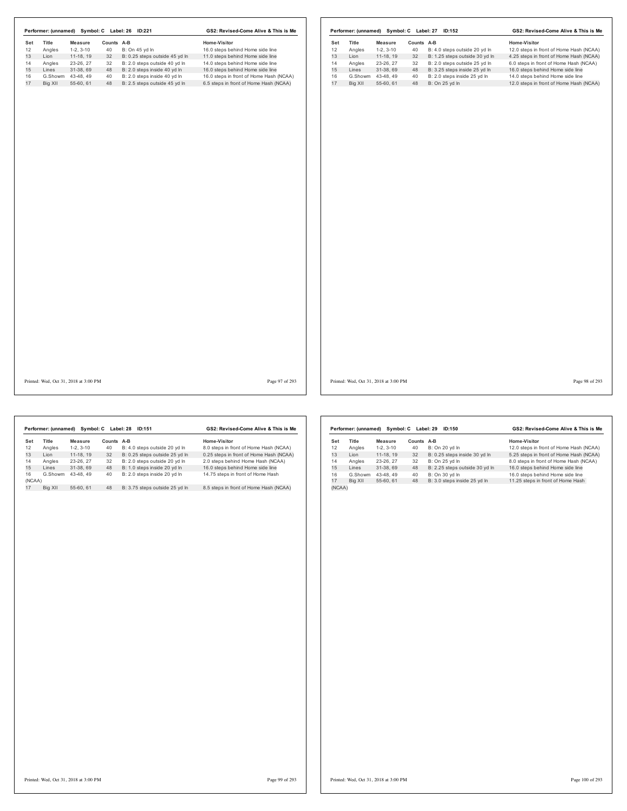| Set<br>Title | Measure                               | Counts A-B |                                | Home-Visitor                            | Set | Title   | <b>Measure</b>                        | Counts A-B |                                | Home-Visitor                            |
|--------------|---------------------------------------|------------|--------------------------------|-----------------------------------------|-----|---------|---------------------------------------|------------|--------------------------------|-----------------------------------------|
| Angles       | $1-2, 3-10$                           | 40         | B: On 45 yd In                 | 16.0 steps behind Home side line        | 12  | Angles  | $1-2, 3-10$                           | 40         | B: 4.0 steps outside 20 yd In  | 12.0 steps in front of Home Hash (NCAA) |
| Lion         | $11-18, 19$                           | 32         | B: 0.25 steps outside 45 yd In | 11.0 steps behind Home side line        | 13  | Lion    | 11-18, 19                             | 32         | B: 1.25 steps outside 30 yd In | 4.25 steps in front of Home Hash (NCAA) |
| Angles       | 23-26, 27                             | 32         | B: 2.0 steps outside 40 yd In  | 14.0 steps behind Home side line        | 14  | Angles  | 23-26, 27                             | 32         | B: 2.0 steps outside 25 yd In  | 6.0 steps in front of Home Hash (NCAA)  |
|              | 31-38, 69                             | 48         | B: 2.0 steps inside 40 yd In   | 16.0 steps behind Home side line        | 15  | Lines   | 31-38, 69                             | 48         | B: 3.25 steps inside 25 yd In  | 16.0 steps behind Home side line        |
| G.Showm      | 43-48, 49                             | 40         | B: 2.0 steps inside 40 yd In   | 16.0 steps in front of Home Hash (NCAA) | 16  | G.Showm | 43-48, 49                             | 40         | B: 2.0 steps inside 25 yd In   | 14.0 steps behind Home side line        |
| Big XII      | 55-60, 61                             | 48         | B: 2.5 steps outside 45 yd In  | 6.5 steps in front of Home Hash (NCAA)  | 17  | Big XII | 55-60, 61                             | 48         | B: On 25 yd In                 | 12.0 steps in front of Home Hash (NCAA) |
|              |                                       |            |                                |                                         |     |         |                                       |            |                                |                                         |
|              | Printed: Wed, Oct 31, 2018 at 3:00 PM |            |                                | Page 97 of 293                          |     |         | Printed: Wed, Oct 31, 2018 at 3:00 PM |            |                                | Page 98 of 293                          |

|              | Performer: (unnamed) |            | Symbol: C Label: 28 | ID:151                         | GS2: Revised-Come Alive & This is Me    |  |  |
|--------------|----------------------|------------|---------------------|--------------------------------|-----------------------------------------|--|--|
| Set          | Title                | Measure    | Counts              | $A-B$                          | Home-Visitor                            |  |  |
| 12           | Angles               | $1-2.3-10$ | 40                  | B: 4.0 steps outside 20 yd In  | 8.0 steps in front of Home Hash (NCAA)  |  |  |
| 13           | Lion                 | 11-18.19   | 32                  | B: 0.25 steps outside 25 vd In | 0.25 steps in front of Home Hash (NCAA) |  |  |
| 14           | Angles               | 23-26.27   | 32                  | B: 2.0 steps outside 20 yd In  | 2.0 steps behind Home Hash (NCAA)       |  |  |
| 15           | Lines                | 31-38.69   | 48                  | B: 1.0 steps inside 20 vd In   | 16.0 steps behind Home side line        |  |  |
| 16<br>(NCAA) | G.Showm              | 43-48.49   | 40                  | B: 2.0 steps inside 20 yd In   | 14.75 steps in front of Home Hash       |  |  |
| 17           | Big XII              | 55-60.61   | 48                  | B: 3.75 steps outside 25 vd In | 8.5 steps in front of Home Hash (NCAA)  |  |  |

|        | Performer: (unnamed) |            | Symbol: C Label: 29 | ID:150                         | GS2: Revised-Come Alive & This is Me    |  |  |
|--------|----------------------|------------|---------------------|--------------------------------|-----------------------------------------|--|--|
| Set    | <b>Title</b>         | Measure    | Counts              | $A-B$                          | Home-Visitor                            |  |  |
| 12     | Angles               | $1-2.3-10$ | 40                  | B: On 20 vd In                 | 12.0 steps in front of Home Hash (NCAA) |  |  |
| 13     | Lion                 | 11-18.19   | 32                  | B: 0.25 steps inside 30 yd In  | 5.25 steps in front of Home Hash (NCAA) |  |  |
| 14     | Angles               | 23-26.27   | 32                  | B: On 25 vd In                 | 8.0 steps in front of Home Hash (NCAA)  |  |  |
| 15     | Lines                | 31-38.69   | 48                  | B: 2.25 steps outside 30 yd In | 16.0 steps behind Home side line        |  |  |
| 16     | G.Showm              | 43-48.49   | 40                  | B: On 30 yd In                 | 16.0 steps behind Home side line        |  |  |
| 17     | Bia XII              | 55-60.61   | 48                  | B: 3.0 steps inside 25 yd In   | 11.25 steps in front of Home Hash       |  |  |
| (NCAA) |                      |            |                     |                                |                                         |  |  |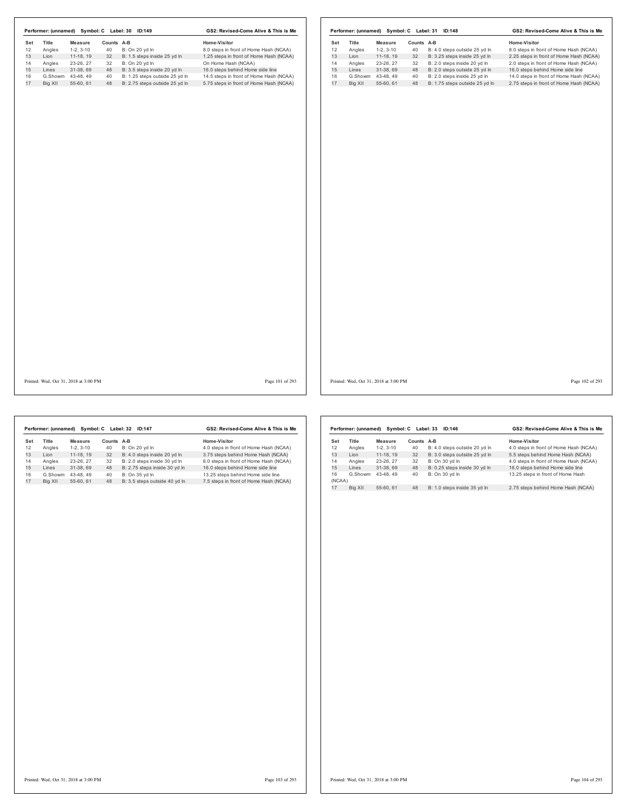|     |         |                                       |            | Performer: (unnamed) Symbol: C Label: 30 ID:149 | GS2: Revised-Come Alive & This is Me    |                 |     | Performer: (unnamed) Symbol: C Label: 31 ID:148 |                   |            |                                | GS2: Revised-Come Alive & This is Me    |                 |
|-----|---------|---------------------------------------|------------|-------------------------------------------------|-----------------------------------------|-----------------|-----|-------------------------------------------------|-------------------|------------|--------------------------------|-----------------------------------------|-----------------|
| Set | Title   | <b>Measure</b>                        | Counts A-B |                                                 | Home-Visitor                            |                 | Set | Title                                           | <b>Measure</b>    | Counts A-B |                                | Home-Visitor                            |                 |
| 12  | Angles  | $1-2, 3-10$                           | 40         | B: On 20 yd In                                  | 8.0 steps in front of Home Hash (NCAA)  |                 | 12  | Angles                                          | $1-2, 3-10$       | 40         | B: 4.0 steps outside 25 yd In  | 8.0 steps in front of Home Hash (NCAA)  |                 |
| 13  | Lion    | 11-18, 19                             | 32         | B: 1.5 steps inside 25 yd In                    | 1.25 steps in front of Home Hash (NCAA) |                 | 13  | Lion                                            | 11-18, 19         | 32         | B: 3.25 steps inside 25 yd In  | 2.25 steps in front of Home Hash (NCAA) |                 |
| 14  | Angles  | 23-26, 27                             | 32         | B: On 20 yd In                                  | On Home Hash (NCAA)                     |                 | 14  | Angles                                          | 23-26, 27         | 32         | B: 2.0 steps inside 20 yd In   | 2.0 steps in front of Home Hash (NCAA)  |                 |
| 15  | Lines   | 31-38, 69                             | 48         | B: 3.5 steps inside 20 yd In                    | 16.0 steps behind Home side line        |                 | 15  | Lines                                           | 31-38, 69         | 48         | B: 2.0 steps outside 25 yd In  | 16.0 steps behind Home side line        |                 |
| 16  |         | G.Showm 43-48, 49                     | 40         | B: 1.25 steps outside 25 yd In                  | 14.5 steps in front of Home Hash (NCAA) |                 | 16  |                                                 | G.Showm 43-48, 49 | 40         | B: 2.0 steps inside 25 yd In   | 14.0 steps in front of Home Hash (NCAA) |                 |
| 17  | Big XII | 55-60, 61                             | 48         | B: 2.75 steps outside 25 yd In                  | 5.75 steps in front of Home Hash (NCAA) |                 | 17  | Big XII                                         | 55-60, 61         | 48         | B: 1.75 steps outside 25 yd In | 2.75 steps in front of Home Hash (NCAA) |                 |
|     |         |                                       |            |                                                 |                                         |                 |     |                                                 |                   |            |                                |                                         |                 |
|     |         |                                       |            |                                                 |                                         |                 |     |                                                 |                   |            |                                |                                         |                 |
|     |         | Printed: Wed, Oct 31, 2018 at 3:00 PM |            |                                                 |                                         | Page 101 of 293 |     | Printed: Wed, Oct 31, 2018 at 3:00 PM           |                   |            |                                |                                         | Page 102 of 293 |
|     |         |                                       |            |                                                 |                                         |                 |     |                                                 |                   |            |                                |                                         |                 |

|     | Performer: (unnamed) |            | Symbol: C Label: 32 | <b>ID:147</b>                 | GS2: Revised-Come Alive & This is Me   |
|-----|----------------------|------------|---------------------|-------------------------------|----------------------------------------|
| Set | <b>Title</b>         | Measure    | <b>Counts</b>       | A-B                           | Home-Visitor                           |
| 12  | Angles               | $1-2.3-10$ | 40                  | B: On 20 yd In                | 4.0 steps in front of Home Hash (NCAA) |
| 13  | I ion                | 11-18.19   | 32                  | B: 4.0 steps inside 20 yd In  | 3.75 steps behind Home Hash (NCAA)     |
| 14  | Angles               | 23-26.27   | 32                  | B: 2.0 steps inside 30 vd In  | 6.0 steps in front of Home Hash (NCAA) |
| 15  | I ines               | 31-38.69   | 48                  | B: 2.75 steps inside 30 yd In | 16.0 steps behind Home side line       |
| 16  | G.Showm              | 43-48.49   | 40                  | B: On 35 yd In                | 13.25 steps behind Home side line      |
| 17  | Big XII              | 55-60.61   | 48                  | B: 3.5 steps outside 40 yd In | 7.5 steps in front of Home Hash (NCAA) |
|     |                      |            |                     |                               |                                        |

|              | Performer: (unnamed) |            | Symbol: C Label: 33 | ID:146                        | GS2: Revised-Come Alive & This is Me   |  |  |
|--------------|----------------------|------------|---------------------|-------------------------------|----------------------------------------|--|--|
| Set          | <b>Title</b>         | Measure    | Counts A-B          |                               | Home-Visitor                           |  |  |
| 12           | Angles               | $1-2.3-10$ | 40                  | B: 4.0 steps outside 20 yd In | 4.0 steps in front of Home Hash (NCAA) |  |  |
| 13           | I ion                | 11-18.19   | 32                  | B: 3.0 steps outside 25 yd In | 5.5 steps behind Home Hash (NCAA)      |  |  |
| 14           | Angles               | 23-26.27   | 32                  | B: On 30 vd In                | 4.0 steps in front of Home Hash (NCAA) |  |  |
| 15           | I ines               | 31-38.69   | 48                  | B: 0.25 steps inside 30 yd In | 16.0 steps behind Home side line       |  |  |
| 16<br>(NCAA) | G.Showm              | 43-48.49   | 40                  | B: On 30 vd In                | 13.25 steps in front of Home Hash      |  |  |
| 17           | Big XII              | 55-60, 61  | 48                  | B: 1.0 steps inside 35 yd In  | 2.75 steps behind Home Hash (NCAA)     |  |  |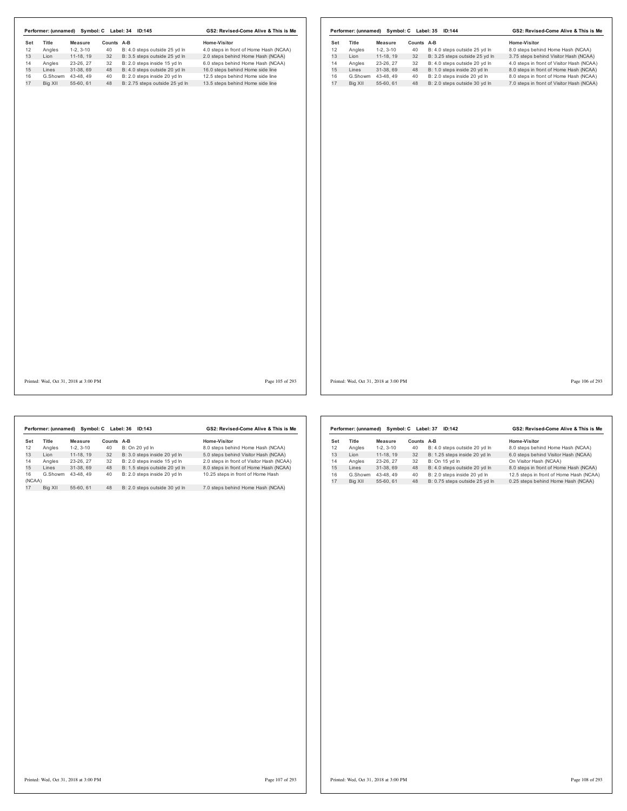|         | <b>Measure</b>                             |                                                                         |                            | Home-Visitor                                                                                                                                                                                                    |                                                                                                                                                                                          | Title   | <b>Measure</b>                                                               |                                                                         |                               | Home-Visitor                                                                                                                                                                   |
|---------|--------------------------------------------|-------------------------------------------------------------------------|----------------------------|-----------------------------------------------------------------------------------------------------------------------------------------------------------------------------------------------------------------|------------------------------------------------------------------------------------------------------------------------------------------------------------------------------------------|---------|------------------------------------------------------------------------------|-------------------------------------------------------------------------|-------------------------------|--------------------------------------------------------------------------------------------------------------------------------------------------------------------------------|
|         |                                            |                                                                         |                            |                                                                                                                                                                                                                 |                                                                                                                                                                                          |         |                                                                              |                                                                         |                               | 8.0 steps behind Home Hash (NCAA)                                                                                                                                              |
|         |                                            |                                                                         |                            |                                                                                                                                                                                                                 |                                                                                                                                                                                          |         |                                                                              |                                                                         |                               | 3.75 steps behind Visitor Hash (NCAA)                                                                                                                                          |
|         |                                            |                                                                         |                            |                                                                                                                                                                                                                 |                                                                                                                                                                                          |         |                                                                              |                                                                         |                               | 4.0 steps in front of Visitor Hash (NCAA)                                                                                                                                      |
|         |                                            |                                                                         |                            |                                                                                                                                                                                                                 |                                                                                                                                                                                          |         |                                                                              |                                                                         |                               | 8.0 steps in front of Home Hash (NCAA)                                                                                                                                         |
|         |                                            |                                                                         |                            |                                                                                                                                                                                                                 |                                                                                                                                                                                          |         |                                                                              |                                                                         |                               | 8.0 steps in front of Home Hash (NCAA)                                                                                                                                         |
| Big XII | 55-60, 61                                  | 48                                                                      |                            | 13.5 steps behind Home side line                                                                                                                                                                                |                                                                                                                                                                                          | Big XII | 55-60, 61                                                                    | 48                                                                      | B: 2.0 steps outside 30 yd In | 7.0 steps in front of Visitor Hash (NCAA)                                                                                                                                      |
|         |                                            |                                                                         |                            |                                                                                                                                                                                                                 |                                                                                                                                                                                          |         |                                                                              |                                                                         |                               |                                                                                                                                                                                |
|         |                                            |                                                                         |                            |                                                                                                                                                                                                                 |                                                                                                                                                                                          |         |                                                                              |                                                                         |                               |                                                                                                                                                                                |
|         |                                            |                                                                         |                            |                                                                                                                                                                                                                 |                                                                                                                                                                                          |         |                                                                              |                                                                         |                               |                                                                                                                                                                                |
|         | Title<br>Angles<br>Lion<br>Angles<br>Lines | $1-2, 3-10$<br>11-18, 19<br>23-26, 27<br>31-38, 69<br>G.Showm 43-48, 49 | 40<br>32<br>32<br>48<br>40 | Counts A-B<br>B: 4.0 steps outside 25 yd In<br>B: 3.5 steps outside 25 yd In<br>B: 2.0 steps inside 15 yd In<br>B: 4.0 steps outside 20 yd In<br>B: 2.0 steps inside 20 yd In<br>B: 2.75 steps outside 25 yd In | 4.0 steps in front of Home Hash (NCAA)<br>2.0 steps behind Home Hash (NCAA)<br>6.0 steps behind Home Hash (NCAA)<br>16.0 steps behind Home side line<br>12.5 steps behind Home side line |         | Set<br>12<br>Angles<br>13<br>Lion<br>14<br>Angles<br>15<br>Lines<br>16<br>17 | $1-2, 3-10$<br>11-18, 19<br>23-26, 27<br>31-38, 69<br>G.Showm 43-48, 49 | 40<br>32<br>32<br>48<br>40    | Counts A-B<br>B: 4.0 steps outside 25 yd In<br>B: 3.25 steps outside 25 yd In<br>B: 4.0 steps outside 20 yd In<br>B: 1.0 steps inside 20 yd In<br>B: 2.0 steps inside 20 yd In |

Printed: Wed, Oct 31, 2018 at 3:00 PM Page 105 of 293

Printed: Wed, Oct 31, 2018 at 3:00 PM Page 106 of 293

|        | Performer: (unnamed) |            | Symbol: C Label: 36 | ID:143                        | GS2: Revised-Come Alive & This is Me      |
|--------|----------------------|------------|---------------------|-------------------------------|-------------------------------------------|
| Set    | Title                | Measure    | Counts A-B          |                               | Home-Visitor                              |
| 12     | Angles               | $1-2.3-10$ | 40                  | B: On 20 yd In                | 8.0 steps behind Home Hash (NCAA)         |
| 13     | I ion                | 11-18.19   | 32                  | B: 3.0 steps inside 20 yd In  | 5.0 steps behind Visitor Hash (NCAA)      |
| 14     | Angles               | 23-26.27   | 32                  | B: 2.0 steps inside 15 yd In  | 2.0 steps in front of Visitor Hash (NCAA) |
| 15     | Lines                | 31-38.69   | 48                  | B: 1.5 steps outside 20 yd In | 8.0 steps in front of Home Hash (NCAA)    |
| 16     | G.Showm              | 43-48.49   | 40                  | B: 2.0 steps inside 20 vd In  | 10.25 steps in front of Home Hash         |
| (NCAA) |                      |            |                     |                               |                                           |
| 17     | Big XII              | 55-60.61   | 48                  | B: 2.0 steps outside 30 yd In | 7.0 steps behind Home Hash (NCAA)         |
|        |                      |            |                     |                               |                                           |

|     | Performer: (unnamed) |            | Symbol: C Label: 37 | ID:142                         | GS2: Revised-Come Alive & This is Me    |  |  |
|-----|----------------------|------------|---------------------|--------------------------------|-----------------------------------------|--|--|
| Set | <b>Title</b>         | Measure    | Counts              | $A-B$                          | Home-Visitor                            |  |  |
| 12  | Angles               | $1-2.3-10$ | 40                  | B: 4.0 steps outside 20 yd In  | 8.0 steps behind Home Hash (NCAA)       |  |  |
| 13  | I ion                | 11-18.19   | 32                  | B: 1.25 steps inside 20 yd In  | 6.0 steps behind Visitor Hash (NCAA)    |  |  |
| 14  | Angles               | 23-26.27   | 32                  | B: On 15 yd In                 | On Visitor Hash (NCAA)                  |  |  |
| 15  | I ines               | 31-38.69   | 48                  | B: 4.0 steps outside 20 yd In  | 8.0 steps in front of Home Hash (NCAA)  |  |  |
| 16  | G.Showm              | 43-48.49   | 40                  | B: 2.0 steps inside 20 vd In   | 12.5 steps in front of Home Hash (NCAA) |  |  |
| 17  | Big XII              | 55-60, 61  | 48                  | B: 0.75 steps outside 25 yd In | 0.25 steps behind Home Hash (NCAA)      |  |  |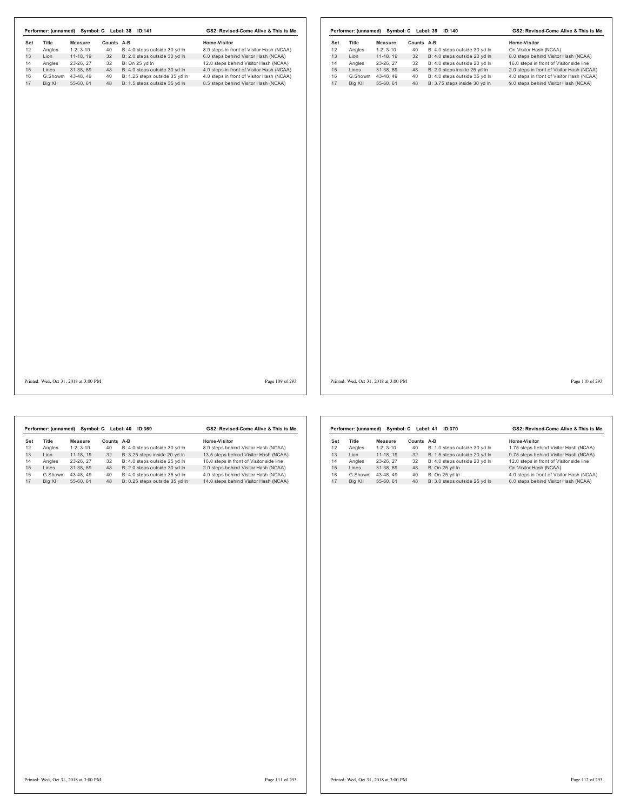|     | Performer: (unnamed) | Symbol: C  |            | ID:369<br>Label: 40            | GS2: Revised-Come Alive & This is Me     |  |  |  |
|-----|----------------------|------------|------------|--------------------------------|------------------------------------------|--|--|--|
| Set | Title                | Measure    | Counts A-B |                                | Home-Visitor                             |  |  |  |
| 12  | Angles               | $1-2.3-10$ | 40         | B: 4.0 steps outside 30 yd In  | 8.0 steps behind Visitor Hash (NCAA)     |  |  |  |
| 13  | I ion                | 11-18.19   | 32         | B: 3.25 steps inside 20 vd In  | 13.5 steps behind Visitor Hash (NCAA)    |  |  |  |
| 14  | Angles               | 23-26.27   | 32         | B: 4.0 steps outside 25 vd In  | 16.0 steps in front of Visitor side line |  |  |  |
| 15  | Lines                | 31-38.69   | 48         | B: 2.0 steps outside 30 yd In  | 2.0 steps behind Visitor Hash (NCAA)     |  |  |  |
| 16  | G.Showm              | 43-48.49   | 40         | B: 4.0 steps outside 35 vd In  | 4.0 steps behind Visitor Hash (NCAA)     |  |  |  |
| 17  | Big XII              | 55-60.61   | 48         | B: 0.25 steps outside 35 vd In | 14.0 steps behind Visitor Hash (NCAA)    |  |  |  |
|     |                      |            |            |                                |                                          |  |  |  |

|     | Performer: (unnamed) |            | Symbol: C Label: 41 | GS2: Revised-Come Alive & This is Me |                                           |  |  |
|-----|----------------------|------------|---------------------|--------------------------------------|-------------------------------------------|--|--|
| Set | Title                | Measure    | Counts              | A-B                                  | Home-Visitor                              |  |  |
| 12  | Angles               | $1-2.3-10$ | 40                  | B: 1.0 steps outside 30 yd In        | 1.75 steps behind Visitor Hash (NCAA)     |  |  |
| 13  | I ion                | 11-18.19   | 32                  | B: 1.5 steps outside 20 vd In        | 9.75 steps behind Visitor Hash (NCAA)     |  |  |
| 14  | Angles               | 23-26.27   | 32                  | B: 4.0 steps outside 20 vd In        | 12.0 steps in front of Visitor side line  |  |  |
| 15  | I ines               | 31-38.69   | 48                  | B: On 25 yd In                       | On Visitor Hash (NCAA)                    |  |  |
| 16  | G.Showm              | 43-48.49   | 40                  | B: On 25 vd In                       | 4.0 steps in front of Visitor Hash (NCAA) |  |  |
| 17  | Big XII              | 55-60.61   | 48                  | B: 3.0 steps outside 25 vd In        | 6.0 steps behind Visitor Hash (NCAA)      |  |  |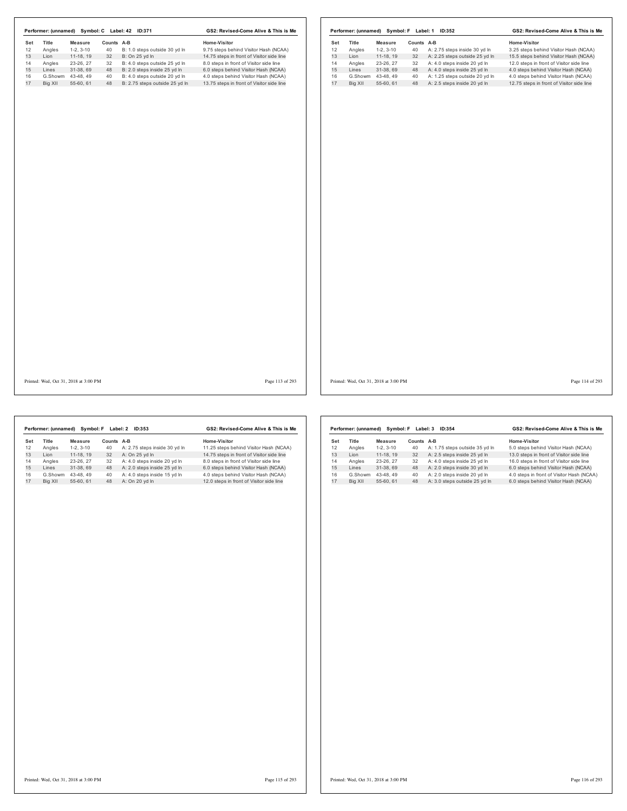| Title<br>Set<br>12<br>Angles<br>13<br>Lion<br>14<br>Angles<br>15<br>Lines<br>16<br>17<br>Big XII | Measure<br>$1-2, 3-10$<br>$11-18, 19$<br>23-26, 27<br>31-38, 69<br>G.Showm 43-48, 49<br>55-60, 61 | Counts A-B<br>40<br>32<br>32<br>48<br>40 | B: 1.0 steps outside 30 yd In<br>B: On 25 yd In<br>B: 4.0 steps outside 25 yd In | Home-Visitor<br>9.75 steps behind Visitor Hash (NCAA)<br>14.75 steps in front of Visitor side line | Set<br>12 | Title<br>Angles | Measure<br>$1-2, 3-10$ | Counts A-B<br>40 | A: 2.75 steps inside 30 yd In   | Home-Visitor<br>3.25 steps behind Visitor Hash (NCAA) |
|--------------------------------------------------------------------------------------------------|---------------------------------------------------------------------------------------------------|------------------------------------------|----------------------------------------------------------------------------------|----------------------------------------------------------------------------------------------------|-----------|-----------------|------------------------|------------------|---------------------------------|-------------------------------------------------------|
|                                                                                                  |                                                                                                   |                                          |                                                                                  |                                                                                                    |           |                 |                        |                  |                                 |                                                       |
|                                                                                                  |                                                                                                   |                                          |                                                                                  |                                                                                                    |           | Lion            | $11-18, 19$            | 32               | A: 2.25 steps outside 25 yd In  | 15.5 steps behind Visitor Hash (NCAA)                 |
|                                                                                                  |                                                                                                   |                                          |                                                                                  | 8.0 steps in front of Visitor side line                                                            | 13<br>14  | Angles          | 23-26, 27              | 32               | A: 4.0 steps inside 20 yd In    | 12.0 steps in front of Visitor side line              |
|                                                                                                  |                                                                                                   |                                          | B: 2.0 steps inside 25 yd In                                                     | 6.0 steps behind Visitor Hash (NCAA)                                                               | 15        | Lines           | 31-38, 69              |                  | 48 A: 4.0 steps inside 25 yd In | 4.0 steps behind Visitor Hash (NCAA)                  |
|                                                                                                  |                                                                                                   |                                          | B: 4.0 steps outside 20 yd In                                                    | 4.0 steps behind Visitor Hash (NCAA)                                                               | 16        | G.Showm         | 43-48, 49              | 40               | A: 1.25 steps outside 20 yd In  | 4.0 steps behind Visitor Hash (NCAA)                  |
|                                                                                                  |                                                                                                   | 48                                       | B: 2.75 steps outside 25 yd In                                                   | 13.75 steps in front of Visitor side line                                                          | 17        | Big XII         | 55-60, 61              |                  | 48 A: 2.5 steps inside 20 yd In | 12.75 steps in front of Visitor side line             |
|                                                                                                  |                                                                                                   |                                          |                                                                                  |                                                                                                    |           |                 |                        |                  |                                 |                                                       |
|                                                                                                  |                                                                                                   |                                          |                                                                                  |                                                                                                    |           |                 |                        |                  |                                 |                                                       |

|     | Performer: (unnamed) | Symbol: F  | Label: 2   | GS2: Revised-Come Alive & This is Me |                                           |  |  |
|-----|----------------------|------------|------------|--------------------------------------|-------------------------------------------|--|--|
| Set | Title                | Measure    | Counts A-B |                                      | Home-Visitor                              |  |  |
| 12  | Angles               | $1-2.3-10$ | 40         | A: 2.75 steps inside 30 vd In        | 11.25 steps behind Visitor Hash (NCAA)    |  |  |
| 13  | I ion                | 11-18.19   | 32         | A: On 25 vd In                       | 14.75 steps in front of Visitor side line |  |  |
| 14  | Angles               | 23-26.27   | 32         | A: 4.0 steps inside 20 vd In         | 8.0 steps in front of Visitor side line   |  |  |
| 15  | Lines                | 31-38.69   | 48         | A: 2.0 steps inside 25 yd In         | 6.0 steps behind Visitor Hash (NCAA)      |  |  |
| 16  | G.Showm              | 43-48.49   | 40         | A: 4.0 steps inside 15 yd In         | 4.0 steps behind Visitor Hash (NCAA)      |  |  |
| 17  | Big XII              | 55-60.61   | 48         | A: On 20 vd In                       | 12.0 steps in front of Visitor side line  |  |  |

|     | Performer: (unnamed) | Symbol: F  | Label: 3 | ID:354                         | GS2: Revised-Come Alive & This is Me      |  |  |  |
|-----|----------------------|------------|----------|--------------------------------|-------------------------------------------|--|--|--|
| Set | Title                | Measure    | Counts   | A-B                            | Home-Visitor                              |  |  |  |
| 12  | Angles               | $1-2.3-10$ | 40       | A: 1.75 steps outside 35 yd In | 5.0 steps behind Visitor Hash (NCAA)      |  |  |  |
| 13  | I ion                | 11-18.19   | 32       | A: 2.5 steps inside 25 vd In   | 13.0 steps in front of Visitor side line  |  |  |  |
| 14  | Angles               | 23-26.27   | 32       | A: 4.0 steps inside 25 vd In   | 16.0 steps in front of Visitor side line  |  |  |  |
| 15  | I ines               | 31-38.69   | 48       | A: 2.0 steps inside 30 yd In   | 6.0 steps behind Visitor Hash (NCAA)      |  |  |  |
| 16  | G.Showm              | 43-48.49   | 40       | A: 2.0 steps inside 20 vd In   | 4.0 steps in front of Visitor Hash (NCAA) |  |  |  |
| 17  | Big XII              | 55-60.61   | 48       | A: 3.0 steps outside 25 yd In  | 6.0 steps behind Visitor Hash (NCAA)      |  |  |  |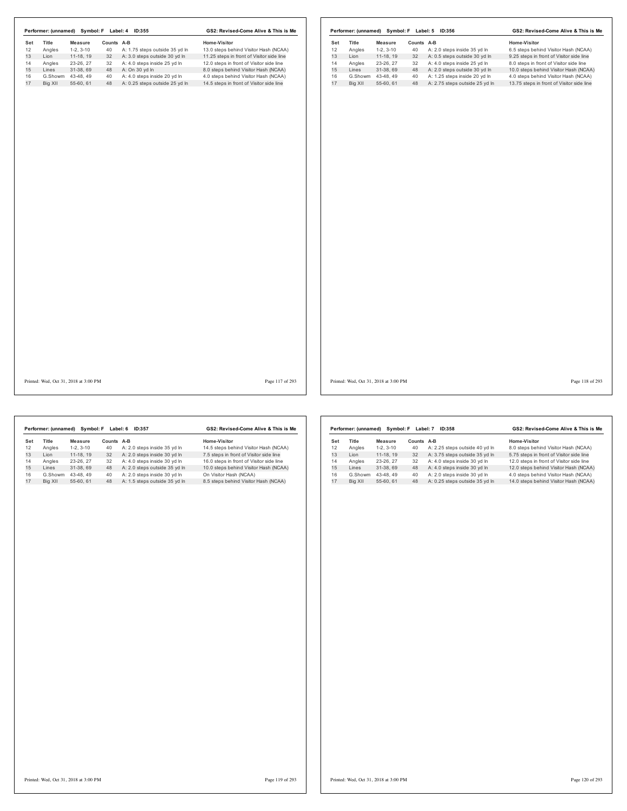| Title<br><b>Measure</b><br>Counts A-B<br>Angles<br>$1-2, 3-10$<br>40<br>A: 1.75 steps outside 35 yd In<br>A: 3.0 steps outside 30 yd In<br>Lion<br>11-18, 19<br>32<br>23-26, 27<br>A: 4.0 steps inside 25 yd In<br>Angles<br>32<br>31-38, 69<br>A: On 30 yd In<br>Lines<br>48<br>G.Showm 43-48, 49<br>40<br>A: 4.0 steps inside 20 yd In<br>Big XII<br>55-60, 61<br>48<br>A: 0.25 steps outside 25 yd In | Home-Visitor<br>13.0 steps behind Visitor Hash (NCAA)<br>11.25 steps in front of Visitor side line<br>12.0 steps in front of Visitor side line<br>8.0 steps behind Visitor Hash (NCAA)<br>4.0 steps behind Visitor Hash (NCAA)<br>14.5 steps in front of Visitor side line | Set<br>12<br>13<br>14<br>15<br>16<br>17 | Title<br>Angles<br>Lion<br>Angles<br>Lines | Measure<br>$1-2, 3-10$<br>$11-18, 19$<br>23-26, 27 | Counts A-B<br>40<br>32 | A: 2.0 steps inside 35 yd In   | <b>Home-Visitor</b><br>6.5 steps behind Visitor Hash (NCAA) |
|----------------------------------------------------------------------------------------------------------------------------------------------------------------------------------------------------------------------------------------------------------------------------------------------------------------------------------------------------------------------------------------------------------|----------------------------------------------------------------------------------------------------------------------------------------------------------------------------------------------------------------------------------------------------------------------------|-----------------------------------------|--------------------------------------------|----------------------------------------------------|------------------------|--------------------------------|-------------------------------------------------------------|
|                                                                                                                                                                                                                                                                                                                                                                                                          |                                                                                                                                                                                                                                                                            |                                         |                                            |                                                    |                        |                                |                                                             |
|                                                                                                                                                                                                                                                                                                                                                                                                          |                                                                                                                                                                                                                                                                            |                                         |                                            |                                                    |                        |                                |                                                             |
|                                                                                                                                                                                                                                                                                                                                                                                                          |                                                                                                                                                                                                                                                                            |                                         |                                            |                                                    |                        | A: 0.5 steps outside 30 yd In  | 9.25 steps in front of Visitor side line                    |
|                                                                                                                                                                                                                                                                                                                                                                                                          |                                                                                                                                                                                                                                                                            |                                         |                                            |                                                    | 32                     | A: 4.0 steps inside 25 yd In   | 8.0 steps in front of Visitor side line                     |
|                                                                                                                                                                                                                                                                                                                                                                                                          |                                                                                                                                                                                                                                                                            |                                         |                                            | 31-38, 69                                          | 48                     | A: 2.0 steps outside 30 yd In  | 10.0 steps behind Visitor Hash (NCAA)                       |
|                                                                                                                                                                                                                                                                                                                                                                                                          |                                                                                                                                                                                                                                                                            |                                         | G.Showm                                    | 43-48, 49                                          | 40                     | A: 1.25 steps inside 20 yd In  | 4.0 steps behind Visitor Hash (NCAA)                        |
|                                                                                                                                                                                                                                                                                                                                                                                                          |                                                                                                                                                                                                                                                                            |                                         | Big XII                                    | 55-60, 61                                          | 48                     | A: 2.75 steps outside 25 yd In | 13.75 steps in front of Visitor side line                   |
|                                                                                                                                                                                                                                                                                                                                                                                                          |                                                                                                                                                                                                                                                                            |                                         |                                            |                                                    |                        |                                |                                                             |
| Printed: Wed, Oct 31, 2018 at 3:00 PM                                                                                                                                                                                                                                                                                                                                                                    | Page 117 of 293                                                                                                                                                                                                                                                            |                                         |                                            | Printed: Wed, Oct 31, 2018 at 3:00 PM              |                        |                                | Page 118 of 293                                             |

|     | Performer: (unnamed) | Symbol: F  | Label: 6      | GS2: Revised-Come Alive & This is Me |                                          |  |  |
|-----|----------------------|------------|---------------|--------------------------------------|------------------------------------------|--|--|
| Set | Title                | Measure    | <b>Counts</b> | A-B                                  | Home-Visitor                             |  |  |
| 12  | Angles               | $1-2.3-10$ | 40            | A: 2.0 steps inside 35 yd In         | 14.5 steps behind Visitor Hash (NCAA)    |  |  |
| 13  | I ion                | 11-18.19   | 32            | A: 2.0 steps inside 30 yd In         | 7.5 steps in front of Visitor side line  |  |  |
| 14  | Angles               | 23-26.27   | 32            | A: 4.0 steps inside 30 yd In         | 16.0 steps in front of Visitor side line |  |  |
| 15  | I ines               | 31-38.69   | 48            | A: 2.0 steps outside 35 yd In        | 10.0 steps behind Visitor Hash (NCAA)    |  |  |
| 16  | G.Showm              | 43-48.49   | 40            | A: 2.0 steps inside 30 vd In         | On Visitor Hash (NCAA)                   |  |  |
| 17  | Big XII              | 55-60.61   | 48            | A: 1.5 steps outside 35 yd In        | 8.5 steps behind Visitor Hash (NCAA)     |  |  |

|         |            |                      | GS2: Revised-Come Alive & This is Me |                                          |  |  |  |
|---------|------------|----------------------|--------------------------------------|------------------------------------------|--|--|--|
| Title   | Measure    | Counts               | $A-B$                                | Home-Visitor                             |  |  |  |
| Angles  | $1-2.3-10$ | 40                   | A: 2.25 steps outside 40 yd In       | 8.0 steps behind Visitor Hash (NCAA)     |  |  |  |
| I ion   | 11-18.19   | 32                   | A: 3.75 steps outside 35 yd In       | 5.75 steps in front of Visitor side line |  |  |  |
| Angles  | 23-26.27   | 32                   | A: 4.0 steps inside 30 yd In         | 12.0 steps in front of Visitor side line |  |  |  |
| Lines   | 31-38.69   | 48                   | A: 4.0 steps inside 30 yd In         | 12.0 steps behind Visitor Hash (NCAA)    |  |  |  |
| G.Showm | 43-48.49   | 40                   | A: 2.0 steps inside 30 vd In         | 4.0 steps behind Visitor Hash (NCAA)     |  |  |  |
| Bia XII | 55-60.61   | 48                   | A: 0.25 steps outside 35 yd In       | 14.0 steps behind Visitor Hash (NCAA)    |  |  |  |
|         |            | Performer: (unnamed) | Symbol: F                            | Label: 7<br>ID:358                       |  |  |  |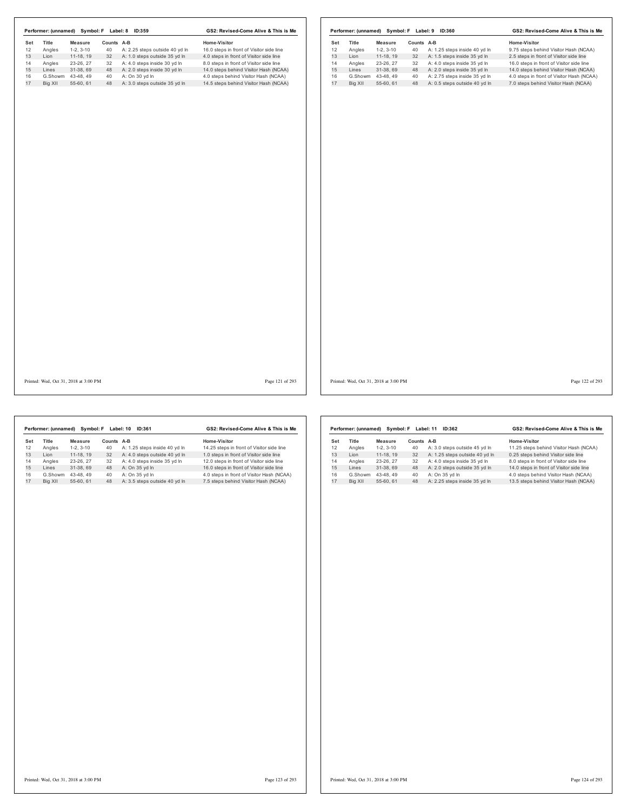| Set<br>12 | Title           | <b>Measure</b>           | Counts A-B |                                                               | Home-Visitor                                                                       | Set      | Title          | Measure                | Counts A-B |                                                              | Home-Visitor                                                                        |
|-----------|-----------------|--------------------------|------------|---------------------------------------------------------------|------------------------------------------------------------------------------------|----------|----------------|------------------------|------------|--------------------------------------------------------------|-------------------------------------------------------------------------------------|
| 13        | Angles          | $1-2, 3-10$              | 40         | A: 2.25 steps outside 40 yd In                                | 16.0 steps in front of Visitor side line                                           | 12       | Angles         | $1-2, 3-10$            | 40         | A: 1.25 steps inside 40 yd In                                | 9.75 steps behind Visitor Hash (NCAA)                                               |
| 14        | Lion            | $11-18, 19$<br>23-26, 27 | 32<br>32   | A: 1.0 steps outside 35 yd In<br>A: 4.0 steps inside 30 yd In | 4.0 steps in front of Visitor side line<br>8.0 steps in front of Visitor side line | 13<br>14 | Lion<br>Angles | 11-18, 19<br>23-26, 27 | 32<br>32   | A: 1.5 steps inside 35 yd In<br>A: 4.0 steps inside 35 yd In | 2.5 steps in front of Visitor side line<br>16.0 steps in front of Visitor side line |
|           | Angles<br>Lines | 31-38, 69                | 48         | A: 2.0 steps inside 30 yd In                                  | 14.0 steps behind Visitor Hash (NCAA)                                              | 15       | Lines          | 31-38, 69              | 48         | A: 2.0 steps inside 35 yd In                                 | 14.0 steps behind Visitor Hash (NCAA)                                               |
|           | G.Showm         | 43-48, 49                | 40         | A: On 30 yd In                                                | 4.0 steps behind Visitor Hash (NCAA)                                               | 16       |                | G.Showm 43-48, 49      | 40         | A: 2.75 steps inside 35 yd In                                | 4.0 steps in front of Visitor Hash (NCAA)                                           |
|           | Big XII         | 55-60, 61                | 48         | A: 3.0 steps outside 35 yd In                                 | 14.5 steps behind Visitor Hash (NCAA)                                              | 17       | Big XII        | 55-60, 61              | 48         | A: 0.5 steps outside 40 yd In                                | 7.0 steps behind Visitor Hash (NCAA)                                                |
|           |                 |                          |            |                                                               |                                                                                    |          |                |                        |            |                                                              |                                                                                     |
|           |                 |                          |            |                                                               |                                                                                    |          |                |                        |            |                                                              |                                                                                     |
|           |                 |                          |            |                                                               |                                                                                    |          |                |                        |            |                                                              |                                                                                     |
|           |                 |                          |            |                                                               |                                                                                    |          |                |                        |            |                                                              |                                                                                     |
|           |                 |                          |            |                                                               |                                                                                    |          |                |                        |            |                                                              |                                                                                     |

|     | Performer: (unnamed) |            | Symbol: F Label: 10 | ID:361                        | GS2: Revised-Come Alive & This is Me      |  |  |  |
|-----|----------------------|------------|---------------------|-------------------------------|-------------------------------------------|--|--|--|
| Set | Title                | Measure    | Counts A-B          |                               | Home-Visitor                              |  |  |  |
| 12  | Angles               | $1-2.3-10$ | 40                  | A: 1.25 steps inside 40 yd In | 14.25 steps in front of Visitor side line |  |  |  |
| 13  | I ion                | 11-18.19   | 32                  | A: 4.0 steps outside 40 yd In | 1.0 steps in front of Visitor side line   |  |  |  |
| 14  | Angles               | 23-26.27   | 32                  | A: 4.0 steps inside 35 vd In  | 12.0 steps in front of Visitor side line  |  |  |  |
| 15  | Lines                | 31-38.69   | 48                  | A: On 35 yd In                | 16.0 steps in front of Visitor side line  |  |  |  |
| 16  | G.Showm              | 43-48.49   | 40                  | A: On 35 vd In                | 4.0 steps in front of Visitor Hash (NCAA) |  |  |  |
| 17  | Big XII              | 55-60.61   | 48                  | A: 3.5 steps outside 40 yd In | 7.5 steps behind Visitor Hash (NCAA)      |  |  |  |

|     | Performer: (unnamed) | Symbol: F  | Label: 11  | GS2: Revised-Come Alive & This is Me |                                          |  |  |
|-----|----------------------|------------|------------|--------------------------------------|------------------------------------------|--|--|
| Set | <b>Title</b>         | Measure    | Counts A-B |                                      | Home-Visitor                             |  |  |
| 12  | Angles               | $1-2.3-10$ | 40         | A: 3.0 steps outside 45 yd In        | 11.25 steps behind Visitor Hash (NCAA)   |  |  |
| 13  | I ion                | 11-18, 19  | 32         | A: 1.25 steps outside 40 yd In       | 0.25 steps behind Visitor side line      |  |  |
| 14  | Angles               | 23-26.27   | 32         | A: 4.0 steps inside 35 yd In         | 8.0 steps in front of Visitor side line  |  |  |
| 15  | I ines               | 31-38.69   | 48         | A: 2.0 steps outside 35 yd In        | 14.0 steps in front of Visitor side line |  |  |
| 16  | G.Showm              | 43-48.49   | 40         | A: On 35 vd In                       | 4.0 steps behind Visitor Hash (NCAA)     |  |  |
| 17  | Bia XII              | 55-60.61   | 48         | A: 2.25 steps inside 35 yd In        | 13.5 steps behind Visitor Hash (NCAA)    |  |  |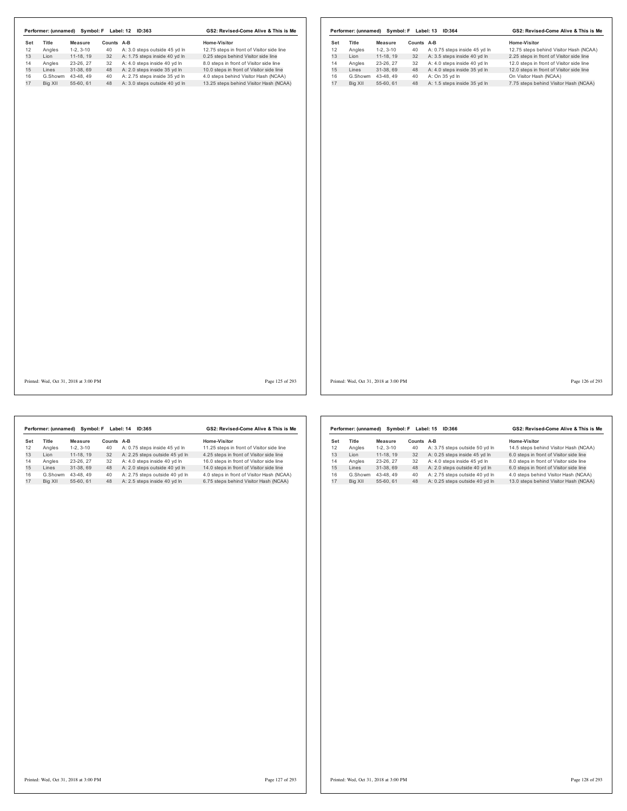|     |                                       |                |            | Performer: (unnamed) Symbol: F Label: 12 ID:363 | GS2: Revised-Come Alive & This is Me      |                 |     |         |                                       |            | Performer: (unnamed) Symbol: F Label: 13 ID:364 | GS2: Revised-Come Alive & This is Me     |
|-----|---------------------------------------|----------------|------------|-------------------------------------------------|-------------------------------------------|-----------------|-----|---------|---------------------------------------|------------|-------------------------------------------------|------------------------------------------|
| Set | Title                                 | <b>Measure</b> | Counts A-B |                                                 | Home-Visitor                              |                 | Set | Title   | Measure                               | Counts A-B |                                                 | Home-Visitor                             |
| 12  | Angles                                | $1-2, 3-10$    | 40         | A: 3.0 steps outside 45 yd In                   | 12.75 steps in front of Visitor side line |                 | 12  | Angles  | $1-2, 3-10$                           | 40         | A: 0.75 steps inside 45 yd In                   | 12.75 steps behind Visitor Hash (NCAA)   |
| 13  | Lion                                  | 11-18, 19      | 32         | A: 1.75 steps inside 40 yd In                   | 0.25 steps behind Visitor side line       |                 | 13  | Lion    | 11-18, 19                             | 32         | A: 3.5 steps inside 40 yd In                    | 2.25 steps in front of Visitor side line |
| 14  | Angles                                | 23-26, 27      | 32         | A: 4.0 steps inside 40 yd In                    | 8.0 steps in front of Visitor side line   |                 | 14  | Angles  | 23-26, 27                             | 32         | A: 4.0 steps inside 40 yd In                    | 12.0 steps in front of Visitor side line |
| 15  | Lines                                 | 31-38, 69      | 48         | A: 2.0 steps inside 35 yd In                    | 10.0 steps in front of Visitor side line  |                 | 15  | Lines   | 31-38, 69                             | 48         | A: 4.0 steps inside 35 yd In                    | 12.0 steps in front of Visitor side line |
| 16  | G.Showm 43-48, 49                     |                | 40         | A: 2.75 steps inside 35 yd In                   | 4.0 steps behind Visitor Hash (NCAA)      |                 | 16  |         | G.Showm 43-48, 49                     | 40         | A: On 35 yd In                                  | On Visitor Hash (NCAA)                   |
| 17  | Big XII                               | 55-60, 61      |            | 48 A: 3.0 steps outside 40 yd In                | 13.25 steps behind Visitor Hash (NCAA)    |                 | 17  | Big XII | 55-60, 61                             | 48         | A: 1.5 steps inside 35 yd In                    | 7.75 steps behind Visitor Hash (NCAA)    |
|     |                                       |                |            |                                                 |                                           |                 |     |         |                                       |            |                                                 |                                          |
|     | Printed: Wed, Oct 31, 2018 at 3:00 PM |                |            |                                                 |                                           | Page 125 of 293 |     |         | Printed: Wed, Oct 31, 2018 at 3:00 PM |            |                                                 | Page 126 of 293                          |

|     | Performer: (unnamed) | Symbol: F  |        | Label: 14<br>ID:365            | GS2: Revised-Come Alive & This is Me      |
|-----|----------------------|------------|--------|--------------------------------|-------------------------------------------|
| Set | Title                | Measure    | Counts | A-B                            | Home-Visitor                              |
| 12  | Angles               | $1-2.3-10$ | 40     | A: 0.75 steps inside 45 vd In  | 11.25 steps in front of Visitor side line |
| 13  | I ion                | 11-18.19   | 32     | A: 2.25 steps outside 45 yd In | 4.25 steps in front of Visitor side line  |
| 14  | Angles               | 23-26.27   | 32     | A: 4.0 steps inside 40 vd In   | 16.0 steps in front of Visitor side line  |
| 15  | Lines                | 31-38.69   | 48     | A: 2.0 steps outside 40 yd In  | 14.0 steps in front of Visitor side line  |
| 16  | G.Showm              | 43-48.49   | 40     | A: 2.75 steps outside 40 vd In | 4.0 steps in front of Visitor Hash (NCAA) |
| 17  | Big XII              | 55-60.61   | 48     | A: 2.5 steps inside 40 yd In   | 6.75 steps behind Visitor Hash (NCAA)     |

|     | Performer: (unnamed) |            | Symbol: F Label: 15 | ID:366                         | GS2: Revised-Come Alive & This is Me    |
|-----|----------------------|------------|---------------------|--------------------------------|-----------------------------------------|
| Set | Title                | Measure    | <b>Counts</b>       | A-B                            | Home-Visitor                            |
| 12  | Angles               | $1-2.3-10$ | 40                  | A: 3.75 steps outside 50 yd In | 14.5 steps behind Visitor Hash (NCAA)   |
| 13  | I ion                | 11-18.19   | 32                  | A: 0.25 steps inside 45 yd In  | 6.0 steps in front of Visitor side line |
| 14  | Angles               | 23-26.27   | 32                  | A: 4.0 steps inside 45 vd In   | 8.0 steps in front of Visitor side line |
| 15  | I ines               | 31-38.69   | 48                  | A: 2.0 steps outside 40 yd In  | 6.0 steps in front of Visitor side line |
| 16  | G.Showm              | 43-48.49   | 40                  | A: 2.75 steps outside 40 vd In | 4.0 steps behind Visitor Hash (NCAA)    |
| 17  | Big XII              | 55-60.61   | 48                  | A: 0.25 steps outside 40 yd In | 13.0 steps behind Visitor Hash (NCAA)   |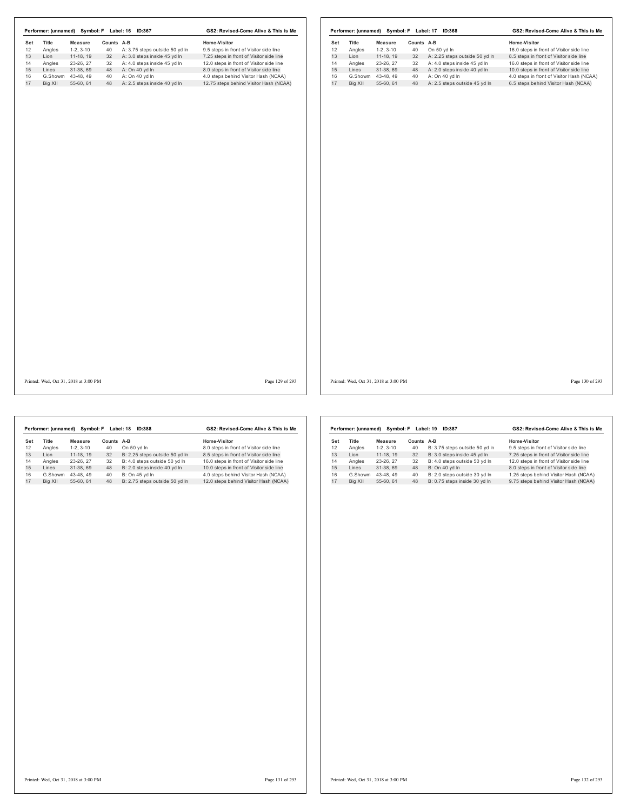| Angles<br>Lion<br>Angles<br>Lines<br>G.Showm 43-48, 49<br>Big XII | $1-2, 3-10$<br>$11-18, 19$<br>23-26, 27<br>31-38, 69 | 40<br>32 | A: 3.75 steps outside 50 yd In                    |                                                                                |          |                    |                        |          |                                                    |                                                                                   |
|-------------------------------------------------------------------|------------------------------------------------------|----------|---------------------------------------------------|--------------------------------------------------------------------------------|----------|--------------------|------------------------|----------|----------------------------------------------------|-----------------------------------------------------------------------------------|
|                                                                   |                                                      |          |                                                   | 9.5 steps in front of Visitor side line                                        | 12       | Angles             | $1-2, 3-10$            | 40       | On 50 yd In                                        | 16.0 steps in front of Visitor side line                                          |
|                                                                   |                                                      |          | A: 3.0 steps inside 45 yd In                      | 7.25 steps in front of Visitor side line                                       | 13       | Lion               | $11-18, 19$            | 32       | A: 2.25 steps outside 50 yd In                     | 8.5 steps in front of Visitor side line                                           |
|                                                                   |                                                      | 32<br>48 | A: 4.0 steps inside 45 yd In                      | 12.0 steps in front of Visitor side line                                       | 14<br>15 | Angles<br>Lines    | 23-26, 27<br>31-38, 69 | 32<br>48 | A: 4.0 steps inside 45 yd In                       | 16.0 steps in front of Visitor side line                                          |
|                                                                   |                                                      |          | A: On 40 yd In                                    | 8.0 steps in front of Visitor side line                                        |          |                    |                        |          | A: 2.0 steps inside 40 yd In                       | 10.0 steps in front of Visitor side line                                          |
|                                                                   | 55-60, 61                                            | 40       | A: On 40 yd In<br>48 A: 2.5 steps inside 40 yd In | 4.0 steps behind Visitor Hash (NCAA)<br>12.75 steps behind Visitor Hash (NCAA) | 16<br>17 | G.Showm<br>Big XII | 43-48, 49<br>55-60, 61 | 40       | A: On 40 yd In<br>48 A: 2.5 steps outside 45 yd In | 4.0 steps in front of Visitor Hash (NCAA)<br>6.5 steps behind Visitor Hash (NCAA) |
|                                                                   |                                                      |          |                                                   |                                                                                |          |                    |                        |          |                                                    |                                                                                   |
|                                                                   |                                                      |          |                                                   |                                                                                |          |                    |                        |          |                                                    |                                                                                   |
|                                                                   |                                                      |          |                                                   |                                                                                |          |                    |                        |          |                                                    |                                                                                   |

I

|     | Performer: (unnamed) |            | Symbol: F Label: 18 | ID:388                         | GS2: Revised-Come Alive & This is Me     |
|-----|----------------------|------------|---------------------|--------------------------------|------------------------------------------|
| Set | Title                | Measure    | Counts A-B          |                                | Home-Visitor                             |
| 12  | Angles               | $1-2.3-10$ | 40                  | On 50 vd In                    | 8.0 steps in front of Visitor side line  |
| 13  | I ion                | 11-18.19   | 32                  | B: 2.25 steps outside 50 yd In | 8.5 steps in front of Visitor side line  |
| 14  | Angles               | 23-26.27   | 32                  | B: 4.0 steps outside 50 yd In  | 16.0 steps in front of Visitor side line |
| 15  | Lines                | 31-38.69   | 48                  | B: 2.0 steps inside 40 yd In   | 10.0 steps in front of Visitor side line |
| 16  | G.Showm              | 43-48.49   | 40                  | B: On 45 vd In                 | 4.0 steps behind Visitor Hash (NCAA)     |
| 17  | Big XII              | 55-60.61   | 48                  | B: 2.75 steps outside 50 vd ln | 12.0 steps behind Visitor Hash (NCAA)    |

|     | Performer: (unnamed) |            | Symbol: F Label: 19 | ID:387                         | GS2: Revised-Come Alive & This is Me     |
|-----|----------------------|------------|---------------------|--------------------------------|------------------------------------------|
| Set | Title                | Measure    | Counts              | A-B                            | Home-Visitor                             |
| 12  | Angles               | $1-2.3-10$ | 40                  | B: 3.75 steps outside 50 yd In | 9.5 steps in front of Visitor side line  |
| 13  | I ion                | 11-18.19   | 32                  | B: 3.0 steps inside 45 yd In   | 7.25 steps in front of Visitor side line |
| 14  | Angles               | 23-26.27   | 32                  | B: 4.0 steps outside 50 yd In  | 12.0 steps in front of Visitor side line |
| 15  | Lines                | 31-38.69   | 48                  | B: On 40 yd In                 | 8.0 steps in front of Visitor side line  |
| 16  | G.Showm              | 43-48.49   | 40                  | B: 2.0 steps outside 30 vd In  | 1.25 steps behind Visitor Hash (NCAA)    |
| 17  | Big XII              | 55-60.61   | 48                  | B: 0.75 steps inside 30 yd In  | 9.75 steps behind Visitor Hash (NCAA)    |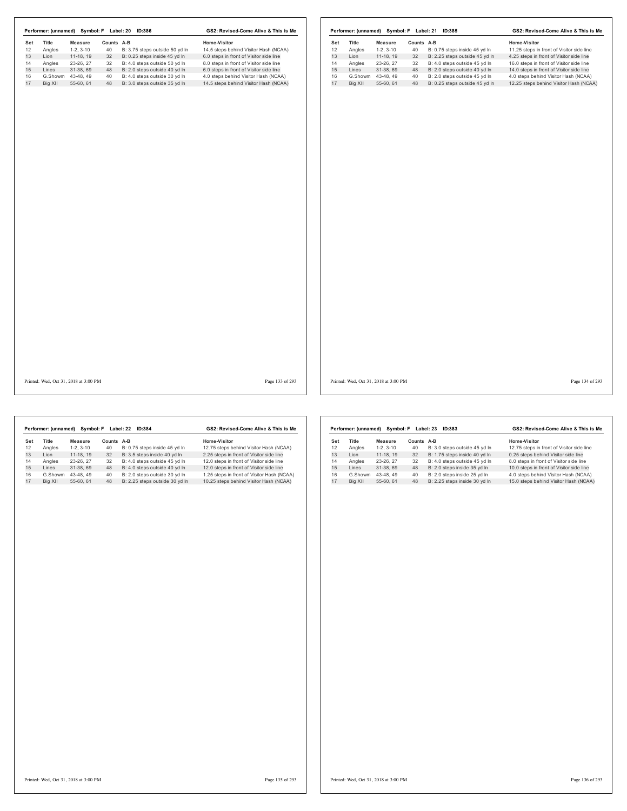|     |         |                                       |            | Performer: (unnamed) Symbol: F Label: 20 ID:386 | GS2: Revised-Come Alive & This is Me    |     |         |                                       |            | Performer: (unnamed) Symbol: F Label: 21 ID:385 | GS2: Revised-Come Alive & This is Me      |                 |
|-----|---------|---------------------------------------|------------|-------------------------------------------------|-----------------------------------------|-----|---------|---------------------------------------|------------|-------------------------------------------------|-------------------------------------------|-----------------|
| Set | Title   | <b>Measure</b>                        | Counts A-B |                                                 | Home-Visitor                            | Set | Title   | Measure                               | Counts A-B |                                                 | Home-Visitor                              |                 |
| 12  | Angles  | $1-2, 3-10$                           | 40         | B: 3.75 steps outside 50 yd In                  | 14.5 steps behind Visitor Hash (NCAA)   | 12  | Angles  | $1-2, 3-10$                           | 40         | B: 0.75 steps inside 45 yd In                   | 11.25 steps in front of Visitor side line |                 |
| 13  | Lion    | 11-18, 19                             | 32         | B: 0.25 steps inside 45 yd In                   | 6.0 steps in front of Visitor side line | 13  | Lion    | 11-18, 19                             | 32         | B: 2.25 steps outside 45 yd In                  | 4.25 steps in front of Visitor side line  |                 |
|     | Angles  | 23-26, 27                             | 32         | B: 4.0 steps outside 50 yd In                   | 8.0 steps in front of Visitor side line | 14  | Angles  | 23-26, 27                             | 32         | B: 4.0 steps outside 45 yd In                   | 16.0 steps in front of Visitor side line  |                 |
|     | Lines   | 31-38, 69                             | 48         | B: 2.0 steps outside 40 yd In                   | 6.0 steps in front of Visitor side line | 15  | Lines   | 31-38, 69                             | 48         | B: 2.0 steps outside 40 yd In                   | 14.0 steps in front of Visitor side line  |                 |
|     |         | G.Showm 43-48, 49                     | 40         | B: 4.0 steps outside 30 yd In                   | 4.0 steps behind Visitor Hash (NCAA)    | 16  |         | G.Showm 43-48, 49                     | 40         | B: 2.0 steps outside 45 yd In                   | 4.0 steps behind Visitor Hash (NCAA)      |                 |
|     | Big XII | 55-60, 61                             | 48         | B: 3.0 steps outside 35 yd In                   | 14.5 steps behind Visitor Hash (NCAA)   | 17  | Big XII | 55-60, 61                             | 48         | B: 0.25 steps outside 45 yd In                  | 12.25 steps behind Visitor Hash (NCAA)    |                 |
|     |         |                                       |            |                                                 |                                         |     |         |                                       |            |                                                 |                                           |                 |
|     |         | Printed: Wed, Oct 31, 2018 at 3:00 PM |            |                                                 | Page 133 of 293                         |     |         | Printed: Wed, Oct 31, 2018 at 3:00 PM |            |                                                 |                                           | Page 134 of 293 |

|     | Performer: (unnamed) | Symbol: F  |               | Label: 22<br><b>ID:384</b>     | GS2: Revised-Come Alive & This is Me       |
|-----|----------------------|------------|---------------|--------------------------------|--------------------------------------------|
| Set | Title                | Measure    | <b>Counts</b> | A-B                            | Home-Visitor                               |
| 12  | Angles               | $1-2.3-10$ | 40            | B: 0.75 steps inside 45 yd In  | 12.75 steps behind Visitor Hash (NCAA)     |
| 13  | I ion                | 11-18.19   | 32            | B: 3.5 steps inside 40 vd In   | 2.25 steps in front of Visitor side line   |
| 14  | Angles               | 23-26.27   | 32            | B: 4.0 steps outside 45 vd In  | 12.0 steps in front of Visitor side line   |
| 15  | Lines                | 31-38.69   | 48            | B: 4.0 steps outside 40 yd In  | 12.0 steps in front of Visitor side line   |
| 16  | G.Showm              | 43-48.49   | 40            | B: 2.0 steps outside 30 vd In  | 1.25 steps in front of Visitor Hash (NCAA) |
| 17  | Big XII              | 55-60.61   | 48            | B: 2.25 steps outside 30 yd In | 10.25 steps behind Visitor Hash (NCAA)     |
|     |                      |            |               |                                |                                            |

|     | Performer: (unnamed) |            | Symbol: F Label: 23 | ID:383                        | GS2: Revised-Come Alive & This is Me      |
|-----|----------------------|------------|---------------------|-------------------------------|-------------------------------------------|
| Set | Title                | Measure    | Counts              | A-B                           | Home-Visitor                              |
| 12  | Angles               | $1-2.3-10$ | 40                  | B: 3.0 steps outside 45 yd In | 12.75 steps in front of Visitor side line |
| 13  | I ion                | 11-18, 19  | 32                  | B: 1.75 steps inside 40 yd In | 0.25 steps behind Visitor side line       |
| 14  | Angles               | 23-26, 27  | 32                  | B: 4.0 steps outside 45 vd In | 8.0 steps in front of Visitor side line   |
| 15  | Lines                | 31-38.69   | 48                  | B: 2.0 steps inside 35 yd In  | 10.0 steps in front of Visitor side line  |
| 16  | G.Showm              | 43-48.49   | 40                  | B: 2.0 steps inside 25 vd In  | 4.0 steps behind Visitor Hash (NCAA)      |
| 17  | Big XII              | 55-60.61   | 48                  | B: 2.25 steps inside 30 yd In | 15.0 steps behind Visitor Hash (NCAA)     |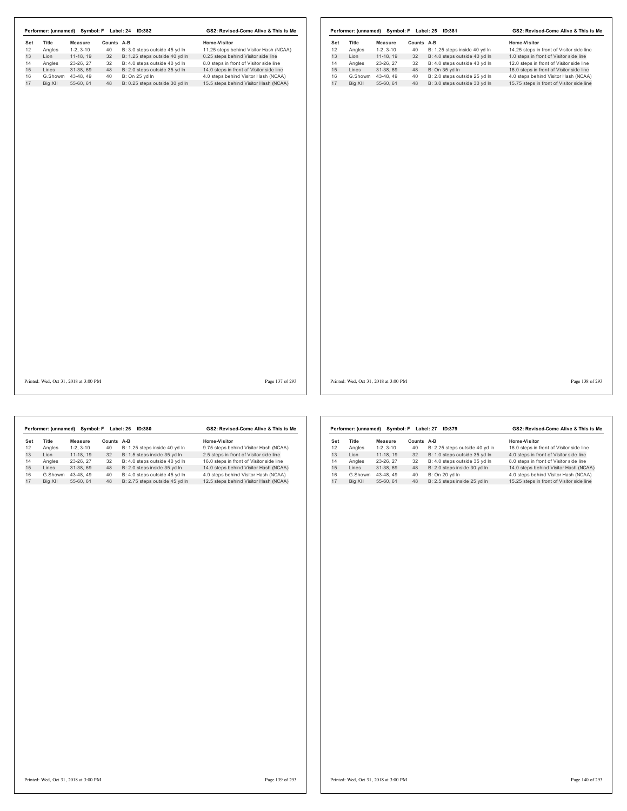|     |                   |                                       |            | Performer: (unnamed) Symbol: F Label: 24 ID:382 | GS2: Revised-Come Alive & This is Me     |     |         |                                       |            | Performer: (unnamed) Symbol: F Label: 25 ID:381 | GS2: Revised-Come Alive & This is Me      |
|-----|-------------------|---------------------------------------|------------|-------------------------------------------------|------------------------------------------|-----|---------|---------------------------------------|------------|-------------------------------------------------|-------------------------------------------|
| Set | Title             | Measure                               | Counts A-B |                                                 | Home-Visitor                             | Set | Title   | <b>Measure</b>                        | Counts A-B |                                                 | Home-Visitor                              |
| 12  | Angles            | $1-2, 3-10$                           | 40         | B: 3.0 steps outside 45 yd In                   | 11.25 steps behind Visitor Hash (NCAA)   | 12  | Angles  | $1-2, 3-10$                           | 40         | B: 1.25 steps inside 40 yd In                   | 14.25 steps in front of Visitor side line |
| 13  | Lion              | 11-18, 19                             | 32         | B: 1.25 steps outside 40 yd In                  | 0.25 steps behind Visitor side line      | 13  | Lion    | 11-18, 19                             | 32         | B: 4.0 steps outside 40 yd In                   | 1.0 steps in front of Visitor side line   |
| 14  | Angles            | 23-26, 27                             | 32         | B: 4.0 steps outside 40 yd In                   | 8.0 steps in front of Visitor side line  | 14  | Angles  | 23-26, 27                             | 32         | B: 4.0 steps outside 40 yd ln                   | 12.0 steps in front of Visitor side line  |
| 15  | Lines             | 31-38, 69                             | 48         | B: 2.0 steps outside 35 yd In                   | 14.0 steps in front of Visitor side line | 15  | Lines   | 31-38, 69                             | 48         | B: On 35 yd In                                  | 16.0 steps in front of Visitor side line  |
| 16  | G.Showm 43-48, 49 |                                       | 40         | B: On 25 yd In                                  | 4.0 steps behind Visitor Hash (NCAA)     | 16  |         | G.Showm 43-48, 49                     | 40         | B: 2.0 steps outside 25 yd In                   | 4.0 steps behind Visitor Hash (NCAA)      |
| 17  | Big XII           | 55-60, 61                             |            | 48 B: 0.25 steps outside 30 yd In               | 15.5 steps behind Visitor Hash (NCAA)    | 17  | Big XII | 55-60, 61                             | 48         | B: 3.0 steps outside 30 yd In                   | 15.75 steps in front of Visitor side line |
|     |                   |                                       |            |                                                 |                                          |     |         |                                       |            |                                                 |                                           |
|     |                   |                                       |            |                                                 |                                          |     |         |                                       |            |                                                 |                                           |
|     |                   |                                       |            |                                                 |                                          |     |         |                                       |            |                                                 |                                           |
|     |                   | Printed: Wed, Oct 31, 2018 at 3:00 PM |            |                                                 | Page 137 of 293                          |     |         | Printed: Wed, Oct 31, 2018 at 3:00 PM |            |                                                 | Page 138 of 293                           |

|     | Performer: (unnamed) | Symbol: F  |               | Label: 26<br><b>ID:380</b>     | GS2: Revised-Come Alive & This is Me     |
|-----|----------------------|------------|---------------|--------------------------------|------------------------------------------|
| Set | Title                | Measure    | <b>Counts</b> | A-B                            | Home-Visitor                             |
| 12  | Angles               | $1-2.3-10$ | 40            | B: 1.25 steps inside 40 yd In  | 9.75 steps behind Visitor Hash (NCAA)    |
| 13  | I ion                | 11-18.19   | 32            | B: 1.5 steps inside 35 yd In   | 2.5 steps in front of Visitor side line  |
| 14  | Angles               | 23-26.27   | 32            | B: 4.0 steps outside 40 vd In  | 16.0 steps in front of Visitor side line |
| 15  | I ines               | 31-38.69   | 48            | B: 2.0 steps inside 35 yd In   | 14.0 steps behind Visitor Hash (NCAA)    |
| 16  | G.Showm              | 43-48.49   | 40            | B: 4.0 steps outside 45 vd In  | 4.0 steps behind Visitor Hash (NCAA)     |
| 17  | Big XII              | 55-60.61   | 48            | B: 2.75 steps outside 45 yd In | 12.5 steps behind Visitor Hash (NCAA)    |
|     |                      |            |               |                                |                                          |

|     | Performer: (unnamed) | Svmbol: F  |        | Label: 27<br>ID:379            | GS2: Revised-Come Alive & This is Me      |
|-----|----------------------|------------|--------|--------------------------------|-------------------------------------------|
| Set | Title                | Measure    | Counts | $A-B$                          | Home-Visitor                              |
| 12  | Angles               | $1-2.3-10$ | 40     | B: 2.25 steps outside 40 yd In | 16.0 steps in front of Visitor side line  |
| 13  | Lion                 | 11-18.19   | 32     | B: 1.0 steps outside 35 vd In  | 4.0 steps in front of Visitor side line   |
| 14  | Angles               | 23-26.27   | 32     | B: 4.0 steps outside 35 yd In  | 8.0 steps in front of Visitor side line   |
| 15  | Lines                | 31-38.69   | 48     | B: 2.0 steps inside 30 yd In   | 14.0 steps behind Visitor Hash (NCAA)     |
| 16  | G.Showm              | 43-48.49   | 40     | B: On 20 vd In                 | 4.0 steps behind Visitor Hash (NCAA)      |
| 17  | Big XII              | 55-60.61   | 48     | B: 2.5 steps inside 25 yd In   | 15.25 steps in front of Visitor side line |
|     |                      |            |        |                                |                                           |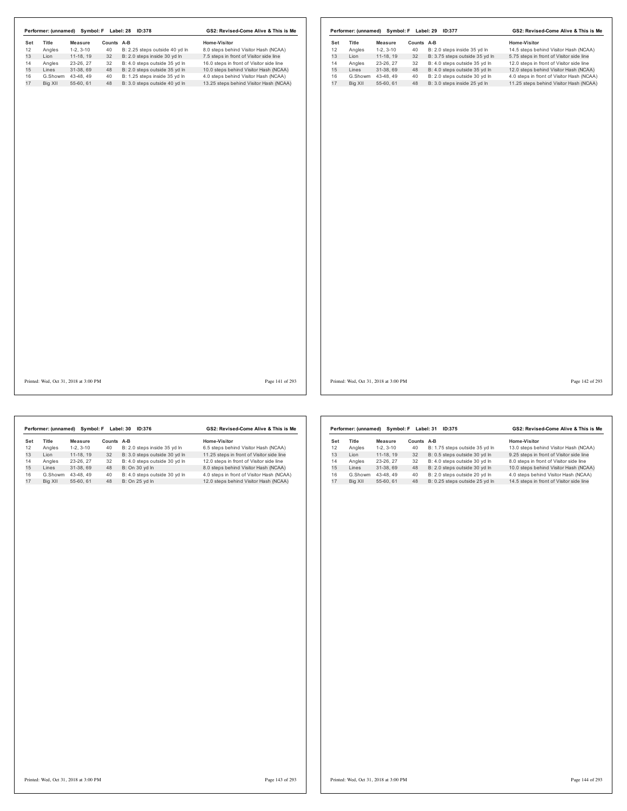|     |         |                                       |            | Performer: (unnamed) Symbol: F Label: 28 ID:378 | GS2: Revised-Come Alive & This is Me     |     |         |                                       |            | Performer: (unnamed) Symbol: F Label: 29 ID:377 | GS2: Revised-Come Alive & This is Me      |                 |
|-----|---------|---------------------------------------|------------|-------------------------------------------------|------------------------------------------|-----|---------|---------------------------------------|------------|-------------------------------------------------|-------------------------------------------|-----------------|
| Set | Title   | <b>Measure</b>                        | Counts A-B |                                                 | Home-Visitor                             | Set | Title   | <b>Measure</b>                        | Counts A-B |                                                 | Home-Visitor                              |                 |
| 12  | Angles  | $1-2, 3-10$                           | 40         | B: 2.25 steps outside 40 yd In                  | 8.0 steps behind Visitor Hash (NCAA)     | 12  | Angles  | $1-2, 3-10$                           | 40         | B: 2.0 steps inside 35 yd In                    | 14.5 steps behind Visitor Hash (NCAA)     |                 |
| 13  | Lion    | 11-18, 19                             | 32         | B: 2.0 steps inside 30 yd In                    | 7.5 steps in front of Visitor side line  | 13  | Lion    | 11-18, 19                             | 32         | B: 3.75 steps outside 35 yd In                  | 5.75 steps in front of Visitor side line  |                 |
|     | Angles  | 23-26, 27                             | 32         | B: 4.0 steps outside 35 yd In                   | 16.0 steps in front of Visitor side line | 14  | Angles  | 23-26, 27                             | 32         | B: 4.0 steps outside 35 yd In                   | 12.0 steps in front of Visitor side line  |                 |
|     | Lines   | 31-38, 69                             | 48         | B: 2.0 steps outside 35 yd In                   | 10.0 steps behind Visitor Hash (NCAA)    | 15  | Lines   | 31-38, 69                             | 48         | B: 4.0 steps outside 35 yd In                   | 12.0 steps behind Visitor Hash (NCAA)     |                 |
|     |         | G.Showm 43-48, 49                     | 40         | B: 1.25 steps inside 35 yd In                   | 4.0 steps behind Visitor Hash (NCAA)     | 16  | G.Showm | 43-48, 49                             | 40         | B: 2.0 steps outside 30 yd In                   | 4.0 steps in front of Visitor Hash (NCAA) |                 |
|     | Big XII | 55-60, 61                             | 48         | B: 3.0 steps outside 40 yd In                   | 13.25 steps behind Visitor Hash (NCAA)   | 17  | Big XII | 55-60, 61                             | 48         | B: 3.0 steps inside 25 yd In                    | 11.25 steps behind Visitor Hash (NCAA)    |                 |
|     |         |                                       |            |                                                 |                                          |     |         |                                       |            |                                                 |                                           |                 |
|     |         |                                       |            |                                                 |                                          |     |         |                                       |            |                                                 |                                           |                 |
|     |         | Printed: Wed, Oct 31, 2018 at 3:00 PM |            |                                                 | Page 141 of 293                          |     |         | Printed: Wed, Oct 31, 2018 at 3:00 PM |            |                                                 |                                           | Page 142 of 293 |

Set Title Measure Counts A-B<br>
12 Angles 1-2, 3-10 40 B: 2.0 steps inside 35 yd In 6.5 steps behind Visitor Hash (NCAA)<br>
13 Lion 11-18, 19 32 B: 3.0 steps outside 30 yd In 11.25 steps in front of Visitor side line<br>
14 Angle **Performer: (unnamed) Symbol: F Label: 30 ID:376 GS2: Revised-Come Alive & This is Me**

| Symbol: F Label: 31<br>Performer: (unnamed)<br>ID:375 |         |            |               |                                | GS2: Revised-Come Alive & This is Me     |
|-------------------------------------------------------|---------|------------|---------------|--------------------------------|------------------------------------------|
| Set                                                   | Title   | Measure    | <b>Counts</b> | $A-B$                          | Home-Visitor                             |
| 12                                                    | Angles  | $1-2.3-10$ | 40            | B: 1.75 steps outside 35 yd In | 13.0 steps behind Visitor Hash (NCAA)    |
| 13                                                    | I ion   | 11-18, 19  | 32            | B: 0.5 steps outside 30 yd In  | 9.25 steps in front of Visitor side line |
| 14                                                    | Angles  | 23-26.27   | 32            | B: 4.0 steps outside 30 yd In  | 8.0 steps in front of Visitor side line  |
| 15                                                    | I ines  | 31-38.69   | 48            | B: 2.0 steps outside 30 yd In  | 10.0 steps behind Visitor Hash (NCAA)    |
| 16                                                    | G.Showm | 43-48.49   | 40            | B: 2.0 steps outside 20 yd In  | 4.0 steps behind Visitor Hash (NCAA)     |
| 17                                                    | Big XII | 55-60.61   | 48            | B: 0.25 steps outside 25 vd In | 14.5 steps in front of Visitor side line |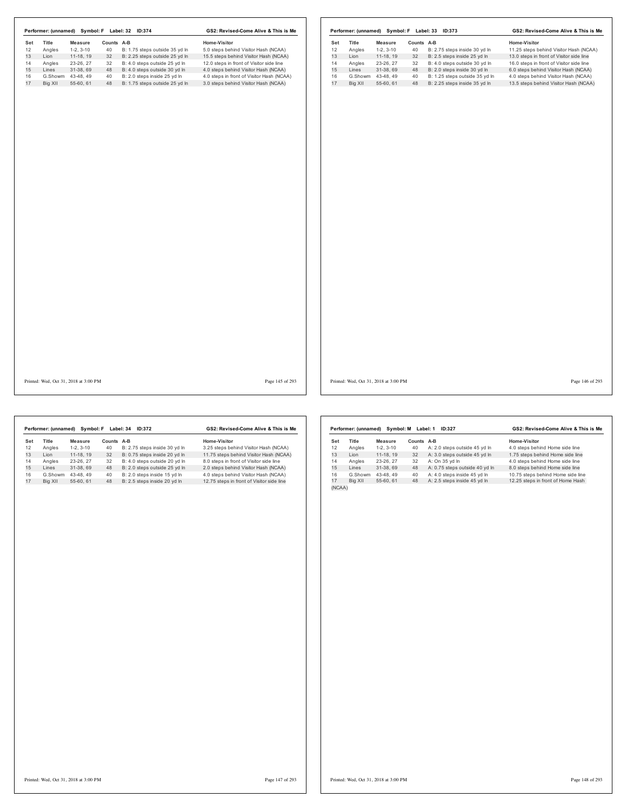| Performer: (unnamed) Symbol: F Label: 32 ID:374 |                                       |            |                                | GS2: Revised-Come Alive & This is Me      | Performer: (unnamed) Symbol: F Label: 33 ID:373 |                   |            |                                | GS2: Revised-Come Alive & This is Me     |
|-------------------------------------------------|---------------------------------------|------------|--------------------------------|-------------------------------------------|-------------------------------------------------|-------------------|------------|--------------------------------|------------------------------------------|
| Set<br>Title                                    | Measure                               | Counts A-B |                                | Home-Visitor                              | Title<br>Set                                    | Measure           | Counts A-B |                                | Home-Visitor                             |
| 12<br>Angles<br>13                              | $1-2, 3-10$                           | 40         | B: 1.75 steps outside 35 yd In | 5.0 steps behind Visitor Hash (NCAA)      | 12<br>Angles                                    | $1-2, 3-10$       | 40         | B: 2.75 steps inside 30 yd In  | 11.25 steps behind Visitor Hash (NCAA)   |
| Lion<br>14                                      | 11-18, 19                             | 32         | B: 2.25 steps outside 25 yd In | 15.5 steps behind Visitor Hash (NCAA)     | 13<br>Lion                                      | 11-18, 19         | 32         | B: 2.5 steps inside 25 yd In   | 13.0 steps in front of Visitor side line |
| Angles                                          | 23-26, 27                             | 32         | B: 4.0 steps outside 25 yd In  | 12.0 steps in front of Visitor side line  | 14<br>Angles                                    | 23-26, 27         | 32         | B: 4.0 steps outside 30 yd In  | 16.0 steps in front of Visitor side line |
| Lines                                           | 31-38, 69                             | 48         | B: 4.0 steps outside 30 yd In  | 4.0 steps behind Visitor Hash (NCAA)      | 15<br>Lines                                     | 31-38, 69         | 48         | B: 2.0 steps inside 30 yd In   | 6.0 steps behind Visitor Hash (NCAA)     |
| G.Showm 43-48, 49                               |                                       | 40         | B: 2.0 steps inside 25 yd In   | 4.0 steps in front of Visitor Hash (NCAA) | 16                                              | G.Showm 43-48, 49 | 40         | B: 1.25 steps outside 35 yd In | 4.0 steps behind Visitor Hash (NCAA)     |
| Big XII                                         | 55-60, 61                             | 48         | B: 1.75 steps outside 25 yd In | 3.0 steps behind Visitor Hash (NCAA)      | 17<br>Big XII                                   | 55-60, 61         | 48         | B: 2.25 steps inside 35 yd In  | 13.5 steps behind Visitor Hash (NCAA)    |
|                                                 |                                       |            |                                |                                           |                                                 |                   |            |                                |                                          |
|                                                 |                                       |            |                                |                                           |                                                 |                   |            |                                |                                          |
|                                                 | Printed: Wed, Oct 31, 2018 at 3:00 PM |            |                                | Page 145 of 293                           | Printed: Wed, Oct 31, 2018 at 3:00 PM           |                   |            |                                | Page 146 of 293                          |

|     | Performer: (unnamed) |            | Symbol: F Label: 34 | ID:372                        | GS2: Revised-Come Alive & This is Me      |  |  |  |
|-----|----------------------|------------|---------------------|-------------------------------|-------------------------------------------|--|--|--|
| Set | Title                | Measure    | Counts A-B          |                               | Home-Visitor                              |  |  |  |
| 12  | Angles               | $1-2.3-10$ | 40                  | B: 2.75 steps inside 30 yd In | 3.25 steps behind Visitor Hash (NCAA)     |  |  |  |
| 13  | I ion                | 11-18.19   | 32                  | B: 0.75 steps inside 20 yd In | 11.75 steps behind Visitor Hash (NCAA)    |  |  |  |
| 14  | Angles               | 23-26.27   | 32                  | B: 4.0 steps outside 20 vd In | 8.0 steps in front of Visitor side line   |  |  |  |
| 15  | I ines               | 31-38.69   | 48                  | B: 2.0 steps outside 25 yd In | 2.0 steps behind Visitor Hash (NCAA)      |  |  |  |
| 16  | G.Showm              | 43-48.49   | 40                  | B: 2.0 steps inside 15 vd In  | 4.0 steps behind Visitor Hash (NCAA)      |  |  |  |
| 17  | Big XII              | 55-60.61   | 48                  | B: 2.5 steps inside 20 vd In  | 12.75 steps in front of Visitor side line |  |  |  |

|        | Performer: (unnamed) | Svmbol: M  | GS2: Revised-Come Alive & This is Me |                                |                                   |
|--------|----------------------|------------|--------------------------------------|--------------------------------|-----------------------------------|
| Set    | <b>Title</b>         | Measure    | Counts                               | $A-B$                          | Home-Visitor                      |
| 12     | Angles               | $1-2.3-10$ | 40                                   | A: 2.0 steps outside 45 yd In  | 4.0 steps behind Home side line   |
| 13     | I ion                | 11-18.19   | 32                                   | A: 3.0 steps outside 45 yd In  | 1.75 steps behind Home side line  |
| 14     | Angles               | 23-26.27   | 32                                   | A: On 35 yd In                 | 4.0 steps behind Home side line   |
| 15     | Lines                | 31-38.69   | 48                                   | A: 0.75 steps outside 40 yd In | 8.0 steps behind Home side line   |
| 16     | G.Showm              | 43-48.49   | 40                                   | A: 4.0 steps inside 45 yd In   | 10.75 steps behind Home side line |
| 17     | Big XII              | 55-60.61   | 48                                   | A: 2.5 steps inside 45 yd In   | 12.25 steps in front of Home Hash |
| (NCAA) |                      |            |                                      |                                |                                   |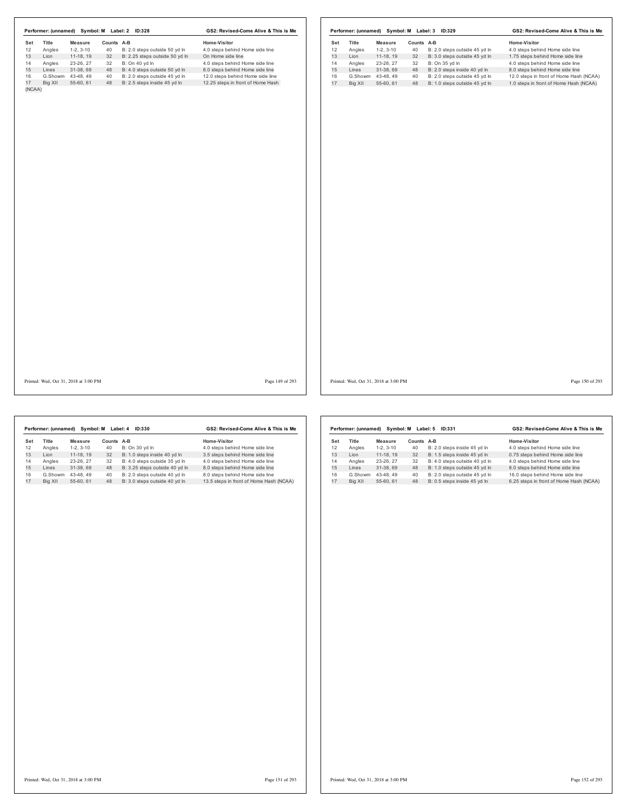|        | Performer: (unnamed) |            | Symbol: M Label: 2 | ID:328                         | GS2: Revised-Come Alive & This is Me |  |  |  |
|--------|----------------------|------------|--------------------|--------------------------------|--------------------------------------|--|--|--|
| Set    | Title                | Measure    | Counts A-B         |                                | Home-Visitor                         |  |  |  |
| 12     | Angles               | $1-2.3-10$ | 40                 | B: 2.0 steps outside 50 yd In  | 4.0 steps behind Home side line      |  |  |  |
| 13     | I ion                | 11-18.19   | 32                 | B: 2.25 steps outside 50 yd In | On Home side line                    |  |  |  |
| 14     | Angles               | 23-26.27   | 32                 | B: On 40 yd In                 | 4.0 steps behind Home side line      |  |  |  |
| 15     | Lines                | 31-38.69   | 48                 | B: 4.0 steps outside 50 yd In  | 8.0 steps behind Home side line      |  |  |  |
| 16     | G.Showm              | 43-48.49   | 40                 | B: 2.0 steps outside 45 vd In  | 12.0 steps behind Home side line     |  |  |  |
| 17     | Big XII              | 55-60.61   | 48                 | B: 2.5 steps inside 45 yd In   | 12.25 steps in front of Home Hash    |  |  |  |
| (NCAA) |                      |            |                    |                                |                                      |  |  |  |

|     | Performer: (unnamed) | Symbol: M  |        | Label: 3<br>ID:329            | GS2: Revised-Come Alive & This is Me    |  |  |  |
|-----|----------------------|------------|--------|-------------------------------|-----------------------------------------|--|--|--|
| Set | <b>Title</b>         | Measure    | Counts | $A-B$                         | Home-Visitor                            |  |  |  |
| 12  | Angles               | $1-2.3-10$ | 40     | B: 2.0 steps outside 45 yd In | 4.0 steps behind Home side line         |  |  |  |
| 13  | I ion                | 11-18.19   | 32     | B: 3.0 steps outside 45 vd In | 1.75 steps behind Home side line        |  |  |  |
| 14  | Angles               | 23-26.27   | 32     | B: On 35 yd In                | 4.0 steps behind Home side line         |  |  |  |
| 15  | Lines                | 31-38.69   | 48     | B: 2.0 steps inside 40 yd In  | 8.0 steps behind Home side line         |  |  |  |
| 16  | G.Showm              | 43-48.49   | 40     | B: 2.0 steps outside 45 vd In | 12.0 steps in front of Home Hash (NCAA) |  |  |  |
| 17  | Big XII              | 55-60.61   | 48     | B: 1.0 steps outside 45 vd In | 1.0 steps in front of Home Hash (NCAA)  |  |  |  |

Printed: Wed, Oct 31, 2018 at 3:00 PM Page 149 of 293

Printed: Wed, Oct 31, 2018 at 3:00 PM Page 150 of 293

|     | Performer: (unnamed) | Symbol: M  |               | Label: 4<br>ID:330             | GS2: Revised-Come Alive & This is Me    |
|-----|----------------------|------------|---------------|--------------------------------|-----------------------------------------|
| Set | Title                | Measure    | <b>Counts</b> | A-B                            | Home-Visitor                            |
| 12  | Angles               | $1-2.3-10$ | 40            | B: On 30 yd In                 | 4.0 steps behind Home side line         |
| 13  | I ion                | 11-18.19   | 32            | B: 1.0 steps inside 40 vd In   | 3.5 steps behind Home side line         |
| 14  | Angles               | 23-26.27   | 32            | B: 4.0 steps outside 35 vd In  | 4.0 steps behind Home side line         |
| 15  | Lines                | 31-38.69   | 48            | B: 3.25 steps outside 40 yd In | 8.0 steps behind Home side line         |
| 16  | G.Showm              | 43-48.49   | 40            | B: 2.0 steps outside 40 vd In  | 8.0 steps behind Home side line         |
| 17  | Big XII              | 55-60.61   | 48            | B: 3.0 steps outside 40 vd In  | 13.5 steps in front of Home Hash (NCAA) |
|     |                      |            |               |                                |                                         |

|     | Performer: (unnamed) | Symbol: M  | GS2: Revised-Come Alive & This is Me |                               |                                         |
|-----|----------------------|------------|--------------------------------------|-------------------------------|-----------------------------------------|
| Set | Title                | Measure    | Counts                               | A-B                           | Home-Visitor                            |
| 12  | Angles               | $1-2.3-10$ | 40                                   | B: 2.0 steps inside 45 yd In  | 4.0 steps behind Home side line         |
| 13  | I ion                | 11-18.19   | 32                                   | B: 1.5 steps inside 45 vd In  | 0.75 steps behind Home side line        |
| 14  | Angles               | 23-26.27   | 32                                   | B: 4.0 steps outside 40 yd ln | 4.0 steps behind Home side line         |
| 15  | Lines                | 31-38.69   | 48                                   | B: 1.0 steps outside 45 yd In | 8.0 steps behind Home side line         |
| 16  | G.Showm              | 43-48.49   | 40                                   | B: 2.0 steps outside 45 vd ln | 16.0 steps behind Home side line        |
| 17  | Big XII              | 55-60.61   | 48                                   | B: 0.5 steps inside 45 yd In  | 6.25 steps in front of Home Hash (NCAA) |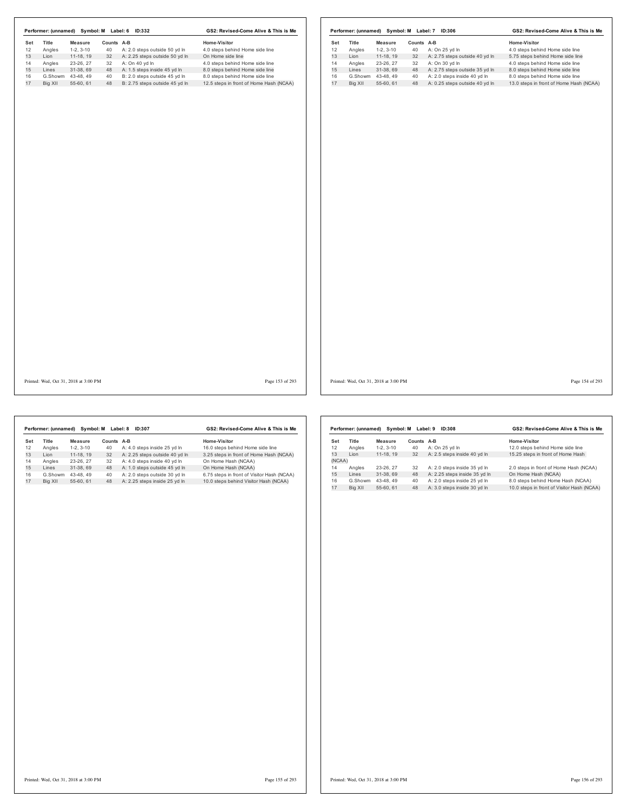| GS2: Revised-Come Alive & This is Me    |  |  |  |
|-----------------------------------------|--|--|--|
|                                         |  |  |  |
| 4.0 steps behind Home side line         |  |  |  |
| On Home side line                       |  |  |  |
| 4.0 steps behind Home side line         |  |  |  |
| 8.0 steps behind Home side line         |  |  |  |
| 8.0 steps behind Home side line         |  |  |  |
| 12.5 steps in front of Home Hash (NCAA) |  |  |  |
|                                         |  |  |  |

|     | Performer: (unnamed) | Symbol: M  |        | Label: 7<br>ID:306             | GS2: Revised-Come Alive & This is Me    |  |  |
|-----|----------------------|------------|--------|--------------------------------|-----------------------------------------|--|--|
| Set | <b>Title</b>         | Measure    | Counts | $A-B$                          | Home-Visitor                            |  |  |
| 12  | Angles               | $1-2.3-10$ | 40     | A: On 25 yd In                 | 4.0 steps behind Home side line         |  |  |
| 13  | I ion                | 11-18.19   | 32     | A: 2.75 steps outside 40 yd In | 5.75 steps behind Home side line        |  |  |
| 14  | Angles               | 23-26, 27  | 32     | A: On 30 vd In                 | 4.0 steps behind Home side line         |  |  |
| 15  | Lines                | 31-38.69   | 48     | A: 2.75 steps outside 35 yd In | 8.0 steps behind Home side line         |  |  |
| 16  | G.Showm              | 43-48.49   | 40     | A: 2.0 steps inside 40 vd In   | 8.0 steps behind Home side line         |  |  |
| 17  | Big XII              | 55-60.61   | 48     | A: 0.25 steps outside 40 yd In | 13.0 steps in front of Home Hash (NCAA) |  |  |

Printed: Wed, Oct 31, 2018 at 3:00 PM Page 153 of 293

Printed: Wed, Oct 31, 2018 at 3:00 PM Page 154 of 293

|     | Performer: (unnamed) | Symbol: M  |            | ID:307<br>Label: 8             | GS2: Revised-Come Alive & This is Me       |
|-----|----------------------|------------|------------|--------------------------------|--------------------------------------------|
| Set | Title                | Measure    | Counts A-B |                                | Home-Visitor                               |
| 12  | Angles               | $1-2.3-10$ | 40         | A: 4.0 steps inside 25 yd In   | 16.0 steps behind Home side line           |
| 13  | I ion                | 11-18.19   | 32         | A: 2.25 steps outside 40 yd In | 3.25 steps in front of Home Hash (NCAA)    |
| 14  | Angles               | 23-26.27   | 32         | A: 4.0 steps inside 40 vd In   | On Home Hash (NCAA)                        |
| 15  | Lines                | 31-38.69   | 48         | A: 1.0 steps outside 45 yd In  | On Home Hash (NCAA)                        |
| 16  | G.Showm              | 43-48.49   | 40         | A: 2.0 steps outside 30 vd In  | 6.75 steps in front of Visitor Hash (NCAA) |
| 17  | Big XII              | 55-60.61   | 48         | A: 2.25 steps inside 25 yd In  | 10.0 steps behind Visitor Hash (NCAA)      |

|        | Performer: (unnamed) | Symbol: M  | Label: 9 | GS2: Revised-Come Alive & This is Me |                                            |  |
|--------|----------------------|------------|----------|--------------------------------------|--------------------------------------------|--|
| Set    | Title                | Measure    | Counts   | A-B                                  | Home-Visitor                               |  |
| 12     | Angles               | $1-2.3-10$ | 40       | A: On 25 yd In                       | 12.0 steps behind Home side line           |  |
| 13     | I ion                | 11-18.19   | 32       | A: 2.5 steps inside 40 yd In         | 15.25 steps in front of Home Hash          |  |
| (NCAA) |                      |            |          |                                      |                                            |  |
| 14     | Angles               | 23-26.27   | 32       | A: 2.0 steps inside 35 yd In         | 2.0 steps in front of Home Hash (NCAA)     |  |
| 15     | I ines               | 31-38.69   | 48       | A: 2.25 steps inside 35 yd In        | On Home Hash (NCAA)                        |  |
| 16     | G.Showm              | 43-48.49   | 40       | A: 2.0 steps inside 25 vd In         | 8.0 steps behind Home Hash (NCAA)          |  |
| 17     | Big XII              | 55-60, 61  | 48       | A: 3.0 steps inside 30 yd In         | 10.0 steps in front of Visitor Hash (NCAA) |  |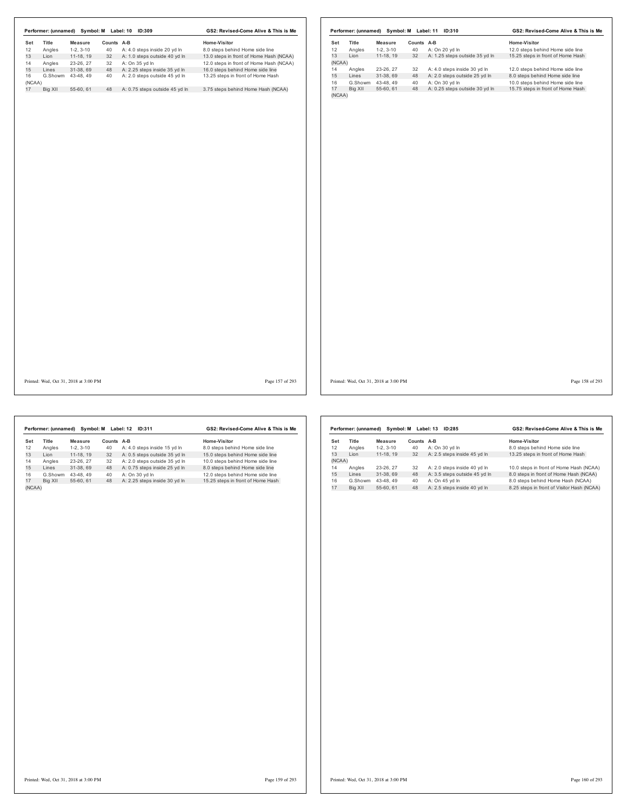|                   | Performer: (unnamed) Symbol: M Label: 10 ID:309 |            |                                | GS2: Revised-Come Alive & This is Me    |              |         |                                       |            | Performer: (unnamed) Symbol: M Label: 11 ID:310 | GS2: Revised-Come Alive & This is Me |
|-------------------|-------------------------------------------------|------------|--------------------------------|-----------------------------------------|--------------|---------|---------------------------------------|------------|-------------------------------------------------|--------------------------------------|
| Title<br>Set      | <b>Measure</b>                                  | Counts A-B |                                | Home-Visitor                            | Set          | Title   | Measure                               | Counts A-B |                                                 | Home-Visitor                         |
| 12<br>Angles      | $1-2, 3-10$                                     | 40         | A: 4.0 steps inside 20 yd In   | 8.0 steps behind Home side line         | 12           | Angles  | $1-2, 3-10$                           | 40         | A: On 20 yd In                                  | 12.0 steps behind Home side line     |
| 13<br>Lion        | 11-18, 19                                       | 32         | A: 1.0 steps outside 40 yd In  | 13.0 steps in front of Home Hash (NCAA) | 13           | Lion    | $11-18, 19$                           | 32         | A: 1.25 steps outside 35 yd In                  | 15.25 steps in front of Home Hash    |
| Angles<br>14      | 23-26, 27                                       | 32         | A: On 35 yd In                 | 12.0 steps in front of Home Hash (NCAA) | (NCAA)       |         |                                       |            |                                                 |                                      |
| 15<br>Lines<br>16 | 31-38, 69                                       | 48         | A: 2.25 steps inside 35 yd In  | 16.0 steps behind Home side line        | 14           | Angles  | 23-26, 27                             | 32         | A: 4.0 steps inside 30 yd In                    | 12.0 steps behind Home side line     |
|                   | G.Showm 43-48, 49                               | 40         | A: 2.0 steps outside 45 yd In  | 13.25 steps in front of Home Hash       | 15           | Lines   | 31-38, 69                             | 48         | A: 2.0 steps outside 25 yd In                   | 8.0 steps behind Home side line      |
| (NCAA)            |                                                 |            |                                |                                         | 16           |         | G.Showm 43-48, 49                     | 40         | A: On 30 yd In                                  | 10.0 steps behind Home side line     |
| Big XII           | 55-60, 61                                       | 48         | A: 0.75 steps outside 45 yd In | 3.75 steps behind Home Hash (NCAA)      | 17<br>(NCAA) | Big XII | 55-60, 61                             |            | 48 A: 0.25 steps outside 30 yd In               | 15.75 steps in front of Home Hash    |
|                   |                                                 |            |                                |                                         |              |         |                                       |            |                                                 |                                      |
|                   |                                                 |            |                                |                                         |              |         |                                       |            |                                                 |                                      |
|                   |                                                 |            |                                |                                         |              |         |                                       |            |                                                 |                                      |
|                   |                                                 |            |                                |                                         |              |         |                                       |            |                                                 |                                      |
|                   | Printed: Wed. Oct 31, 2018 at 3:00 PM           |            |                                | Page 157 of 293                         |              |         | Printed: Wed. Oct 31, 2018 at 3:00 PM |            |                                                 | Page 158 of 293                      |

|        | Performer: (unnamed) |            | Symbol: M Label: 12 | GS2: Revised-Come Alive & This is Me |                                   |  |
|--------|----------------------|------------|---------------------|--------------------------------------|-----------------------------------|--|
| Set    | Title                | Measure    | <b>Counts</b>       | $A-B$                                | Home-Visitor                      |  |
| 12     | Angles               | $1-2.3-10$ | 40                  | A: 4.0 steps inside 15 yd In         | 8.0 steps behind Home side line   |  |
| 13     | Lion                 | 11-18.19   | 32                  | A: 0.5 steps outside 35 vd In        | 15.0 steps behind Home side line  |  |
| 14     | Angles               | 23-26.27   | 32                  | A: 2.0 steps outside 35 yd In        | 10.0 steps behind Home side line  |  |
| 15     | Lines                | 31-38.69   | 48                  | A: 0.75 steps inside 25 yd In        | 8.0 steps behind Home side line   |  |
| 16     | G.Showm              | 43-48.49   | 40                  | A: On 30 vd In                       | 12.0 steps behind Home side line  |  |
| 17     | Big XII              | 55-60.61   | 48                  | A: 2.25 steps inside 30 yd In        | 15.25 steps in front of Home Hash |  |
| (NCAA) |                      |            |                     |                                      |                                   |  |

|        | Performer: (unnamed) | Symbol: M  |            | Label: 13<br>ID:285           | GS2: Revised-Come Alive & This is Me       |  |
|--------|----------------------|------------|------------|-------------------------------|--------------------------------------------|--|
| Set    | <b>Title</b>         | Measure    | Counts A-B |                               | Home-Visitor                               |  |
| 12     | Angles               | $1-2.3-10$ | 40         | A: On 30 yd In                | 8.0 steps behind Home side line            |  |
| 13     | I ion                | 11-18.19   | 32         | A: 2.5 steps inside 45 yd In  | 13.25 steps in front of Home Hash          |  |
| (NCAA) |                      |            |            |                               |                                            |  |
| 14     | Angles               | 23-26, 27  | 32         | A: 2.0 steps inside 40 yd In  | 10.0 steps in front of Home Hash (NCAA)    |  |
| 15     | Lines                | 31-38.69   | 48         | A: 3.5 steps outside 45 yd In | 8.0 steps in front of Home Hash (NCAA)     |  |
| 16     | G.Showm              | 43-48.49   | 40         | A: On 45 yd In                | 8.0 steps behind Home Hash (NCAA)          |  |
| 17     | Big XII              | 55-60, 61  | 48         | A: 2.5 steps inside 40 yd In  | 8.25 steps in front of Visitor Hash (NCAA) |  |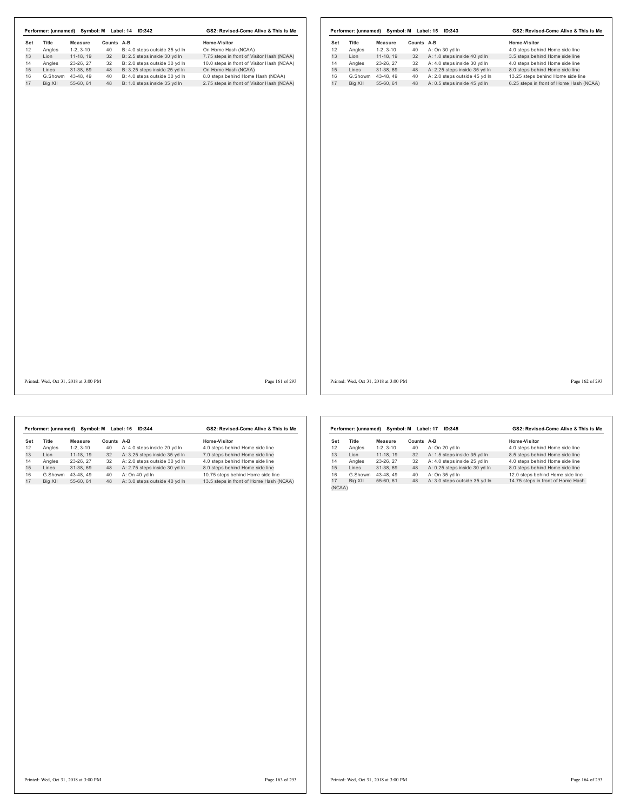|     |                                       |                |    | Performer: (unnamed) Symbol: M Label: 14 ID:342 | GS2: Revised-Come Alive & This is Me       |     |         |                                       |            | Performer: (unnamed) Symbol: M Label: 15 ID:343 | GS2: Revised-Come Alive & This is Me    |                 |
|-----|---------------------------------------|----------------|----|-------------------------------------------------|--------------------------------------------|-----|---------|---------------------------------------|------------|-------------------------------------------------|-----------------------------------------|-----------------|
| Set | Title                                 | <b>Measure</b> |    | Counts A-B                                      | Home-Visitor                               | Set | Title   | Measure                               | Counts A-B |                                                 | Home-Visitor                            |                 |
| 12  | Angles                                | $1-2, 3-10$    | 40 | B: 4.0 steps outside 35 yd In                   | On Home Hash (NCAA)                        | 12  | Angles  | $1-2, 3-10$                           | 40         | A: On 30 yd In                                  | 4.0 steps behind Home side line         |                 |
| 13  | Lion                                  | 11-18, 19      | 32 | B: 2.5 steps inside 30 yd In                    | 7.75 steps in front of Visitor Hash (NCAA) | 13  | Lion    | 11-18, 19                             | 32         | A: 1.0 steps inside 40 yd In                    | 3.5 steps behind Home side line         |                 |
| 14  | Angles                                | 23-26, 27      | 32 | B: 2.0 steps outside 30 yd In                   | 10.0 steps in front of Visitor Hash (NCAA) | 14  | Angles  | 23-26, 27                             | 32         | A: 4.0 steps inside 30 yd In                    | 4.0 steps behind Home side line         |                 |
| 15  | Lines                                 | 31-38, 69      | 48 | B: 3.25 steps inside 25 yd In                   | On Home Hash (NCAA)                        | 15  | Lines   | 31-38, 69                             | 48         | A: 2.25 steps inside 35 yd In                   | 8.0 steps behind Home side line         |                 |
| 16  | G.Showm                               | 43-48, 49      | 40 | B: 4.0 steps outside 30 yd In                   | 8.0 steps behind Home Hash (NCAA)          | 16  |         | G.Showm 43-48, 49                     | 40         | A: 2.0 steps outside 45 yd In                   | 13.25 steps behind Home side line       |                 |
| 17  | Big XII                               | 55-60, 61      | 48 | B: 1.0 steps inside 35 yd In                    | 2.75 steps in front of Visitor Hash (NCAA) | 17  | Big XII | 55-60, 61                             | 48         | A: 0.5 steps inside 45 yd In                    | 6.25 steps in front of Home Hash (NCAA) |                 |
|     |                                       |                |    |                                                 |                                            |     |         |                                       |            |                                                 |                                         |                 |
|     | Printed: Wed, Oct 31, 2018 at 3:00 PM |                |    |                                                 | Page 161 of 293                            |     |         | Printed: Wed, Oct 31, 2018 at 3:00 PM |            |                                                 |                                         | Page 162 of 293 |

|     | Performer: (unnamed) |            | Symbol: M Label: 16 | GS2: Revised-Come Alive & This is Me |                                         |  |
|-----|----------------------|------------|---------------------|--------------------------------------|-----------------------------------------|--|
| Set | <b>Title</b>         | Measure    | Counts              | A-B                                  | Home-Visitor                            |  |
| 12  | Angles               | $1-2.3-10$ | 40                  | A: 4.0 steps inside 20 vd In         | 4.0 steps behind Home side line         |  |
| 13  | I ion                | 11-18.19   | 32                  | A: 3.25 steps inside 35 yd In        | 7.0 steps behind Home side line         |  |
| 14  | Angles               | 23-26.27   | 32                  | A: 2.0 steps outside 30 vd In        | 4.0 steps behind Home side line         |  |
| 15  | Lines                | 31-38.69   | 48                  | A: 2.75 steps inside 30 yd In        | 8.0 steps behind Home side line         |  |
| 16  | G.Showm              | 43-48.49   | 40                  | A: On 40 vd In                       | 10.75 steps behind Home side line       |  |
| 17  | Big XII              | 55-60.61   | 48                  | A: 3.0 steps outside 40 yd In        | 13.5 steps in front of Home Hash (NCAA) |  |

|        | Performer: (unnamed) | Symbol: M  |        | ID:345<br>Label: 17           | GS2: Revised-Come Alive & This is Me |
|--------|----------------------|------------|--------|-------------------------------|--------------------------------------|
| Set    | Title                | Measure    | Counts | $A-B$                         | Home-Visitor                         |
| 12     | Angles               | $1-2.3-10$ | 40     | A: On 20 yd In                | 4.0 steps behind Home side line      |
| 13     | Lion                 | 11-18.19   | 32     | A: 1.5 steps inside 35 yd In  | 8.5 steps behind Home side line      |
| 14     | Angles               | 23-26.27   | 32     | A: 4.0 steps inside 25 yd In  | 4.0 steps behind Home side line      |
| 15     | Lines                | 31-38.69   | 48     | A: 0.25 steps inside 30 yd In | 8.0 steps behind Home side line      |
| 16     | G.Showm              | 43-48.49   | 40     | A: On 35 yd In                | 12.0 steps behind Home side line     |
| 17     | Big XII              | 55-60.61   | 48     | A: 3.0 steps outside 35 yd In | 14.75 steps in front of Home Hash    |
| (NCAA) |                      |            |        |                               |                                      |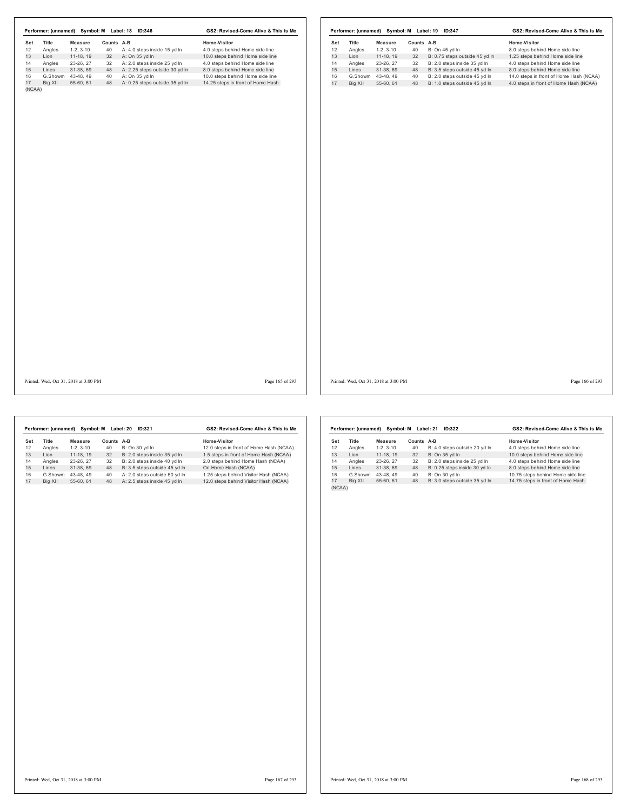|     | Performer: (unnamed) | Symbol: M  |               | Label: 18<br>ID:346            | GS2: Revised-Come Alive & This is Me |  |  |
|-----|----------------------|------------|---------------|--------------------------------|--------------------------------------|--|--|
| Set | Title                | Measure    | <b>Counts</b> | A-B                            | Home-Visitor                         |  |  |
| 12  | Angles               | $1-2.3-10$ | 40            | A: 4.0 steps inside 15 yd In   | 4.0 steps behind Home side line      |  |  |
| 13  | I ion                | 11-18.19   | 32            | A: On 35 yd In                 | 10.0 steps behind Home side line     |  |  |
| 14  | Angles               | 23-26.27   | 32            | A: 2.0 steps inside 25 yd In   | 4.0 steps behind Home side line      |  |  |
| 15  | Lines                | 31-38.69   | 48            | A: 2.25 steps outside 30 yd In | 8.0 steps behind Home side line      |  |  |
| 16  | G.Showm              | 43-48.49   | 40            | A: On 35 yd In                 | 10.0 steps behind Home side line     |  |  |
| 17  | Big XII              | 55-60.61   | 48            | A: 0.25 steps outside 35 yd In | 14.25 steps in front of Home Hash    |  |  |

|     | Performer: (unnamed) | Symbol: M  |        | Label: 19<br><b>ID:347</b>     | GS2: Revised-Come Alive & This is Me    |
|-----|----------------------|------------|--------|--------------------------------|-----------------------------------------|
| Set | Title                | Measure    | Counts | A-B                            | Home-Visitor                            |
| 12  | Angles               | $1-2.3-10$ | 40     | B: On 45 vd In                 | 8.0 steps behind Home side line         |
| 13  | I ion                | 11-18.19   | 32     | B: 0.75 steps outside 45 yd In | 1.25 steps behind Home side line        |
| 14  | Angles               | 23-26.27   | 32     | B: 2.0 steps inside 35 yd In   | 4.0 steps behind Home side line         |
| 15  | Lines                | 31-38.69   | 48     | B: 3.5 steps outside 45 yd In  | 8.0 steps behind Home side line         |
| 16  | G.Showm              | 43-48.49   | 40     | B: 2.0 steps outside 45 vd In  | 14.0 steps in front of Home Hash (NCAA) |
| 17  | Big XII              | 55-60.61   | 48     | B: 1.0 steps outside 45 vd In  | 4.0 steps in front of Home Hash (NCAA)  |

Printed: Wed, Oct 31, 2018 at 3:00 PM Page 165 of 293

Printed: Wed, Oct 31, 2018 at 3:00 PM Page 166 of 293

|     | Performer: (unnamed) | Svmbol: M  |            | Label: 20<br>ID:321           | GS2: Revised-Come Alive & This is Me    |
|-----|----------------------|------------|------------|-------------------------------|-----------------------------------------|
| Set | Title                | Measure    | Counts A-B |                               | Home-Visitor                            |
| 12  | Angles               | $1-2.3-10$ | 40         | B: On 30 vd In                | 12.0 steps in front of Home Hash (NCAA) |
| 13  | I ion                | 11-18.19   | 32         | B: 2.0 steps inside 35 yd In  | 1.5 steps in front of Home Hash (NCAA)  |
| 14  | Angles               | 23-26.27   | 32         | B: 2.0 steps inside 40 vd In  | 2.0 steps behind Home Hash (NCAA)       |
| 15  | Lines                | 31-38.69   | 48         | B: 3.5 steps outside 45 yd In | On Home Hash (NCAA)                     |
| 16  | G.Showm              | 43-48.49   | 40         | A: 2.0 steps outside 50 vd In | 1.25 steps behind Visitor Hash (NCAA)   |
| 17  | Big XII              | 55-60.61   | 48         | A: 2.5 steps inside 45 yd In  | 12.0 steps behind Visitor Hash (NCAA)   |
|     |                      |            |            |                               |                                         |

|        | Performer: (unnamed) | Svmbol: M  | GS2: Revised-Come Alive & This is Me |                               |                                   |
|--------|----------------------|------------|--------------------------------------|-------------------------------|-----------------------------------|
| Set    | Title                | Measure    | Counts                               | A-B                           | Home-Visitor                      |
| 12     | Angles               | $1-2.3-10$ | 40                                   | B: 4.0 steps outside 20 yd In | 4.0 steps behind Home side line   |
| 13     | I ion                | 11-18.19   | 32                                   | B: On 35 yd In                | 10.0 steps behind Home side line  |
| 14     | Angles               | 23-26, 27  | 32                                   | B: 2.0 steps inside 25 yd In  | 4.0 steps behind Home side line   |
| 15     | Lines                | 31-38.69   | 48                                   | B: 0.25 steps inside 30 yd In | 8.0 steps behind Home side line   |
| 16     | G.Showm              | 43-48.49   | 40                                   | B: On 30 yd In                | 10.75 steps behind Home side line |
| 17     | Big XII              | 55-60, 61  | 48                                   | B: 3.0 steps outside 35 yd In | 14.75 steps in front of Home Hash |
| (NCAA) |                      |            |                                      |                               |                                   |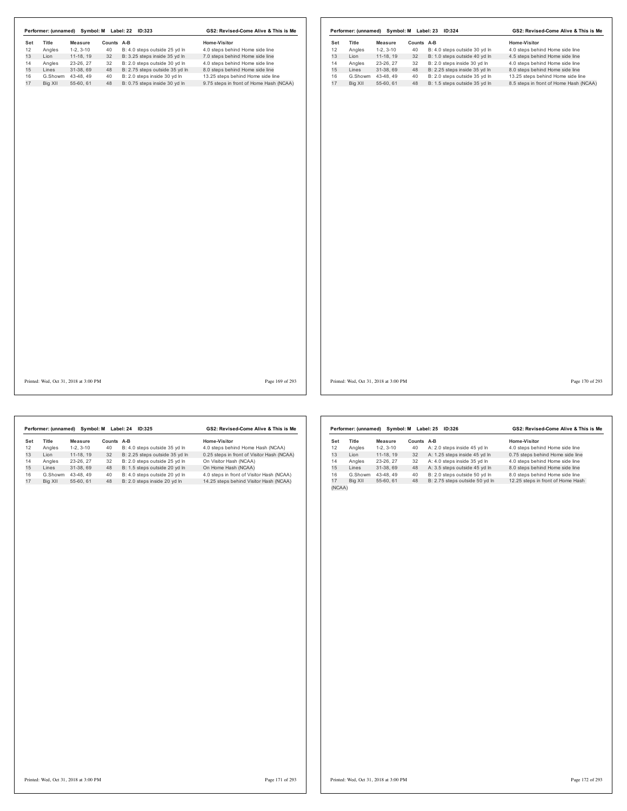|     | Performer: (unnamed) | Symbol: M  | Label: 22 | GS2: Revised-Come Alive & This is Me |                                         |  |
|-----|----------------------|------------|-----------|--------------------------------------|-----------------------------------------|--|
| Set | Title                | Measure    | Counts    | A-B                                  | Home-Visitor                            |  |
| 12  | Angles               | $1-2.3-10$ | 40        | B: 4.0 steps outside 25 yd In        | 4.0 steps behind Home side line         |  |
| 13  | I ion                | 11-18.19   | 32        | B: 3.25 steps inside 35 yd In        | 7.0 steps behind Home side line         |  |
| 14  | Angles               | 23-26.27   | 32        | B: 2.0 steps outside 30 vd In        | 4.0 steps behind Home side line         |  |
| 15  | Lines                | 31-38.69   | 48        | B: 2.75 steps outside 35 yd In       | 8.0 steps behind Home side line         |  |
| 16  | G.Showm              | 43-48.49   | 40        | B: 2.0 steps inside 30 vd In         | 13.25 steps behind Home side line       |  |
| 17  | Big XII              | 55-60.61   | 48        | B: 0.75 steps inside 30 yd In        | 9.75 steps in front of Home Hash (NCAA) |  |

|     | Performer: (unnamed) | Symbol: M  |            | Label: 23<br>ID:324           | GS2: Revised-Come Alive & This is Me   |
|-----|----------------------|------------|------------|-------------------------------|----------------------------------------|
| Set | Title                | Measure    | Counts A-B |                               | Home-Visitor                           |
| 12  | Angles               | $1-2.3-10$ | 40         | B: 4.0 steps outside 30 yd In | 4.0 steps behind Home side line        |
| 13  | I ion                | 11-18.19   | 32         | B: 1.0 steps outside 40 vd ln | 4.5 steps behind Home side line        |
| 14  | Angles               | 23-26.27   | 32         | B: 2.0 steps inside 30 vd In  | 4.0 steps behind Home side line        |
| 15  | Lines                | 31-38.69   | 48         | B: 2.25 steps inside 35 yd In | 8.0 steps behind Home side line        |
| 16  | G.Showm              | 43-48.49   | 40         | B: 2.0 steps outside 35 vd In | 13.25 steps behind Home side line      |
| 17  | Big XII              | 55-60.61   | 48         | B: 1.5 steps outside 35 yd In | 8.5 steps in front of Home Hash (NCAA) |

Printed: Wed, Oct 31, 2018 at 3:00 PM Page 169 of 293

Printed: Wed, Oct 31, 2018 at 3:00 PM Page 170 of 293

Set Title Measure Counts A-B<br>
12 Angles 1-2, 3-10 40 B: 4.0 steps outside 35 yd In 4.0 steps behind Home Hash (NCAA)<br>
13 Lion 11-18, 19 32 B: 2.25 steps outside 35 yd In 0.25 steps in front of Visitor Hash (NCAA)<br>
14 Angle **Performer: (unnamed) Symbol: M Label: 24 ID:325 GS2: Revised-Come Alive & This is Me**

|        | Performer: (unnamed) | Symbol: M  | GS2: Revised-Come Alive & This is Me |                                |                                   |
|--------|----------------------|------------|--------------------------------------|--------------------------------|-----------------------------------|
| Set    | Title                | Measure    | Counts                               | A-B                            | Home-Visitor                      |
| 12     | Angles               | $1-2.3-10$ | 40                                   | A: 2.0 steps inside 45 yd In   | 4.0 steps behind Home side line   |
| 13     | I ion                | 11-18.19   | 32                                   | A: 1.25 steps inside 45 yd In  | 0.75 steps behind Home side line  |
| 14     | Angles               | 23-26.27   | 32                                   | A: 4.0 steps inside 35 yd In   | 4.0 steps behind Home side line   |
| 15     | Lines                | 31-38.69   | 48                                   | A: 3.5 steps outside 45 yd In  | 8.0 steps behind Home side line   |
| 16     | G.Showm              | 43-48.49   | 40                                   | B: 2.0 steps outside 50 vd ln  | 8.0 steps behind Home side line   |
| 17     | Big XII              | 55-60.61   | 48                                   | B: 2.75 steps outside 50 yd In | 12.25 steps in front of Home Hash |
| (NCAA) |                      |            |                                      |                                |                                   |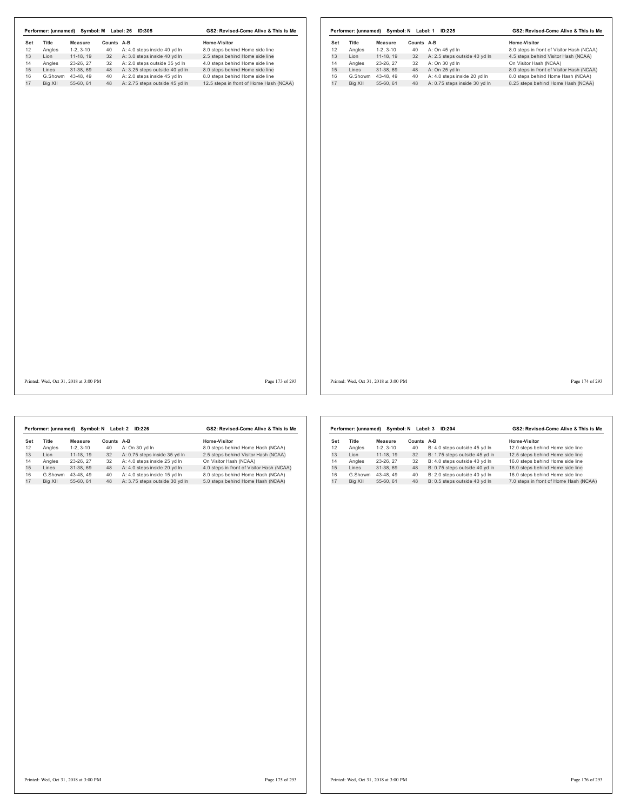|         |            |                      | ID:305                         | GS2: Revised-Come Alive & This is Me    |  |  |  |  |
|---------|------------|----------------------|--------------------------------|-----------------------------------------|--|--|--|--|
| Title   | Measure    |                      |                                | Home-Visitor                            |  |  |  |  |
| Angles  | $1-2.3-10$ | 40                   | A: 4.0 steps inside 40 yd In   | 8.0 steps behind Home side line         |  |  |  |  |
| I ion   | 11-18.19   | 32                   | A: 3.0 steps inside 40 yd In   | 2.5 steps behind Home side line         |  |  |  |  |
| Angles  | 23-26.27   | 32                   | A: 2.0 steps outside 35 vd In  | 4.0 steps behind Home side line         |  |  |  |  |
| Lines   | 31-38.69   | 48                   | A: 3.25 steps outside 40 yd In | 8.0 steps behind Home side line         |  |  |  |  |
| G.Showm | 43-48.49   | 40                   | A: 2.0 steps inside 45 vd In   | 8.0 steps behind Home side line         |  |  |  |  |
| Big XII | 55-60.61   | 48                   | A: 2.75 steps outside 45 yd In | 12.5 steps in front of Home Hash (NCAA) |  |  |  |  |
|         |            | Performer: (unnamed) | Symbol: M                      | Label: 26<br>Counts A-B                 |  |  |  |  |

|     | Performer: (unnamed) | Symbol: N  | Label: 1 | GS2: Revised-Come Alive & This is Me |                                           |  |
|-----|----------------------|------------|----------|--------------------------------------|-------------------------------------------|--|
| Set | Title                | Measure    | Counts   | A-B                                  | Home-Visitor                              |  |
| 12  | Angles               | $1-2.3-10$ | 40       | A: On 45 vd In                       | 8.0 steps in front of Visitor Hash (NCAA) |  |
| 13  | I ion                | 11-18.19   | 32       | A: 2.5 steps outside 40 yd In        | 4.5 steps behind Visitor Hash (NCAA)      |  |
| 14  | Angles               | 23-26, 27  | 32       | A: On 30 yd In                       | On Visitor Hash (NCAA)                    |  |
| 15  | I ines               | 31-38.69   | 48       | A: On 25 vd In                       | 8.0 steps in front of Visitor Hash (NCAA) |  |
| 16  | G.Showm              | 43-48.49   | 40       | A: 4.0 steps inside 20 vd In         | 8.0 steps behind Home Hash (NCAA)         |  |
| 17  | Big XII              | 55-60.61   | 48       | A: 0.75 steps inside 30 yd In        | 8.25 steps behind Home Hash (NCAA)        |  |

Printed: Wed, Oct 31, 2018 at 3:00 PM Page 173 of 293

Printed: Wed, Oct 31, 2018 at 3:00 PM Page 174 of 293

|     | Performer: (unnamed) | Symbol: N  |            | Label: 2<br><b>ID:226</b>      | GS2: Revised-Come Alive & This is Me      |
|-----|----------------------|------------|------------|--------------------------------|-------------------------------------------|
| Set | Title                | Measure    | Counts A-B |                                | Home-Visitor                              |
| 12  | Angles               | $1-2.3-10$ | 40         | A: On 30 vd In                 | 8.0 steps behind Home Hash (NCAA)         |
| 13  | I ion                | 11-18.19   | 32         | A: 0.75 steps inside 35 yd In  | 2.5 steps behind Visitor Hash (NCAA)      |
| 14  | Angles               | 23-26.27   | 32         | A: 4.0 steps inside 25 vd In   | On Visitor Hash (NCAA)                    |
| 15  | Lines                | 31-38.69   | 48         | A: 4.0 steps inside 20 yd In   | 4.0 steps in front of Visitor Hash (NCAA) |
| 16  | G.Showm              | 43-48.49   | 40         | A: 4.0 steps inside 15 yd In   | 8.0 steps behind Home Hash (NCAA)         |
| 17  | Big XII              | 55-60.61   | 48         | A: 3.75 steps outside 30 vd In | 5.0 steps behind Home Hash (NCAA)         |
|     |                      |            |            |                                |                                           |

|     | Performer: (unnamed) | Symbol: N  | GS2: Revised-Come Alive & This is Me |                                |                                        |  |
|-----|----------------------|------------|--------------------------------------|--------------------------------|----------------------------------------|--|
| Set | <b>Title</b>         | Measure    | Counts                               | A-B                            | Home-Visitor                           |  |
| 12  | Angles               | $1-2.3-10$ | 40                                   | B: 4.0 steps outside 45 vd ln  | 12.0 steps behind Home side line       |  |
| 13  | I ion                | 11-18, 19  | 32                                   | B: 1.75 steps outside 45 vd In | 12.5 steps behind Home side line       |  |
| 14  | Angles               | 23-26, 27  | 32                                   | B: 4.0 steps outside 40 yd In  | 16.0 steps behind Home side line       |  |
| 15  | I ines               | 31-38.69   | 48                                   | B: 0.75 steps outside 40 yd In | 16.0 steps behind Home side line       |  |
| 16  | G.Showm              | 43-48.49   | 40                                   | B: 2.0 steps outside 40 vd ln  | 16.0 steps behind Home side line       |  |
| 17  | Big XII              | 55-60.61   | 48                                   | B: 0.5 steps outside 40 vd ln  | 7.0 steps in front of Home Hash (NCAA) |  |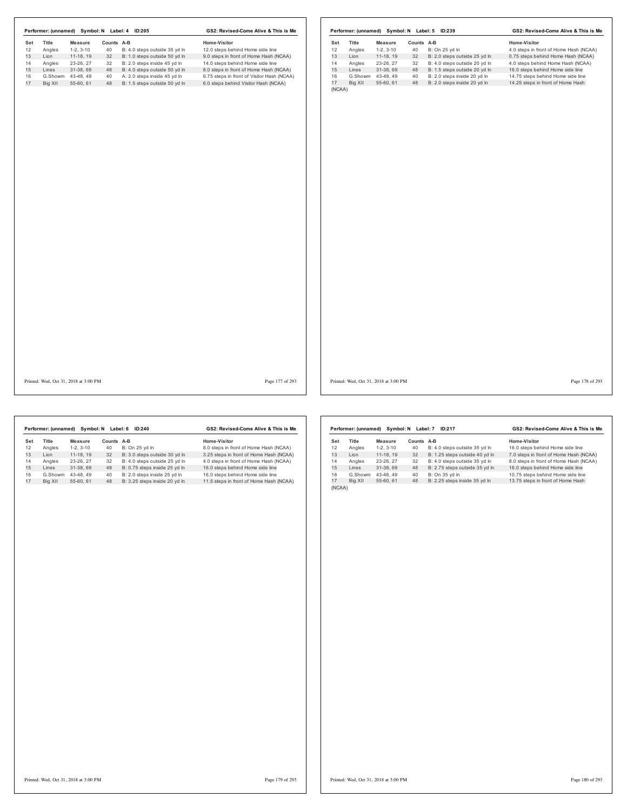| Set<br>Title<br><b>Measure</b>        | Counts A-B                          | Home-Visitor                               | Set | Title   | <b>Measure</b>                        | Counts A-B |                               | Home-Visitor                           |
|---------------------------------------|-------------------------------------|--------------------------------------------|-----|---------|---------------------------------------|------------|-------------------------------|----------------------------------------|
| 12<br>Angles<br>$1-2, 3-10$           | 40<br>B: 4.0 steps outside 35 yd In | 12.0 steps behind Home side line           | 12  | Angles  | $1-2, 3-10$                           | 40         | B: On 25 yd In                | 4.0 steps in front of Home Hash (NCAA) |
| 13<br>Lion<br>11-18, 19               | B: 1.0 steps outside 50 yd In<br>32 | 9.0 steps in front of Home Hash (NCAA)     | 13  | Lion    | 11-18, 19                             | 32         | B: 2.0 steps outside 25 yd In | 0.75 steps behind Home Hash (NCAA)     |
| 14<br>23-26, 27<br>Angles<br>15       | 32<br>B: 2.0 steps inside 45 yd In  | 14.0 steps behind Home side line           | 14  | Angles  | 23-26, 27                             | 32         | B: 4.0 steps outside 20 yd In | 4.0 steps behind Home Hash (NCAA)      |
| Lines<br>31-38, 69                    | 48<br>B: 4.0 steps outside 50 yd In | 8.0 steps in front of Home Hash (NCAA)     | 15  | Lines   | 31-38, 69                             | 48         | B: 1.5 steps outside 20 yd In | 16.0 steps behind Home side line       |
| G.Showm 43-48, 49                     | A: 2.0 steps inside 45 yd In<br>40  | 6.75 steps in front of Visitor Hash (NCAA) | 16  |         | G.Showm 43-48, 49                     | 40         | B: 2.0 steps inside 20 yd In  | 14.75 steps behind Home side line      |
| 55-60, 61<br>Big XII                  | 48<br>B: 1.5 steps outside 50 yd In | 6.0 steps behind Visitor Hash (NCAA)       | 17  | Big XII | 55-60, 61                             | 48         | B: 2.0 steps inside 20 yd In  | 14.25 steps in front of Home Hash      |
|                                       |                                     |                                            |     |         |                                       |            |                               |                                        |
| Printed: Wed, Oct 31, 2018 at 3:00 PM |                                     | Page 177 of 293                            |     |         | Printed: Wed, Oct 31, 2018 at 3:00 PM |            |                               | Page 178 of 293                        |

|     | Performer: (unnamed) | Symbol: N  | Label: 6 | GS2: Revised-Come Alive & This is Me |                                         |  |
|-----|----------------------|------------|----------|--------------------------------------|-----------------------------------------|--|
| Set | <b>Title</b>         | Measure    | Counts   | A-B                                  | Home-Visitor                            |  |
| 12  | Angles               | $1-2.3-10$ | 40       | B: On 25 vd In                       | 8.0 steps in front of Home Hash (NCAA)  |  |
| 13  | I ion                | 11-18.19   | 32       | B: 3.0 steps outside 30 yd In        | 3.25 steps in front of Home Hash (NCAA) |  |
| 14  | Angles               | 23-26.27   | 32       | B: 4.0 steps outside 25 vd In        | 4.0 steps in front of Home Hash (NCAA)  |  |
| 15  | I ines               | 31-38.69   | 48       | B: 0.75 steps inside 25 yd In        | 16.0 steps behind Home side line        |  |
| 16  | G.Showm              | 43-48.49   | 40       | B: 2.0 steps inside 25 vd In         | 16.0 steps behind Home side line        |  |
| 17  | Big XII              | 55-60.61   | 48       | B: 3.25 steps inside 20 yd In        | 11.5 steps in front of Home Hash (NCAA) |  |

|        | Performer: (unnamed) |            | Symbol: N Label: 7 | ID:217                         | GS2: Revised-Come Alive & This is Me   |  |  |
|--------|----------------------|------------|--------------------|--------------------------------|----------------------------------------|--|--|
| Set    | <b>Title</b>         | Measure    | Counts A-B         |                                | Home-Visitor                           |  |  |
| 12     | Angles               | $1-2.3-10$ | 40                 | B: 4.0 steps outside 35 yd In  | 16.0 steps behind Home side line       |  |  |
| 13     | Lion                 | 11-18.19   | 32                 | B: 1.25 steps outside 40 yd In | 7.0 steps in front of Home Hash (NCAA) |  |  |
| 14     | Angles               | 23-26.27   | 32                 | B: 4.0 steps outside 35 vd In  | 8.0 steps in front of Home Hash (NCAA) |  |  |
| 15     | Lines                | 31-38.69   | 48                 | B: 2.75 steps outside 35 yd In | 16.0 steps behind Home side line       |  |  |
| 16     | G.Showm              | 43-48.49   | 40                 | B: On 35 yd In                 | 10.75 steps behind Home side line      |  |  |
| 17     | Big XII              | 55-60.61   | 48                 | B: 2.25 steps inside 35 yd In  | 13.75 steps in front of Home Hash      |  |  |
| (NCAA) |                      |            |                    |                                |                                        |  |  |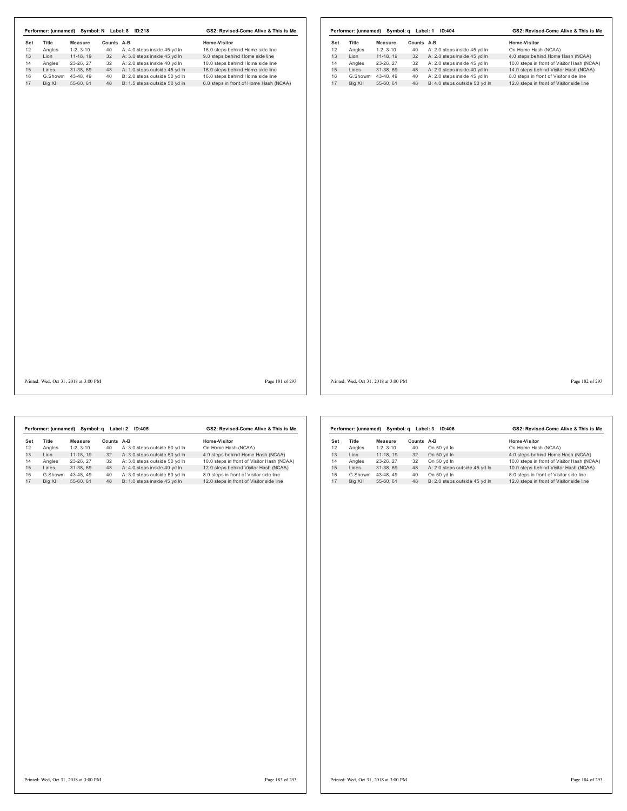|           |         |                                       |            | Performer: (unnamed) Symbol: N Label: 8 ID:218 | GS2: Revised-Come Alive & This is Me   |     |         |                                       |            | Performer: (unnamed) Symbol: q Label: 1 ID:404 | GS2: Revised-Come Alive & This is Me       |                 |
|-----------|---------|---------------------------------------|------------|------------------------------------------------|----------------------------------------|-----|---------|---------------------------------------|------------|------------------------------------------------|--------------------------------------------|-----------------|
| Set<br>12 | Title   | <b>Measure</b>                        | Counts A-B |                                                | Home-Visitor                           | Set | Title   | Measure                               | Counts A-B |                                                | Home-Visitor                               |                 |
|           | Angles  | $1-2, 3-10$                           | 40         | A: 4.0 steps inside 45 yd In                   | 16.0 steps behind Home side line       | 12  | Angles  | $1-2, 3-10$                           | 40         | A: 2.0 steps inside 45 yd In                   | On Home Hash (NCAA)                        |                 |
|           | Lion    | 11-18, 19                             | 32         | A: 3.0 steps inside 45 yd In                   | 9.0 steps behind Home side line        | 13  | Lion    | 11-18, 19                             | 32         | A: 2.0 steps inside 45 yd In                   | 4.0 steps behind Home Hash (NCAA)          |                 |
|           | Angles  | 23-26, 27                             | 32         | A: 2.0 steps inside 40 yd In                   | 10.0 steps behind Home side line       | 14  | Angles  | 23-26, 27                             | 32         | A: 2.0 steps inside 45 yd In                   | 10.0 steps in front of Visitor Hash (NCAA) |                 |
|           | Lines   | 31-38, 69                             | 48         | A: 1.0 steps outside 45 yd In                  | 16.0 steps behind Home side line       | 15  | Lines   | 31-38, 69                             | 48         | A: 2.0 steps inside 40 yd In                   | 14.0 steps behind Visitor Hash (NCAA)      |                 |
|           |         | G.Showm 43-48, 49                     | 40         | B: 2.0 steps outside 50 yd In                  | 16.0 steps behind Home side line       | 16  |         | G.Showm 43-48, 49                     | 40         | A: 2.0 steps inside 45 yd In                   | 8.0 steps in front of Visitor side line    |                 |
|           | Big XII | 55-60, 61                             | 48         | B: 1.5 steps outside 50 yd In                  | 6.0 steps in front of Home Hash (NCAA) | 17  | Big XII | 55-60, 61                             | 48         | B: 4.0 steps outside 50 yd In                  | 12.0 steps in front of Visitor side line   |                 |
|           |         |                                       |            |                                                |                                        |     |         |                                       |            |                                                |                                            |                 |
|           |         |                                       |            |                                                |                                        |     |         |                                       |            |                                                |                                            |                 |
|           |         |                                       |            |                                                |                                        |     |         |                                       |            |                                                |                                            |                 |
|           |         |                                       |            |                                                |                                        |     |         |                                       |            |                                                |                                            |                 |
|           |         |                                       |            |                                                |                                        |     |         |                                       |            |                                                |                                            |                 |
|           |         |                                       |            |                                                |                                        |     |         |                                       |            |                                                |                                            |                 |
|           |         | Printed: Wed, Oct 31, 2018 at 3:00 PM |            |                                                | Page 181 of 293                        |     |         | Printed: Wed, Oct 31, 2018 at 3:00 PM |            |                                                |                                            | Page 182 of 293 |

|     | Performer: (unnamed) | Symbol: a  |        | Label: 2<br>ID:405            | GS2: Revised-Come Alive & This is Me       |  |  |  |
|-----|----------------------|------------|--------|-------------------------------|--------------------------------------------|--|--|--|
| Set | Title                | Measure    | Counts | A-B                           | Home-Visitor                               |  |  |  |
| 12  | Angles               | $1-2.3-10$ | 40     | A: 3.0 steps outside 50 yd In | On Home Hash (NCAA)                        |  |  |  |
| 13  | I ion                | 11-18.19   | 32     | A: 3.0 steps outside 50 yd In | 4.0 steps behind Home Hash (NCAA)          |  |  |  |
| 14  | Angles               | 23-26.27   | 32     | A: 3.0 steps outside 50 yd In | 10.0 steps in front of Visitor Hash (NCAA) |  |  |  |
| 15  | I ines               | 31-38.69   | 48     | A: 4.0 steps inside 40 yd In  | 12.0 steps behind Visitor Hash (NCAA)      |  |  |  |
| 16  | G.Showm              | 43-48.49   | 40     | A: 3.0 steps outside 50 vd In | 8.0 steps in front of Visitor side line    |  |  |  |
| 17  | Big XII              | 55-60.61   | 48     | B: 1.0 steps inside 45 vd In  | 12.0 steps in front of Visitor side line   |  |  |  |
|     |                      |            |        |                               |                                            |  |  |  |

|     | Performer: (unnamed) | Symbol: a  | Label: 3   | ID:406                        | GS2: Revised-Come Alive & This is Me       |
|-----|----------------------|------------|------------|-------------------------------|--------------------------------------------|
| Set | <b>Title</b>         | Measure    | Counts A-B |                               | Home-Visitor                               |
| 12  | Angles               | $1-2.3-10$ | 40         | On 50 yd In                   | On Home Hash (NCAA)                        |
| 13  | I ion                | 11-18.19   | 32         | On 50 vd In                   | 4.0 steps behind Home Hash (NCAA)          |
| 14  | Angles               | 23-26.27   | 32         | On 50 vd In                   | 10.0 steps in front of Visitor Hash (NCAA) |
| 15  | Lines                | 31-38.69   | 48         | A: 2.0 steps outside 45 yd In | 10.0 steps behind Visitor Hash (NCAA)      |
| 16  | G.Showm              | 43-48.49   | 40         | On 50 vd In                   | 8.0 steps in front of Visitor side line    |
| 17  | Bia XII              | 55-60.61   | 48         | B: 2.0 steps outside 45 vd In | 12.0 steps in front of Visitor side line   |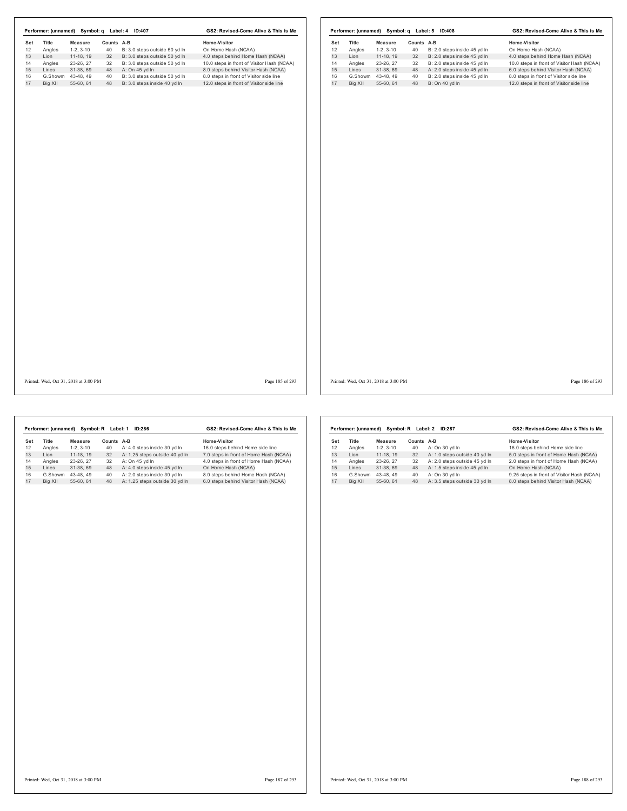|                    |                   |                                       |            | Performer: (unnamed) Symbol: q Label: 4 ID:407 | GS2: Revised-Come Alive & This is Me       |     |         |                                       |            | Performer: (unnamed) Symbol: q Label: 5 ID:408 | GS2: Revised-Come Alive & This is Me       |                 |
|--------------------|-------------------|---------------------------------------|------------|------------------------------------------------|--------------------------------------------|-----|---------|---------------------------------------|------------|------------------------------------------------|--------------------------------------------|-----------------|
| Title<br>Set<br>12 |                   | Measure                               | Counts A-B |                                                | Home-Visitor                               | Set | Title   | Measure                               | Counts A-B |                                                | Home-Visitor                               |                 |
| Angles             |                   | $1-2, 3-10$                           | 40         | B: 3.0 steps outside 50 yd In                  | On Home Hash (NCAA)                        | 12  | Angles  | $1-2, 3-10$                           | 40         | B: 2.0 steps inside 45 yd In                   | On Home Hash (NCAA)                        |                 |
| Lion               |                   | 11-18, 19                             | 32         | B: 3.0 steps outside 50 yd In                  | 4.0 steps behind Home Hash (NCAA)          | 13  | Lion    | 11-18, 19                             | 32         | B: 2.0 steps inside 45 yd In                   | 4.0 steps behind Home Hash (NCAA)          |                 |
| Angles             |                   | 23-26, 27                             | 32         | B: 3.0 steps outside 50 yd In                  | 10.0 steps in front of Visitor Hash (NCAA) | 14  | Angles  | 23-26, 27                             | 32         | B: 2.0 steps inside 45 yd In                   | 10.0 steps in front of Visitor Hash (NCAA) |                 |
| Lines              |                   | 31-38, 69                             | 48         | A: On 45 yd In                                 | 8.0 steps behind Visitor Hash (NCAA)       | 15  | Lines   | 31-38, 69                             |            | 48 A: 2.0 steps inside 45 yd In                | 6.0 steps behind Visitor Hash (NCAA)       |                 |
|                    | G.Showm 43-48, 49 |                                       | 40         | B: 3.0 steps outside 50 yd In                  | 8.0 steps in front of Visitor side line    | 16  |         | G.Showm 43-48, 49                     | 40         | B: 2.0 steps inside 45 yd In                   | 8.0 steps in front of Visitor side line    |                 |
|                    | Big XII           | 55-60, 61                             | 48         | B: 3.0 steps inside 40 yd In                   | 12.0 steps in front of Visitor side line   | 17  | Big XII | 55-60, 61                             | 48         | B: On 40 yd In                                 | 12.0 steps in front of Visitor side line   |                 |
|                    |                   |                                       |            |                                                |                                            |     |         |                                       |            |                                                |                                            |                 |
|                    |                   |                                       |            |                                                |                                            |     |         |                                       |            |                                                |                                            |                 |
|                    |                   |                                       |            |                                                |                                            |     |         |                                       |            |                                                |                                            |                 |
|                    |                   |                                       |            |                                                |                                            |     |         |                                       |            |                                                |                                            |                 |
|                    |                   | Printed: Wed, Oct 31, 2018 at 3:00 PM |            |                                                | Page 185 of 293                            |     |         | Printed: Wed, Oct 31, 2018 at 3:00 PM |            |                                                |                                            | Page 186 of 293 |

h  $\mathsf{r}$ 

|     | Performer: (unnamed) |            | Symbol: R Label: 1 | ID:286                         | GS2: Revised-Come Alive & This is Me   |  |  |  |
|-----|----------------------|------------|--------------------|--------------------------------|----------------------------------------|--|--|--|
| Set | Title                | Measure    | Counts A-B         |                                | Home-Visitor                           |  |  |  |
| 12  | Angles               | $1-2.3-10$ | 40                 | A: 4.0 steps inside 30 yd In   | 16.0 steps behind Home side line       |  |  |  |
| 13  | I ion                | 11-18.19   | 32                 | A: 1.25 steps outside 40 yd In | 7.0 steps in front of Home Hash (NCAA) |  |  |  |
| 14  | Angles               | 23-26.27   | 32                 | A: On 45 vd In                 | 4.0 steps in front of Home Hash (NCAA) |  |  |  |
| 15  | Lines                | 31-38.69   | 48                 | A: 4.0 steps inside 45 yd In   | On Home Hash (NCAA)                    |  |  |  |
| 16  | G.Showm              | 43-48.49   | 40                 | A: 2.0 steps inside 30 vd In   | 8.0 steps behind Home Hash (NCAA)      |  |  |  |
| 17  | Big XII              | 55-60.61   | 48                 | A: 1.25 steps outside 30 yd In | 6.0 steps behind Visitor Hash (NCAA)   |  |  |  |
|     |                      |            |                    |                                |                                        |  |  |  |

|     | Performer: (unnamed) | Symbol: R Label: 2 | GS2: Revised-Come Alive & This is Me |                               |                                            |
|-----|----------------------|--------------------|--------------------------------------|-------------------------------|--------------------------------------------|
| Set | <b>Title</b>         | Measure            | Counts A-B                           |                               | Home-Visitor                               |
| 12  | Angles               | $1-2.3-10$         | 40                                   | A: On 30 vd In                | 16.0 steps behind Home side line           |
| 13  | I ion                | 11-18.19           | 32                                   | A: 1.0 steps outside 40 yd In | 5.0 steps in front of Home Hash (NCAA)     |
| 14  | Angles               | 23-26.27           | 32                                   | A: 2.0 steps outside 45 yd In | 2.0 steps in front of Home Hash (NCAA)     |
| 15  | I ines               | 31-38.69           | 48                                   | A: 1.5 steps inside 45 yd In  | On Home Hash (NCAA)                        |
| 16  | G.Showm              | 43-48.49           | 40                                   | A: On 30 vd In                | 9.25 steps in front of Visitor Hash (NCAA) |
| 17  | Big XII              | 55-60, 61          | 48                                   | A: 3.5 steps outside 30 yd In | 8.0 steps behind Visitor Hash (NCAA)       |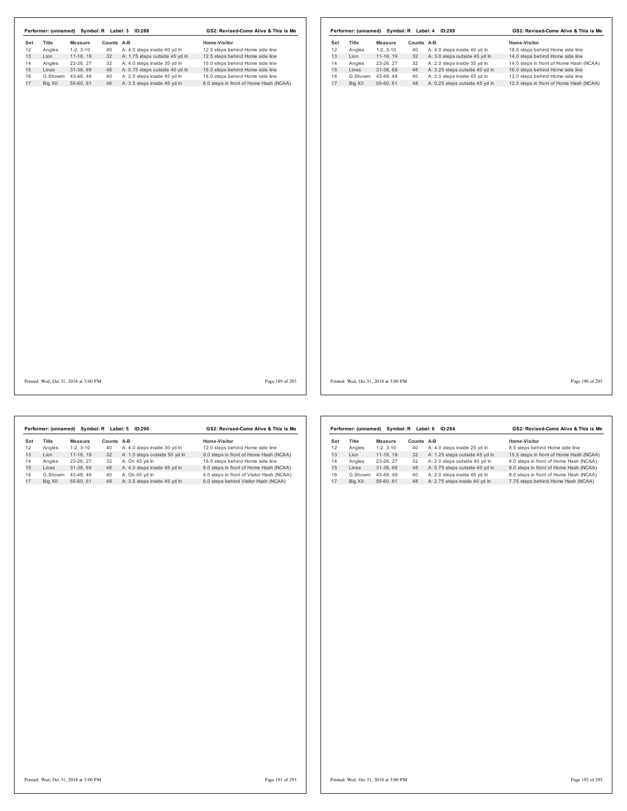| Symbol: R Label: 3<br>GS2: Revised-Come Alive & This is Me<br>Performer: (unnamed)<br><b>ID:288</b> |         |            |        |                                |                                        |  |  |  |
|-----------------------------------------------------------------------------------------------------|---------|------------|--------|--------------------------------|----------------------------------------|--|--|--|
| Set                                                                                                 | Title   | Measure    | Counts | A-B                            | Home-Visitor                           |  |  |  |
| 12                                                                                                  | Angles  | $1-2.3-10$ | 40     | A: 4.0 steps inside 40 yd In   | 12.0 steps behind Home side line       |  |  |  |
| 13                                                                                                  | I ion   | 11-18.19   | 32     | A: 1.75 steps outside 45 yd In | 12.5 steps behind Home side line       |  |  |  |
| 14                                                                                                  | Angles  | 23-26.27   | 32     | A: 4.0 steps inside 35 vd In   | 16.0 steps behind Home side line       |  |  |  |
| 15                                                                                                  | Lines   | 31-38.69   | 48     | A: 0.75 steps outside 40 yd In | 16.0 steps behind Home side line       |  |  |  |
| 16                                                                                                  | G.Showm | 43-48.49   | 40     | A: 2.0 steps inside 45 vd In   | 16.0 steps behind Home side line       |  |  |  |
| 17                                                                                                  | Big XII | 55-60.61   | 48     | A: 3.5 steps inside 45 vd In   | 6.0 steps in front of Home Hash (NCAA) |  |  |  |

|     | Performer: (unnamed) |            | Symbol: R Label: 4 | GS2: Revised-Come Alive & This is Me |                                         |  |  |
|-----|----------------------|------------|--------------------|--------------------------------------|-----------------------------------------|--|--|
| Set | <b>Title</b>         | Measure    | Counts             | A-B                                  | Home-Visitor                            |  |  |
| 12  | Angles               | $1-2.3-10$ | 40                 | A: 4.0 steps inside 40 yd In         | 16.0 steps behind Home side line        |  |  |
| 13  | I ion                | 11-18.19   | 32                 | A: 3.0 steps outside 45 vd In        | 14.0 steps behind Home side line        |  |  |
| 14  | Angles               | 23-26.27   | 32                 | A: 2.0 steps inside 35 vd In         | 14.0 steps in front of Home Hash (NCAA) |  |  |
| 15  | I ines               | 31-38.69   | 48                 | A: 3.25 steps outside 40 yd In       | 16.0 steps behind Home side line        |  |  |
| 16  | G.Showm              | 43-48.49   | 40                 | A: 2.0 steps inside 45 vd In         | 12.0 steps behind Home side line        |  |  |
| 17  | Big XII              | 55-60.61   | 48                 | A: 0.25 steps outside 45 yd In       | 12.5 steps in front of Home Hash (NCAA) |  |  |

Printed: Wed, Oct 31, 2018 at 3:00 PM Page 189 of 293

Printed: Wed, Oct 31, 2018 at 3:00 PM Page 190 of 293

|     | Performer: (unnamed) | Symbol: R  | Label: 5   | GS2: Revised-Come Alive & This is Me |                                           |  |  |
|-----|----------------------|------------|------------|--------------------------------------|-------------------------------------------|--|--|
| Set | Title                | Measure    | Counts A-B |                                      | Home-Visitor                              |  |  |
| 12  | Angles               | $1-2.3-10$ | 40         | A: 4.0 steps inside 30 yd In         | 12.0 steps behind Home side line          |  |  |
| 13  | I ion                | 11-18.19   | 32         | A: 1.0 steps outside 50 yd In        | 9.0 steps in front of Home Hash (NCAA)    |  |  |
| 14  | Angles               | 23-26.27   | 32         | A: On 45 vd In                       | 16.0 steps behind Home side line          |  |  |
| 15  | Lines                | 31-38.69   | 48         | A: 4.0 steps inside 45 yd In         | 8.0 steps in front of Home Hash (NCAA)    |  |  |
| 16  | G.Showm              | 43-48.49   | 40         | A: On 45 yd In                       | 4.0 steps in front of Visitor Hash (NCAA) |  |  |
| 17  | Big XII              | 55-60.61   | 48         | A: 3.5 steps inside 45 vd In         | 6.0 steps behind Visitor Hash (NCAA)      |  |  |
|     |                      |            |            |                                      |                                           |  |  |

|         |            |                      | GS2: Revised-Come Alive & This is Me |                                         |  |
|---------|------------|----------------------|--------------------------------------|-----------------------------------------|--|
| Title   | Measure    | Counts               |                                      | Home-Visitor                            |  |
| Angles  | $1-2.3-10$ | 40                   | A: 4.0 steps inside 25 yd In         | 8.0 steps behind Home side line         |  |
| I ion   | 11-18.19   | 32                   | A: 1.25 steps outside 45 vd In       | 15.5 steps in front of Home Hash (NCAA) |  |
| Angles  | 23-26, 27  | 32                   | A: 2.0 steps outside 40 vd ln        | 6.0 steps in front of Home Hash (NCAA)  |  |
| Lines   | 31-38.69   | 48                   | A: 0.75 steps outside 40 yd In       | 8.0 steps in front of Home Hash (NCAA)  |  |
| G.Showm | 43-48.49   | 40                   | A: 2.0 steps inside 45 vd In         | 8.0 steps in front of Home Hash (NCAA)  |  |
| Bia XII | 55-60.61   | 48                   | A: 2.75 steps inside 40 vd ln        | 7.75 steps behind Home Hash (NCAA)      |  |
|         |            | Performer: (unnamed) |                                      | Symbol: R Label: 6<br>ID:264<br>A-B     |  |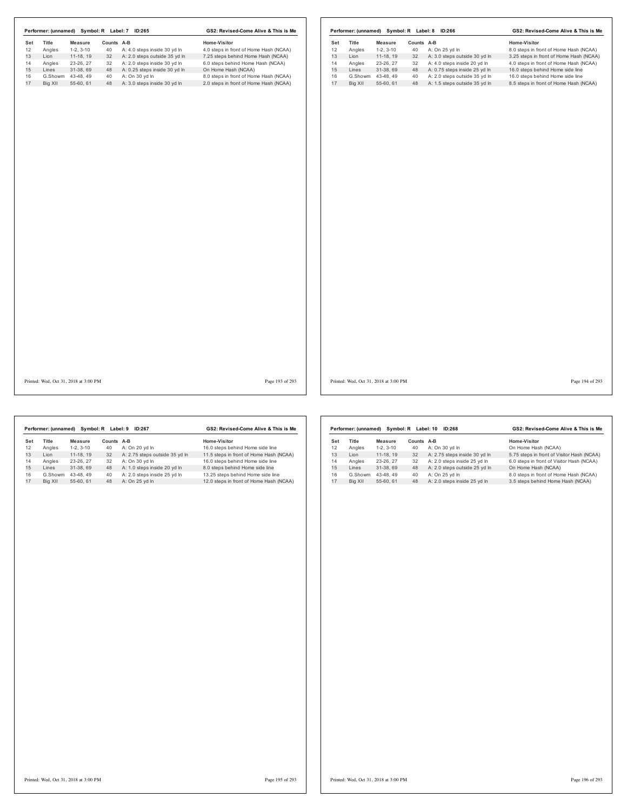| Set     | Title   | <b>Measure</b> | Counts A-B |                               | Home-Visitor                           | Set | Title   | <b>Measure</b> | Counts A-B |                               | Home-Visitor                            |
|---------|---------|----------------|------------|-------------------------------|----------------------------------------|-----|---------|----------------|------------|-------------------------------|-----------------------------------------|
| 12      | Angles  | $1-2, 3-10$    | 40         | A: 4.0 steps inside 30 yd In  | 4.0 steps in front of Home Hash (NCAA) | 12  | Angles  | $1-2, 3-10$    | 40         | A: On 25 yd In                | 8.0 steps in front of Home Hash (NCAA)  |
|         | Lion    | 11-18, 19      | 32         | A: 2.0 steps outside 35 yd In | 7.25 steps behind Home Hash (NCAA)     | 13  | Lion    | 11-18, 19      | 32         | A: 3.0 steps outside 30 yd In | 3.25 steps in front of Home Hash (NCAA) |
|         | Angles  | 23-26, 27      | 32         | A: 2.0 steps inside 30 yd In  | 6.0 steps behind Home Hash (NCAA)      | 14  | Angles  | 23-26, 27      | 32         | A: 4.0 steps inside 20 yd In  | 4.0 steps in front of Home Hash (NCAA)  |
|         | Lines   | 31-38, 69      | 48         | A: 0.25 steps inside 30 yd In | On Home Hash (NCAA)                    | 15  | Lines   | 31-38, 69      | 48         | A: 0.75 steps inside 25 yd In | 16.0 steps behind Home side line        |
|         | G.Showm | 43-48, 49      | 40         | A: On 30 yd In                | 8.0 steps in front of Home Hash (NCAA) | 16  | G.Showm | 43-48, 49      | 40         | A: 2.0 steps outside 35 yd In | 16.0 steps behind Home side line        |
| Big XII |         | 55-60, 61      | 48         | A: 3.0 steps inside 30 yd In  | 2.0 steps in front of Home Hash (NCAA) | 17  | Big XII | 55-60, 61      | 48         | A: 1.5 steps outside 35 yd In | 8.5 steps in front of Home Hash (NCAA)  |
|         |         |                |            |                               |                                        |     |         |                |            |                               |                                         |
|         |         |                |            |                               |                                        |     |         |                |            |                               |                                         |

Printed: Wed, Oct 31, 2018 at 3:00 PM Page 193 of 293

Printed: Wed, Oct 31, 2018 at 3:00 PM Page 194 of 293

|     | Performer: (unnamed) |            | Symbol: R Label: 9 | ID:267                         | GS2: Revised-Come Alive & This is Me    |  |  |  |
|-----|----------------------|------------|--------------------|--------------------------------|-----------------------------------------|--|--|--|
| Set | Title                | Measure    | Counts A-B         |                                | Home-Visitor                            |  |  |  |
| 12  | Angles               | $1-2.3-10$ | 40                 | A: On 20 vd In                 | 16.0 steps behind Home side line        |  |  |  |
| 13  | I ion                | 11-18.19   | 32                 | A: 2.75 steps outside 35 yd In | 11.5 steps in front of Home Hash (NCAA) |  |  |  |
| 14  | Angles               | 23-26.27   | 32                 | A: On 30 vd In                 | 16.0 steps behind Home side line        |  |  |  |
| 15  | Lines                | 31-38.69   | 48                 | A: 1.0 steps inside 20 yd In   | 8.0 steps behind Home side line         |  |  |  |
| 16  | G.Showm              | 43-48.49   | 40                 | A: 2.0 steps inside 25 yd In   | 13.25 steps behind Home side line       |  |  |  |
| 17  | Big XII              | 55-60.61   | 48                 | A: On 25 vd In                 | 12.0 steps in front of Home Hash (NCAA) |  |  |  |

| GS2: Revised-Come Alive & This is Me<br>Symbol: R Label: 10<br>Performer: (unnamed)<br><b>ID:268</b> |              |            |               |                               |                                            |  |  |  |
|------------------------------------------------------------------------------------------------------|--------------|------------|---------------|-------------------------------|--------------------------------------------|--|--|--|
| Set                                                                                                  | <b>Title</b> | Measure    | <b>Counts</b> | A-B                           | Home-Visitor                               |  |  |  |
| 12                                                                                                   | Angles       | $1-2.3-10$ | 40            | A: On 30 vd In                | On Home Hash (NCAA)                        |  |  |  |
| 13                                                                                                   | I ion        | 11-18.19   | 32            | A: 2.75 steps inside 30 yd In | 5.75 steps in front of Visitor Hash (NCAA) |  |  |  |
| 14                                                                                                   | Angles       | 23-26.27   | 32            | A: 2.0 steps inside 25 vd In  | 6.0 steps in front of Visitor Hash (NCAA)  |  |  |  |
| 15                                                                                                   | I ines       | 31-38.69   | 48            | A: 2.0 steps outside 25 yd In | On Home Hash (NCAA)                        |  |  |  |
| 16                                                                                                   | G.Showm      | 43-48.49   | 40            | A: On 25 vd In                | 8.0 steps in front of Home Hash (NCAA)     |  |  |  |
| 17                                                                                                   | Big XII      | 55-60, 61  | 48            | A: 2.0 steps inside 25 yd In  | 3.5 steps behind Home Hash (NCAA)          |  |  |  |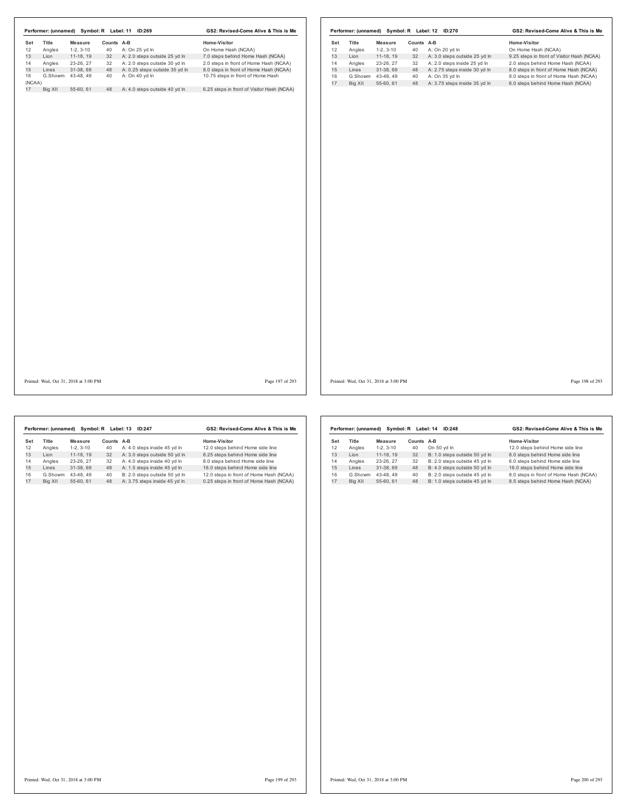| Performer: (unnamed) Symbol: R Label: 11 ID:269                                                            |                                                                                                 |                                          |                                                                                                                                                                          | GS2: Revised-Come Alive & This is Me                                                                                                                                                                                                            |                 |                                         |                                                                  |                                                                                           |                  | Performer: (unnamed) Symbol: R Label: 12 ID:270                                                                                                                                    | GS2: Revised-Come Alive & This is Me                                                                                                                                                                                                            |                 |
|------------------------------------------------------------------------------------------------------------|-------------------------------------------------------------------------------------------------|------------------------------------------|--------------------------------------------------------------------------------------------------------------------------------------------------------------------------|-------------------------------------------------------------------------------------------------------------------------------------------------------------------------------------------------------------------------------------------------|-----------------|-----------------------------------------|------------------------------------------------------------------|-------------------------------------------------------------------------------------------|------------------|------------------------------------------------------------------------------------------------------------------------------------------------------------------------------------|-------------------------------------------------------------------------------------------------------------------------------------------------------------------------------------------------------------------------------------------------|-----------------|
| Title<br>Set<br>12<br>Angles<br>13<br>Lion<br>14<br>Angles<br>15<br>Lines<br>16<br>(NCAA)<br>17<br>Big XII | Measure<br>$1-2, 3-10$<br>11-18, 19<br>23-26, 27<br>31-38, 69<br>G.Showm 43-48, 49<br>55-60, 61 | Counts A-B<br>40<br>32<br>32<br>48<br>40 | A: On 25 yd In<br>A: 2.0 steps outside 25 yd In<br>A: 2.0 steps outside 30 yd In<br>A: 0.25 steps outside 35 yd In<br>A: On 40 yd In<br>48 A: 4.0 steps outside 40 yd In | Home-Visitor<br>On Home Hash (NCAA)<br>7.0 steps behind Home Hash (NCAA)<br>2.0 steps in front of Home Hash (NCAA)<br>8.0 steps in front of Home Hash (NCAA)<br>10.75 steps in front of Home Hash<br>6.25 steps in front of Visitor Hash (NCAA) |                 | Set<br>12<br>13<br>14<br>15<br>16<br>17 | Title<br>Angles<br>Lion<br>Angles<br>Lines<br>G.Showm<br>Big XII | Measure<br>$1-2, 3-10$<br>$11-18, 19$<br>23-26, 27<br>31-38, 69<br>43-48, 49<br>55-60, 61 | Counts A-B<br>40 | 40 A: On 20 yd In<br>32 A: 3.0 steps outside 25 yd In<br>32 A: 2.0 steps inside 25 yd In<br>48 A: 2.75 steps inside 30 yd In<br>A: On 35 yd In<br>48 A: 3.75 steps inside 35 yd In | Home-Visitor<br>On Home Hash (NCAA)<br>9.25 steps in front of Visitor Hash (NCAA)<br>2.0 steps behind Home Hash (NCAA)<br>8.0 steps in front of Home Hash (NCAA)<br>8.0 steps in front of Home Hash (NCAA)<br>6.0 steps behind Home Hash (NCAA) |                 |
| Printed: Wed. Oct 31, 2018 at 3:00 PM                                                                      |                                                                                                 |                                          |                                                                                                                                                                          |                                                                                                                                                                                                                                                 | Page 197 of 293 |                                         | Printed: Wed, Oct 31, 2018 at 3:00 PM                            |                                                                                           |                  |                                                                                                                                                                                    |                                                                                                                                                                                                                                                 | Page 198 of 293 |

| Symbol: R Label: 13<br>GS2: Revised-Come Alive & This is Me<br>Performer: (unnamed)<br>ID:247 |              |            |               |                               |                                         |  |  |  |
|-----------------------------------------------------------------------------------------------|--------------|------------|---------------|-------------------------------|-----------------------------------------|--|--|--|
| Set                                                                                           | <b>Title</b> | Measure    | <b>Counts</b> | $A-B$                         | Home-Visitor                            |  |  |  |
| 12                                                                                            | Angles       | $1-2.3-10$ | 40            | A: 4.0 steps inside 45 vd In  | 12.0 steps behind Home side line        |  |  |  |
| 13                                                                                            | I ion        | 11-18.19   | 32            | A: 3.0 steps outside 50 yd In | 8.25 steps behind Home side line        |  |  |  |
| 14                                                                                            | Angles       | 23-26.27   | 32            | A: 4.0 steps inside 40 vd In  | 8.0 steps behind Home side line         |  |  |  |
| 15                                                                                            | Lines        | 31-38.69   | 48            | A: 1.5 steps inside 45 yd In  | 16.0 steps behind Home side line        |  |  |  |
| 16                                                                                            | G.Showm      | 43-48.49   | 40            | B: 2.0 steps outside 50 vd In | 12.0 steps in front of Home Hash (NCAA) |  |  |  |
| 17                                                                                            | Big XII      | 55-60.61   | 48            | A: 3.75 steps inside 45 yd In | 0.25 steps in front of Home Hash (NCAA) |  |  |  |

|     | Performer: (unnamed) |            | Symbol: R Label: 14 | <b>ID:248</b>                 | GS2: Revised-Come Alive & This is Me   |  |  |  |
|-----|----------------------|------------|---------------------|-------------------------------|----------------------------------------|--|--|--|
| Set | Title                | Measure    | Counts              | A-B                           | Home-Visitor                           |  |  |  |
| 12  | Angles               | $1-2.3-10$ | 40                  | On 50 vd In                   | 12.0 steps behind Home side line       |  |  |  |
| 13  | I ion                | 11-18.19   | 32                  | B: 1.0 steps outside 50 yd In | 8.0 steps behind Home side line        |  |  |  |
| 14  | Angles               | 23-26.27   | 32                  | B: 2.0 steps outside 45 vd In | 6.0 steps behind Home side line        |  |  |  |
| 15  | Lines                | 31-38.69   | 48                  | B: 4.0 steps outside 50 yd In | 16.0 steps behind Home side line       |  |  |  |
| 16  | G.Showm              | 43-48.49   | 40                  | B: 2.0 steps outside 45 vd In | 8.0 steps in front of Home Hash (NCAA) |  |  |  |
| 17  | Big XII              | 55-60.61   | 48                  | B: 1.0 steps outside 45 yd In | 8.5 steps behind Home Hash (NCAA)      |  |  |  |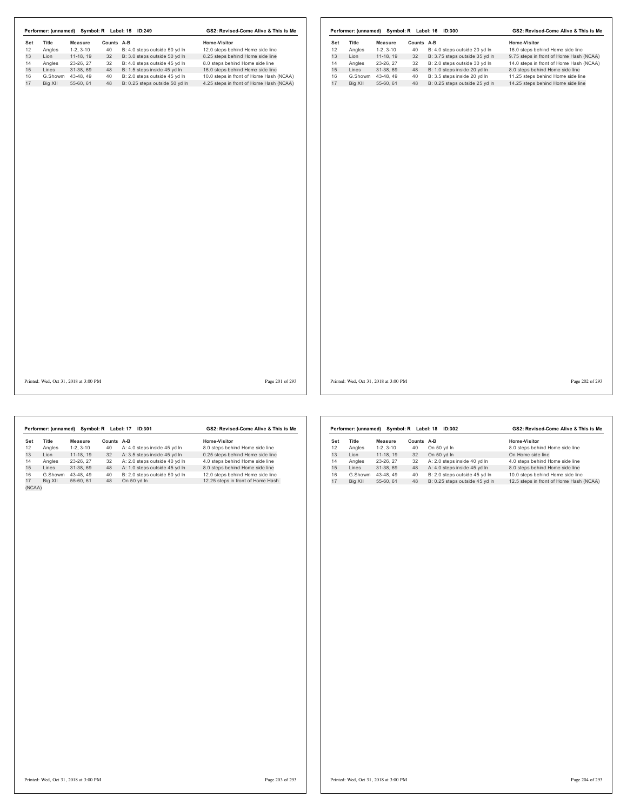| Set | Title   | <b>Measure</b> | Counts A-B |                                | Home-Visitor                            | Set | Title   | <b>Measure</b> | Counts A-B |        |
|-----|---------|----------------|------------|--------------------------------|-----------------------------------------|-----|---------|----------------|------------|--------|
| 12  | Angles  | $1-2, 3-10$    | 40         | B: 4.0 steps outside 50 yd In  | 12.0 steps behind Home side line        | 12  | Angles  | $1-2, 3-10$    | 40         | B: 4.0 |
| 13  | Lion    | 11-18, 19      | 32         | B: 3.0 steps outside 50 yd In  | 8.25 steps behind Home side line        | 13  | Lion    | $11-18, 19$    | 32         | B: 3.7 |
|     | Angles  | 23-26, 27      | 32         | B: 4.0 steps outside 45 yd In  | 8.0 steps behind Home side line         | 14  | Angles  | 23-26, 27      | 32         | B: 2.0 |
|     | Lines   | 31-38, 69      | 48         | B: 1.5 steps inside 45 yd In   | 16.0 steps behind Home side line        | 15  | Lines   | 31-38, 69      | 48         | B: 1.0 |
|     | G.Showm | 43-48.49       | 40         | B: 2.0 steps outside 45 yd In  | 10.0 steps in front of Home Hash (NCAA) | 16  | G.Showm | 43-48.49       | 40         | B: 3.5 |
| 17  | Big XII | 55-60, 61      | 48         | B: 0.25 steps outside 50 yd In | 4.25 steps in front of Home Hash (NCAA) | 17  | Big XII | 55-60, 61      | 48         | B: 0.2 |
|     |         |                |            |                                |                                         |     |         |                |            |        |
|     |         |                |            |                                |                                         |     |         |                |            |        |

|     | Performer: (unnamed) |            | Symbol: R Label: 16 | <b>ID:300</b>                  | GS2: Revised-Come Alive & This is Me    |
|-----|----------------------|------------|---------------------|--------------------------------|-----------------------------------------|
| Set | Title                | Measure    | Counts A-B          |                                | Home-Visitor                            |
| 12  | Angles               | $1-2.3-10$ | 40                  | B: 4.0 steps outside 20 yd In  | 16.0 steps behind Home side line        |
| 13  | Lion                 | 11-18.19   | 32                  | B: 3.75 steps outside 35 vd In | 9.75 steps in front of Home Hash (NCAA) |
| 14  | Angles               | 23-26, 27  | 32                  | B: 2.0 steps outside 30 vd In  | 14.0 steps in front of Home Hash (NCAA) |
| 15  | Lines                | 31-38.69   | 48                  | B: 1.0 steps inside 20 yd In   | 8.0 steps behind Home side line         |
| 16  | G.Showm              | 43-48.49   | 40                  | B: 3.5 steps inside 20 vd In   | 11.25 steps behind Home side line       |
| 17  | Big XII              | 55-60.61   | 48                  | B: 0.25 steps outside 25 vd In | 14.25 steps behind Home side line       |

Printed: Wed, Oct 31, 2018 at 3:00 PM Page 201 of 293

Printed: Wed, Oct 31, 2018 at 3:00 PM Page 202 of 293

Set Title Measure Counts A-B 10 Home-Visitor Counts Angles<br>
12 Angles 1-2, 3-10 40 A: 4-0 steps inside 45 yd in 8.0 steps behind Home side line<br>
13 Lion 11-18, 19 32 A: 3.5 steps inside 45 yd in 4.0 steps behind Home side **Performer: (unnamed) Symbol: R Label: 17 ID:301 GS2: Revised-Come Alive & This is Me<br>
19 Title Measure Counts A-B<br>
19 Angles 12, 3-10 40 A: 4.0 steps inside 45 yd in 8.0 steps behind Home side line<br>
14 Angles 23-26, 27 32** 

|     | Performer: (unnamed) |            | Symbol: R Label: 18 | ID:302                         | GS2: Revised-Come Alive & This is Me    |  |  |
|-----|----------------------|------------|---------------------|--------------------------------|-----------------------------------------|--|--|
| Set | <b>Title</b>         | Measure    | <b>Counts</b>       | A-B                            | <b>Home-Visitor</b>                     |  |  |
| 12  | Angles               | $1-2.3-10$ | 40                  | On 50 yd In                    | 8.0 steps behind Home side line         |  |  |
| 13  | I ion                | 11-18.19   | 32                  | On 50 vd In                    | On Home side line                       |  |  |
| 14  | Angles               | 23-26.27   | 32                  | A: 2.0 steps inside 40 yd In   | 4.0 steps behind Home side line         |  |  |
| 15  | Lines                | 31-38.69   | 48                  | A: 4.0 steps inside 45 yd In   | 8.0 steps behind Home side line         |  |  |
| 16  | G.Showm              | 43-48.49   | 40                  | B: 2.0 steps outside 45 vd In  | 10.0 steps behind Home side line        |  |  |
| 17  | Big XII              | 55-60.61   | 48                  | B: 0.25 steps outside 45 vd ln | 12.5 steps in front of Home Hash (NCAA) |  |  |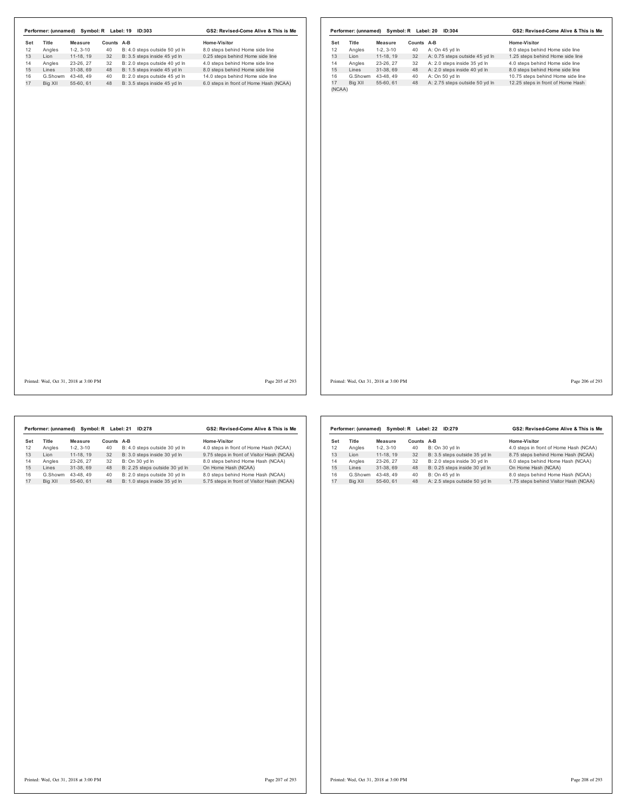| Set<br>12 | Title<br>Angles | <b>Measure</b><br>$1-2, 3-10$ | Counts A-B<br>40 | B: 4.0 steps outside 50 yd In | Home-Visitor<br>8.0 steps behind Home side line | Set<br>12 | Title<br>Angles | <b>Measure</b><br>$1-2, 3-10$ | Counts A-B<br>40 | A: On 45 yd In                                                 | Home-Visitor<br>8.0 steps behind Home side line                     |
|-----------|-----------------|-------------------------------|------------------|-------------------------------|-------------------------------------------------|-----------|-----------------|-------------------------------|------------------|----------------------------------------------------------------|---------------------------------------------------------------------|
| 13        |                 | 11-18, 19                     | 32               | B: 3.5 steps inside 45 yd In  | 0.25 steps behind Home side line                | 13        | Lion            | 11-18, 19                     |                  |                                                                |                                                                     |
| 14        | Lion<br>Angles  | 23-26, 27                     | 32               | B: 2.0 steps outside 40 yd In | 4.0 steps behind Home side line                 | 14        | Angles          | 23-26, 27                     | 32<br>32         | A: 0.75 steps outside 45 yd In<br>A: 2.0 steps inside 35 yd In | 1.25 steps behind Home side line<br>4.0 steps behind Home side line |
| 15        | Lines           | 31-38, 69                     | 48               | B: 1.5 steps inside 45 yd In  | 8.0 steps behind Home side line                 | 15        | Lines           | 31-38, 69                     | 48               | A: 2.0 steps inside 40 yd In                                   | 8.0 steps behind Home side line                                     |
|           | G.Showm         | 43-48.49                      | 40               | B: 2.0 steps outside 45 yd In | 14.0 steps behind Home side line                | 16        | G.Showm         | 43-48.49                      | 40               | A: On 50 yd In                                                 | 10.75 steps behind Home side line                                   |
| 16<br>17  | Big XII         | 55-60, 61                     | 48               | B: 3.5 steps inside 45 yd In  | 6.0 steps in front of Home Hash (NCAA)          | 17        | Big XII         | 55-60, 61                     | 48               | A: 2.75 steps outside 50 yd In                                 | 12.25 steps in front of Home Hash                                   |
|           |                 |                               |                  |                               |                                                 |           |                 |                               |                  |                                                                |                                                                     |

Printed: Wed, Oct 31, 2018 at 3:00 PM Page 205 of 293

Printed: Wed, Oct 31, 2018 at 3:00 PM Page 206 of 293

GS2: Revised-Come Alive & This is Me

|     | Performer: (unnamed) |            | Symbol: R Label: 21 | <b>ID:278</b>                  | GS2: Revised-Come Alive & This is Me       |
|-----|----------------------|------------|---------------------|--------------------------------|--------------------------------------------|
| Set | Title                | Measure    | Counts A-B          |                                | Home-Visitor                               |
| 12  | Angles               | $1-2.3-10$ | 40                  | B: 4.0 steps outside 30 yd In  | 4.0 steps in front of Home Hash (NCAA)     |
| 13  | I ion                | 11-18.19   | 32                  | B: 3.0 steps inside 30 yd In   | 9.75 steps in front of Visitor Hash (NCAA) |
| 14  | Angles               | 23-26.27   | 32                  | B: On 30 vd In                 | 8.0 steps behind Home Hash (NCAA)          |
| 15  | Lines                | 31-38.69   | 48                  | B: 2.25 steps outside 30 yd In | On Home Hash (NCAA)                        |
| 16  | G.Showm              | 43-48.49   | 40                  | B: 2.0 steps outside 30 vd In  | 8.0 steps behind Home Hash (NCAA)          |
| 17  | Big XII              | 55-60.61   | 48                  | B: 1.0 steps inside 35 yd In   | 5.75 steps in front of Visitor Hash (NCAA) |
|     |                      |            |                     |                                |                                            |

|     | Performer: (unnamed) |            | Symbol: R Label: 22 | GS2: Revised-Come Alive & This is Me |                                        |  |
|-----|----------------------|------------|---------------------|--------------------------------------|----------------------------------------|--|
| Set | <b>Title</b>         | Measure    | Counts              | $A-B$                                | Home-Visitor                           |  |
| 12  | Angles               | $1-2.3-10$ | 40                  | B: On 30 vd In                       | 4.0 steps in front of Home Hash (NCAA) |  |
| 13  | I ion                | 11-18.19   | 32                  | B: 3.5 steps outside 35 yd In        | 8.75 steps behind Home Hash (NCAA)     |  |
| 14  | Angles               | 23-26.27   | 32                  | B: 2.0 steps inside 30 vd In         | 6.0 steps behind Home Hash (NCAA)      |  |
| 15  | I ines               | 31-38.69   | 48                  | B: 0.25 steps inside 30 yd In        | On Home Hash (NCAA)                    |  |
| 16  | G.Showm              | 43-48.49   | 40                  | B: On 45 vd In                       | 8.0 steps behind Home Hash (NCAA)      |  |
| 17  | Big XII              | 55-60.61   | 48                  | A: 2.5 steps outside 50 yd In        | 1.75 steps behind Visitor Hash (NCAA)  |  |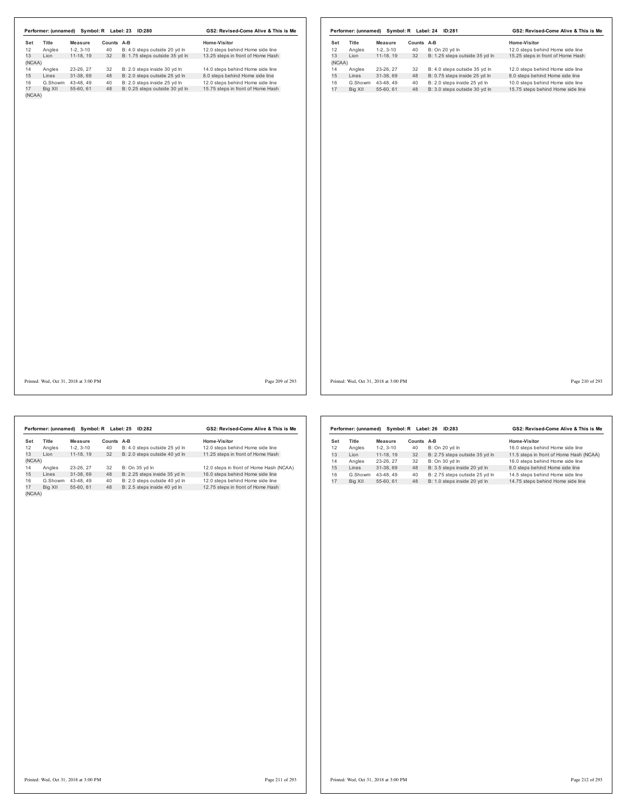|        | Performer: (unnamed) |            | Symbol: R Label: 23 | <b>ID:280</b>                  | GS2: Revised-Come Alive & This is Me |
|--------|----------------------|------------|---------------------|--------------------------------|--------------------------------------|
| Set    | Title                | Measure    | Counts A-B          |                                | Home-Visitor                         |
| 12     | Angles               | $1-2.3-10$ | 40                  | B: 4.0 steps outside 20 yd In  | 12.0 steps behind Home side line     |
| 13     | I ion                | 11-18.19   | 32                  | B: 1.75 steps outside 35 yd In | 13.25 steps in front of Home Hash    |
| (NCAA) |                      |            |                     |                                |                                      |
| 14     | Angles               | 23-26.27   | 32                  | B: 2.0 steps inside 30 yd In   | 14.0 steps behind Home side line     |
| 15     | Lines                | 31-38.69   | 48                  | B: 2.0 steps outside 25 yd In  | 8.0 steps behind Home side line      |
| 16     | G.Showm              | 43-48.49   | 40                  | B: 2.0 steps inside 25 yd In   | 12.0 steps behind Home side line     |
| 17     | Big XII              | 55-60.61   | 48                  | B: 0.25 steps outside 30 yd In | 15.75 steps in front of Home Hash    |
| (NCAA) |                      |            |                     |                                |                                      |

|        | Performer: (unnamed) |            | Symbol: R Label: 24 | <b>ID:281</b>                  | GS2: Revised-Come Alive & This is Me |  |  |
|--------|----------------------|------------|---------------------|--------------------------------|--------------------------------------|--|--|
| Set    | <b>Title</b>         | Measure    | Counts              | A-B                            | Home-Visitor                         |  |  |
| 12     | Angles               | $1-2.3-10$ | 40                  | B: On 20 vd In                 | 12.0 steps behind Home side line     |  |  |
| 13     | I ion                | 11-18.19   | 32                  | B: 1.25 steps outside 35 yd In | 15.25 steps in front of Home Hash    |  |  |
| (NCAA) |                      |            |                     |                                |                                      |  |  |
| 14     | Angles               | 23-26, 27  | 32                  | B: 4.0 steps outside 35 vd ln  | 12.0 steps behind Home side line     |  |  |
| 15     | Lines                | 31-38.69   | 48                  | B: 0.75 steps inside 25 yd In  | 8.0 steps behind Home side line      |  |  |
| 16     | G.Showm              | 43-48.49   | 40                  | B: 2.0 steps inside 25 vd In   | 10.0 steps behind Home side line     |  |  |
| 17     | Big XII              | 55-60.61   | 48                  | B: 3.0 steps outside 30 yd In  | 15.75 steps behind Home side line    |  |  |
|        |                      |            |                     |                                |                                      |  |  |

Printed: Wed, Oct 31, 2018 at 3:00 PM Page 209 of 293

Printed: Wed, Oct 31, 2018 at 3:00 PM Page 210 of 293

|        | Performer: (unnamed) |            | Symbol: R Label: 25 | ID:282                        | GS2: Revised-Come Alive & This is Me    |
|--------|----------------------|------------|---------------------|-------------------------------|-----------------------------------------|
| Set    | <b>Title</b>         | Measure    | Counts              | $A-B$                         | Home-Visitor                            |
| 12     | Angles               | $1-2.3-10$ | 40                  | B: 4.0 steps outside 25 yd In | 12.0 steps behind Home side line        |
| 13     | I ion                | 11-18.19   | 32                  | B: 2.0 steps outside 40 yd In | 11.25 steps in front of Home Hash       |
| (NCAA) |                      |            |                     |                               |                                         |
| 14     | Angles               | 23-26.27   | 32                  | B: On 35 yd In                | 12.0 steps in front of Home Hash (NCAA) |
| 15     | Lines                | 31-38.69   | 48                  | B: 2.25 steps inside 35 yd In | 16.0 steps behind Home side line        |
| 16     | G.Showm              | 43-48.49   | 40                  | B: 2.0 steps outside 40 yd In | 12.0 steps behind Home side line        |
| 17     | Big XII              | 55-60.61   | 48                  | B: 2.5 steps inside 40 yd In  | 12.75 steps in front of Home Hash       |
| (NCAA) |                      |            |                     |                               |                                         |

|     | Performer: (unnamed) |            | Symbol: R Label: 26 | GS2: Revised-Come Alive & This is Me |                                         |  |
|-----|----------------------|------------|---------------------|--------------------------------------|-----------------------------------------|--|
| Set | <b>Title</b>         | Measure    | Counts              | A-B                                  | <b>Home-Visitor</b>                     |  |
| 12  | Angles               | $1-2.3-10$ | 40                  | B: On 20 vd In                       | 16.0 steps behind Home side line        |  |
| 13  | I ion                | 11-18.19   | 32                  | B: 2.75 steps outside 35 yd In       | 11.5 steps in front of Home Hash (NCAA) |  |
| 14  | Angles               | 23-26, 27  | 32                  | B: On 30 vd In                       | 16.0 steps behind Home side line        |  |
| 15  | Lines                | 31-38.69   | 48                  | B: 3.5 steps inside 20 yd In         | 8.0 steps behind Home side line         |  |
| 16  | G.Showm              | 43-48.49   | 40                  | B: 2.75 steps outside 25 yd In       | 14.5 steps behind Home side line        |  |
| 17  | Big XII              | 55-60.61   | 48                  | B: 1.0 steps inside 20 vd In         | 14.75 steps behind Home side line       |  |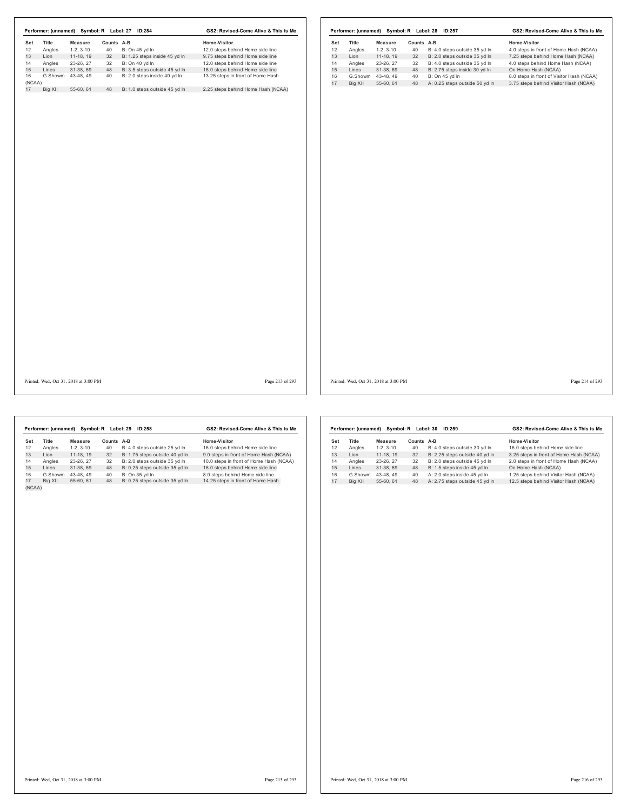| Performer: (unnamed) Symbol: R Label: 27 ID:284 |                   |            |                               | GS2: Revised-Come Alive & This is Me |                 |     |                   |                                       |            | Performer: (unnamed) Symbol: R Label: 28 ID:257 | GS2: Revised-Come Alive & This is Me      |
|-------------------------------------------------|-------------------|------------|-------------------------------|--------------------------------------|-----------------|-----|-------------------|---------------------------------------|------------|-------------------------------------------------|-------------------------------------------|
| Title<br>Set                                    | <b>Measure</b>    | Counts A-B |                               | Home-Visitor                         |                 | Set | Title             | Measure                               | Counts A-B |                                                 | Home-Visitor                              |
| 12<br>Angles                                    | $1-2, 3-10$       | 40         | B: On 45 yd In                | 12.0 steps behind Home side line     |                 | 12  | Angles            | $1-2, 3-10$                           | 40         | B: 4.0 steps outside 35 yd In                   | 4.0 steps in front of Home Hash (NCAA)    |
| 13<br>Lion                                      | 11-18, 19         | 32         | B: 1.25 steps inside 45 yd In | 9.75 steps behind Home side line     |                 | 13  | Lion              | 11-18, 19                             | 32         | B: 2.0 steps outside 35 yd In                   | 7.25 steps behind Home Hash (NCAA)        |
| 14<br>Angles                                    | 23-26, 27         | 32         | B: On 40 yd In                | 12.0 steps behind Home side line     |                 | 14  | Angles            | 23-26, 27                             | 32         | B: 4.0 steps outside 35 yd In                   | 4.0 steps behind Home Hash (NCAA)         |
| 15<br>Lines                                     | 31-38, 69         | 48         | B: 3.5 steps outside 45 yd In | 16.0 steps behind Home side line     |                 | 15  | Lines             | 31-38, 69                             | 48         | B: 2.75 steps inside 30 yd In                   | On Home Hash (NCAA)                       |
| 16                                              | G.Showm 43-48, 49 | 40         | B: 2.0 steps inside 40 yd In  | 13.25 steps in front of Home Hash    |                 | 16  | G.Showm 43-48, 49 |                                       | 40         | B: On 45 yd In                                  | 8.0 steps in front of Visitor Hash (NCAA) |
| (NCAA)                                          |                   |            |                               |                                      |                 | 17  | Big XII           | 55-60, 61                             | 48         | A: 0.25 steps outside 50 yd In                  | 3.75 steps behind Visitor Hash (NCAA)     |
| 17<br>Big XII                                   | 55-60, 61         | 48         | B: 1.0 steps outside 45 yd In | 2.25 steps behind Home Hash (NCAA)   |                 |     |                   |                                       |            |                                                 |                                           |
| Printed: Wed, Oct 31, 2018 at 3:00 PM           |                   |            |                               |                                      | Page 213 of 293 |     |                   | Printed: Wed, Oct 31, 2018 at 3:00 PM |            |                                                 | Page 214 of 293                           |

|        | Performer: (unnamed) |            | Symbol: R Label: 29 | <b>ID:258</b>                  | GS2: Revised-Come Alive & This is Me    |
|--------|----------------------|------------|---------------------|--------------------------------|-----------------------------------------|
| Set    | Title                | Measure    | Counts              | A-B                            | Home-Visitor                            |
| 12     | Angles               | $1-2.3-10$ | 40                  | B: 4.0 steps outside 25 yd In  | 16.0 steps behind Home side line        |
| 13     | Lion                 | 11-18.19   | 32                  | B: 1.75 steps outside 40 yd In | 9.0 steps in front of Home Hash (NCAA)  |
| 14     | Angles               | 23-26.27   | 32                  | B: 2.0 steps outside 35 vd In  | 10.0 steps in front of Home Hash (NCAA) |
| 15     | Lines                | 31-38.69   | 48                  | B: 0.25 steps outside 35 yd In | 16.0 steps behind Home side line        |
| 16     | G.Showm              | 43-48.49   | 40                  | B: On 35 vd In                 | 8.0 steps behind Home side line         |
| 17     | Big XII              | 55-60.61   | 48                  | B: 0.25 steps outside 35 yd In | 14.25 steps in front of Home Hash       |
| (NCAA) |                      |            |                     |                                |                                         |

|     | Performer: (unnamed) |            | Symbol: R Label: 30 | GS2: Revised-Come Alive & This is Me |                                         |  |
|-----|----------------------|------------|---------------------|--------------------------------------|-----------------------------------------|--|
| Set | <b>Title</b>         | Measure    | Counts              | A-B                                  | Home-Visitor                            |  |
| 12  | Angles               | $1-2.3-10$ | 40                  | B: 4.0 steps outside 30 yd In        | 16.0 steps behind Home side line        |  |
| 13  | Lion                 | 11-18.19   | 32                  | B: 2.25 steps outside 40 yd In       | 3.25 steps in front of Home Hash (NCAA) |  |
| 14  | Angles               | 23-26.27   | 32                  | B: 2.0 steps outside 45 vd ln        | 2.0 steps in front of Home Hash (NCAA)  |  |
| 15  | I ines               | 31-38.69   | 48                  | B: 1.5 steps inside 45 yd In         | On Home Hash (NCAA)                     |  |
| 16  | G.Showm              | 43-48.49   | 40                  | A: 2.0 steps inside 45 vd In         | 1.25 steps behind Visitor Hash (NCAA)   |  |
| 17  | Big XII              | 55-60, 61  | 48                  | A: 2.75 steps outside 45 vd In       | 12.5 steps behind Visitor Hash (NCAA)   |  |
|     |                      |            |                     |                                      |                                         |  |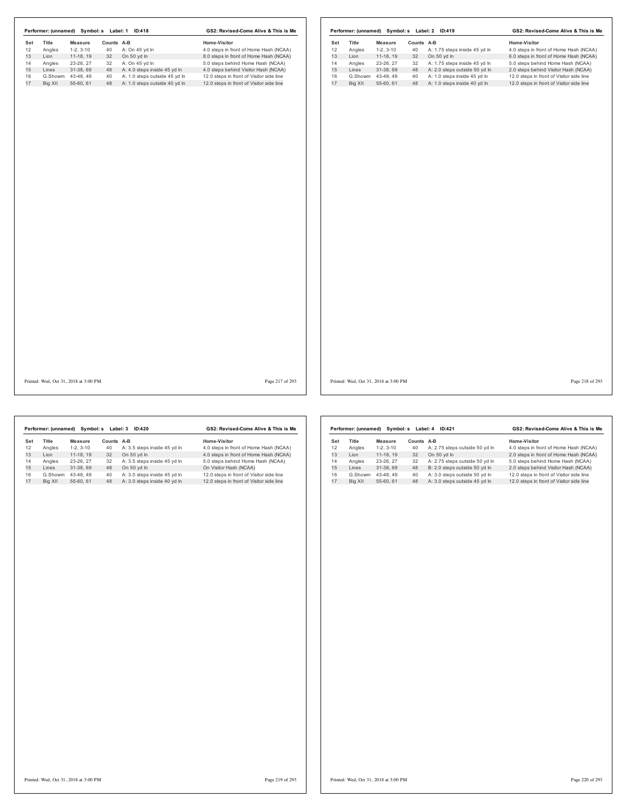|     |                                       |                   |            | Performer: (unnamed) Symbol: s Label: 1 ID:418 | GS2: Revised-Come Alive & This is Me     |     |         |                                       |            | Performer: (unnamed) Symbol: s Label: 2 ID:419 | GS2: Revised-Come Alive & This is Me     |
|-----|---------------------------------------|-------------------|------------|------------------------------------------------|------------------------------------------|-----|---------|---------------------------------------|------------|------------------------------------------------|------------------------------------------|
| Set | Title                                 | <b>Measure</b>    | Counts A-B |                                                | Home-Visitor                             | Set | Title   | <b>Measure</b>                        | Counts A-B |                                                | Home-Visitor                             |
| 12  | Angles                                | $1-2, 3-10$       | 40         | A: On 45 yd In                                 | 4.0 steps in front of Home Hash (NCAA)   | 12  | Angles  | $1-2, 3-10$                           | 40         | A: 1.75 steps inside 45 yd In                  | 4.0 steps in front of Home Hash (NCAA)   |
| 13  | Lion                                  | 11-18, 19         | 32         | On 50 yd In                                    | 8.0 steps in front of Home Hash (NCAA)   | 13  | Lion    | 11-18, 19                             | 32         | On 50 yd In                                    | 6.0 steps in front of Home Hash (NCAA)   |
| 14  | Angles                                | 23-26, 27         | 32         | A: On 45 yd In                                 | 5.0 steps behind Home Hash (NCAA)        | 14  | Angles  | 23-26, 27                             | 32         | A: 1.75 steps inside 45 yd In                  | 5.0 steps behind Home Hash (NCAA)        |
| 15  | Lines                                 | 31-38, 69         | 48         | A: 4.0 steps inside 45 yd In                   | 4.0 steps behind Visitor Hash (NCAA)     | 15  | Lines   | 31-38, 69                             | 48         | A: 2.0 steps outside 50 yd In                  | 2.0 steps behind Visitor Hash (NCAA)     |
| 16  |                                       | G.Showm 43-48, 49 | 40         | A: 1.0 steps outside 45 yd In                  | 12.0 steps in front of Visitor side line | 16  |         | G.Showm 43-48, 49                     | 40         | A: 1.0 steps inside 45 yd In                   | 12.0 steps in front of Visitor side line |
| 17  | Big XII                               | 55-60, 61         | 48         | A: 1.0 steps outside 40 yd In                  | 12.0 steps in front of Visitor side line | 17  | Big XII | 55-60, 61                             | 48         | A: 1.0 steps inside 40 yd In                   | 12.0 steps in front of Visitor side line |
|     |                                       |                   |            |                                                |                                          |     |         |                                       |            |                                                |                                          |
|     |                                       |                   |            |                                                |                                          |     |         |                                       |            |                                                |                                          |
|     |                                       |                   |            |                                                |                                          |     |         |                                       |            |                                                |                                          |
|     | Printed: Wed, Oct 31, 2018 at 3:00 PM |                   |            |                                                | Page 217 of 293                          |     |         | Printed: Wed, Oct 31, 2018 at 3:00 PM |            |                                                | Page 218 of 293                          |

|     | Performer: (unnamed) | Symbol: s  | Label: 3   | ID:420                       | GS2: Revised-Come Alive & This is Me     |
|-----|----------------------|------------|------------|------------------------------|------------------------------------------|
| Set | Title                | Measure    | Counts A-B |                              | Home-Visitor                             |
| 12  | Angles               | $1-2.3-10$ | 40         | A: 3.5 steps inside 45 yd In | 4.0 steps in front of Home Hash (NCAA)   |
| 13  | I ion                | 11-18.19   | 32         | On 50 yd In                  | 4.0 steps in front of Home Hash (NCAA)   |
| 14  | Angles               | 23-26.27   | 32         | A: 3.5 steps inside 45 yd In | 5.0 steps behind Home Hash (NCAA)        |
| 15  | I ines               | 31-38.69   | 48         | On 50 yd In                  | On Visitor Hash (NCAA)                   |
| 16  | G.Showm              | 43-48.49   | 40         | A: 3.0 steps inside 45 vd In | 12.0 steps in front of Visitor side line |
| 17  | Big XII              | 55-60.61   | 48         | A: 3.0 steps inside 40 yd In | 12.0 steps in front of Visitor side line |

|     | Performer: (unnamed) | Symbol: s  | Label: 4 | ID:421                         | GS2: Revised-Come Alive & This is Me     |
|-----|----------------------|------------|----------|--------------------------------|------------------------------------------|
| Set | Title                | Measure    | Counts   | A-B                            | Home-Visitor                             |
| 12  | Angles               | $1-2.3-10$ | 40       | A: 2.75 steps outside 50 yd In | 4.0 steps in front of Home Hash (NCAA)   |
| 13  | I ion                | 11-18.19   | 32       | On 50 vd In                    | 2.0 steps in front of Home Hash (NCAA)   |
| 14  | Angles               | 23-26, 27  | 32       | A: 2.75 steps outside 50 yd In | 5.0 steps behind Home Hash (NCAA)        |
| 15  | Lines                | 31-38.69   | 48       | B: 2.0 steps outside 50 yd In  | 2.0 steps behind Visitor Hash (NCAA)     |
| 16  | G.Showm              | 43-48.49   | 40       | A: 3.0 steps outside 50 vd In  | 12.0 steps in front of Visitor side line |
| 17  | Big XII              | 55-60.61   | 48       | A: 3.0 steps outside 45 yd In  | 12.0 steps in front of Visitor side line |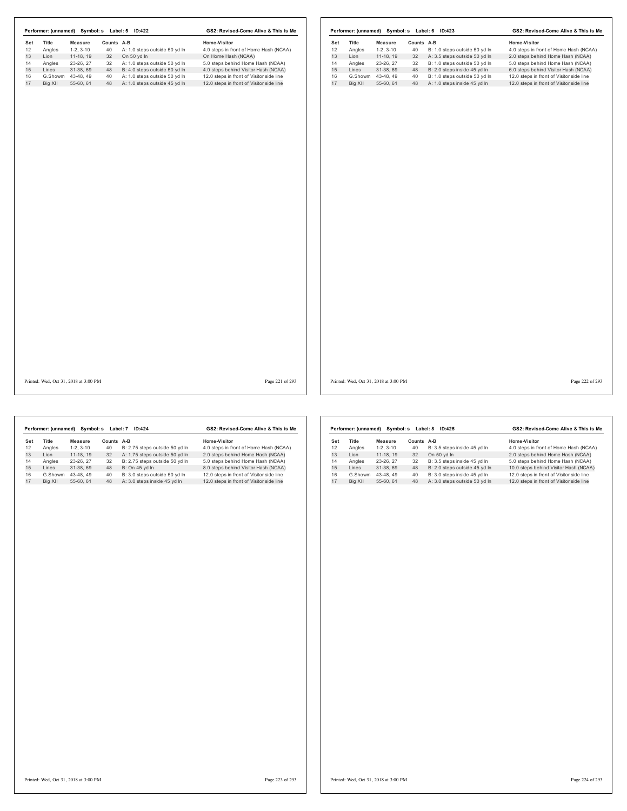|     |         |                                       |            | Performer: (unnamed) Symbol: s Label: 5 ID:422 | GS2: Revised-Come Alive & This is Me     |                 |     |         |                                       |            | Performer: (unnamed) Symbol: s Label: 6 ID:423 |                                          | GS2: Revised-Come Alive & This is Me |
|-----|---------|---------------------------------------|------------|------------------------------------------------|------------------------------------------|-----------------|-----|---------|---------------------------------------|------------|------------------------------------------------|------------------------------------------|--------------------------------------|
| Set | Title   | <b>Measure</b>                        | Counts A-B |                                                | Home-Visitor                             |                 | Set | Title   | Measure                               | Counts A-B |                                                | <b>Home-Visitor</b>                      |                                      |
| 12  | Angles  | $1-2, 3-10$                           | 40         | A: 1.0 steps outside 50 yd In                  | 4.0 steps in front of Home Hash (NCAA)   |                 | 12  | Angles  | $1-2, 3-10$                           | 40         | B: 1.0 steps outside 50 yd In                  | 4.0 steps in front of Home Hash (NCAA)   |                                      |
| 13  | Lion    | 11-18, 19                             | 32         | On 50 yd In                                    | On Home Hash (NCAA)                      |                 | 13  | Lion    | 11-18, 19                             | 32         | A: 3.5 steps outside 50 yd In                  | 2.0 steps behind Home Hash (NCAA)        |                                      |
| 14  | Angles  | 23-26, 27                             | 32         | A: 1.0 steps outside 50 yd In                  | 5.0 steps behind Home Hash (NCAA)        |                 | 14  | Angles  | 23-26, 27                             | 32         | B: 1.0 steps outside 50 yd In                  | 5.0 steps behind Home Hash (NCAA)        |                                      |
| 15  | Lines   | 31-38, 69                             | 48         | B: 4.0 steps outside 50 yd In                  | 4.0 steps behind Visitor Hash (NCAA)     |                 | 15  | Lines   | 31-38, 69                             | 48         | B: 2.0 steps inside 45 yd In                   | 6.0 steps behind Visitor Hash (NCAA)     |                                      |
| 16  |         | G.Showm 43-48, 49                     | 40         | A: 1.0 steps outside 50 yd In                  | 12.0 steps in front of Visitor side line |                 | 16  |         | G.Showm 43-48, 49                     | 40         | B: 1.0 steps outside 50 yd In                  | 12.0 steps in front of Visitor side line |                                      |
| 17  | Big XII | 55-60, 61                             |            | 48 A: 1.0 steps outside 45 yd In               | 12.0 steps in front of Visitor side line |                 | 17  | Big XII | 55-60, 61                             | 48         | A: 1.0 steps inside 45 yd In                   | 12.0 steps in front of Visitor side line |                                      |
|     |         |                                       |            |                                                |                                          |                 |     |         |                                       |            |                                                |                                          |                                      |
|     |         | Printed: Wed, Oct 31, 2018 at 3:00 PM |            |                                                |                                          | Page 221 of 293 |     |         | Printed: Wed, Oct 31, 2018 at 3:00 PM |            |                                                |                                          | Page 222 of 293                      |

|     | Performer: (unnamed) |            | Symbol: s Label: 7 | ID:424                         | GS2: Revised-Come Alive & This is Me     |
|-----|----------------------|------------|--------------------|--------------------------------|------------------------------------------|
| Set | Title                | Measure    | Counts             | $A-B$                          | Home-Visitor                             |
| 12  | Angles               | $1-2.3-10$ | 40                 | B: 2.75 steps outside 50 yd In | 4.0 steps in front of Home Hash (NCAA)   |
| 13  | I ion                | 11-18.19   | 32                 | A: 1.75 steps outside 50 yd In | 2.0 steps behind Home Hash (NCAA)        |
| 14  | Angles               | 23-26.27   | 32                 | B: 2.75 steps outside 50 vd In | 5.0 steps behind Home Hash (NCAA)        |
| 15  | Lines                | 31-38.69   | 48                 | B: On 45 yd In                 | 8.0 steps behind Visitor Hash (NCAA)     |
| 16  | G.Showm              | 43-48.49   | 40                 | B: 3.0 steps outside 50 yd In  | 12.0 steps in front of Visitor side line |
| 17  | Big XII              | 55-60.61   | 48                 | A: 3.0 steps inside 45 vd In   | 12.0 steps in front of Visitor side line |

|     | Performer: (unnamed) |            | Symbol: s Label: 8 | ID:425                        | GS2: Revised-Come Alive & This is Me     |
|-----|----------------------|------------|--------------------|-------------------------------|------------------------------------------|
| Set | <b>Title</b>         | Measure    | Counts             | $A-B$                         | Home-Visitor                             |
| 12  | Angles               | $1-2.3-10$ | 40                 | B: 3.5 steps inside 45 yd In  | 4.0 steps in front of Home Hash (NCAA)   |
| 13  | I ion                | 11-18.19   | 32                 | On 50 yd In                   | 2.0 steps behind Home Hash (NCAA)        |
| 14  | Angles               | 23-26, 27  | 32                 | B: 3.5 steps inside 45 yd In  | 5.0 steps behind Home Hash (NCAA)        |
| 15  | I ines               | 31-38.69   | 48                 | B: 2.0 steps outside 45 yd In | 10.0 steps behind Visitor Hash (NCAA)    |
| 16  | G.Showm              | 43-48.49   | 40                 | B: 3.0 steps inside 45 vd In  | 12.0 steps in front of Visitor side line |
| 17  | Big XII              | 55-60.61   | 48                 | A: 3.0 steps outside 50 yd In | 12.0 steps in front of Visitor side line |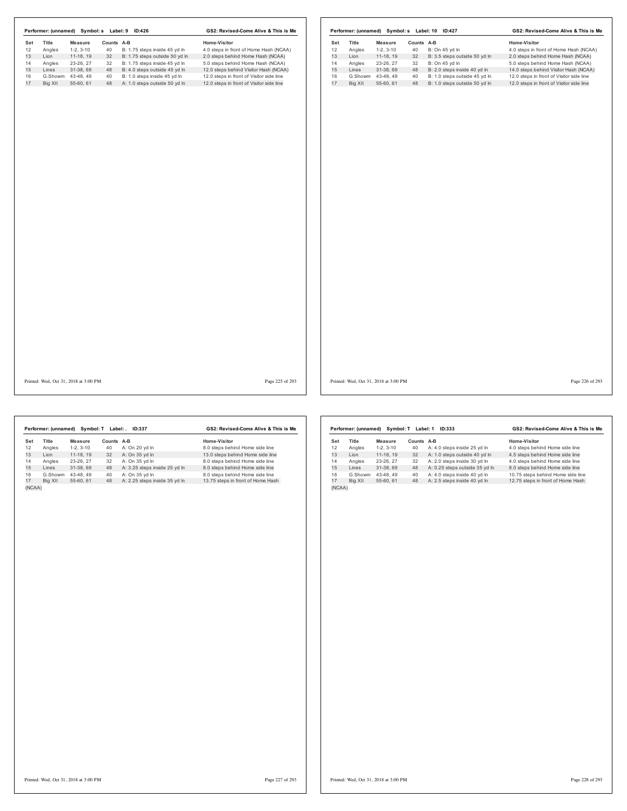|     |                                       |                |            | Performer: (unnamed) Symbol: s Label: 9 ID:426 | GS2: Revised-Come Alive & This is Me     |     |         |                                       |            | Performer: (unnamed) Symbol: s Label: 10 ID:427 | GS2: Revised-Come Alive & This is Me     |  |
|-----|---------------------------------------|----------------|------------|------------------------------------------------|------------------------------------------|-----|---------|---------------------------------------|------------|-------------------------------------------------|------------------------------------------|--|
| Set | Title                                 | <b>Measure</b> | Counts A-B |                                                | Home-Visitor                             | Set | Title   | <b>Measure</b>                        | Counts A-B |                                                 | Home-Visitor                             |  |
| 12  | Angles                                | $1-2, 3-10$    | 40         | B: 1.75 steps inside 45 yd In                  | 4.0 steps in front of Home Hash (NCAA)   | 12  | Angles  | $1-2, 3-10$                           | 40         | B: On 45 yd In                                  | 4.0 steps in front of Home Hash (NCAA)   |  |
| 13  | Lion                                  | 11-18, 19      | 32         | B: 1.75 steps outside 50 yd In                 | 2.0 steps behind Home Hash (NCAA)        | 13  | Lion    | 11-18, 19                             | 32         | B: 3.5 steps outside 50 yd In                   | 2.0 steps behind Home Hash (NCAA)        |  |
| 14  | Angles                                | 23-26, 27      | 32         | B: 1.75 steps inside 45 yd In                  | 5.0 steps behind Home Hash (NCAA)        | 14  | Angles  | 23-26, 27                             | 32         | B: On 45 yd In                                  | 5.0 steps behind Home Hash (NCAA)        |  |
| 15  | Lines                                 | 31-38, 69      | 48         | B: 4.0 steps outside 45 yd In                  | 12.0 steps behind Visitor Hash (NCAA)    | 15  | Lines   | 31-38, 69                             | 48         | B: 2.0 steps inside 40 yd In                    | 14.0 steps behind Visitor Hash (NCAA)    |  |
| 16  | G.Showm 43-48, 49                     |                | 40         | B: 1.0 steps inside 45 yd In                   | 12.0 steps in front of Visitor side line | 16  | G.Showm | 43-48, 49                             | 40         | B: 1.0 steps outside 45 yd In                   | 12.0 steps in front of Visitor side line |  |
| 17  | Big XII                               | 55-60, 61      |            | 48 A: 1.0 steps outside 50 yd In               | 12.0 steps in front of Visitor side line | 17  | Big XII | 55-60, 61                             | 48         | B: 1.0 steps outside 50 yd In                   | 12.0 steps in front of Visitor side line |  |
|     |                                       |                |            |                                                |                                          |     |         |                                       |            |                                                 |                                          |  |
|     | Printed: Wed, Oct 31, 2018 at 3:00 PM |                |            |                                                | Page 225 of 293                          |     |         | Printed: Wed, Oct 31, 2018 at 3:00 PM |            |                                                 | Page 226 of 293                          |  |

|        | Performer: (unnamed) |            | Symbol: T Label: | ID:337                        | GS2: Revised-Come Alive & This is Me |
|--------|----------------------|------------|------------------|-------------------------------|--------------------------------------|
| Set    | <b>Title</b>         | Measure    | Counts A-B       |                               | Home-Visitor                         |
| 12     | Angles               | $1-2.3-10$ | 40               | A: On 20 yd In                | 8.0 steps behind Home side line      |
| 13     | Lion                 | 11-18.19   | 32               | A: On 35 yd In                | 13.0 steps behind Home side line     |
| 14     | Angles               | 23-26.27   | 32               | A: On 35 vd In                | 8.0 steps behind Home side line      |
| 15     | Lines                | 31-38.69   | 48               | A: 3.25 steps inside 25 yd In | 8.0 steps behind Home side line      |
| 16     | G.Showm              | 43-48.49   | 40               | A: On 35 yd In                | 8.0 steps behind Home side line      |
| 17     | Big XII              | 55-60.61   | 48               | A: 2.25 steps inside 35 yd In | 13.75 steps in front of Home Hash    |
| (NCAA) |                      |            |                  |                               |                                      |

|        | Performer: (unnamed) | Symbol: T  | Label: 1   | ID:333                         | GS2: Revised-Come Alive & This is Me |
|--------|----------------------|------------|------------|--------------------------------|--------------------------------------|
| Set    | Title                | Measure    | Counts A-B |                                | Home-Visitor                         |
| 12     | Angles               | $1-2.3-10$ | 40         | A: 4.0 steps inside 25 yd In   | 4.0 steps behind Home side line      |
| 13     | I ion                | 11-18.19   | 32         | A: 1.0 steps outside 40 yd In  | 4.5 steps behind Home side line      |
| 14     | Angles               | 23-26.27   | 32         | A: 2.0 steps inside 30 yd In   | 4.0 steps behind Home side line      |
| 15     | Lines                | 31-38.69   | 48         | A: 0.25 steps outside 35 yd In | 8.0 steps behind Home side line      |
| 16     | G.Showm              | 43-48.49   | 40         | A: 4.0 steps inside 40 yd In   | 10.75 steps behind Home side line    |
| 17     | Bia XII              | 55-60, 61  | 48         | A: 2.5 steps inside 40 yd In   | 12.75 steps in front of Home Hash    |
| (NCAA) |                      |            |            |                                |                                      |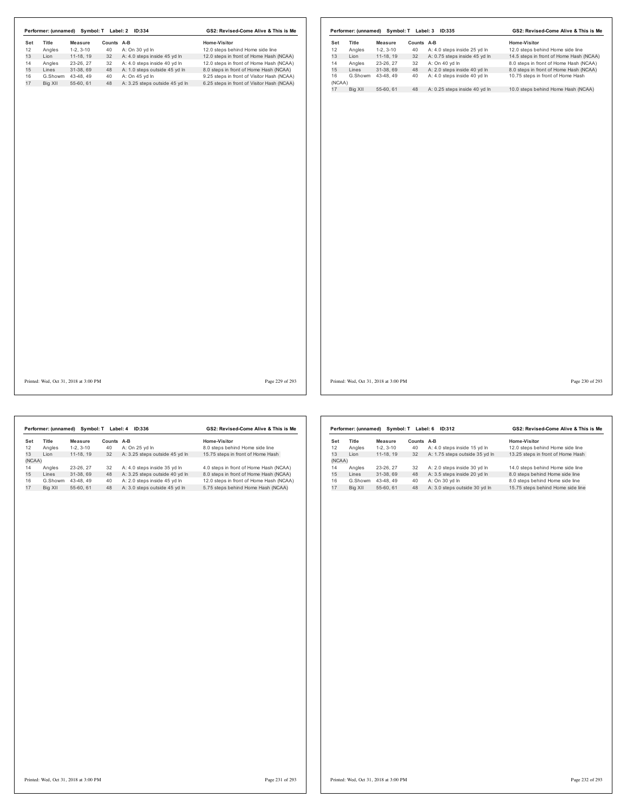|     |         | Performer: (unnamed) Symbol: T Label: 2 ID:334 |            |                                   | GS2: Revised-Come Alive & This is Me       |                 |              |         |                                       |            | Performer: (unnamed) Symbol: T Label: 3 ID:335 | GS2: Revised-Come Alive & This is Me    |                 |
|-----|---------|------------------------------------------------|------------|-----------------------------------|--------------------------------------------|-----------------|--------------|---------|---------------------------------------|------------|------------------------------------------------|-----------------------------------------|-----------------|
| Set | Title   | Measure                                        | Counts A-B |                                   | Home-Visitor                               |                 | Set          | Title   | Measure                               | Counts A-B |                                                | Home-Visitor                            |                 |
| 12  | Angles  | $1-2, 3-10$                                    | 40         | A: On 30 yd In                    | 12.0 steps behind Home side line           |                 | 12           | Angles  | $1-2, 3-10$                           | 40         | A: 4.0 steps inside 25 yd In                   | 12.0 steps behind Home side line        |                 |
| 13  | Lion    | 11-18, 19                                      | 32         | A: 4.0 steps inside 45 yd In      | 12.0 steps in front of Home Hash (NCAA)    |                 | 13           | Lion    | $11-18, 19$                           | 32         | A: 0.75 steps inside 45 yd In                  | 14.5 steps in front of Home Hash (NCAA) |                 |
| 14  | Angles  | 23-26, 27                                      | 32         | A: 4.0 steps inside 40 yd In      | 12.0 steps in front of Home Hash (NCAA)    |                 | 14           | Angles  | 23-26, 27                             |            | 32 A: On 40 yd In                              | 8.0 steps in front of Home Hash (NCAA)  |                 |
| 15  | Lines   | 31-38, 69                                      |            | 48 A: 1.0 steps outside 45 yd In  | 8.0 steps in front of Home Hash (NCAA)     |                 | 15           | Lines   | 31-38, 69                             |            | 48 A: 2.0 steps inside 40 yd In                | 8.0 steps in front of Home Hash (NCAA)  |                 |
| 16  |         | G.Showm 43-48, 49                              | 40         | A: On 45 yd In                    | 9.25 steps in front of Visitor Hash (NCAA) |                 | 16           | G.Showm | 43-48, 49                             | 40         | A: 4.0 steps inside 40 yd In                   | 10.75 steps in front of Home Hash       |                 |
| 17  | Big XII | 55-60, 61                                      |            | 48 A: 3.25 steps outside 45 yd In | 6.25 steps in front of Visitor Hash (NCAA) |                 | (NCAA)<br>17 | Big XII | 55-60, 61                             | 48         | A: 0.25 steps inside 40 yd In                  | 10.0 steps behind Home Hash (NCAA)      |                 |
|     |         |                                                |            |                                   |                                            |                 |              |         |                                       |            |                                                |                                         |                 |
|     |         | Printed: Wed, Oct 31, 2018 at 3:00 PM          |            |                                   |                                            | Page 229 of 293 |              |         | Printed: Wed, Oct 31, 2018 at 3:00 PM |            |                                                |                                         | Page 230 of 293 |

|        | Performer: (unnamed) | Symbol: T  | Label: 4      | ID:336                         | GS2: Revised-Come Alive & This is Me    |
|--------|----------------------|------------|---------------|--------------------------------|-----------------------------------------|
| Set    | Title                | Measure    | <b>Counts</b> | A-B                            | Home-Visitor                            |
| 12     | Angles               | $1-2.3-10$ | 40            | A: On 25 vd In                 | 8.0 steps behind Home side line         |
| 13     | I ion                | 11-18.19   | 32            | A: 3.25 steps outside 45 yd In | 15.75 steps in front of Home Hash       |
| (NCAA) |                      |            |               |                                |                                         |
| 14     | Angles               | 23-26.27   | 32            | A: 4.0 steps inside 35 yd In   | 4.0 steps in front of Home Hash (NCAA)  |
| 15     | Lines                | 31-38.69   | 48            | A: 3.25 steps outside 40 yd In | 8.0 steps in front of Home Hash (NCAA)  |
| 16     | G.Showm              | 43-48.49   | 40            | A: 2.0 steps inside 45 vd In   | 12.0 steps in front of Home Hash (NCAA) |
| 17     | Big XII              | 55-60.61   | 48            | A: 3.0 steps outside 45 vd In  | 5.75 steps behind Home Hash (NCAA)      |

|        | Performer: (unnamed) | Symbol: T  |            | Label: 6<br>ID:312             | GS2: Revised-Come Alive & This is Me |  |  |
|--------|----------------------|------------|------------|--------------------------------|--------------------------------------|--|--|
| Set    | <b>Title</b>         | Measure    | Counts A-B |                                | Home-Visitor                         |  |  |
| 12     | Angles               | $1-2.3-10$ | 40         | A: 4.0 steps inside 15 yd In   | 12.0 steps behind Home side line     |  |  |
| 13     | I ion                | 11-18.19   | 32         | A: 1.75 steps outside 35 yd In | 13.25 steps in front of Home Hash    |  |  |
| (NCAA) |                      |            |            |                                |                                      |  |  |
| 14     | Angles               | 23-26, 27  | 32         | A: 2.0 steps inside 30 yd In   | 14.0 steps behind Home side line     |  |  |
| 15     | I ines               | 31-38.69   | 48         | A: 3.5 steps inside 20 yd In   | 8.0 steps behind Home side line      |  |  |
| 16     | G.Showm              | 43-48.49   | 40         | A: On 30 yd In                 | 8.0 steps behind Home side line      |  |  |
| 17     | Big XII              | 55-60.61   | 48         | A: 3.0 steps outside 30 yd In  | 15.75 steps behind Home side line    |  |  |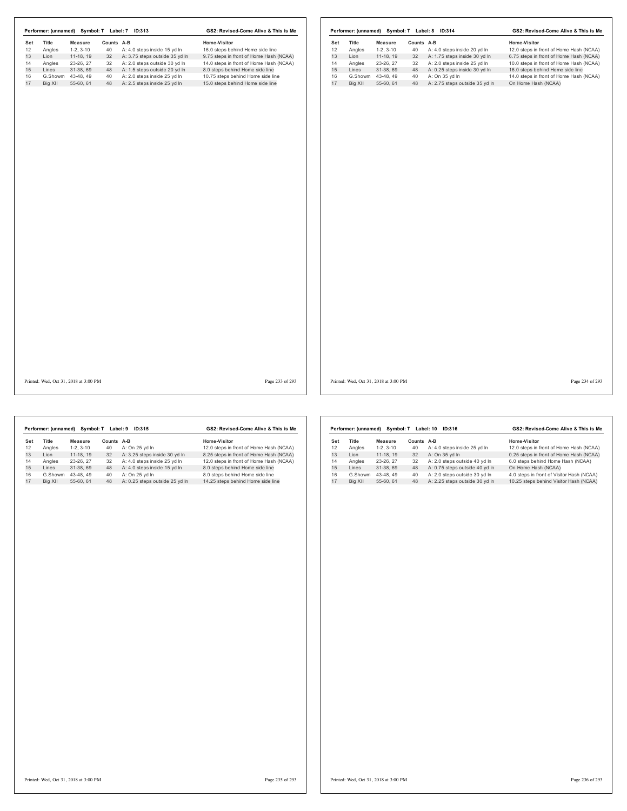|     |                                       |                |            | Performer: (unnamed) Symbol: T Label: 7 ID:313 | GS2: Revised-Come Alive & This is Me    |     | Performer: (unnamed) Symbol: T Label: 8 ID:314 |                   |            |                                | GS2: Revised-Come Alive & This is Me    |
|-----|---------------------------------------|----------------|------------|------------------------------------------------|-----------------------------------------|-----|------------------------------------------------|-------------------|------------|--------------------------------|-----------------------------------------|
| Set | Title                                 | <b>Measure</b> | Counts A-B |                                                | Home-Visitor                            | Set | Title                                          | <b>Measure</b>    | Counts A-B |                                | Home-Visitor                            |
| 12  | Angles                                | $1-2, 3-10$    | 40         | A: 4.0 steps inside 15 yd In                   | 16.0 steps behind Home side line        | 12  | Angles                                         | $1-2, 3-10$       | 40         | A: 4.0 steps inside 20 yd In   | 12.0 steps in front of Home Hash (NCAA) |
| 13  | Lion                                  | $11-18, 19$    | 32         | A: 3.75 steps outside 35 yd In                 | 9.75 steps in front of Home Hash (NCAA) | 13  | Lion                                           | $11-18, 19$       | 32         | A: 1.75 steps inside 30 yd In  | 6.75 steps in front of Home Hash (NCAA) |
| 14  | Angles                                | 23-26, 27      | 32         | A: 2.0 steps outside 30 yd In                  | 14.0 steps in front of Home Hash (NCAA) | 14  | Angles                                         | 23-26, 27         | 32         | A: 2.0 steps inside 25 yd In   | 10.0 steps in front of Home Hash (NCAA) |
| 15  | Lines                                 | 31-38, 69      | 48         | A: 1.5 steps outside 20 yd In                  | 8.0 steps behind Home side line         | 15  | Lines                                          | 31-38, 69         | 48         | A: 0.25 steps inside 30 yd In  | 16.0 steps behind Home side line        |
| 16  | G.Showm 43-48, 49                     |                | 40         | A: 2.0 steps inside 25 yd In                   | 10.75 steps behind Home side line       | 16  |                                                | G.Showm 43-48, 49 | 40         | A: On 35 yd In                 | 14.0 steps in front of Home Hash (NCAA) |
| 17  | Big XII                               | 55-60, 61      |            | 48 A: 2.5 steps inside 25 yd In                | 15.0 steps behind Home side line        | 17  | Big XII                                        | 55-60, 61         | 48         | A: 2.75 steps outside 35 yd In | On Home Hash (NCAA)                     |
|     |                                       |                |            |                                                |                                         |     |                                                |                   |            |                                |                                         |
|     | Printed: Wed, Oct 31, 2018 at 3:00 PM |                |            |                                                | Page 233 of 293                         |     | Printed: Wed, Oct 31, 2018 at 3:00 PM          |                   |            |                                | Page 234 of 293                         |

|     | Performer: (unnamed) | Symbol: T  | Label: 9 | ID:315                         | GS2: Revised-Come Alive & This is Me    |
|-----|----------------------|------------|----------|--------------------------------|-----------------------------------------|
| Set | <b>Title</b>         | Measure    | Counts   | A-B                            | Home-Visitor                            |
| 12  | Angles               | $1-2.3-10$ | 40       | A: On 25 yd In                 | 12.0 steps in front of Home Hash (NCAA) |
| 13  | I ion                | 11-18.19   | 32       | A: 3.25 steps inside 30 yd In  | 8.25 steps in front of Home Hash (NCAA) |
| 14  | Angles               | 23-26.27   | 32       | A: 4.0 steps inside 25 vd In   | 12.0 steps in front of Home Hash (NCAA) |
| 15  | Lines                | 31-38.69   | 48       | A: 4.0 steps inside 15 yd In   | 8.0 steps behind Home side line         |
| 16  | G.Showm              | 43-48.49   | 40       | A: On 25 vd In                 | 8.0 steps behind Home side line         |
| 17  | Big XII              | 55-60.61   | 48       | A: 0.25 steps outside 25 yd In | 14.25 steps behind Home side line       |

|     | Performer: (unnamed) | Symbol: T  |        | Label: 10<br>ID:316            | GS2: Revised-Come Alive & This is Me      |
|-----|----------------------|------------|--------|--------------------------------|-------------------------------------------|
| Set | <b>Title</b>         | Measure    | Counts | A-B                            | Home-Visitor                              |
| 12  | Angles               | $1-2.3-10$ | 40     | A: 4.0 steps inside 25 yd In   | 12.0 steps in front of Home Hash (NCAA)   |
| 13  | I ion                | 11-18, 19  | 32     | A: On 35 vd In                 | 0.25 steps in front of Home Hash (NCAA)   |
| 14  | Angles               | 23-26.27   | 32     | A: 2.0 steps outside 40 yd In  | 6.0 steps behind Home Hash (NCAA)         |
| 15  | I ines               | 31-38.69   | 48     | A: 0.75 steps outside 40 yd In | On Home Hash (NCAA)                       |
| 16  | G.Showm              | 43-48.49   | 40     | A: 2.0 steps outside 30 vd In  | 4.0 steps in front of Visitor Hash (NCAA) |
| 17  | Big XII              | 55-60.61   | 48     | A: 2.25 steps outside 30 vd In | 10.25 steps behind Visitor Hash (NCAA)    |
|     |                      |            |        |                                |                                           |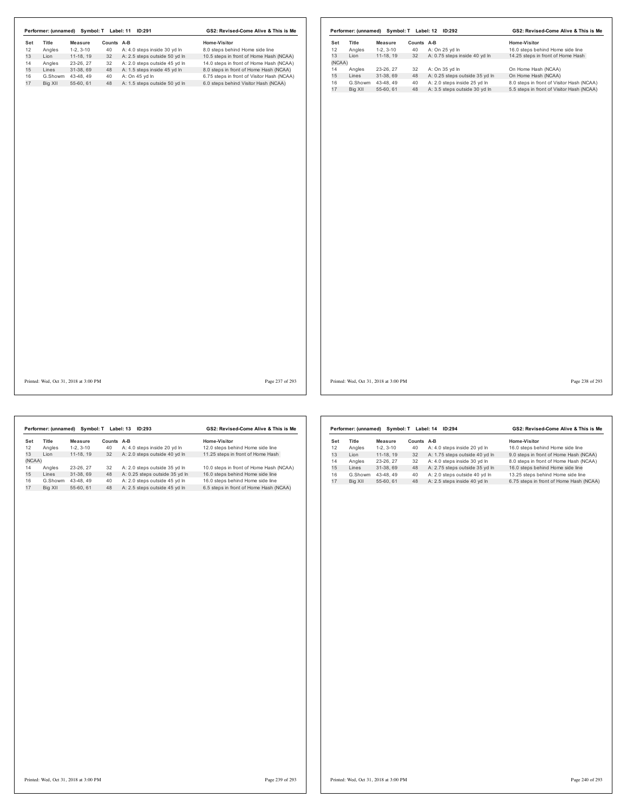|     |                   |                                       |            | Performer: (unnamed) Symbol: T Label: 11 ID:291 | GS2: Revised-Come Alive & This is Me       |                 |                                       |                                |            | Performer: (unnamed) Symbol: T Label: 12 ID:292               | GS2: Revised-Come Alive & This is Me                                                   |
|-----|-------------------|---------------------------------------|------------|-------------------------------------------------|--------------------------------------------|-----------------|---------------------------------------|--------------------------------|------------|---------------------------------------------------------------|----------------------------------------------------------------------------------------|
| Set | Title             | <b>Measure</b>                        | Counts A-B |                                                 | Home-Visitor                               |                 | Title<br>Set                          | Measure                        | Counts A-B |                                                               | Home-Visitor                                                                           |
| 12  | Angles            | $1-2, 3-10$                           |            | 40 A: 4.0 steps inside 30 yd In                 | 8.0 steps behind Home side line            |                 | 12<br>Angles                          | $1-2, 3-10$                    | 40         | A: On 25 yd In                                                | 16.0 steps behind Home side line                                                       |
| 13  | Lion              | 11-18, 19                             | 32         | A: 2.5 steps outside 50 yd In                   | 10.5 steps in front of Home Hash (NCAA)    |                 | 13<br>Lion                            | $11-18, 19$                    | 32         | A: 0.75 steps inside 40 yd In                                 | 14.25 steps in front of Home Hash                                                      |
| 14  | Angles            | 23-26, 27                             | 32         | A: 2.0 steps outside 45 yd In                   | 14.0 steps in front of Home Hash (NCAA)    |                 | (NCAA)                                |                                |            |                                                               |                                                                                        |
| 15  | Lines             | 31-38, 69                             | 48         | A: 1.5 steps inside 45 yd In                    | 8.0 steps in front of Home Hash (NCAA)     |                 | 14<br>Angles                          | 23-26, 27                      | 32         | A: On 35 yd In                                                | On Home Hash (NCAA)                                                                    |
| 16  | G.Showm 43-48, 49 |                                       |            | 40 A: On 45 yd In                               | 6.75 steps in front of Visitor Hash (NCAA) |                 | 15<br>Lines                           | 31-38, 69                      | 48         | A: 0.25 steps outside 35 yd In                                | On Home Hash (NCAA)                                                                    |
| 17  | Big XII           | 55-60, 61                             |            | 48 A: 1.5 steps outside 50 yd In                | 6.0 steps behind Visitor Hash (NCAA)       |                 | 16<br>17<br>Big XII                   | G.Showm 43-48, 49<br>55-60, 61 | 40<br>48   | A: 2.0 steps inside 25 yd In<br>A: 3.5 steps outside 30 yd In | 8.0 steps in front of Visitor Hash (NCAA)<br>5.5 steps in front of Visitor Hash (NCAA) |
|     |                   |                                       |            |                                                 |                                            |                 |                                       |                                |            |                                                               |                                                                                        |
|     |                   |                                       |            |                                                 |                                            |                 |                                       |                                |            |                                                               |                                                                                        |
|     |                   |                                       |            |                                                 |                                            |                 |                                       |                                |            |                                                               |                                                                                        |
|     |                   | Printed: Wed, Oct 31, 2018 at 3:00 PM |            |                                                 |                                            | Page 237 of 293 | Printed: Wed, Oct 31, 2018 at 3:00 PM |                                |            |                                                               | Page 238 of 293                                                                        |

|        | Performer: (unnamed) | Symbol: T  |        | Label: 13<br>ID:293            | GS2: Revised-Come Alive & This is Me    |
|--------|----------------------|------------|--------|--------------------------------|-----------------------------------------|
| Set    | Title                | Measure    | Counts | $A-B$                          | Home-Visitor                            |
| 12     | Angles               | $1-2.3-10$ | 40     | A: 4.0 steps inside 20 yd In   | 12.0 steps behind Home side line        |
| 13     | Lion                 | 11-18.19   | 32     | A: 2.0 steps outside 40 yd In  | 11.25 steps in front of Home Hash       |
| (NCAA) |                      |            |        |                                |                                         |
| 14     | Angles               | 23-26.27   | 32     | A: 2.0 steps outside 35 yd In  | 10.0 steps in front of Home Hash (NCAA) |
| 15     | Lines                | 31-38.69   | 48     | A: 0.25 steps outside 35 yd In | 16.0 steps behind Home side line        |
| 16     | G.Showm              | 43-48.49   | 40     | A: 2.0 steps outside 45 vd In  | 16.0 steps behind Home side line        |
| 17     | Big XII              | 55-60.61   | 48     | A: 2.5 steps outside 45 vd In  | 6.5 steps in front of Home Hash (NCAA)  |

|     | Performer: (unnamed) | Symbol: T  |        | Label: 14<br>ID:294            | GS2: Revised-Come Alive & This is Me    |
|-----|----------------------|------------|--------|--------------------------------|-----------------------------------------|
| Set | <b>Title</b>         | Measure    | Counts | $A-B$                          | Home-Visitor                            |
| 12  | Angles               | $1-2.3-10$ | 40     | A: 4.0 steps inside 20 yd In   | 16.0 steps behind Home side line        |
| 13  | I ion                | 11-18.19   | 32     | A: 1.75 steps outside 40 yd In | 9.0 steps in front of Home Hash (NCAA)  |
| 14  | Angles               | 23-26.27   | 32     | A: 4.0 steps inside 30 vd In   | 8.0 steps in front of Home Hash (NCAA)  |
| 15  | I ines               | 31-38.69   | 48     | A: 2.75 steps outside 35 yd In | 16.0 steps behind Home side line        |
| 16  | G.Showm              | 43-48.49   | 40     | A: 2.0 steps outside 40 yd In  | 13.25 steps behind Home side line       |
| 17  | Big XII              | 55-60.61   | 48     | A: 2.5 steps inside 40 yd In   | 6.75 steps in front of Home Hash (NCAA) |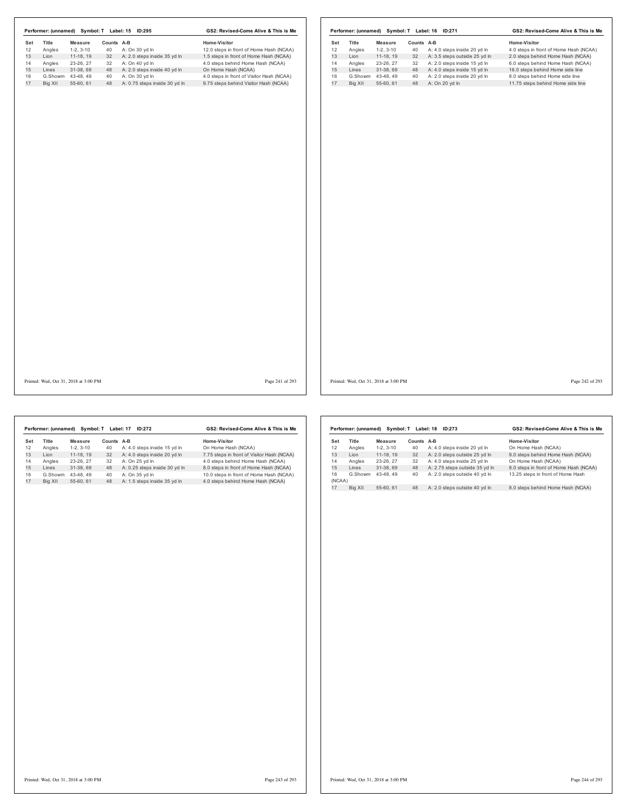|     |         |                                       |            | Performer: (unnamed) Symbol: T Label: 15 ID:295 | GS2: Revised-Come Alive & This is Me      |     |         |                                       |            | Performer: (unnamed) Symbol: T Label: 16 ID:271 | GS2: Revised-Come Alive & This is Me   |
|-----|---------|---------------------------------------|------------|-------------------------------------------------|-------------------------------------------|-----|---------|---------------------------------------|------------|-------------------------------------------------|----------------------------------------|
| Set | Title   | <b>Measure</b>                        | Counts A-B |                                                 | Home-Visitor                              | Set | Title   | Measure                               | Counts A-B |                                                 | Home-Visitor                           |
| 12  | Angles  | $1-2, 3-10$                           |            | 40 A: On 30 yd In                               | 12.0 steps in front of Home Hash (NCAA)   | 12  | Angles  | $1-2, 3-10$                           | 40         | A: 4.0 steps inside 20 yd In                    | 4.0 steps in front of Home Hash (NCAA) |
|     | Lion    | $11-18, 19$                           |            | 32 A: 2.0 steps inside 35 yd In                 | 1.5 steps in front of Home Hash (NCAA)    | 13  | Lion    | $11-18, 19$                           | 32         | A: 3.5 steps outside 25 yd In                   | 2.0 steps behind Home Hash (NCAA)      |
|     | Angles  | 23-26, 27                             |            | 32 A: On 40 yd In                               | 4.0 steps behind Home Hash (NCAA)         | 14  | Angles  | 23-26, 27                             | 32         | A: 2.0 steps inside 15 yd In                    | 6.0 steps behind Home Hash (NCAA)      |
|     | Lines   | 31-38, 69                             |            | 48 A: 2.0 steps inside 40 yd In                 | On Home Hash (NCAA)                       | 15  | Lines   | 31-38, 69                             | 48         | A: 4.0 steps inside 15 yd In                    | 16.0 steps behind Home side line       |
|     | G.Showm | 43-48, 49                             |            | 40 A: On 30 yd In                               | 4.0 steps in front of Visitor Hash (NCAA) | 16  |         | G.Showm 43-48, 49                     | 40         | A: 2.0 steps inside 20 yd In                    | 8.0 steps behind Home side line        |
|     | Big XII | 55-60, 61                             |            | 48 A: 0.75 steps inside 30 yd In                | 9.75 steps behind Visitor Hash (NCAA)     | 17  | Big XII | 55-60, 61                             |            | 48 A: On 20 yd In                               | 11.75 steps behind Home side line      |
|     |         |                                       |            |                                                 |                                           |     |         |                                       |            |                                                 |                                        |
|     |         | Printed: Wed, Oct 31, 2018 at 3:00 PM |            |                                                 | Page 241 of 293                           |     |         | Printed: Wed, Oct 31, 2018 at 3:00 PM |            |                                                 | Page 242 of 293                        |

|     | Performer: (unnamed) | Symbol: T  |            | Label: 17<br>ID:272           | GS2: Revised-Come Alive & This is Me       |
|-----|----------------------|------------|------------|-------------------------------|--------------------------------------------|
| Set | Title                | Measure    | Counts A-B |                               | Home-Visitor                               |
| 12  | Angles               | $1-2.3-10$ | 40         | A: 4.0 steps inside 15 yd In  | On Home Hash (NCAA)                        |
| 13  | I ion                | 11-18.19   | 32         | A: 4.0 steps inside 20 yd In  | 7.75 steps in front of Visitor Hash (NCAA) |
| 14  | Angles               | 23-26.27   | 32         | A: On 25 vd In                | 4.0 steps behind Home Hash (NCAA)          |
| 15  | Lines                | 31-38.69   | 48         | A: 0.25 steps inside 30 yd In | 8.0 steps in front of Home Hash (NCAA)     |
| 16  | G.Showm              | 43-48.49   | 40         | A: On 35 vd In                | 10.0 steps in front of Home Hash (NCAA)    |
| 17  | Big XII              | 55-60.61   | 48         | A: 1.5 steps inside 35 vd In  | 4.0 steps behind Home Hash (NCAA)          |
|     |                      |            |            |                               |                                            |

|              | Performer: (unnamed) | Symbol: T  |        | Label: 18<br>ID:273            | GS2: Revised-Come Alive & This is Me   |
|--------------|----------------------|------------|--------|--------------------------------|----------------------------------------|
| Set          | <b>Title</b>         | Measure    | Counts | A-B                            | Home-Visitor                           |
| 12           | Angles               | $1-2.3-10$ | 40     | A: 4.0 steps inside 20 yd In   | On Home Hash (NCAA)                    |
| 13           | I ion                | 11-18.19   | 32     | A: 2.0 steps outside 25 yd In  | 9.0 steps behind Home Hash (NCAA)      |
| 14           | Angles               | 23-26.27   | 32     | A: 4.0 steps inside 25 vd In   | On Home Hash (NCAA)                    |
| 15           | I ines               | 31-38.69   | 48     | A: 2.75 steps outside 35 yd In | 8.0 steps in front of Home Hash (NCAA) |
| 16<br>(NCAA) | G.Showm              | 43-48.49   | 40     | A: 2.0 steps outside 40 yd In  | 13.25 steps in front of Home Hash      |
| 17           | Big XII              | 55-60, 61  | 48     | A: 2.0 steps outside 40 vd ln  | 8.0 steps behind Home Hash (NCAA)      |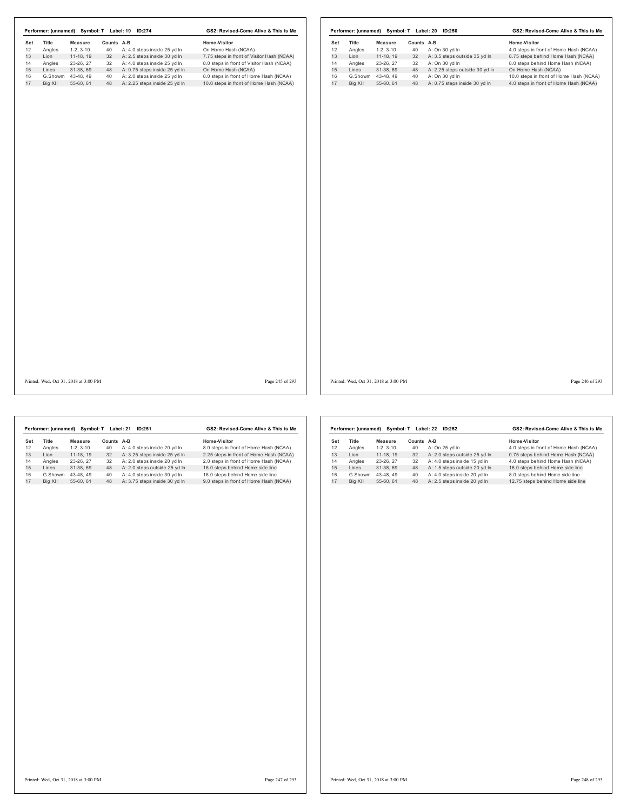| Set                  | Title<br>Angles<br>Lion | <b>Measure</b><br>$1-2, 3-10$ | Counts A-B |                                  |                                            |     |         |                   |            |                                  |                                         |
|----------------------|-------------------------|-------------------------------|------------|----------------------------------|--------------------------------------------|-----|---------|-------------------|------------|----------------------------------|-----------------------------------------|
| 12<br>13             |                         |                               |            |                                  | Home-Visitor                               | Set | Title   | Measure           | Counts A-B |                                  | Home-Visitor                            |
| 14<br>15<br>16<br>17 |                         |                               | 40         | A: 4.0 steps inside 25 yd In     | On Home Hash (NCAA)                        | 12  | Angles  | $1-2, 3-10$       | 40         | A: On 30 yd In                   | 4.0 steps in front of Home Hash (NCAA)  |
|                      |                         | 11-18, 19                     |            | 32 A: 2.5 steps inside 30 yd In  | 7.75 steps in front of Visitor Hash (NCAA) | 13  | Lion    | $11-18, 19$       | 32         | A: 3.5 steps outside 35 yd In    | 8.75 steps behind Home Hash (NCAA)      |
|                      | Angles                  | 23-26, 27                     | 32         | A: 4.0 steps inside 25 yd In     | 8.0 steps in front of Visitor Hash (NCAA)  | 14  | Angles  | 23-26, 27         | 32         | A: On 30 yd In                   | 8.0 steps behind Home Hash (NCAA)       |
|                      | Lines                   | 31-38, 69                     | 48         | A: 0.75 steps inside 25 yd In    | On Home Hash (NCAA)                        | 15  | Lines   | 31-38, 69         | 48         | A: 2.25 steps outside 30 yd In   | On Home Hash (NCAA)                     |
|                      | G.Showm 43-48, 49       |                               | 40         | A: 2.0 steps inside 25 yd In     | 8.0 steps in front of Home Hash (NCAA)     | 16  |         | G.Showm 43-48, 49 | 40         | A: On 30 yd In                   | 10.0 steps in front of Home Hash (NCAA) |
|                      | Big XII                 | 55-60, 61                     |            | 48 A: 2.25 steps inside 25 yd In | 10.0 steps in front of Home Hash (NCAA)    | 17  | Big XII | 55-60, 61         |            | 48 A: 0.75 steps inside 30 yd In | 4.0 steps in front of Home Hash (NCAA)  |
|                      |                         |                               |            |                                  |                                            |     |         |                   |            |                                  |                                         |
|                      |                         |                               |            |                                  |                                            |     |         |                   |            |                                  |                                         |
|                      |                         |                               |            |                                  |                                            |     |         |                   |            |                                  |                                         |
|                      |                         |                               |            |                                  |                                            |     |         |                   |            |                                  |                                         |
|                      |                         |                               |            |                                  |                                            |     |         |                   |            |                                  |                                         |
|                      |                         |                               |            |                                  |                                            |     |         |                   |            |                                  |                                         |
|                      |                         |                               |            |                                  |                                            |     |         |                   |            |                                  |                                         |
|                      |                         |                               |            |                                  |                                            |     |         |                   |            |                                  |                                         |
|                      |                         |                               |            |                                  |                                            |     |         |                   |            |                                  |                                         |

|     | Performer: (unnamed) | Symbol: T  |        | Label: 21<br>ID:251           | GS2: Revised-Come Alive & This is Me    |
|-----|----------------------|------------|--------|-------------------------------|-----------------------------------------|
| Set | Title                | Measure    | Counts | A-B                           | Home-Visitor                            |
| 12  | Angles               | $1-2.3-10$ | 40     | A: 4.0 steps inside 20 yd In  | 8.0 steps in front of Home Hash (NCAA)  |
| 13  | I ion                | 11-18.19   | 32     | A: 3.25 steps inside 25 yd In | 2.25 steps in front of Home Hash (NCAA) |
| 14  | Angles               | 23-26.27   | 32     | A: 2.0 steps inside 20 yd In  | 2.0 steps in front of Home Hash (NCAA)  |
| 15  | Lines                | 31-38.69   | 48     | A: 2.0 steps outside 25 yd In | 16.0 steps behind Home side line        |
| 16  | G.Showm              | 43-48.49   | 40     | A: 4.0 steps inside 30 yd In  | 16.0 steps behind Home side line        |
| 17  | Big XII              | 55-60.61   | 48     | A: 3.75 steps inside 30 yd In | 9.0 steps in front of Home Hash (NCAA)  |

|     | Performer: (unnamed) | Symbol: T  |        | Label: 22<br>ID:252           | GS2: Revised-Come Alive & This is Me   |
|-----|----------------------|------------|--------|-------------------------------|----------------------------------------|
| Set | Title                | Measure    | Counts | A-B                           | Home-Visitor                           |
| 12  | Angles               | $1-2.3-10$ | 40     | A: On 25 yd In                | 4.0 steps in front of Home Hash (NCAA) |
| 13  | I ion                | 11-18.19   | 32     | A: 2.0 steps outside 25 yd In | 0.75 steps behind Home Hash (NCAA)     |
| 14  | Angles               | 23-26, 27  | 32     | A: 4.0 steps inside 15 yd In  | 4.0 steps behind Home Hash (NCAA)      |
| 15  | Lines                | 31-38.69   | 48     | A: 1.5 steps outside 20 yd In | 16.0 steps behind Home side line       |
| 16  | G.Showm              | 43-48.49   | 40     | A: 4.0 steps inside 20 vd In  | 8.0 steps behind Home side line        |
| 17  | Big XII              | 55-60.61   | 48     | A: 2.5 steps inside 20 yd In  | 12.75 steps behind Home side line      |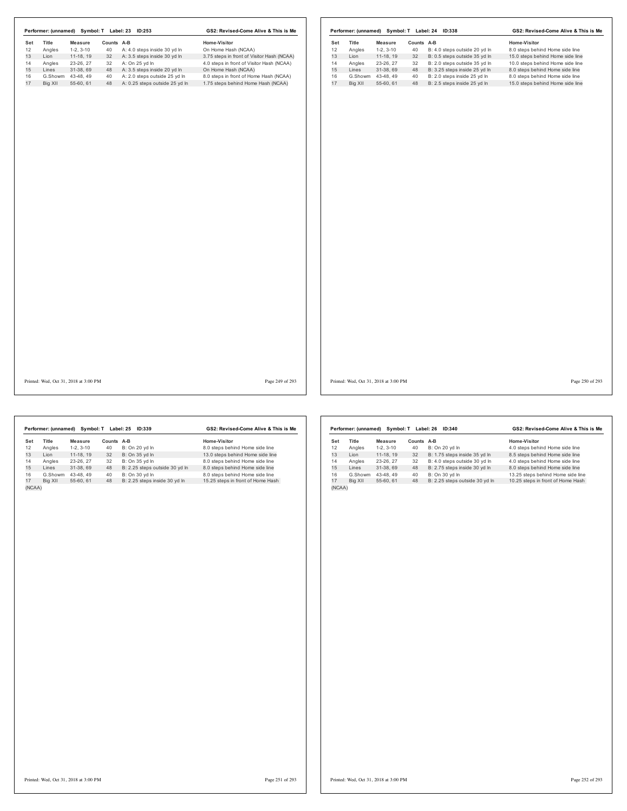|     |         | Performer: (unnamed) Symbol: T Label: 23 ID:253 |            |                                   | GS2: Revised-Come Alive & This is Me       |     |         |                                       |            | Performer: (unnamed) Symbol: T Label: 24 ID:338 | GS2: Revised-Come Alive & This is Me |
|-----|---------|-------------------------------------------------|------------|-----------------------------------|--------------------------------------------|-----|---------|---------------------------------------|------------|-------------------------------------------------|--------------------------------------|
| Set | Title   | Measure                                         | Counts A-B |                                   | Home-Visitor                               | Set | Title   | <b>Measure</b>                        | Counts A-B |                                                 | <b>Home-Visitor</b>                  |
|     | Angles  | $1-2, 3-10$                                     | 40         | A: 4.0 steps inside 30 yd In      | On Home Hash (NCAA)                        | 12  | Angles  | $1-2, 3-10$                           | 40         | B: 4.0 steps outside 20 yd In                   | 8.0 steps behind Home side line      |
|     | Lion    | 11-18, 19                                       |            | 32 A: 3.5 steps inside 30 yd In   | 3.75 steps in front of Visitor Hash (NCAA) | 13  | Lion    | $11-18, 19$                           | 32         | B: 0.5 steps outside 35 yd In                   | 15.0 steps behind Home side line     |
|     | Angles  | 23-26, 27                                       |            | 32 A: On 25 yd In                 | 4.0 steps in front of Visitor Hash (NCAA)  | 14  | Angles  | 23-26, 27                             | 32         | B: 2.0 steps outside 35 yd In                   | 10.0 steps behind Home side line     |
|     | Lines   | 31-38, 69                                       |            | 48 A: 3.5 steps inside 20 yd In   | On Home Hash (NCAA)                        | 15  | Lines   | 31-38, 69                             | 48         | B: 3.25 steps inside 25 yd In                   | 8.0 steps behind Home side line      |
|     |         | G.Showm 43-48, 49                               | 40         | A: 2.0 steps outside 25 yd In     | 8.0 steps in front of Home Hash (NCAA)     | 16  |         | G.Showm 43-48, 49                     | 40         | B: 2.0 steps inside 25 yd In                    | 8.0 steps behind Home side line      |
|     | Big XII | 55-60, 61                                       |            | 48 A: 0.25 steps outside 25 yd In | 1.75 steps behind Home Hash (NCAA)         | 17  | Big XII | 55-60, 61                             | 48         | B: 2.5 steps inside 25 yd In                    | 15.0 steps behind Home side line     |
|     |         |                                                 |            |                                   |                                            |     |         |                                       |            |                                                 |                                      |
|     |         | Printed: Wed, Oct 31, 2018 at 3:00 PM           |            |                                   | Page 249 of 293                            |     |         | Printed: Wed, Oct 31, 2018 at 3:00 PM |            |                                                 | Page 250 of 293                      |

|        | Performer: (unnamed) |                | Symbol: T Label: 25 | ID:339                         | GS2: Revised-Come Alive & This is Me |
|--------|----------------------|----------------|---------------------|--------------------------------|--------------------------------------|
| Set    | Title                | <b>Measure</b> | Counts A-B          |                                | Home-Visitor                         |
| 12     | Angles               | $1-2.3-10$     | 40                  | B: On 20 yd In                 | 8.0 steps behind Home side line      |
| 13     | Lion                 | 11-18.19       | 32                  | B: On 35 yd In                 | 13.0 steps behind Home side line     |
| 14     | Angles               | 23-26.27       | 32                  | B: On 35 vd In                 | 8.0 steps behind Home side line      |
| 15     | Lines                | 31-38.69       | 48                  | B: 2.25 steps outside 30 yd In | 8.0 steps behind Home side line      |
| 16     | G.Showm              | 43-48.49       | 40                  | B: On 30 vd In                 | 8.0 steps behind Home side line      |
| 17     | Big XII              | 55-60.61       | 48                  | B: 2.25 steps inside 30 yd In  | 15.25 steps in front of Home Hash    |
| (NCAA) |                      |                |                     |                                |                                      |

|        | Performer: (unnamed) | Svmbol: T  |        | Label: 26<br>ID:340            | GS2: Revised-Come Alive & This is Me |
|--------|----------------------|------------|--------|--------------------------------|--------------------------------------|
| Set    | <b>Title</b>         | Measure    | Counts | $A-B$                          | Home-Visitor                         |
| 12     | Angles               | $1-2.3-10$ | 40     | B: On 20 yd In                 | 4.0 steps behind Home side line      |
| 13     | I ion                | 11-18.19   | 32     | B: 1.75 steps inside 35 yd In  | 8.5 steps behind Home side line      |
| 14     | Angles               | 23-26, 27  | 32     | B: 4.0 steps outside 30 yd In  | 4.0 steps behind Home side line      |
| 15     | Lines                | 31-38.69   | 48     | B: 2.75 steps inside 30 yd In  | 8.0 steps behind Home side line      |
| 16     | G.Showm              | 43-48.49   | 40     | B: On 30 vd In                 | 13.25 steps behind Home side line    |
| 17     | Big XII              | 55-60.61   | 48     | B: 2.25 steps outside 30 yd In | 10.25 steps in front of Home Hash    |
| (NCAA) |                      |            |        |                                |                                      |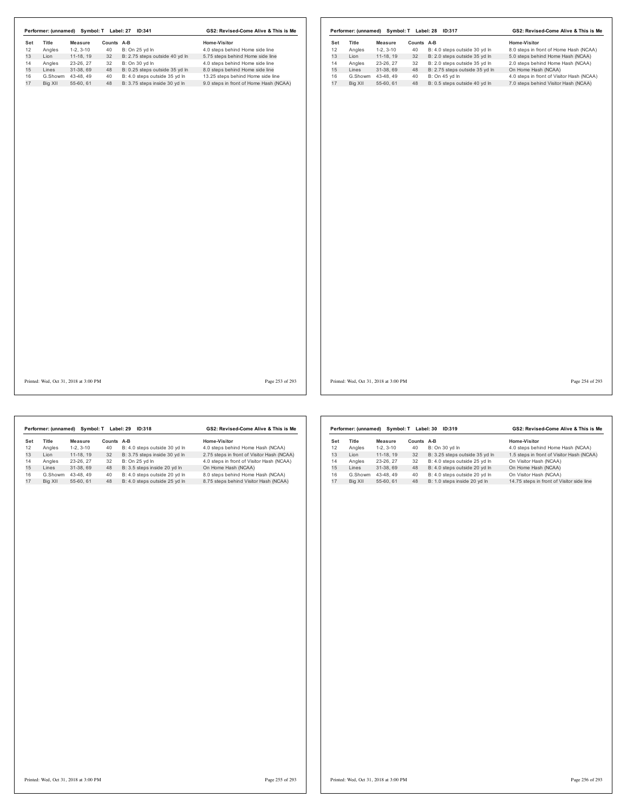| Title<br>Measure      |                  |                                | Home-Visitor                           | Set | Title   | Measure           | Counts A-B |                                | Home-Visitor                              |
|-----------------------|------------------|--------------------------------|----------------------------------------|-----|---------|-------------------|------------|--------------------------------|-------------------------------------------|
| Angles<br>$1-2, 3-10$ | Counts A-B<br>40 | B: On 25 yd In                 | 4.0 steps behind Home side line        | 12  | Angles  | $1-2, 3-10$       | 40         | B: 4.0 steps outside 30 yd In  | 8.0 steps in front of Home Hash (NCAA)    |
| Lion<br>11-18, 19     | 32               | B: 2.75 steps outside 40 yd In | 5.75 steps behind Home side line       | 13  | Lion    | 11-18, 19         | 32         | B: 2.0 steps outside 35 yd In  | 5.0 steps behind Home Hash (NCAA)         |
| Angles<br>23-26, 27   | 32               | B: On 30 yd In                 | 4.0 steps behind Home side line        | 14  | Angles  | 23-26, 27         | 32         | B: 2.0 steps outside 35 yd In  | 2.0 steps behind Home Hash (NCAA)         |
| Lines<br>31-38, 69    | 48               | B: 0.25 steps outside 35 yd In | 8.0 steps behind Home side line        | 15  | Lines   | 31-38, 69         | 48         | B: 2.75 steps outside 35 yd In | On Home Hash (NCAA)                       |
| G.Showm 43-48, 49     | 40               | B: 4.0 steps outside 35 yd In  | 13.25 steps behind Home side line      | 16  |         | G.Showm 43-48, 49 | 40         | B: On 45 yd In                 | 4.0 steps in front of Visitor Hash (NCAA) |
| Big XII<br>55-60, 61  | 48               | B: 3.75 steps inside 30 yd In  | 9.0 steps in front of Home Hash (NCAA) | 17  | Big XII | 55-60, 61         | 48         | B: 0.5 steps outside 40 yd In  | 7.0 steps behind Visitor Hash (NCAA)      |
|                       |                  |                                |                                        |     |         |                   |            |                                |                                           |

Printed: Wed, Oct 31, 2018 at 3:00 PM Page 253 of 293

Printed: Wed, Oct 31, 2018 at 3:00 PM Page 254 of 293

|     | Performer: (unnamed) | Symbol: T  |            | Label: 29<br>ID:318           | GS2: Revised-Come Alive & This is Me       |
|-----|----------------------|------------|------------|-------------------------------|--------------------------------------------|
| Set | Title                | Measure    | Counts A-B |                               | Home-Visitor                               |
| 12  | Angles               | $1-2.3-10$ | 40         | B: 4.0 steps outside 30 yd In | 4.0 steps behind Home Hash (NCAA)          |
| 13  | I ion                | 11-18.19   | 32         | B: 3.75 steps inside 30 yd In | 2.75 steps in front of Visitor Hash (NCAA) |
| 14  | Angles               | 23-26.27   | 32         | B: On 25 vd In                | 4.0 steps in front of Visitor Hash (NCAA)  |
| 15  | Lines                | 31-38.69   | 48         | B: 3.5 steps inside 20 yd In  | On Home Hash (NCAA)                        |
| 16  | G.Showm              | 43-48.49   | 40         | B: 4.0 steps outside 20 yd In | 8.0 steps behind Home Hash (NCAA)          |
| 17  | Big XII              | 55-60.61   | 48         | B: 4.0 steps outside 25 vd In | 8.75 steps behind Visitor Hash (NCAA)      |
|     |                      |            |            |                               |                                            |

|     | Performer: (unnamed) | Svmbol: T  | Label: 30 | GS2: Revised-Come Alive & This is Me |                                           |  |
|-----|----------------------|------------|-----------|--------------------------------------|-------------------------------------------|--|
| Set | <b>Title</b>         | Measure    | Counts    | A-B                                  | Home-Visitor                              |  |
| 12  | Angles               | $1-2.3-10$ | 40        | B: On 30 vd In                       | 4.0 steps behind Home Hash (NCAA)         |  |
| 13  | I ion                | 11-18, 19  | 32        | B: 3.25 steps outside 35 yd In       | 1.5 steps in front of Visitor Hash (NCAA) |  |
| 14  | Angles               | 23-26, 27  | 32        | B: 4.0 steps outside 25 vd In        | On Visitor Hash (NCAA)                    |  |
| 15  | Lines                | 31-38.69   | 48        | B: 4.0 steps outside 20 yd In        | On Home Hash (NCAA)                       |  |
| 16  | G.Showm              | 43-48.49   | 40        | B: 4.0 steps outside 20 yd In        | On Visitor Hash (NCAA)                    |  |
| 17  | Bia XII              | 55-60.61   | 48        | B: 1.0 steps inside 20 vd In         | 14.75 steps in front of Visitor side line |  |
|     |                      |            |           |                                      |                                           |  |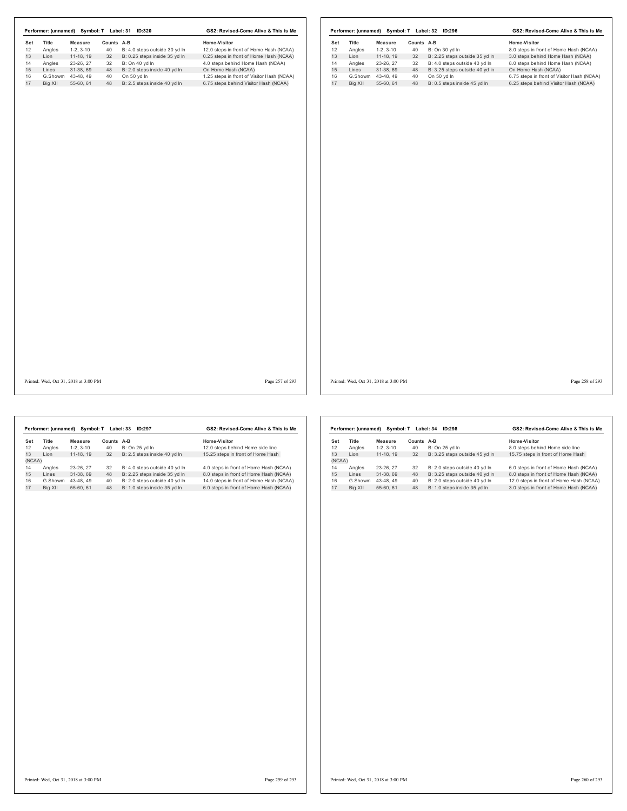|          |                    |                                       |            | Performer: (unnamed) Symbol: T Label: 31 ID:320 | GS2: Revised-Come Alive & This is Me                                                |          |         |                                       |            | Performer: (unnamed) Symbol: T Label: 32 ID:296 | GS2: Revised-Come Alive & This is Me                                                |
|----------|--------------------|---------------------------------------|------------|-------------------------------------------------|-------------------------------------------------------------------------------------|----------|---------|---------------------------------------|------------|-------------------------------------------------|-------------------------------------------------------------------------------------|
| Set      | Title              | <b>Measure</b>                        | Counts A-B |                                                 | Home-Visitor                                                                        | Set      | Title   | <b>Measure</b>                        | Counts A-B |                                                 | Home-Visitor                                                                        |
| 12       | Angles             | $1-2, 3-10$                           | 40         | B: 4.0 steps outside 30 yd In                   | 12.0 steps in front of Home Hash (NCAA)                                             | 12       | Angles  | $1-2, 3-10$                           | 40         | B: On 30 yd In                                  | 8.0 steps in front of Home Hash (NCAA)                                              |
| 13<br>14 | Lion               | $11-18, 19$                           | 32         | B: 0.25 steps inside 35 yd In                   | 0.25 steps in front of Home Hash (NCAA)                                             | 13       | Lion    | $11-18, 19$                           | 32         | B: 2.25 steps outside 35 yd In                  | 3.0 steps behind Home Hash (NCAA)                                                   |
|          | Angles             | 23-26, 27                             | 32         | B: On 40 yd In                                  | 4.0 steps behind Home Hash (NCAA)                                                   | 14       | Angles  | 23-26, 27                             | 32         | B: 4.0 steps outside 40 yd In                   | 8.0 steps behind Home Hash (NCAA)                                                   |
|          | Lines              | 31-38, 69                             | 48         | B: 2.0 steps inside 40 yd In                    | On Home Hash (NCAA)                                                                 | 15       | Lines   | 31-38, 69                             | 48         | B: 3.25 steps outside 40 yd In                  | On Home Hash (NCAA)                                                                 |
|          | G.Showm<br>Big XII | 43-48, 49<br>55-60, 61                | 40         | On 50 yd In<br>48 B: 2.5 steps inside 40 yd In  | 1.25 steps in front of Visitor Hash (NCAA)<br>6.75 steps behind Visitor Hash (NCAA) | 16<br>17 | Big XII | G.Showm 43-48, 49<br>55-60, 61        | 40<br>48   | On 50 yd In<br>B: 0.5 steps inside 45 yd In     | 6.75 steps in front of Visitor Hash (NCAA)<br>6.25 steps behind Visitor Hash (NCAA) |
|          |                    |                                       |            |                                                 |                                                                                     |          |         |                                       |            |                                                 |                                                                                     |
|          |                    |                                       |            |                                                 |                                                                                     |          |         |                                       |            |                                                 |                                                                                     |
|          |                    |                                       |            |                                                 |                                                                                     |          |         |                                       |            |                                                 |                                                                                     |
|          |                    |                                       |            |                                                 |                                                                                     |          |         |                                       |            |                                                 |                                                                                     |
|          |                    |                                       |            |                                                 |                                                                                     |          |         |                                       |            |                                                 |                                                                                     |
|          |                    |                                       |            |                                                 |                                                                                     |          |         |                                       |            |                                                 |                                                                                     |
|          |                    |                                       |            |                                                 |                                                                                     |          |         |                                       |            |                                                 |                                                                                     |
|          |                    |                                       |            |                                                 |                                                                                     |          |         |                                       |            |                                                 |                                                                                     |
|          |                    |                                       |            |                                                 |                                                                                     |          |         |                                       |            |                                                 |                                                                                     |
|          |                    |                                       |            |                                                 |                                                                                     |          |         |                                       |            |                                                 |                                                                                     |
|          |                    |                                       |            |                                                 |                                                                                     |          |         |                                       |            |                                                 |                                                                                     |
|          |                    |                                       |            |                                                 |                                                                                     |          |         |                                       |            |                                                 |                                                                                     |
|          |                    |                                       |            |                                                 |                                                                                     |          |         |                                       |            |                                                 |                                                                                     |
|          |                    |                                       |            |                                                 |                                                                                     |          |         |                                       |            |                                                 |                                                                                     |
|          |                    | Printed: Wed, Oct 31, 2018 at 3:00 PM |            |                                                 | Page 257 of 293                                                                     |          |         | Printed: Wed, Oct 31, 2018 at 3:00 PM |            |                                                 | Page 258 of 293                                                                     |

|        | Performer: (unnamed) | Symbol: T  |        | Label: 33<br>ID:297           | GS2: Revised-Come Alive & This is Me    |
|--------|----------------------|------------|--------|-------------------------------|-----------------------------------------|
| Set    | <b>Title</b>         | Measure    | Counts | A-B                           | Home-Visitor                            |
| 12     | Angles               | $1-2.3-10$ | 40     | B: On 25 vd In                | 12.0 steps behind Home side line        |
| 13     | I ion                | 11-18.19   | 32     | B: 2.5 steps inside 40 yd In  | 15.25 steps in front of Home Hash       |
| (NCAA) |                      |            |        |                               |                                         |
| 14     | Angles               | 23-26.27   | 32     | B: 4.0 steps outside 40 yd In | 4.0 steps in front of Home Hash (NCAA)  |
| 15     | Lines                | 31-38.69   | 48     | B: 2.25 steps inside 35 yd In | 8.0 steps in front of Home Hash (NCAA)  |
| 16     | G.Showm              | 43-48.49   | 40     | B: 2.0 steps outside 40 vd In | 14.0 steps in front of Home Hash (NCAA) |
| 17     | Big XII              | 55-60.61   | 48     | B: 1.0 steps inside 35 yd In  | 6.0 steps in front of Home Hash (NCAA)  |

|        | Performer: (unnamed) | Symbol: T  |            | Label: 34<br>ID:298            | GS2: Revised-Come Alive & This is Me    |  |  |
|--------|----------------------|------------|------------|--------------------------------|-----------------------------------------|--|--|
| Set    | <b>Title</b>         | Measure    | Counts A-B |                                | Home-Visitor                            |  |  |
| 12     | Angles               | $1-2.3-10$ | 40         | B: On 25 yd In                 | 8.0 steps behind Home side line         |  |  |
| 13     | I ion                | 11-18.19   | 32         | B: 3.25 steps outside 45 yd In | 15.75 steps in front of Home Hash       |  |  |
| (NCAA) |                      |            |            |                                |                                         |  |  |
| 14     | Angles               | 23-26, 27  | 32         | B: 2.0 steps outside 40 yd In  | 6.0 steps in front of Home Hash (NCAA)  |  |  |
| 15     | I ines               | 31-38.69   | 48         | B: 3.25 steps outside 40 yd In | 8.0 steps in front of Home Hash (NCAA)  |  |  |
| 16     | G.Showm              | 43-48.49   | 40         | B: 2.0 steps outside 40 yd In  | 12.0 steps in front of Home Hash (NCAA) |  |  |
| 17     | Big XII              | 55-60, 61  | 48         | B: 1.0 steps inside 35 yd In   | 3.0 steps in front of Home Hash (NCAA)  |  |  |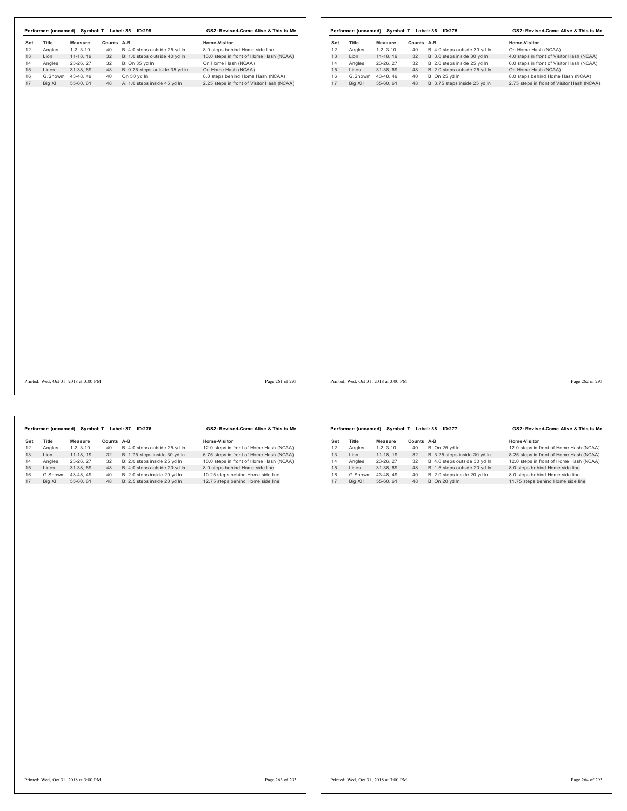| Set     | Title  | <b>Measure</b>    | Counts A-B |                                | Home-Visitor                               | Set | Title   | <b>Measure</b>    | Counts A-B |                               | Home-Visitor                               |
|---------|--------|-------------------|------------|--------------------------------|--------------------------------------------|-----|---------|-------------------|------------|-------------------------------|--------------------------------------------|
| 12      | Angles | $1-2, 3-10$       | 40         | B: 4.0 steps outside 25 yd In  | 8.0 steps behind Home side line            | 12  | Angles  | $1-2, 3-10$       | 40         | B: 4.0 steps outside 30 yd In | On Home Hash (NCAA)                        |
|         | Lion   | 11-18, 19         | 32         | B: 1.0 steps outside 40 yd In  | 13.0 steps in front of Home Hash (NCAA)    | 13  | Lion    | 11-18, 19         | 32         | B: 3.0 steps inside 30 yd In  | 4.0 steps in front of Visitor Hash (NCAA)  |
|         | Angles | 23-26, 27         | 32         | B: On 35 yd In                 | On Home Hash (NCAA)                        | 14  | Angles  | 23-26, 27         | 32         | B: 2.0 steps inside 25 yd In  | 6.0 steps in front of Visitor Hash (NCAA)  |
| Lines   |        | 31-38, 69         | 48         | B: 0.25 steps outside 35 yd In | On Home Hash (NCAA)                        | 15  | Lines   | 31-38, 69         | 48         | B: 2.0 steps outside 25 yd In | On Home Hash (NCAA)                        |
|         |        | G.Showm 43-48, 49 | 40         | On 50 yd In                    | 8.0 steps behind Home Hash (NCAA)          | 16  |         | G.Showm 43-48, 49 | 40         | B: On 25 yd In                | 8.0 steps behind Home Hash (NCAA)          |
| Big XII |        | 55-60, 61         | 48         | A: 1.0 steps inside 45 yd In   | 2.25 steps in front of Visitor Hash (NCAA) | 17  | Big XII | 55-60, 61         | 48         | B: 3.75 steps inside 25 yd In | 2.75 steps in front of Visitor Hash (NCAA) |
|         |        |                   |            |                                |                                            |     |         |                   |            |                               |                                            |

Printed: Wed, Oct 31, 2018 at 3:00 PM Page 261 of 293

Printed: Wed, Oct 31, 2018 at 3:00 PM Page 262 of 293

|     | Performer: (unnamed) | Symbol: T  |            | Label: 37<br>ID:276           | GS2: Revised-Come Alive & This is Me    |
|-----|----------------------|------------|------------|-------------------------------|-----------------------------------------|
| Set | Title                | Measure    | Counts A-B |                               | Home-Visitor                            |
| 12  | Angles               | $1-2.3-10$ | 40         | B: 4.0 steps outside 25 yd In | 12.0 steps in front of Home Hash (NCAA) |
| 13  | I ion                | 11-18.19   | 32         | B: 1.75 steps inside 30 yd In | 6.75 steps in front of Home Hash (NCAA) |
| 14  | Angles               | 23-26.27   | 32         | B: 2.0 steps inside 25 vd In  | 10.0 steps in front of Home Hash (NCAA) |
| 15  | Lines                | 31-38.69   | 48         | B: 4.0 steps outside 20 yd In | 8.0 steps behind Home side line         |
| 16  | G.Showm              | 43-48.49   | 40         | B: 2.0 steps inside 20 vd In  | 10.25 steps behind Home side line       |
| 17  | Big XII              | 55-60.61   | 48         | B: 2.5 steps inside 20 yd In  | 12.75 steps behind Home side line       |
|     |                      |            |            |                               |                                         |

|     | Performer: (unnamed) | Symbol: T  |        | Label: 38<br>ID:277           | GS2: Revised-Come Alive & This is Me    |
|-----|----------------------|------------|--------|-------------------------------|-----------------------------------------|
| Set | <b>Title</b>         | Measure    | Counts | A-B                           | Home-Visitor                            |
| 12  | Angles               | $1-2.3-10$ | 40     | B: On 25 vd In                | 12.0 steps in front of Home Hash (NCAA) |
| 13  | I ion                | 11-18, 19  | 32     | B: 3.25 steps inside 30 yd In | 8.25 steps in front of Home Hash (NCAA) |
| 14  | Angles               | 23-26.27   | 32     | B: 4.0 steps outside 30 yd In | 12.0 steps in front of Home Hash (NCAA) |
| 15  | I ines               | 31-38.69   | 48     | B: 1.5 steps outside 20 yd In | 8.0 steps behind Home side line         |
| 16  | G.Showm              | 43-48.49   | 40     | B: 2.0 steps inside 20 yd In  | 8.0 steps behind Home side line         |
| 17  | Big XII              | 55-60.61   | 48     | B: On 20 vd In                | 11.75 steps behind Home side line       |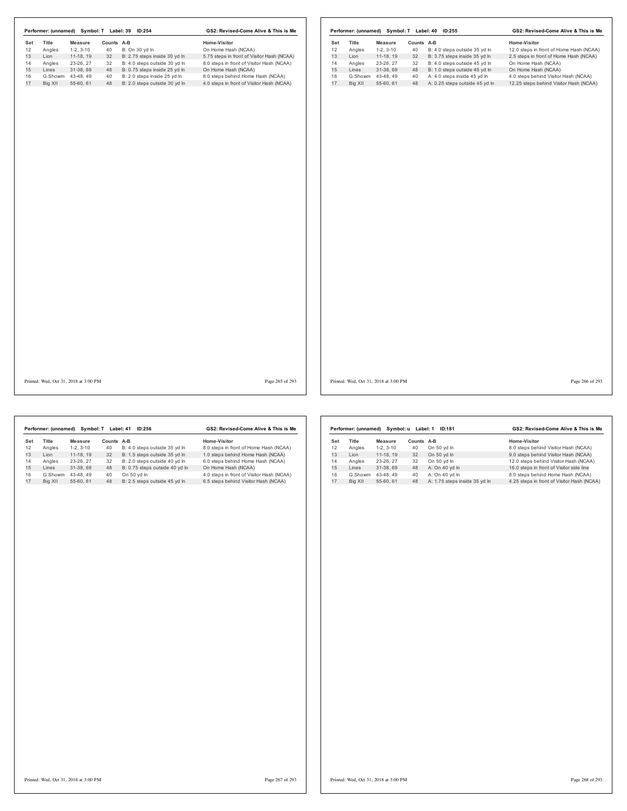|                    |                                       |            | Performer: (unnamed) Symbol: T Label: 39 ID:254 | GS2: Revised-Come Alive & This is Me       |                                       |                   |            | Performer: (unnamed) Symbol: T Label: 40 ID:255 | GS2: Revised-Come Alive & This is Me    |
|--------------------|---------------------------------------|------------|-------------------------------------------------|--------------------------------------------|---------------------------------------|-------------------|------------|-------------------------------------------------|-----------------------------------------|
| Set<br>Title<br>12 | <b>Measure</b>                        | Counts A-B |                                                 | Home-Visitor                               | Set<br>Title                          | Measure           | Counts A-B |                                                 | Home-Visitor                            |
| Angles             | $1-2, 3-10$                           | 40         | B: On 30 yd In                                  | On Home Hash (NCAA)                        | 12<br>Angles                          | $1-2, 3-10$       | 40         | B: 4.0 steps outside 35 yd In                   | 12.0 steps in front of Home Hash (NCAA) |
| Lion               | 11-18, 19                             | 32         | B: 2.75 steps inside 30 yd In                   | 5.75 steps in front of Visitor Hash (NCAA) | 13<br>Lion                            | 11-18, 19         | 32         | B: 3.75 steps inside 35 yd In                   | 2.5 steps in front of Home Hash (NCAA)  |
| Angles             | 23-26, 27                             | 32         | B: 4.0 steps outside 30 yd In                   | 8.0 steps in front of Visitor Hash (NCAA)  | 14<br>Angles                          | 23-26, 27         | 32         | B: 4.0 steps outside 45 yd In                   | On Home Hash (NCAA)                     |
| Lines              | 31-38, 69                             | 48         | B: 0.75 steps inside 25 yd In                   | On Home Hash (NCAA)                        | 15<br>Lines                           | 31-38, 69         | 48         | B: 1.0 steps outside 45 yd In                   | On Home Hash (NCAA)                     |
| G.Showm            | 43-48, 49                             | 40         | B: 2.0 steps inside 25 yd In                    | 8.0 steps behind Home Hash (NCAA)          | 16                                    | G.Showm 43-48, 49 | 40         | A: 4.0 steps inside 45 yd In                    | 4.0 steps behind Visitor Hash (NCAA)    |
| Big XII            | 55-60, 61                             | 48         | B: 2.0 steps outside 30 yd In                   | 4.0 steps in front of Visitor Hash (NCAA)  | 17<br>Big XII                         | 55-60, 61         | 48         | A: 0.25 steps outside 45 yd In                  | 12.25 steps behind Visitor Hash (NCAA)  |
|                    |                                       |            |                                                 |                                            |                                       |                   |            |                                                 |                                         |
|                    |                                       |            |                                                 |                                            |                                       |                   |            |                                                 |                                         |
|                    |                                       |            |                                                 |                                            |                                       |                   |            |                                                 |                                         |
|                    | Printed: Wed, Oct 31, 2018 at 3:00 PM |            |                                                 | Page 265 of 293                            | Printed: Wed, Oct 31, 2018 at 3:00 PM |                   |            |                                                 | Page 266 of 293                         |

|     | Performer: (unnamed) |                | Symbol: T Label: 41 | ID:256                         | GS2: Revised-Come Alive & This is Me      |
|-----|----------------------|----------------|---------------------|--------------------------------|-------------------------------------------|
| Set | Title                | <b>Measure</b> | Counts A-B          |                                | Home-Visitor                              |
| 12  | Angles               | $1-2.3-10$     | 40                  | B: 4.0 steps outside 35 vd In  | 8.0 steps in front of Home Hash (NCAA)    |
| 13  | I ion                | 11-18.19       | 32                  | B: 1.5 steps outside 35 yd In  | 1.0 steps behind Home Hash (NCAA)         |
| 14  | Angles               | 23-26.27       | 32                  | B: 2.0 steps outside 40 vd In  | 6.0 steps behind Home Hash (NCAA)         |
| 15  | Lines                | 31-38.69       | 48                  | B: 0.75 steps outside 40 yd In | On Home Hash (NCAA)                       |
| 16  | G.Showm              | 43-48.49       | 40                  | On 50 vd In                    | 4.0 steps in front of Visitor Hash (NCAA) |
| 17  | Big XII              | 55-60.61       | 48                  | B: 2.5 steps outside 45 yd In  | 6.5 steps behind Visitor Hash (NCAA)      |

|     | Performer: (unnamed) |            | Symbol: u Label: 1 | <b>ID:181</b>                 | GS2: Revised-Come Alive & This is Me       |  |  |  |
|-----|----------------------|------------|--------------------|-------------------------------|--------------------------------------------|--|--|--|
| Set | <b>Title</b>         | Measure    | Counts             | A-B                           | Home-Visitor                               |  |  |  |
| 12  | Angles               | $1-2.3-10$ | 40                 | On 50 yd In                   | 8.0 steps behind Visitor Hash (NCAA)       |  |  |  |
| 13  | I ion                | 11-18, 19  | 32                 | On 50 yd In                   | 9.0 steps behind Visitor Hash (NCAA)       |  |  |  |
| 14  | Angles               | 23-26, 27  | 32                 | On 50 yd In                   | 12.0 steps behind Visitor Hash (NCAA)      |  |  |  |
| 15  | Lines                | 31-38.69   | 48                 | A: On 40 yd In                | 16.0 steps in front of Visitor side line   |  |  |  |
| 16  | G.Showm              | 43-48.49   | 40                 | A: On 40 vd In                | 8.0 steps behind Home Hash (NCAA)          |  |  |  |
| 17  | Big XII              | 55-60, 61  | 48                 | A: 1.75 steps inside 35 yd In | 4.25 steps in front of Visitor Hash (NCAA) |  |  |  |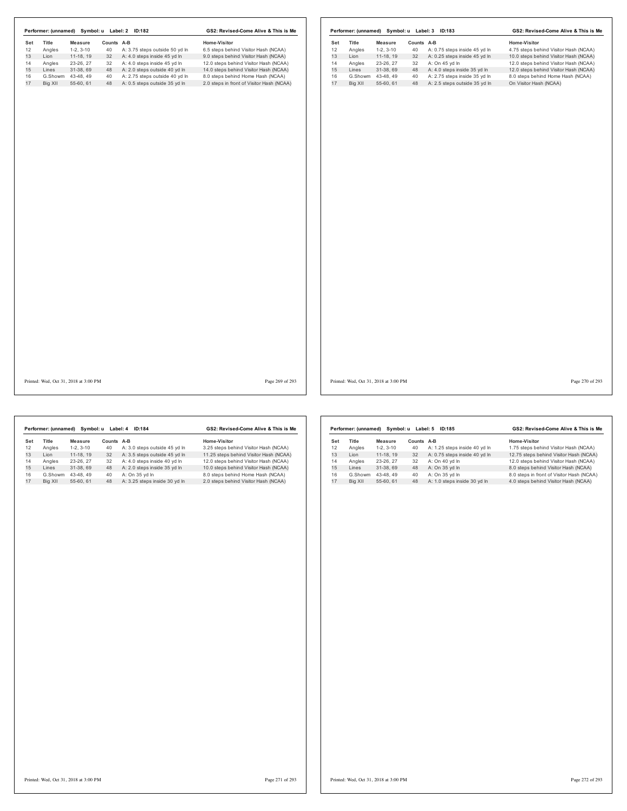|     | Performer: (unnamed) Symbol: u Label: 2 ID:182 |                                       |            |                                  | GS2: Revised-Come Alive & This is Me      |     |                                       |             |            | Performer: (unnamed) Symbol: u Label: 3 ID:183 | GS2: Revised-Come Alive & This is Me  |
|-----|------------------------------------------------|---------------------------------------|------------|----------------------------------|-------------------------------------------|-----|---------------------------------------|-------------|------------|------------------------------------------------|---------------------------------------|
| Set | Title                                          | Measure                               | Counts A-B |                                  | Home-Visitor                              | Set | Title                                 | Measure     | Counts A-B |                                                | Home-Visitor                          |
| 12  | Angles                                         | $1-2, 3-10$                           | 40         | A: 3.75 steps outside 50 yd In   | 6.5 steps behind Visitor Hash (NCAA)      | 12  | Angles                                | $1-2, 3-10$ | 40         | A: 0.75 steps inside 45 yd In                  | 4.75 steps behind Visitor Hash (NCAA) |
| 13  | Lion                                           | $11-18, 19$                           | 32         | A: 4.0 steps inside 45 yd In     | 9.0 steps behind Visitor Hash (NCAA)      | 13  | Lion                                  | 11-18, 19   | 32         | A: 0.25 steps inside 45 yd In                  | 10.0 steps behind Visitor Hash (NCAA) |
| 14  | Angles                                         | 23-26, 27                             | 32         | A: 4.0 steps inside 45 yd In     | 12.0 steps behind Visitor Hash (NCAA)     | 14  | Angles                                | 23-26, 27   | 32         | A: On 45 yd In                                 | 12.0 steps behind Visitor Hash (NCAA) |
| 15  | Lines                                          | 31-38, 69                             | 48         | A: 2.0 steps outside 40 yd In    | 14.0 steps behind Visitor Hash (NCAA)     | 15  | Lines                                 | 31-38, 69   | 48         | A: 4.0 steps inside 35 yd In                   | 12.0 steps behind Visitor Hash (NCAA) |
| 16  | G.Showm                                        | 43-48, 49                             | 40         | A: 2.75 steps outside 40 yd In   | 8.0 steps behind Home Hash (NCAA)         | 16  | G.Showm                               | 43-48, 49   | 40         | A: 2.75 steps inside 35 yd In                  | 8.0 steps behind Home Hash (NCAA)     |
| 17  | Big XII                                        | 55-60, 61                             |            | 48 A: 0.5 steps outside 35 yd In | 2.0 steps in front of Visitor Hash (NCAA) | 17  | Big XII                               | 55-60, 61   | 48         | A: 2.5 steps outside 35 yd In                  | On Visitor Hash (NCAA)                |
|     |                                                |                                       |            |                                  |                                           |     |                                       |             |            |                                                |                                       |
|     |                                                | Printed: Wed, Oct 31, 2018 at 3:00 PM |            |                                  | Page 269 of 293                           |     | Printed: Wed, Oct 31, 2018 at 3:00 PM |             |            |                                                | Page 270 of 293                       |

|     | Performer: (unnamed) | Symbol: u  | Label: 4 | ID:184                        | GS2: Revised-Come Alive & This is Me   |
|-----|----------------------|------------|----------|-------------------------------|----------------------------------------|
| Set | Title                | Measure    | Counts   | A-B                           | Home-Visitor                           |
| 12  | Angles               | $1-2.3-10$ | 40       | A: 3.0 steps outside 45 yd In | 3.25 steps behind Visitor Hash (NCAA)  |
| 13  | I ion                | 11-18.19   | 32       | A: 3.5 steps outside 45 vd In | 11.25 steps behind Visitor Hash (NCAA) |
| 14  | Angles               | 23-26.27   | 32       | A: 4.0 steps inside 40 vd In  | 12.0 steps behind Visitor Hash (NCAA)  |
| 15  | I ines               | 31-38.69   | 48       | A: 2.0 steps inside 35 yd In  | 10.0 steps behind Visitor Hash (NCAA)  |
| 16  | G.Showm              | 43-48.49   | 40       | A: On 35 vd In                | 8.0 steps behind Home Hash (NCAA)      |
| 17  | Big XII              | 55-60.61   | 48       | A: 3.25 steps inside 30 yd In | 2.0 steps behind Visitor Hash (NCAA)   |
|     |                      |            |          |                               |                                        |

|     | Performer: (unnamed) |            | Symbol: u Label: 5 | GS2: Revised-Come Alive & This is Me |                                           |  |
|-----|----------------------|------------|--------------------|--------------------------------------|-------------------------------------------|--|
| Set | Title                | Measure    | Counts             | $A-B$                                | Home-Visitor                              |  |
| 12  | Angles               | $1-2.3-10$ | 40                 | A: 1.25 steps inside 40 yd In        | 1.75 steps behind Visitor Hash (NCAA)     |  |
| 13  | I ion                | 11-18.19   | 32                 | A: 0.75 steps inside 40 yd In        | 12.75 steps behind Visitor Hash (NCAA)    |  |
| 14  | Angles               | 23-26, 27  | 32                 | A: On 40 vd In                       | 12.0 steps behind Visitor Hash (NCAA)     |  |
| 15  | I ines               | 31-38.69   | 48                 | A: On 35 yd In                       | 8.0 steps behind Visitor Hash (NCAA)      |  |
| 16  | G.Showm              | 43-48.49   | 40                 | A: On 35 vd In                       | 8.0 steps in front of Visitor Hash (NCAA) |  |
| 17  | Big XII              | 55-60, 61  | 48                 | A: 1.0 steps inside 30 yd In         | 4.0 steps behind Visitor Hash (NCAA)      |  |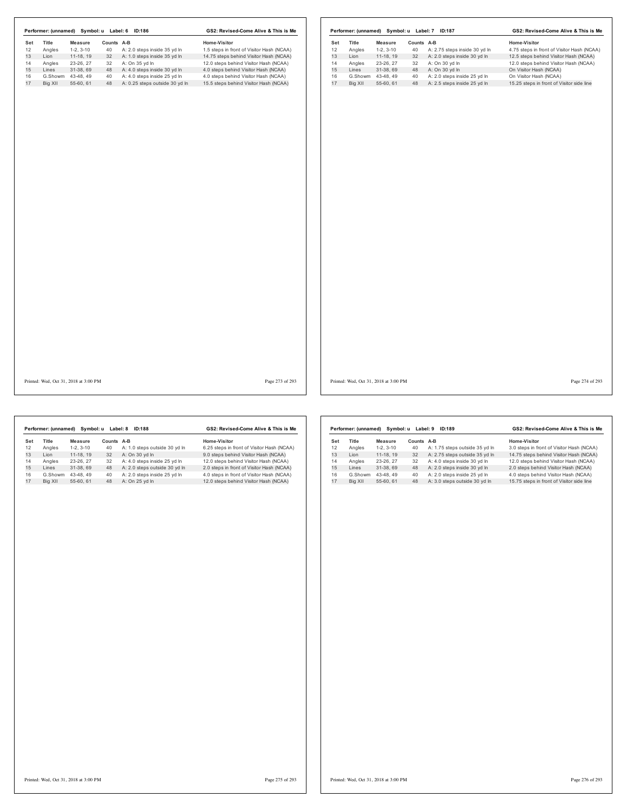|           |         |                                       |            | Performer: (unnamed) Symbol: u Label: 6 ID:186 | GS2: Revised-Come Alive & This is Me      |            |         |                                       |            | Performer: (unnamed) Symbol: u Label: 7 ID:187 | GS2: Revised-Come Alive & This is Me       |                 |
|-----------|---------|---------------------------------------|------------|------------------------------------------------|-------------------------------------------|------------|---------|---------------------------------------|------------|------------------------------------------------|--------------------------------------------|-----------------|
| Set<br>12 | Title   | Measure                               | Counts A-B |                                                | Home-Visitor                              | Set        | Title   | Measure                               | Counts A-B |                                                | Home-Visitor                               |                 |
|           | Angles  | $1-2, 3-10$                           | 40         | A: 2.0 steps inside 35 yd In                   | 1.5 steps in front of Visitor Hash (NCAA) | 12         | Angles  | $1-2, 3-10$                           | 40         | A: 2.75 steps inside 30 yd In                  | 4.75 steps in front of Visitor Hash (NCAA) |                 |
|           | Lion    | 11-18, 19                             | 32         | A: 1.0 steps inside 35 yd In                   | 14.75 steps behind Visitor Hash (NCAA)    | 13<br>Lion |         | 11-18, 19                             | 32         | A: 2.0 steps inside 30 yd In                   | 12.5 steps behind Visitor Hash (NCAA)      |                 |
|           | Angles  | 23-26, 27                             | 32         | A: On 35 yd In                                 | 12.0 steps behind Visitor Hash (NCAA)     | 14         | Angles  | 23-26, 27                             | 32         | A: On 30 yd In                                 | 12.0 steps behind Visitor Hash (NCAA)      |                 |
|           | Lines   | 31-38, 69                             |            | 48 A: 4.0 steps inside 30 yd In                | 4.0 steps behind Visitor Hash (NCAA)      | 15         | Lines   | 31-38, 69                             | 48         | A: On 30 yd In                                 | On Visitor Hash (NCAA)                     |                 |
|           |         | G.Showm 43-48, 49                     | 40         | A: 4.0 steps inside 25 yd In                   | 4.0 steps behind Visitor Hash (NCAA)      | 16         |         | G.Showm 43-48, 49                     | 40         | A: 2.0 steps inside 25 yd In                   | On Visitor Hash (NCAA)                     |                 |
|           | Big XII | 55-60, 61                             | 48         | A: 0.25 steps outside 30 yd In                 | 15.5 steps behind Visitor Hash (NCAA)     | 17         | Big XII | 55-60, 61                             | 48         | A: 2.5 steps inside 25 yd In                   | 15.25 steps in front of Visitor side line  |                 |
|           |         |                                       |            |                                                |                                           |            |         |                                       |            |                                                |                                            |                 |
|           |         | Printed: Wed, Oct 31, 2018 at 3:00 PM |            |                                                | Page 273 of 293                           |            |         | Printed: Wed, Oct 31, 2018 at 3:00 PM |            |                                                |                                            | Page 274 of 293 |

|     | Performer: (unnamed) | Symbol: u  | Label: 8   | <b>ID:188</b>                 | GS2: Revised-Come Alive & This is Me       |
|-----|----------------------|------------|------------|-------------------------------|--------------------------------------------|
| Set | Title                | Measure    | Counts A-B |                               | Home-Visitor                               |
| 12  | Angles               | $1-2.3-10$ | 40         | A: 1.0 steps outside 30 vd In | 6.25 steps in front of Visitor Hash (NCAA) |
| 13  | I ion                | 11-18.19   | 32         | A: On 30 vd In                | 9.0 steps behind Visitor Hash (NCAA)       |
| 14  | Angles               | 23-26.27   | 32         | A: 4.0 steps inside 25 vd In  | 12.0 steps behind Visitor Hash (NCAA)      |
| 15  | Lines                | 31-38.69   | 48         | A: 2.0 steps outside 30 yd In | 2.0 steps in front of Visitor Hash (NCAA)  |
| 16  | G.Showm              | 43-48.49   | 40         | A: 2.0 steps inside 25 vd In  | 4.0 steps in front of Visitor Hash (NCAA)  |
| 17  | Big XII              | 55-60.61   | 48         | A: On 25 yd In                | 12.0 steps behind Visitor Hash (NCAA)      |
|     |                      |            |            |                               |                                            |

|         |            |                      | ID:189                         | GS2: Revised-Come Alive & This is Me      |
|---------|------------|----------------------|--------------------------------|-------------------------------------------|
| Title   | Measure    | Counts               | A-B                            | Home-Visitor                              |
| Angles  | $1-2.3-10$ | 40                   | A: 1.75 steps outside 35 yd In | 3.0 steps in front of Visitor Hash (NCAA) |
| I ion   | 11-18.19   | 32                   | A: 2.75 steps outside 35 yd In | 14.75 steps behind Visitor Hash (NCAA)    |
| Angles  | 23-26, 27  | 32                   | A: 4.0 steps inside 30 vd In   | 12.0 steps behind Visitor Hash (NCAA)     |
| I ines  | 31-38.69   | 48                   | A: 2.0 steps inside 30 yd In   | 2.0 steps behind Visitor Hash (NCAA)      |
| G.Showm | 43-48.49   | 40                   | A: 2.0 steps inside 25 vd In   | 4.0 steps behind Visitor Hash (NCAA)      |
| Big XII | 55-60.61   | 48                   | A: 3.0 steps outside 30 yd In  | 15.75 steps in front of Visitor side line |
|         |            | Performer: (unnamed) | Symbol: u                      | Label: 9                                  |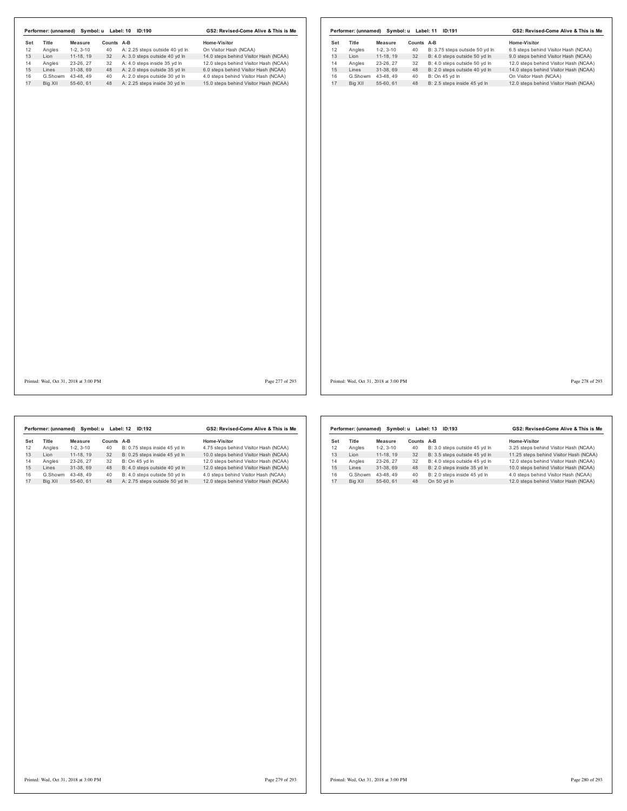| Set<br>Title<br>Counts A-B<br>Home-Visitor<br>Title<br>Counts A-B<br>Measure<br>Set<br>Measure<br>On Visitor Hash (NCAA)<br>12<br>Angles<br>$1-2, 3-10$<br>40<br>A: 2.25 steps outside 40 yd In<br>Angles<br>40<br>B: 3.75 steps outside 50 yd In<br>$1-2, 3-10$<br>A: 3.0 steps outside 40 yd In<br>13<br>Lion<br>11-18, 19<br>32<br>14.0 steps behind Visitor Hash (NCAA)<br>Lion<br>$11-18, 19$<br>32<br>B: 4.0 steps outside 50 yd In<br>A: 4.0 steps inside 35 yd In<br>12.0 steps behind Visitor Hash (NCAA)<br>Angles<br>23-26, 27<br>32<br>14<br>Angles<br>23-26, 27<br>32<br>B: 4.0 steps outside 50 yd In<br>31-38, 69<br>48<br>A: 2.0 steps outside 35 yd In<br>6.0 steps behind Visitor Hash (NCAA)<br>15<br>48<br>B: 2.0 steps outside 40 yd In<br>Lines<br>Lines<br>31-38, 69<br>A: 2.0 steps outside 30 yd In<br>4.0 steps behind Visitor Hash (NCAA)<br>16<br>B: On 45 yd In<br>G.Showm<br>43-48, 49<br>40<br>G.Showm 43-48, 49<br>40<br>55-60, 61<br>48<br>A: 2.25 steps inside 30 yd In<br>15.0 steps behind Visitor Hash (NCAA)<br>17<br>Big XII<br>48<br>B: 2.5 steps inside 45 yd In<br>Big XII<br>55-60, 61 | Home-Visitor<br>6.5 steps behind Visitor Hash (NCAA)<br>9.0 steps behind Visitor Hash (NCAA)<br>12.0 steps behind Visitor Hash (NCAA)<br>14.0 steps behind Visitor Hash (NCAA) |
|-----------------------------------------------------------------------------------------------------------------------------------------------------------------------------------------------------------------------------------------------------------------------------------------------------------------------------------------------------------------------------------------------------------------------------------------------------------------------------------------------------------------------------------------------------------------------------------------------------------------------------------------------------------------------------------------------------------------------------------------------------------------------------------------------------------------------------------------------------------------------------------------------------------------------------------------------------------------------------------------------------------------------------------------------------------------------------------------------------------------------------------|--------------------------------------------------------------------------------------------------------------------------------------------------------------------------------|
| 12<br>13<br>14<br>15<br>16<br>17                                                                                                                                                                                                                                                                                                                                                                                                                                                                                                                                                                                                                                                                                                                                                                                                                                                                                                                                                                                                                                                                                                  |                                                                                                                                                                                |
|                                                                                                                                                                                                                                                                                                                                                                                                                                                                                                                                                                                                                                                                                                                                                                                                                                                                                                                                                                                                                                                                                                                                   |                                                                                                                                                                                |
|                                                                                                                                                                                                                                                                                                                                                                                                                                                                                                                                                                                                                                                                                                                                                                                                                                                                                                                                                                                                                                                                                                                                   |                                                                                                                                                                                |
|                                                                                                                                                                                                                                                                                                                                                                                                                                                                                                                                                                                                                                                                                                                                                                                                                                                                                                                                                                                                                                                                                                                                   |                                                                                                                                                                                |
|                                                                                                                                                                                                                                                                                                                                                                                                                                                                                                                                                                                                                                                                                                                                                                                                                                                                                                                                                                                                                                                                                                                                   |                                                                                                                                                                                |
|                                                                                                                                                                                                                                                                                                                                                                                                                                                                                                                                                                                                                                                                                                                                                                                                                                                                                                                                                                                                                                                                                                                                   | On Visitor Hash (NCAA)                                                                                                                                                         |
|                                                                                                                                                                                                                                                                                                                                                                                                                                                                                                                                                                                                                                                                                                                                                                                                                                                                                                                                                                                                                                                                                                                                   | 12.0 steps behind Visitor Hash (NCAA)                                                                                                                                          |
|                                                                                                                                                                                                                                                                                                                                                                                                                                                                                                                                                                                                                                                                                                                                                                                                                                                                                                                                                                                                                                                                                                                                   |                                                                                                                                                                                |
| Printed: Wed, Oct 31, 2018 at 3:00 PM<br>Page 277 of 293<br>Printed: Wed, Oct 31, 2018 at 3:00 PM                                                                                                                                                                                                                                                                                                                                                                                                                                                                                                                                                                                                                                                                                                                                                                                                                                                                                                                                                                                                                                 | Page 278 of 293                                                                                                                                                                |

|     | Performer: (unnamed) | Symbol: u  |        | Label: 12<br>ID:192            | GS2: Revised-Come Alive & This is Me  |
|-----|----------------------|------------|--------|--------------------------------|---------------------------------------|
| Set | <b>Title</b>         | Measure    | Counts | A-B                            | Home-Visitor                          |
| 12  | Angles               | $1-2.3-10$ | 40     | B: 0.75 steps inside 45 yd In  | 4.75 steps behind Visitor Hash (NCAA) |
| 13  | I ion                | 11-18.19   | 32     | B: 0.25 steps inside 45 vd ln  | 10.0 steps behind Visitor Hash (NCAA) |
| 14  | Angles               | 23-26.27   | 32     | B: On 45 yd In                 | 12.0 steps behind Visitor Hash (NCAA) |
| 15  | I ines               | 31-38.69   | 48     | B: 4.0 steps outside 40 yd In  | 12.0 steps behind Visitor Hash (NCAA) |
| 16  | G.Showm              | 43-48.49   | 40     | B: 4.0 steps outside 50 yd In  | 4.0 steps behind Visitor Hash (NCAA)  |
| 17  | Big XII              | 55-60.61   | 48     | A: 2.75 steps outside 50 yd In | 12.0 steps behind Visitor Hash (NCAA) |
|     |                      |            |        |                                |                                       |

| Performer: (unnamed) | Symbol: u  | Label: 13 | GS2: Revised-Come Alive & This is Me |                                        |  |
|----------------------|------------|-----------|--------------------------------------|----------------------------------------|--|
| Title                | Measure    | Counts    | $A-B$                                | Home-Visitor                           |  |
| Angles               | $1-2.3-10$ | 40        | B: 3.0 steps outside 45 yd In        | 3.25 steps behind Visitor Hash (NCAA)  |  |
| I ion                | 11-18.19   | 32        | B: 3.5 steps outside 45 yd In        | 11.25 steps behind Visitor Hash (NCAA) |  |
| Angles               | 23-26.27   | 32        | B: 4.0 steps outside 45 yd In        | 12.0 steps behind Visitor Hash (NCAA)  |  |
| I ines               | 31-38.69   | 48        | B: 2.0 steps inside 35 yd In         | 10.0 steps behind Visitor Hash (NCAA)  |  |
| G.Showm              | 43-48.49   | 40        | B: 2.0 steps inside 45 vd In         | 4.0 steps behind Visitor Hash (NCAA)   |  |
| Bia XII              | 55-60.61   | 48        | On 50 yd In                          | 12.0 steps behind Visitor Hash (NCAA)  |  |
|                      |            |           |                                      |                                        |  |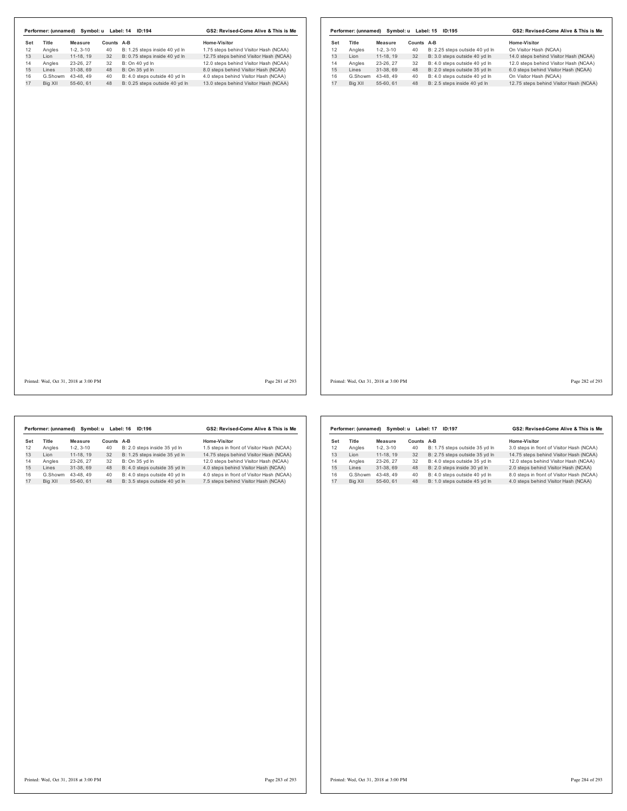|     |         |                                       |            | Performer: (unnamed) Symbol: u Label: 14 ID:194 | GS2: Revised-Come Alive & This is Me   |     |         |                                       |            | Performer: (unnamed) Symbol: u Label: 15 ID:195 | GS2: Revised-Come Alive & This is Me   |                 |
|-----|---------|---------------------------------------|------------|-------------------------------------------------|----------------------------------------|-----|---------|---------------------------------------|------------|-------------------------------------------------|----------------------------------------|-----------------|
| Set | Title   | Measure                               | Counts A-B |                                                 | Home-Visitor                           | Set | Title   | <b>Measure</b>                        | Counts A-B |                                                 | Home-Visitor                           |                 |
| 12  | Angles  | $1-2, 3-10$                           | 40         | B: 1.25 steps inside 40 yd In                   | 1.75 steps behind Visitor Hash (NCAA)  | 12  | Angles  | $1-2, 3-10$                           | 40         | B: 2.25 steps outside 40 yd In                  | On Visitor Hash (NCAA)                 |                 |
| 13  | Lion    | 11-18, 19                             | 32         | B: 0.75 steps inside 40 yd In                   | 12.75 steps behind Visitor Hash (NCAA) | 13  | Lion    | 11-18, 19                             | 32         | B: 3.0 steps outside 40 yd In                   | 14.0 steps behind Visitor Hash (NCAA)  |                 |
| 14  | Angles  | 23-26, 27                             | 32         | B: On 40 yd In                                  | 12.0 steps behind Visitor Hash (NCAA)  | 14  | Angles  | 23-26, 27                             | 32         | B: 4.0 steps outside 40 yd In                   | 12.0 steps behind Visitor Hash (NCAA)  |                 |
| 15  | Lines   | 31-38, 69                             | 48         | B: On 35 yd In                                  | 8.0 steps behind Visitor Hash (NCAA)   | 15  | Lines   | 31-38, 69                             | 48         | B: 2.0 steps outside 35 yd In                   | 6.0 steps behind Visitor Hash (NCAA)   |                 |
| 16  |         | G.Showm 43-48, 49                     | 40         | B: 4.0 steps outside 40 yd In                   | 4.0 steps behind Visitor Hash (NCAA)   | 16  | G.Showm | 43-48, 49                             | 40         | B: 4.0 steps outside 40 yd In                   | On Visitor Hash (NCAA)                 |                 |
| 17  | Big XII | 55-60, 61                             | 48         | B: 0.25 steps outside 40 yd In                  | 13.0 steps behind Visitor Hash (NCAA)  | 17  | Big XII | 55-60, 61                             | 48         | B: 2.5 steps inside 40 yd In                    | 12.75 steps behind Visitor Hash (NCAA) |                 |
|     |         |                                       |            |                                                 |                                        |     |         |                                       |            |                                                 |                                        |                 |
|     |         | Printed: Wed, Oct 31, 2018 at 3:00 PM |            |                                                 | Page 281 of 293                        |     |         | Printed: Wed, Oct 31, 2018 at 3:00 PM |            |                                                 |                                        | Page 282 of 293 |

|     | Performer: (unnamed) | Symbol: u  |        | Label: 16<br>ID:196           | GS2: Revised-Come Alive & This is Me      |
|-----|----------------------|------------|--------|-------------------------------|-------------------------------------------|
| Set | Title                | Measure    | Counts | A-B                           | Home-Visitor                              |
| 12  | Angles               | $1-2.3-10$ | 40     | B: 2.0 steps inside 35 vd In  | 1.5 steps in front of Visitor Hash (NCAA) |
| 13  | I ion                | 11-18.19   | 32     | B: 1.25 steps inside 35 yd In | 14.75 steps behind Visitor Hash (NCAA)    |
| 14  | Angles               | 23-26.27   | 32     | B: On 35 vd In                | 12.0 steps behind Visitor Hash (NCAA)     |
| 15  | Lines                | 31-38.69   | 48     | B: 4.0 steps outside 35 yd In | 4.0 steps behind Visitor Hash (NCAA)      |
| 16  | G.Showm              | 43-48.49   | 40     | B: 4.0 steps outside 40 vd In | 4.0 steps in front of Visitor Hash (NCAA) |
| 17  | Big XII              | 55-60.61   | 48     | B: 3.5 steps outside 40 yd In | 7.5 steps behind Visitor Hash (NCAA)      |
|     |                      |            |        |                               |                                           |

|     | Performer: (unnamed) | Symbol: u  | GS2: Revised-Come Alive & This is Me |                                |                                           |
|-----|----------------------|------------|--------------------------------------|--------------------------------|-------------------------------------------|
| Set | Title                | Measure    | Counts                               | A-B                            | Home-Visitor                              |
| 12  | Angles               | $1-2.3-10$ | 40                                   | B: 1.75 steps outside 35 yd In | 3.0 steps in front of Visitor Hash (NCAA) |
| 13  | I ion                | 11-18, 19  | 32                                   | B: 2.75 steps outside 35 yd In | 14.75 steps behind Visitor Hash (NCAA)    |
| 14  | Angles               | 23-26, 27  | 32                                   | B: 4.0 steps outside 35 vd In  | 12.0 steps behind Visitor Hash (NCAA)     |
| 15  | I ines               | 31-38.69   | 48                                   | B: 2.0 steps inside 30 yd In   | 2.0 steps behind Visitor Hash (NCAA)      |
| 16  | G.Showm              | 43-48.49   | 40                                   | B: 4.0 steps outside 40 vd In  | 8.0 steps in front of Visitor Hash (NCAA) |
| 17  | Bia XII              | 55-60.61   | 48                                   | B: 1.0 steps outside 45 vd In  | 4.0 steps behind Visitor Hash (NCAA)      |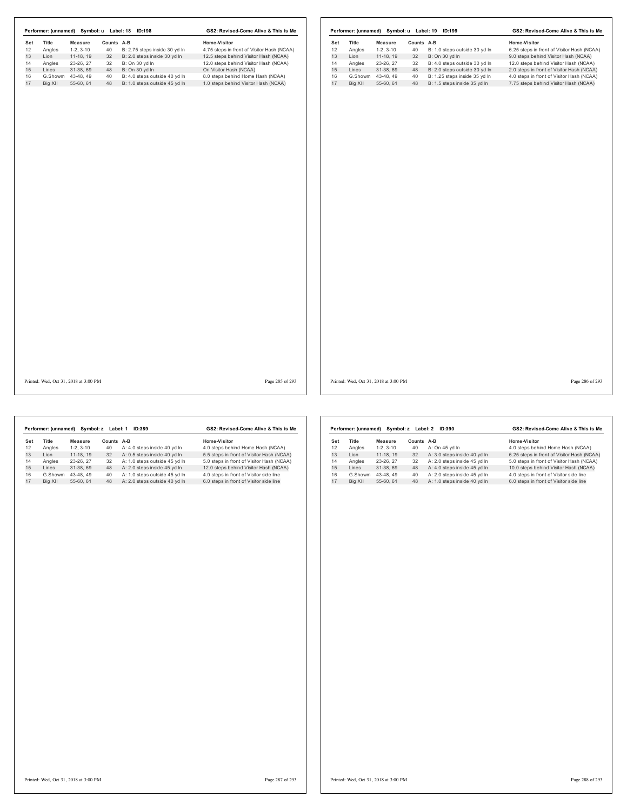| Set      | Title                        | <b>Measure</b> | Counts A-B |                                                                | Home-Visitor                                                              | Title<br>Set        | <b>Measure</b>                 | Counts A-B |                                                               | Home-Visitor                                                                       |
|----------|------------------------------|----------------|------------|----------------------------------------------------------------|---------------------------------------------------------------------------|---------------------|--------------------------------|------------|---------------------------------------------------------------|------------------------------------------------------------------------------------|
| 12       | Angles                       | $1-2, 3-10$    | 40         | B: 2.75 steps inside 30 yd In                                  | 4.75 steps in front of Visitor Hash (NCAA)                                | 12<br>Angles        | $1-2, 3-10$                    | 40         | B: 1.0 steps outside 30 yd In                                 | 6.25 steps in front of Visitor Hash (NCAA)                                         |
| 13       | Lion                         | $11-18, 19$    | 32         | B: 2.0 steps inside 30 yd In                                   | 12.5 steps behind Visitor Hash (NCAA)                                     | 13<br>Lion          | $11-18, 19$                    | 32         | B: On 30 yd In                                                | 9.0 steps behind Visitor Hash (NCAA)                                               |
| 14<br>15 | Angles                       | 23-26, 27      | 32         | B: On 30 yd In                                                 | 12.0 steps behind Visitor Hash (NCAA)                                     | 14<br>Angles        | 23-26, 27                      | 32         | B: 4.0 steps outside 30 yd In                                 | 12.0 steps behind Visitor Hash (NCAA)                                              |
|          | Lines                        | 31-38, 69      | 48         | B: On 30 yd In                                                 | On Visitor Hash (NCAA)                                                    | 15<br>Lines         | 31-38, 69                      | 48         | B: 2.0 steps outside 30 yd In                                 | 2.0 steps in front of Visitor Hash (NCAA)                                          |
|          | G.Showm 43-48, 49<br>Big XII | 55-60, 61      | 40<br>48   | B: 4.0 steps outside 40 yd In<br>B: 1.0 steps outside 45 yd In | 8.0 steps behind Home Hash (NCAA)<br>1.0 steps behind Visitor Hash (NCAA) | 16<br>17<br>Big XII | G.Showm 43-48, 49<br>55-60, 61 | 40<br>48   | B: 1.25 steps inside 35 yd In<br>B: 1.5 steps inside 35 yd In | 4.0 steps in front of Visitor Hash (NCAA)<br>7.75 steps behind Visitor Hash (NCAA) |
|          |                              |                |            |                                                                |                                                                           |                     |                                |            |                                                               |                                                                                    |
|          |                              |                |            |                                                                |                                                                           |                     |                                |            |                                                               |                                                                                    |
|          |                              |                |            |                                                                |                                                                           |                     |                                |            |                                                               |                                                                                    |

Printed: Wed, Oct 31, 2018 at 3:00 PM Page 285 of 293

Printed: Wed, Oct 31, 2018 at 3:00 PM Page 286 of 293

|     | Performer: (unnamed) | Symbol: z Label: 1 | GS2: Revised-Come Alive & This is Me |                               |                                           |
|-----|----------------------|--------------------|--------------------------------------|-------------------------------|-------------------------------------------|
| Set | Title                | Measure            | Counts A-B                           |                               | Home-Visitor                              |
| 12  | Angles               | $1-2.3-10$         | 40                                   | A: 4.0 steps inside 40 yd In  | 4.0 steps behind Home Hash (NCAA)         |
| 13  | I ion                | 11-18.19           | 32                                   | A: 0.5 steps inside 40 vd In  | 5.5 steps in front of Visitor Hash (NCAA) |
| 14  | Angles               | 23-26.27           | 32                                   | A: 1.0 steps outside 45 vd In | 5.0 steps in front of Visitor Hash (NCAA) |
| 15  | Lines                | 31-38.69           | 48                                   | A: 2.0 steps inside 45 yd In  | 12.0 steps behind Visitor Hash (NCAA)     |
| 16  | G.Showm              | 43-48.49           | 40                                   | A: 1.0 steps outside 45 vd In | 4.0 steps in front of Visitor side line   |
| 17  | Big XII              | 55-60.61           | 48                                   | A: 2.0 steps outside 40 yd In | 6.0 steps in front of Visitor side line   |
|     |                      |                    |                                      |                               |                                           |

|     | Performer: (unnamed) |            | Symbol: z Label: 2 | GS2: Revised-Come Alive & This is Me |                                            |
|-----|----------------------|------------|--------------------|--------------------------------------|--------------------------------------------|
| Set | <b>Title</b>         | Measure    | Counts A-B         |                                      | Home-Visitor                               |
| 12  | Angles               | $1-2.3-10$ | 40                 | A: On 45 vd In                       | 4.0 steps behind Home Hash (NCAA)          |
| 13  | I ion                | 11-18.19   | 32                 | A: 3.0 steps inside 40 yd In         | 6.25 steps in front of Visitor Hash (NCAA) |
| 14  | Angles               | 23-26.27   | 32                 | A: 2.0 steps inside 45 vd In         | 5.0 steps in front of Visitor Hash (NCAA)  |
| 15  | I ines               | 31-38.69   | 48                 | A: 4.0 steps inside 45 yd In         | 10.0 steps behind Visitor Hash (NCAA)      |
| 16  | G.Showm              | 43-48.49   | 40                 | A: 2.0 steps inside 45 vd In         | 4.0 steps in front of Visitor side line    |
| 17  | Big XII              | 55-60.61   | 48                 | A: 1.0 steps inside 40 yd In         | 6.0 steps in front of Visitor side line    |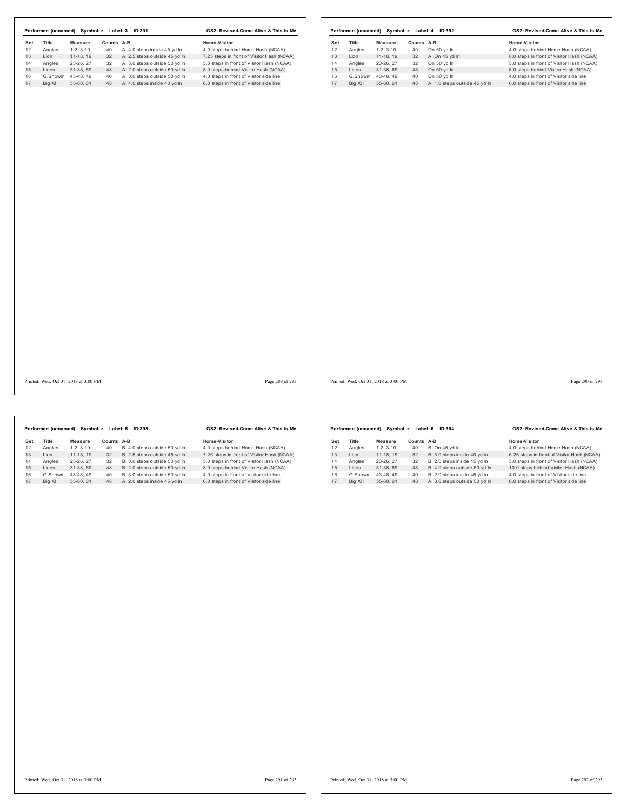|     |                                       |                   |            | Performer: (unnamed) Symbol: z Label: 3 ID:391 | GS2: Revised-Come Alive & This is Me       |     |         |                                       |            | Performer: (unnamed) Symbol: z Label: 4 ID:392 | GS2: Revised-Come Alive & This is Me      |                 |
|-----|---------------------------------------|-------------------|------------|------------------------------------------------|--------------------------------------------|-----|---------|---------------------------------------|------------|------------------------------------------------|-------------------------------------------|-----------------|
| Set | Title                                 | <b>Measure</b>    | Counts A-B |                                                | Home-Visitor                               | Set | Title   | Measure                               | Counts A-B |                                                | Home-Visitor                              |                 |
| 12  | Angles                                | $1-2, 3-10$       | 40         | A: 4.0 steps inside 45 yd In                   | 4.0 steps behind Home Hash (NCAA)          | 12  | Angles  | $1-2, 3-10$                           | 40         | On 50 yd In                                    | 4.0 steps behind Home Hash (NCAA)         |                 |
| 13  | Lion                                  | 11-18, 19         | 32         | A: 2.5 steps outside 45 yd In                  | 7.25 steps in front of Visitor Hash (NCAA) | 13  | Lion    | 11-18, 19                             | 32         | A: On 45 yd In                                 | 8.0 steps in front of Visitor Hash (NCAA) |                 |
| 14  | Angles                                | 23-26, 27         | 32         | A: 3.0 steps outside 50 yd In                  | 5.0 steps in front of Visitor Hash (NCAA)  | 14  | Angles  | 23-26, 27                             | 32         | On 50 yd In                                    | 5.0 steps in front of Visitor Hash (NCAA) |                 |
| 15  | Lines                                 | 31-38, 69         | 48         | A: 2.0 steps outside 50 yd In                  | 8.0 steps behind Visitor Hash (NCAA)       | 15  | Lines   | 31-38, 69                             | 48         | On 50 yd In                                    | 6.0 steps behind Visitor Hash (NCAA)      |                 |
| 16  |                                       | G.Showm 43-48, 49 | 40         | A: 3.0 steps outside 50 yd In                  | 4.0 steps in front of Visitor side line    | 16  |         | G.Showm 43-48, 49                     | 40         | On 50 yd In                                    | 4.0 steps in front of Visitor side line   |                 |
| 17  | Big XII                               | 55-60, 61         | 48         | A: 4.0 steps inside 40 yd In                   | 6.0 steps in front of Visitor side line    | 17  | Big XII | 55-60, 61                             | 48         | A: 1.0 steps outside 45 yd In                  | 6.0 steps in front of Visitor side line   |                 |
|     |                                       |                   |            |                                                |                                            |     |         |                                       |            |                                                |                                           |                 |
|     | Printed: Wed, Oct 31, 2018 at 3:00 PM |                   |            |                                                | Page 289 of 293                            |     |         | Printed: Wed, Oct 31, 2018 at 3:00 PM |            |                                                |                                           | Page 290 of 293 |

|     | Performer: (unnamed) | Symbol: z Label: 5 | GS2: Revised-Come Alive & This is Me |                               |                                            |
|-----|----------------------|--------------------|--------------------------------------|-------------------------------|--------------------------------------------|
| Set | <b>Title</b>         | Measure            | Counts                               | A-B                           | Home-Visitor                               |
| 12  | Angles               | $1-2.3-10$         | 40                                   | B: 4.0 steps outside 50 yd In | 4.0 steps behind Home Hash (NCAA)          |
| 13  | Lion                 | 11-18.19           | 32                                   | B: 2.5 steps outside 45 yd In | 7.25 steps in front of Visitor Hash (NCAA) |
| 14  | Angles               | 23-26.27           | 32                                   | B: 3.0 steps outside 50 yd In | 5.0 steps in front of Visitor Hash (NCAA)  |
| 15  | I ines               | 31-38.69           | 48                                   | B: 2.0 steps outside 50 yd In | 8.0 steps behind Visitor Hash (NCAA)       |
| 16  | G.Showm              | 43-48.49           | 40                                   | B: 3.0 steps outside 50 yd In | 4.0 steps in front of Visitor side line    |
| 17  | Big XII              | 55-60.61           | 48                                   | A: 2.0 steps inside 45 vd In  | 6.0 steps in front of Visitor side line    |
|     |                      |                    |                                      |                               |                                            |

| GS2: Revised-Come Alive & This is Me<br>Performer: (unnamed)<br>Symbol: z Label: 6<br><b>ID:394</b> |         |            |        |                               |                                            |  |  |
|-----------------------------------------------------------------------------------------------------|---------|------------|--------|-------------------------------|--------------------------------------------|--|--|
| Set                                                                                                 | Title   | Measure    | Counts | A-B                           | Home-Visitor                               |  |  |
| 12                                                                                                  | Angles  | $1-2.3-10$ | 40     | B: On 45 yd In                | 4.0 steps behind Home Hash (NCAA)          |  |  |
| 13                                                                                                  | I ion   | 11-18.19   | 32     | B: 3.0 steps inside 40 vd In  | 6.25 steps in front of Visitor Hash (NCAA) |  |  |
| 14                                                                                                  | Angles  | 23-26, 27  | 32     | B: 2.0 steps inside 45 vd In  | 5.0 steps in front of Visitor Hash (NCAA)  |  |  |
| 15                                                                                                  | Lines   | 31-38.69   | 48     | B: 4.0 steps outside 50 yd In | 10.0 steps behind Visitor Hash (NCAA)      |  |  |
| 16                                                                                                  | G.Showm | 43-48.49   | 40     | B: 2.0 steps inside 45 vd In  | 4.0 steps in front of Visitor side line    |  |  |
| 17                                                                                                  | Big XII | 55-60.61   | 48     | A: 3.0 steps outside 50 yd In | 6.0 steps in front of Visitor side line    |  |  |